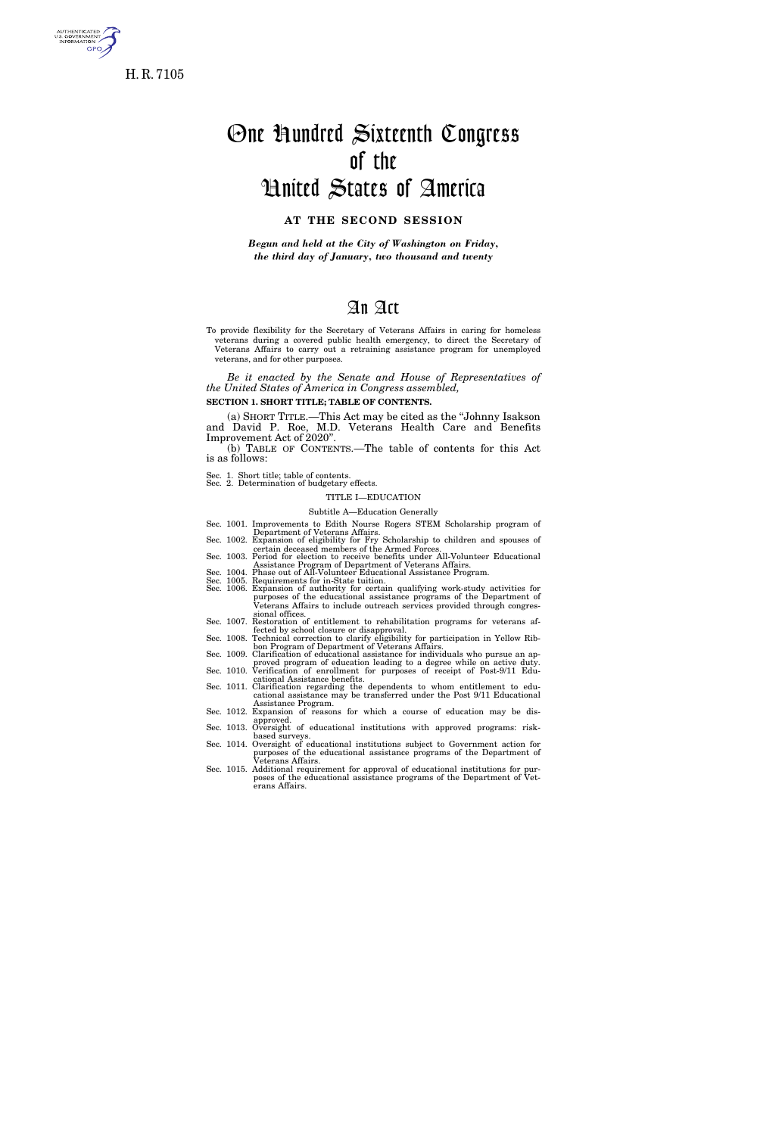

s. GOVERNMENT<br>INFORMATION GPO.

# One Hundred Sixteenth Congress of the United States of America

# **AT THE SECOND SESSION**

*Begun and held at the City of Washington on Friday, the third day of January, two thousand and twenty* 

# An Act

To provide flexibility for the Secretary of Veterans Affairs in caring for homeless veterans during a covered public health emergency, to direct the Secretary of Veterans Affairs to carry out a retraining assistance program for unemployed veterans, and for other purposes.

*Be it enacted by the Senate and House of Representatives of the United States of America in Congress assembled,* 

**SECTION 1. SHORT TITLE; TABLE OF CONTENTS.** 

(a) SHORT TITLE.—This Act may be cited as the ''Johnny Isakson and David P. Roe, M.D. Veterans Health Care and Benefits Improvement Act of 2020''.

(b) TABLE OF CONTENTS.—The table of contents for this Act is as follows:

Sec. 1. Short title; table of contents. Sec. 2. Determination of budgetary effects.

# TITLE I—EDUCATION

Subtitle A—Education Generally

- Sec. 1001. Improvements to Edith Nourse Rogers STEM Scholarship program of Department of Veterans Affairs. Sec. 1002. Expansion of eligibility for Fry Scholarship to children and spouses of
- certain deceased members of the Armed Forces.
- Sec. 1003. Period for election to receive benefits under All-Volunteer Educational Assistance Program of Department of Veterans Affairs. Sec. 1004. Phase out of All-Volunteer Educational Assistance Program.
- 
- Sec. 1005. Requirements for in-State tuition. Sec. 1006. Expansion of authority for certain qualifying work-study activities for purposes of the educational assistance programs of the Department of Veterans Affairs to include outreach services provided through congressional offices. Sec. 1007. Restoration of entitlement to rehabilitation programs for veterans af-
- 
- Sec. 1008. Technical correction to clarify eligibility for participation in Yellow Rib-<br>bon Program of Department of Veterans Affairs.
- Sec. 1009. Clarification of educational assistance for individuals who pursue an approved program of education leading to a degree while on active duty. Sec. 1010. Verification of enrollment for purposes of receipt of Post-9/11 Edu-
- cational Assistance benefits. Sec. 1011. Clarification regarding the dependents to whom entitlement to edu-
- cational assistance may be transferred under the Post 9/11 Educational Assistance Program. Sec. 1012. Expansion of reasons for which a course of education may be dis-
- 
- approved. Sec. 1013. Oversight of educational institutions with approved programs: risk-
- based surveys. Sec. 1014. Oversight of educational institutions subject to Government action for purposes of the educational assistance programs of the Department of Veterans Affairs.
- Sec. 1015. Additional requirement for approval of educational institutions for purposes of the educational assistance programs of the Department of Veterans Affairs.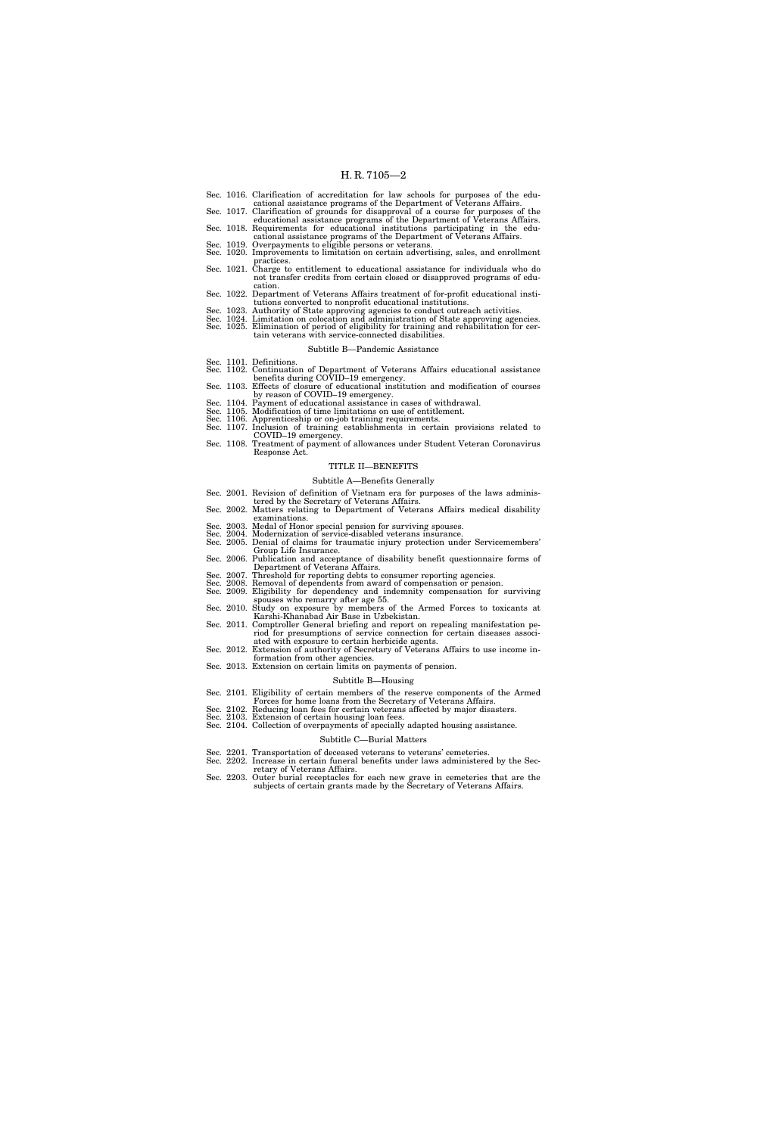- Sec. 1016. Clarification of accreditation for law schools for purposes of the edu-
- cational assistance programs of the Department of Veterans Affairs. Sec. 1017. Clarification of grounds for disapproval of a course for purposes of the
- educational assistance programs of the Department of Veterans Affairs. Sec. 1018. Requirements for educational institutions participating in the edu-
- cational assistance programs of the Department of Veterans Affairs. Sec. 1019. Overpayments to eligible persons or veterans. Sec. 1020. Improvements to limitation on certain advertising, sales, and enrollment
- practices. Sec. 1021. Charge to entitlement to educational assistance for individuals who do
- not transfer credits from certain closed or disapproved programs of education. Sec. 1022. Department of Veterans Affairs treatment of for-profit educational insti-
- tutions converted to nonprofit educational institutions.
- 
- Sec. 1023. Authority of State approving agencies to conduct outreach activities.<br>Sec. 1024. Limitation on colocation and administration of State approving agencies.<br>Sec. 1025. Elimination of period of eligibility for train tain veterans with service-connected disabilities.

#### Subtitle B—Pandemic Assistance

- 
- Sec. 1101. Definitions. Sec. 1102. Continuation of Department of Veterans Affairs educational assistance benefits during COVID–19 emergency. Sec. 1103. Effects of closure of educational institution and modification of courses
- by reason of COVID–19 emergency. Sec. 1104. Payment of educational assistance in cases of withdrawal.
- 
- Sec. 1105. Modification of time limitations on use of entitlement. Sec. 1106. Apprenticeship or on-job training requirements.
- Sec. 1107. Inclusion of training establishments in certain provisions related to COVID–19 emergency.
- Sec. 1108. Treatment of payment of allowances under Student Veteran Coronavirus Response Act.

#### TITLE II—BENEFITS

#### Subtitle A—Benefits Generally

- Sec. 2001. Revision of definition of Vietnam era for purposes of the laws adminis-
- tered by the Secretary of Veterans Affairs. Sec. 2002. Matters relating to Department of Veterans Affairs medical disability
- examinations.
- Sec. 2003. Medal of Honor special pension for surviving spouses.
- Sec. 2004. Modernization of service-disabled veterans insurance. Sec. 2005. Denial of claims for traumatic injury protection under Servicemembers'
- Group Life Insurance. Sec. 2006. Publication and acceptance of disability benefit questionnaire forms of
- Department of Veterans Affairs.
- Sec. 2007. Threshold for reporting debts to consumer reporting agencies.<br>Sec. 2008. Removal of dependents from award of compensation or pension.<br>Sec. 2009. Eligibility for dependency and indemnity compensation for survivin
- 
- spouses who remarry after age 55. Sec. 2010. Study on exposure by members of the Armed Forces to toxicants at Karshi-Khanabad Air Base in Uzbekistan. Sec. 2011. Comptroller General briefing and report on repealing manifestation pe-
- riod for presumptions of service connection for certain diseases associated with exposure to certain herbicide agents.
- Sec. 2012. Extension of authority of Secretary of Veterans Affairs to use income information from other agencies.
- Sec. 2013. Extension on certain limits on payments of pension.

#### Subtitle B—Housing

- Sec. 2101. Eligibility of certain members of the reserve components of the Armed
- Forces for home loans from the Secretary of Veterans Affairs. Sec. 2102. Reducing loan fees for certain veterans affected by major disasters.
- Sec. 2103. Extension of certain housing loan fees. Sec. 2104. Collection of overpayments of specially adapted housing assistance.

# Subtitle C—Burial Matters

- Sec. 2201. Transportation of deceased veterans to veterans' cemeteries.
- Sec. 2202. Increase in certain funeral benefits under laws administered by the Sec-
- retary of Veterans Affairs. Sec. 2203. Outer burial receptacles for each new grave in cemeteries that are the subjects of certain grants made by the Secretary of Veterans Affairs.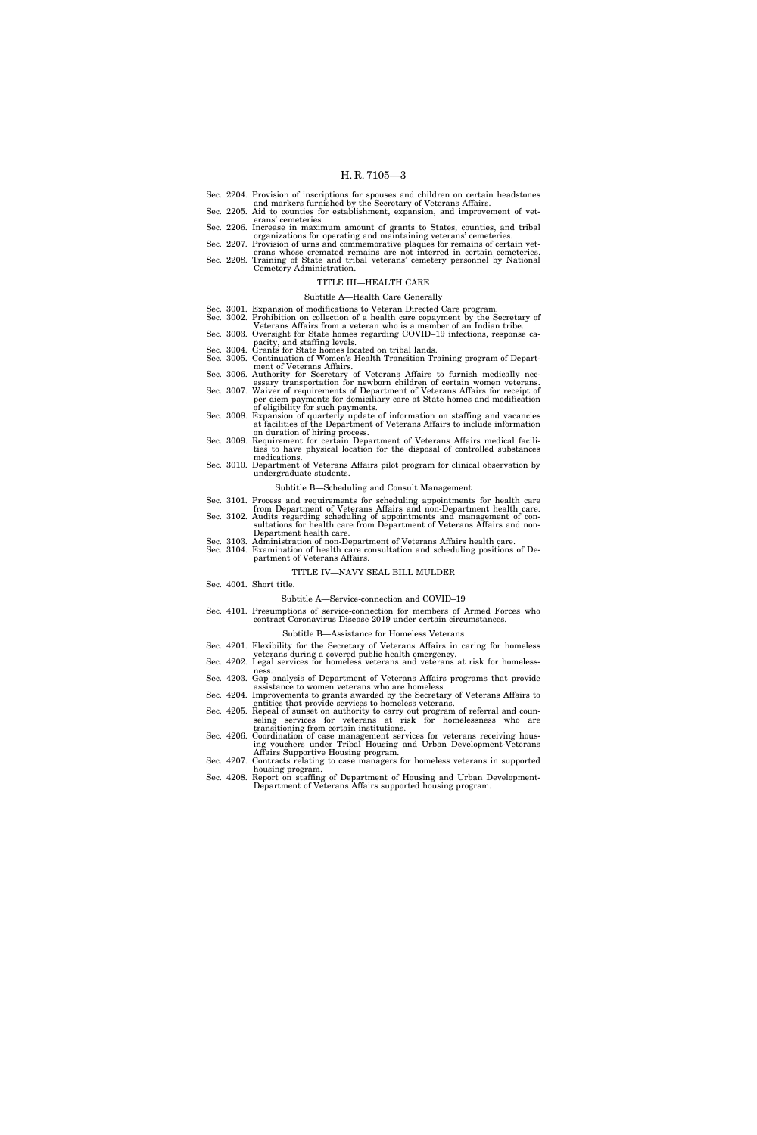- Sec. 2204. Provision of inscriptions for spouses and children on certain headstones and markers furnished by the Secretary of Veterans Affairs. Sec. 2205. Aid to counties for establishment, expansion, and improvement of vet-
- erans' cemeteries.
- Sec. 2206. Increase in maximum amount of grants to States, counties, and tribal
- organizations for operating and maintaining veterans' cemeteries. Sec. 2207. Provision of urns and commemorative plaques for remains of certain vet-
- erans whose cremated remains are not interred in certain cemeteries. Sec. 2208. Training of State and tribal veterans' cemetery personnel by National Cemetery Administration.
	-

# TITLE III—HEALTH CARE

- Subtitle A—Health Care Generally
- Sec. 3001. Expansion of modifications to Veteran Directed Care program. Sec. 3002. Prohibition on collection of a health care copayment by the Secretary of
- Veterans Affairs from a veteran who is a member of an Indian tribe.
- Sec. 3003. Oversight for State homes regarding COVID–19 infections, response capacity, and staffing levels. Sec. 3004. Grants for State homes located on tribal lands.
- Sec. 3004. Grants for State homes located on tribal lands.<br>Sec. 3005. Continuation of Women's Health Transition Training program of Depart-
- ment of Veterans Affairs. Sec. 3006. Authority for Secretary of Veterans Affairs to furnish medically nec-
- essary transportation for newborn children of certain women veterans. Sec. 3007. Waiver of requirements of Department of Veterans Affairs for receipt of
- per diem payments for domiciliary care at State homes and modification
- of eligibility for such payments. Sec. 3008. Expansion of quarterly update of information on staffing and vacancies at facilities of the Department of Veterans Affairs to include information
- on duration of hiring process. Sec. 3009. Requirement for certain Department of Veterans Affairs medical facilities to have physical location for the disposal of controlled substances
- medications. Sec. 3010. Department of Veterans Affairs pilot program for clinical observation by undergraduate students.

### Subtitle B—Scheduling and Consult Management

- Sec. 3101. Process and requirements for scheduling appointments for health care
- from Department of Veterans Affairs and non-Department health care. Sec. 3102. Audits regarding scheduling of appointments and management of consultations for health care from Department of Veterans Affairs and non-
- Department health care. Sec. 3103. Administration of non-Department of Veterans Affairs health care. Sec. 3104. Examination of health care consultation and scheduling positions of De-
- partment of Veterans Affairs.

#### TITLE IV—NAVY SEAL BILL MULDER

Sec. 4001. Short title.

#### Subtitle A—Service-connection and COVID–19

Sec. 4101. Presumptions of service-connection for members of Armed Forces who contract Coronavirus Disease 2019 under certain circumstances.

#### Subtitle B—Assistance for Homeless Veterans

- Sec. 4201. Flexibility for the Secretary of Veterans Affairs in caring for homeless
- veterans during a covered public health emergency. Sec. 4202. Legal services for homeless veterans and veterans at risk for homeless-
- ness. Sec. 4203. Gap analysis of Department of Veterans Affairs programs that provide
- assistance to women veterans who are homeless. Sec. 4204. Improvements to grants awarded by the Secretary of Veterans Affairs to
- entities that provide services to homeless veterans.
- Sec. 4205. Repeal of sunset on authority to carry out program of referral and counseling services for veterans at risk for homelessness who are transitioning from certain institutions.
- Sec. 4206. Coordination of case management services for veterans receiving housing vouchers under Tribal Housing and Urban Development-Veterans
- Affairs Supportive Housing program. Sec. 4207. Contracts relating to case managers for homeless veterans in supported housing program.
- Sec. 4208. Report on staffing of Department of Housing and Urban Development-Department of Veterans Affairs supported housing program.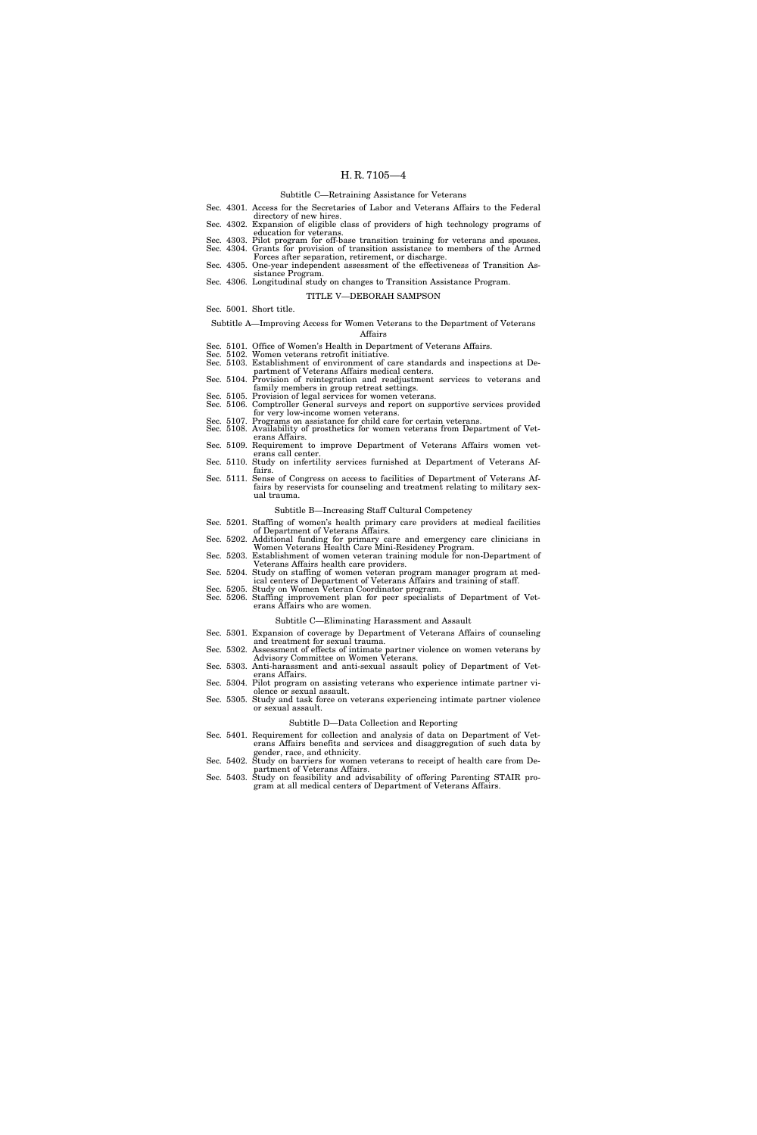#### Subtitle C—Retraining Assistance for Veterans

- Sec. 4301. Access for the Secretaries of Labor and Veterans Affairs to the Federal
- directory of new hires.<br>Sec. 4302. Expansion of eligible class of providers of high technology programs of
- 
- education for veterans. Sec. 4303. Pilot program for off-base transition training for veterans and spouses. Sec. 4304. Grants for provision of transition assistance to members of the Armed Forces after separation, retirement, or discharge.
- Sec. 4305. One-year independent assessment of the effectiveness of Transition Assistance Program.

# Sec. 4306. Longitudinal study on changes to Transition Assistance Program.

### TITLE V—DEBORAH SAMPSON

Sec. 5001. Short title.

#### Subtitle A—Improving Access for Women Veterans to the Department of Veterans Affairs

- Sec. 5101. Office of Women's Health in Department of Veterans Affairs.
- Sec. 5102. Women veterans retrofit initiative. Sec. 5103. Establishment of environment of care standards and inspections at De-
- partment of Veterans Affairs medical centers. Sec. 5104. Provision of reintegration and readjustment services to veterans and
- family members in group retreat settings. Sec. 5105. Provision of legal services for women veterans. Sec. 5106. Comptroller General surveys and report on supportive services provided
- for very low-income women veterans.
- Sec. 5107. Programs on assistance for child care for certain veterans. Sec. 5108. Availability of prosthetics for women veterans from Department of Vet-
- erans Affairs. Sec. 5109. Requirement to improve Department of Veterans Affairs women vet-
- erans call center.
- Sec. 5110. Study on infertility services furnished at Department of Veterans Affairs.
- Sec. 5111. Sense of Congress on access to facilities of Department of Veterans Affairs by reservists for counseling and treatment relating to military sexual trauma.

#### Subtitle B—Increasing Staff Cultural Competency

- Sec. 5201. Staffing of women's health primary care providers at medical facilities
- of Department of Veterans Affairs. Sec. 5202. Additional funding for primary care and emergency care clinicians in
- Women Veterans Health Care Mini-Residency Program. Sec. 5203. Establishment of women veteran training module for non-Department of
- Veterans Affairs health care providers.
- Sec. 5204. Study on staffing of women veteran program manager program at medical centers of Department of Veterans Affairs and training of staff. Sec. 5205. Study on Women Veteran Coordinator program.
- Sec. 5206. Staffing improvement plan for peer specialists of Department of Veterans Affairs who are women.

#### Subtitle C—Eliminating Harassment and Assault

- Sec. 5301. Expansion of coverage by Department of Veterans Affairs of counseling
- and treatment for sexual trauma. Sec. 5302. Assessment of effects of intimate partner violence on women veterans by
- 
- Advisory Committee on Women Veterans. Sec. 5303. Anti-harassment and anti-sexual assault policy of Department of Veterans Affairs.
- Sec. 5304. Pilot program on assisting veterans who experience intimate partner vi-
- olence or sexual assault.
- Sec. 5305. Study and task force on veterans experiencing intimate partner violence or sexual assault.

#### Subtitle D—Data Collection and Reporting

- Sec. 5401. Requirement for collection and analysis of data on Department of Veterans Affairs benefits and services and disaggregation of such data by
- gender, race, and ethnicity. Sec. 5402. Study on barriers for women veterans to receipt of health care from Department of Veterans Affairs.
- Sec. 5403. Study on feasibility and advisability of offering Parenting STAIR program at all medical centers of Department of Veterans Affairs.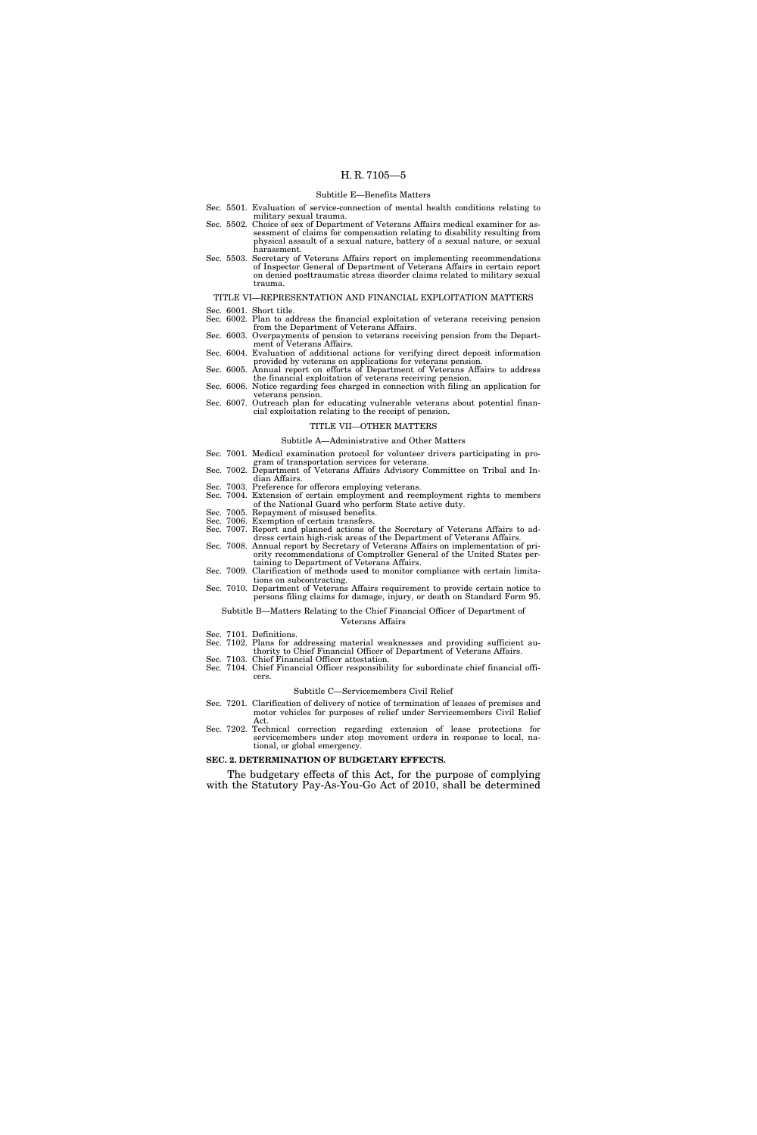#### Subtitle E—Benefits Matters

- Sec. 5501. Evaluation of service-connection of mental health conditions relating to military sexual trauma.
- Sec. 5502. Choice of sex of Department of Veterans Affairs medical examiner for assessment of claims for compensation relating to disability resulting from physical assault of a sexual nature, battery of a sexual nature, or sexual harassment.
- Sec. 5503. Secretary of Veterans Affairs report on implementing recommendations of Inspector General of Department of Veterans Affairs in certain report on denied posttraumatic stress disorder claims related to military sexual trauma

#### TITLE VI—REPRESENTATION AND FINANCIAL EXPLOITATION MATTERS

- Sec. 6001. Short title.
- Sec. 6002. Plan to address the financial exploitation of veterans receiving pension from the Department of Veterans Affairs.
- Sec. 6003. Overpayments of pension to veterans receiving pension from the Department of Veterans Affairs.
- Sec. 6004. Evaluation of additional actions for verifying direct deposit information provided by veterans on applications for veterans pension.
- Sec. 6005. Annual report on efforts of Department of Veterans Affairs to address the financial exploitation of veterans receiving pension.
- Sec. 6006. Notice regarding fees charged in connection with filing an application for veterans pension.
- Sec. 6007. Outreach plan for educating vulnerable veterans about potential financial exploitation relating to the receipt of pension.

# TITLE VII—OTHER MATTERS

#### Subtitle A—Administrative and Other Matters

- Sec. 7001. Medical examination protocol for volunteer drivers participating in program of transportation services for veterans.
- Sec. 7002. Department of Veterans Affairs Advisory Committee on Tribal and Indian Affairs.
- Sec. 7003. Preference for offerors employing veterans.
- Sec. 7004. Extension of certain employment and reemployment rights to members of the National Guard who perform State active duty.
- Sec. 7005. Repayment of misused benefits.
- Sec. 7006. Exemption of certain transfers.
- Sec. 7007. Report and planned actions of the Secretary of Veterans Affairs to address certain high-risk areas of the Department of Veterans Affairs.
- Sec. 7008. Annual report by Secretary of Veterans Affairs on implementation of priority recommendations of Comptroller General of the United States pertaining to Department of Veterans Affairs.
- Sec. 7009. Clarification of methods used to monitor compliance with certain limitations on subcontracting. Sec. 7010. Department of Veterans Affairs requirement to provide certain notice to
- persons filing claims for damage, injury, or death on Standard Form 95. Subtitle B—Matters Relating to the Chief Financial Officer of Department of

# Veterans Affairs

- Sec. 7101. Definitions.
- Sec. 7102. Plans for addressing material weaknesses and providing sufficient au-
- thority to Chief Financial Officer of Department of Veterans Affairs. Sec. 7103. Chief Financial Officer attestation.
- Sec. 7104. Chief Financial Officer responsibility for subordinate chief financial officers.

#### Subtitle C—Servicemembers Civil Relief

- Sec. 7201. Clarification of delivery of notice of termination of leases of premises and motor vehicles for purposes of relief under Servicemembers Civil Relief Act.
- Sec. 7202. Technical correction regarding extension of lease protections for servicemembers under stop movement orders in response to local, national, or global emergency.

### **SEC. 2. DETERMINATION OF BUDGETARY EFFECTS.**

The budgetary effects of this Act, for the purpose of complying with the Statutory Pay-As-You-Go Act of 2010, shall be determined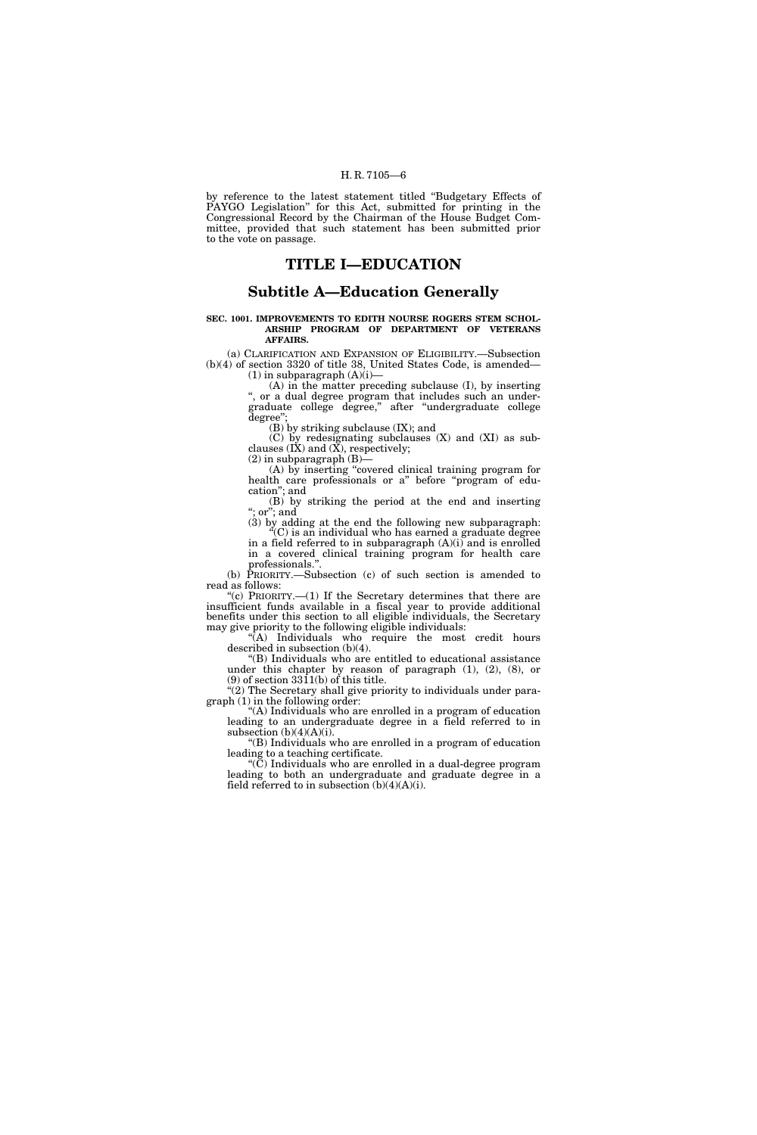by reference to the latest statement titled ''Budgetary Effects of PAYGO Legislation'' for this Act, submitted for printing in the Congressional Record by the Chairman of the House Budget Committee, provided that such statement has been submitted prior to the vote on passage.

# **TITLE I—EDUCATION**

# **Subtitle A—Education Generally**

#### **SEC. 1001. IMPROVEMENTS TO EDITH NOURSE ROGERS STEM SCHOL-ARSHIP PROGRAM OF DEPARTMENT OF VETERANS AFFAIRS.**

(a) CLARIFICATION AND EXPANSION OF ELIGIBILITY.—Subsection (b)(4) of section 3320 of title 38, United States Code, is amended—  $(1)$  in subparagraph  $(A)(i)$ —

(A) in the matter preceding subclause (I), by inserting ", or a dual degree program that includes such an undergraduate college degree,'' after ''undergraduate college degree'

(B) by striking subclause (IX); and

(C) by redesignating subclauses (X) and (XI) as subclauses  $(I\check{X})$  and  $(\check{X})$ , respectively;

 $(2)$  in subparagraph  $(B)$ —

(A) by inserting ''covered clinical training program for health care professionals or a" before "program of education''; and

(B) by striking the period at the end and inserting ";  $\ar{or}$ "; and

(3) by adding at the end the following new subparagraph:  $C^{\prime}(C)$  is an individual who has earned a graduate degree

in a field referred to in subparagraph  $(A)(i)$  and is enrolled in a covered clinical training program for health care professionals.''.

(b) PRIORITY.—Subsection (c) of such section is amended to read as follows:

"(c) PRIORITY.—(1) If the Secretary determines that there are insufficient funds available in a fiscal year to provide additional benefits under this section to all eligible individuals, the Secretary may give priority to the following eligible individuals:

 $\sqrt{\left(A\right)}$  Individuals who require the most credit hours described in subsection (b)(4).

''(B) Individuals who are entitled to educational assistance under this chapter by reason of paragraph (1), (2), (8), or (9) of section 3311(b) of this title.

"(2) The Secretary shall give priority to individuals under paragraph (1) in the following order:

''(A) Individuals who are enrolled in a program of education leading to an undergraduate degree in a field referred to in subsection  $(b)(4)(A)(i)$ .

''(B) Individuals who are enrolled in a program of education leading to a teaching certificate.

''(C) Individuals who are enrolled in a dual-degree program leading to both an undergraduate and graduate degree in a field referred to in subsection  $(b)(4)(A)(i)$ .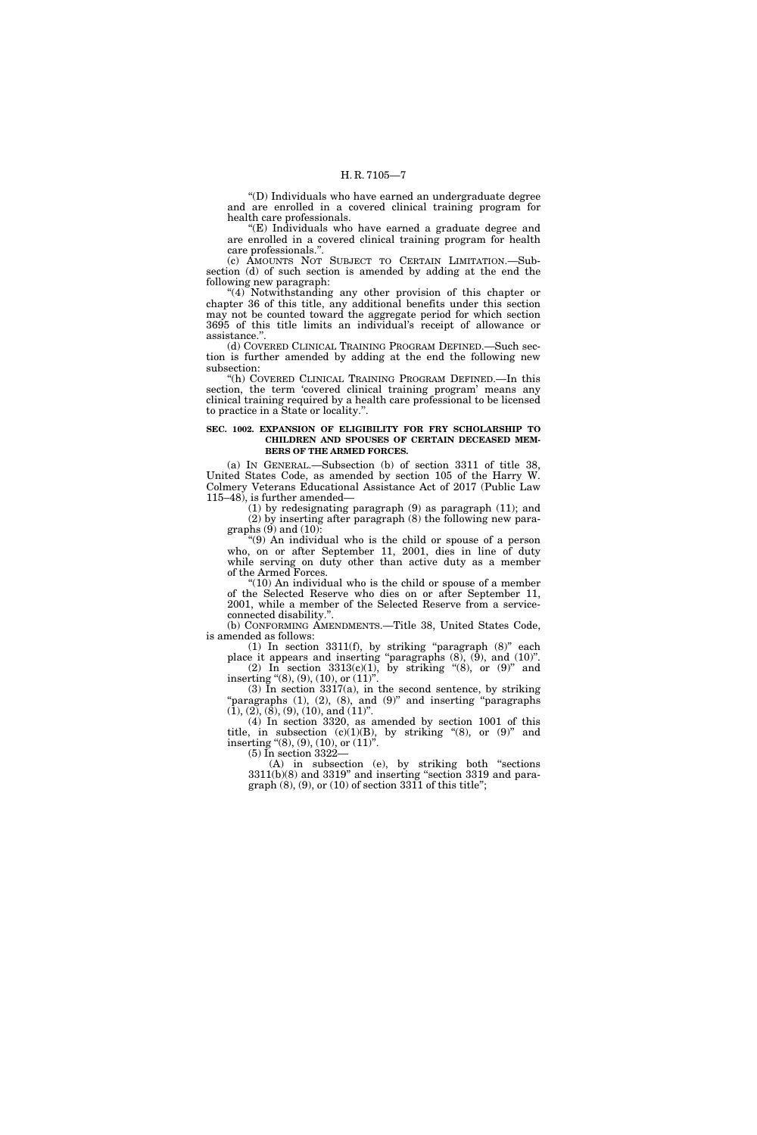''(D) Individuals who have earned an undergraduate degree and are enrolled in a covered clinical training program for health care professionals.

''(E) Individuals who have earned a graduate degree and are enrolled in a covered clinical training program for health care professionals.''.

(c) AMOUNTS NOT SUBJECT TO CERTAIN LIMITATION.—Subsection (d) of such section is amended by adding at the end the following new paragraph:

''(4) Notwithstanding any other provision of this chapter or chapter 36 of this title, any additional benefits under this section may not be counted toward the aggregate period for which section 3695 of this title limits an individual's receipt of allowance or assistance.''.

(d) COVERED CLINICAL TRAINING PROGRAM DEFINED.—Such section is further amended by adding at the end the following new subsection:

''(h) COVERED CLINICAL TRAINING PROGRAM DEFINED.—In this section, the term 'covered clinical training program' means any clinical training required by a health care professional to be licensed to practice in a State or locality.''.

#### **SEC. 1002. EXPANSION OF ELIGIBILITY FOR FRY SCHOLARSHIP TO CHILDREN AND SPOUSES OF CERTAIN DECEASED MEM-BERS OF THE ARMED FORCES.**

(a) IN GENERAL.—Subsection (b) of section 3311 of title 38, United States Code, as amended by section 105 of the Harry W. Colmery Veterans Educational Assistance Act of 2017 (Public Law 115–48), is further amended—

(1) by redesignating paragraph (9) as paragraph (11); and (2) by inserting after paragraph (8) the following new paragraphs  $(9)$  and  $(10)$ :

''(9) An individual who is the child or spouse of a person who, on or after September 11, 2001, dies in line of duty while serving on duty other than active duty as a member of the Armed Forces.

"(10) An individual who is the child or spouse of a member of the Selected Reserve who dies on or after September 11, 2001, while a member of the Selected Reserve from a serviceconnected disability.''.

(b) CONFORMING AMENDMENTS.—Title 38, United States Code, is amended as follows:

(1) In section  $3311(f)$ , by striking "paragraph  $(8)$ " each place it appears and inserting ''paragraphs (8), (9), and (10)''. (2) In section  $3313(c)(1)$ , by striking "(8), or (9)" and inserting "(8), (9), (10), or  $(11)$ ".

 $(3)$  In section  $3317(a)$ , in the second sentence, by striking "paragraphs (1), (2), (8), and (9)" and inserting "paragraphs"  $(1), (2), (8), (9), (10),$  and  $(11)$ ".

(4) In section 3320, as amended by section 1001 of this title, in subsection  $(c)(1)(B)$ , by striking "(8), or  $(9)$ " and inserting "(8), (9), (10), or (11)". (5) In section 3322—

(A) in subsection (e), by striking both ''sections  $3311(b)(8)$  and  $3319"$  and inserting "section 3319 and paragraph  $(8)$ ,  $(9)$ , or  $(10)$  of section 3311 of this title";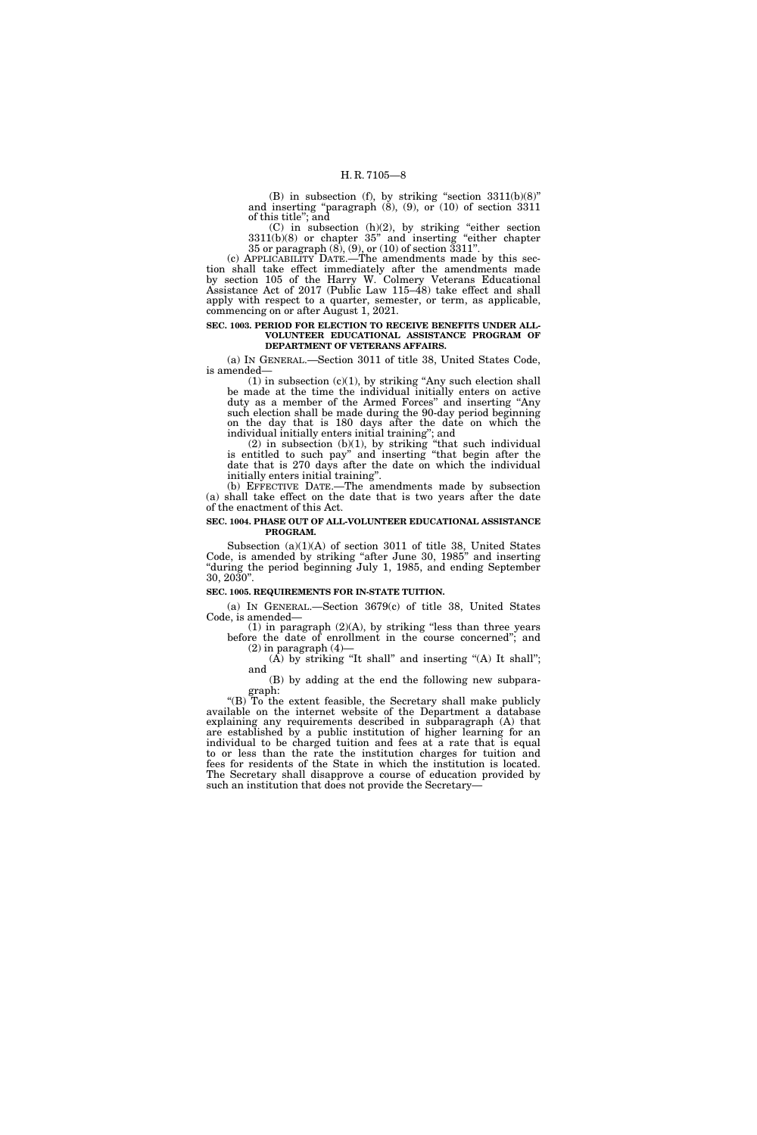(B) in subsection (f), by striking "section  $3311(b)(8)$ " and inserting "paragraph  $(8)$ ,  $(9)$ , or  $(10)$  of section 3311 of this title''; and

 $(C)$  in subsection  $(h)(2)$ , by striking "either section" 3311(b)(8) or chapter 35'' and inserting ''either chapter 35 or paragraph (8), (9), or (10) of section 3311''.

(c) APPLICABILITY DATE.—The amendments made by this section shall take effect immediately after the amendments made by section 105 of the Harry W. Colmery Veterans Educational Assistance Act of 2017 (Public Law 115–48) take effect and shall apply with respect to a quarter, semester, or term, as applicable, commencing on or after August 1, 2021.

#### **SEC. 1003. PERIOD FOR ELECTION TO RECEIVE BENEFITS UNDER ALL-VOLUNTEER EDUCATIONAL ASSISTANCE PROGRAM OF DEPARTMENT OF VETERANS AFFAIRS.**

(a) IN GENERAL.—Section 3011 of title 38, United States Code, is amended—

 $(1)$  in subsection  $(c)(1)$ , by striking "Any such election shall be made at the time the individual initially enters on active duty as a member of the Armed Forces'' and inserting ''Any such election shall be made during the 90-day period beginning on the day that is 180 days after the date on which the individual initially enters initial training''; and

 $(2)$  in subsection  $(b)(1)$ , by striking "that such individual is entitled to such pay'' and inserting ''that begin after the date that is 270 days after the date on which the individual initially enters initial training''.

(b) EFFECTIVE DATE.—The amendments made by subsection (a) shall take effect on the date that is two years after the date of the enactment of this Act.

### **SEC. 1004. PHASE OUT OF ALL-VOLUNTEER EDUCATIONAL ASSISTANCE PROGRAM.**

Subsection (a)(1)(A) of section 3011 of title 38, United States Code, is amended by striking "after June 30, 1985" and inserting ''during the period beginning July 1, 1985, and ending September 30, 2030''.

#### **SEC. 1005. REQUIREMENTS FOR IN-STATE TUITION.**

(a) IN GENERAL.—Section 3679(c) of title 38, United States Code, is amended—

 $(1)$  in paragraph  $(2)(A)$ , by striking "less than three years before the date of enrollment in the course concerned''; and  $(2)$  in paragraph  $(4)$ 

 $(A)$  by striking "It shall" and inserting " $(A)$  It shall"; and

(B) by adding at the end the following new subparagraph:

"(B) To the extent feasible, the Secretary shall make publicly available on the internet website of the Department a database explaining any requirements described in subparagraph (A) that are established by a public institution of higher learning for an individual to be charged tuition and fees at a rate that is equal to or less than the rate the institution charges for tuition and fees for residents of the State in which the institution is located. The Secretary shall disapprove a course of education provided by such an institution that does not provide the Secretary—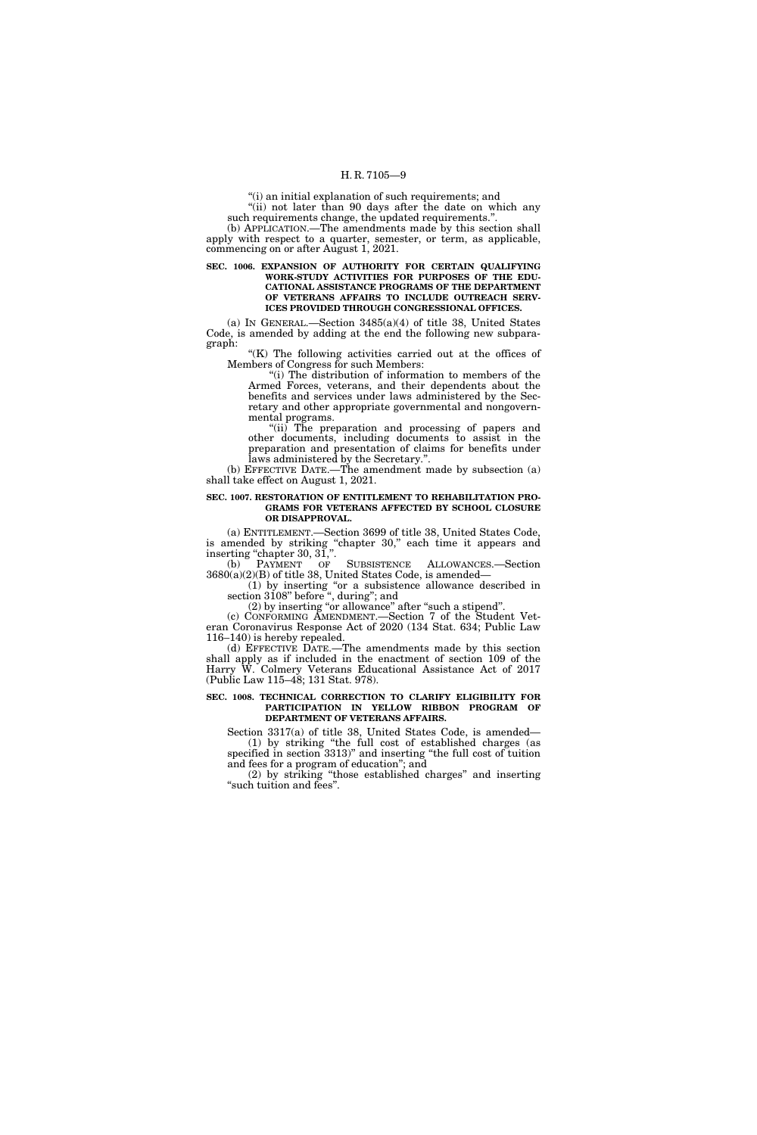''(i) an initial explanation of such requirements; and

"(ii) not later than 90 days after the date on which any such requirements change, the updated requirements.''.

(b) APPLICATION.—The amendments made by this section shall apply with respect to a quarter, semester, or term, as applicable, commencing on or after August 1, 2021.

#### **SEC. 1006. EXPANSION OF AUTHORITY FOR CERTAIN QUALIFYING WORK-STUDY ACTIVITIES FOR PURPOSES OF THE EDU-CATIONAL ASSISTANCE PROGRAMS OF THE DEPARTMENT OF VETERANS AFFAIRS TO INCLUDE OUTREACH SERV-ICES PROVIDED THROUGH CONGRESSIONAL OFFICES.**

(a) IN GENERAL.—Section 3485(a)(4) of title 38, United States Code, is amended by adding at the end the following new subparagraph:

" $(K)$  The following activities carried out at the offices of Members of Congress for such Members:

"(i) The distribution of information to members of the Armed Forces, veterans, and their dependents about the benefits and services under laws administered by the Secretary and other appropriate governmental and nongovernmental programs.

"(ii) The preparation and processing of papers and other documents, including documents to assist in the preparation and presentation of claims for benefits under laws administered by the Secretary.''.

(b) EFFECTIVE DATE.—The amendment made by subsection (a) shall take effect on August 1, 2021.

#### **SEC. 1007. RESTORATION OF ENTITLEMENT TO REHABILITATION PRO-GRAMS FOR VETERANS AFFECTED BY SCHOOL CLOSURE OR DISAPPROVAL.**

(a) ENTITLEMENT.—Section 3699 of title 38, United States Code, is amended by striking "chapter 30," each time it appears and inserting "chapter 30, 31,".

(b) PAYMENT OF SUBSISTENCE ALLOWANCES.—Section 3680(a)(2)(B) of title 38, United States Code, is amended—

(1) by inserting ''or a subsistence allowance described in section 3108" before ", during"; and

(2) by inserting "or allowance" after "such a stipend".

(c) CONFORMING AMENDMENT.—Section 7 of the Student Veteran Coronavirus Response Act of 2020 (134 Stat. 634; Public Law 116–140) is hereby repealed.

(d) EFFECTIVE DATE.—The amendments made by this section shall apply as if included in the enactment of section 109 of the Harry W. Colmery Veterans Educational Assistance Act of 2017 (Public Law 115–48; 131 Stat. 978).

#### **SEC. 1008. TECHNICAL CORRECTION TO CLARIFY ELIGIBILITY FOR PARTICIPATION IN YELLOW RIBBON PROGRAM OF DEPARTMENT OF VETERANS AFFAIRS.**

Section 3317(a) of title 38, United States Code, is amended— (1) by striking ''the full cost of established charges (as specified in section 3313)'' and inserting ''the full cost of tuition and fees for a program of education''; and

(2) by striking ''those established charges'' and inserting "such tuition and fees".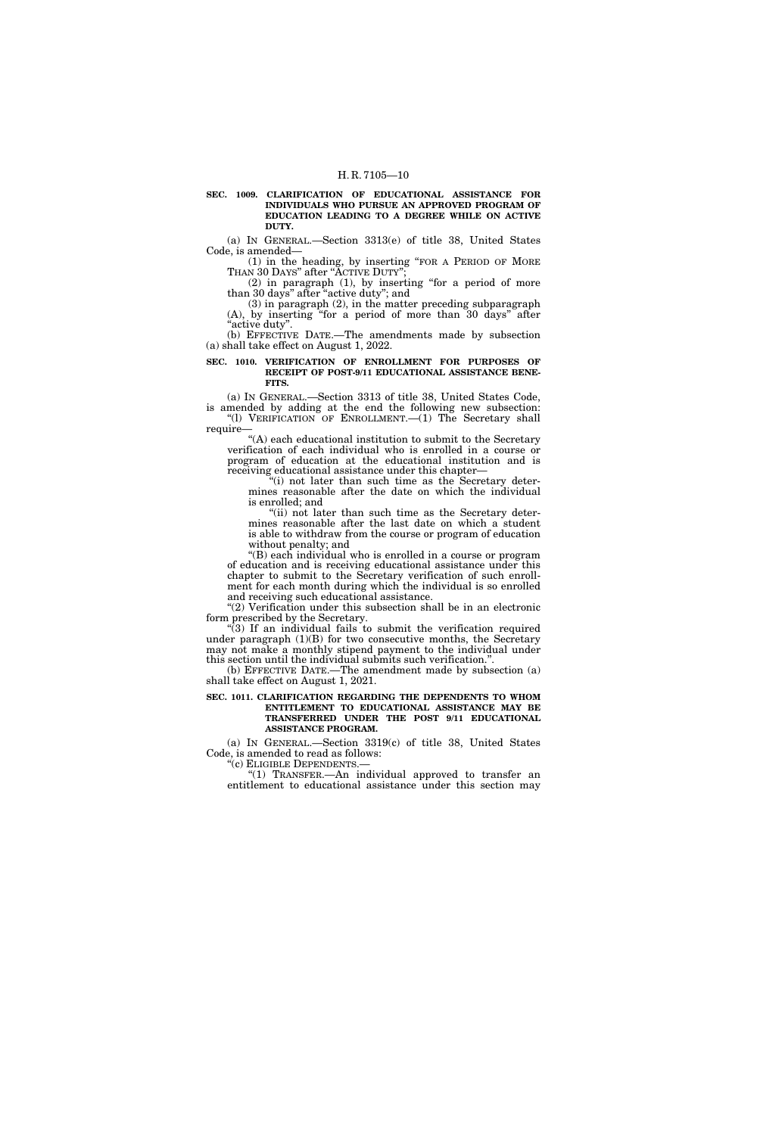**SEC. 1009. CLARIFICATION OF EDUCATIONAL ASSISTANCE FOR INDIVIDUALS WHO PURSUE AN APPROVED PROGRAM OF EDUCATION LEADING TO A DEGREE WHILE ON ACTIVE DUTY.** 

(a) IN GENERAL.—Section 3313(e) of title 38, United States Code, is amended—

(1) in the heading, by inserting ''FOR A PERIOD OF MORE THAN 30 DAYS" after "ACTIVE DUTY"

(2) in paragraph (1), by inserting ''for a period of more than 30 days'' after ''active duty''; and

(3) in paragraph (2), in the matter preceding subparagraph (A), by inserting ''for a period of more than 30 days'' after ''active duty''.

(b) EFFECTIVE DATE.—The amendments made by subsection (a) shall take effect on August 1, 2022.

#### **SEC. 1010. VERIFICATION OF ENROLLMENT FOR PURPOSES OF RECEIPT OF POST-9/11 EDUCATIONAL ASSISTANCE BENE-FITS.**

(a) IN GENERAL.—Section 3313 of title 38, United States Code, is amended by adding at the end the following new subsection: ''(l) VERIFICATION OF ENROLLMENT.—(1) The Secretary shall require—

 $\lq\lq$  (A) each educational institution to submit to the Secretary verification of each individual who is enrolled in a course or program of education at the educational institution and is receiving educational assistance under this chapter—

 $(i)$  not later than such time as the Secretary determines reasonable after the date on which the individual is enrolled; and

"(ii) not later than such time as the Secretary determines reasonable after the last date on which a student is able to withdraw from the course or program of education without penalty; and

''(B) each individual who is enrolled in a course or program of education and is receiving educational assistance under this chapter to submit to the Secretary verification of such enrollment for each month during which the individual is so enrolled and receiving such educational assistance.

''(2) Verification under this subsection shall be in an electronic form prescribed by the Secretary.

 $(3)$  If an individual fails to submit the verification required under paragraph  $(1)(B)$  for two consecutive months, the Secretary may not make a monthly stipend payment to the individual under this section until the individual submits such verification.''.

(b) EFFECTIVE DATE.—The amendment made by subsection (a) shall take effect on August 1, 2021.

#### **SEC. 1011. CLARIFICATION REGARDING THE DEPENDENTS TO WHOM ENTITLEMENT TO EDUCATIONAL ASSISTANCE MAY BE TRANSFERRED UNDER THE POST 9/11 EDUCATIONAL ASSISTANCE PROGRAM.**

(a) IN GENERAL.—Section 3319(c) of title 38, United States Code, is amended to read as follows:

''(c) ELIGIBLE DEPENDENTS.—

"(1) TRANSFER.—An individual approved to transfer an entitlement to educational assistance under this section may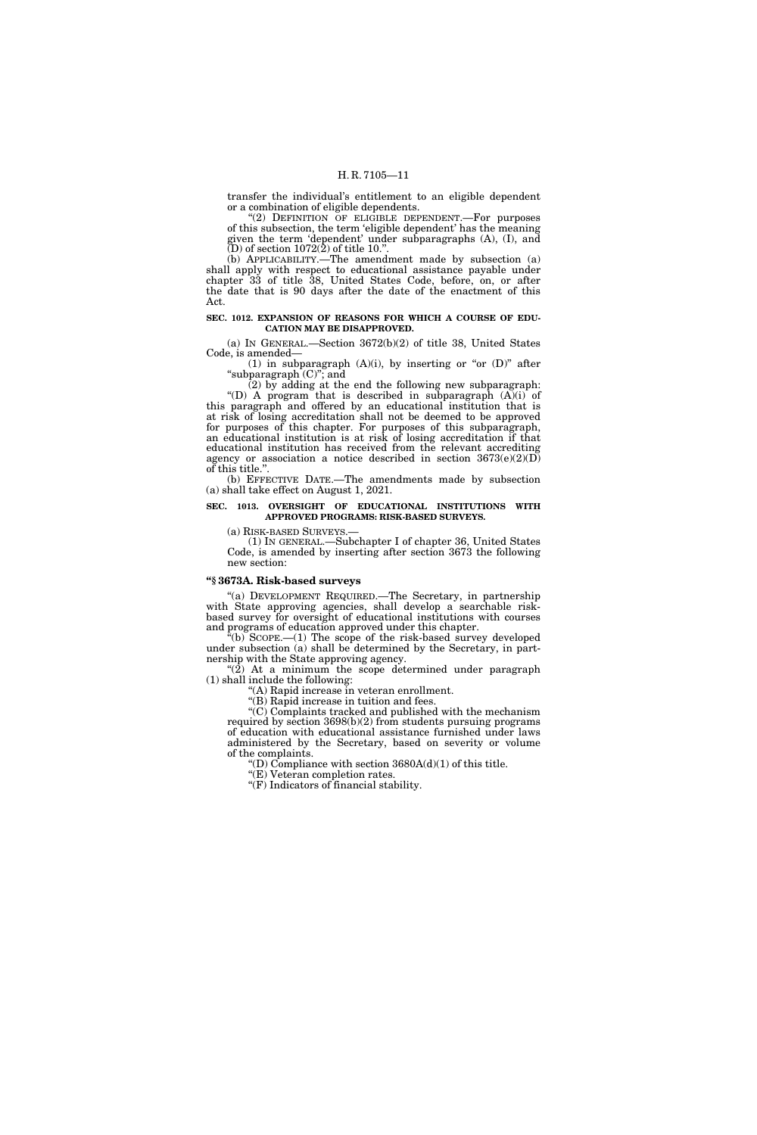transfer the individual's entitlement to an eligible dependent or a combination of eligible dependents.

" $(2)$  DEFINITION OF ELIGIBLE DEPENDENT.—For purposes of this subsection, the term 'eligible dependent' has the meaning given the term 'dependent' under subparagraphs (A), (I), and  $(D)$  of section 1072 $(2)$  of title 10.".

(b) APPLICABILITY.—The amendment made by subsection (a) shall apply with respect to educational assistance payable under chapter 33 of title 38, United States Code, before, on, or after the date that is 90 days after the date of the enactment of this Act.

#### **SEC. 1012. EXPANSION OF REASONS FOR WHICH A COURSE OF EDU-CATION MAY BE DISAPPROVED.**

(a) IN GENERAL.—Section 3672(b)(2) of title 38, United States Code, is amended—

(1) in subparagraph  $(A)(i)$ , by inserting or "or  $(D)$ " after "subparagraph (C)"; and

(2) by adding at the end the following new subparagraph: "(D)  $\overrightarrow{A}$  program that is described in subparagraph  $(A)(i)$  of this paragraph and offered by an educational institution that is at risk of losing accreditation shall not be deemed to be approved for purposes of this chapter. For purposes of this subparagraph, an educational institution is at risk of losing accreditation if that educational institution has received from the relevant accrediting agency or association a notice described in section  $3673(e)(2)(D)$ of this title.''.

(b) EFFECTIVE DATE.—The amendments made by subsection (a) shall take effect on August 1, 2021.

#### **SEC. 1013. OVERSIGHT OF EDUCATIONAL INSTITUTIONS WITH APPROVED PROGRAMS: RISK-BASED SURVEYS.**

(a) RISK-BASED SURVEYS.— (1) IN GENERAL.—Subchapter I of chapter 36, United States Code, is amended by inserting after section 3673 the following new section:

# **''§ 3673A. Risk-based surveys**

"(a) DEVELOPMENT REQUIRED.—The Secretary, in partnership with State approving agencies, shall develop a searchable riskbased survey for oversight of educational institutions with courses and programs of education approved under this chapter.

 $\sqrt{a(b)}$  SCOPE.—(1) The scope of the risk-based survey developed under subsection (a) shall be determined by the Secretary, in partnership with the State approving agency.

" $(2)$  At a minimum the scope determined under paragraph (1) shall include the following:

''(A) Rapid increase in veteran enrollment. ''(B) Rapid increase in tuition and fees.

''(C) Complaints tracked and published with the mechanism required by section 3698(b)(2) from students pursuing programs of education with educational assistance furnished under laws administered by the Secretary, based on severity or volume of the complaints.

"(D) Compliance with section  $3680A(d)(1)$  of this title.

''(E) Veteran completion rates.

''(F) Indicators of financial stability.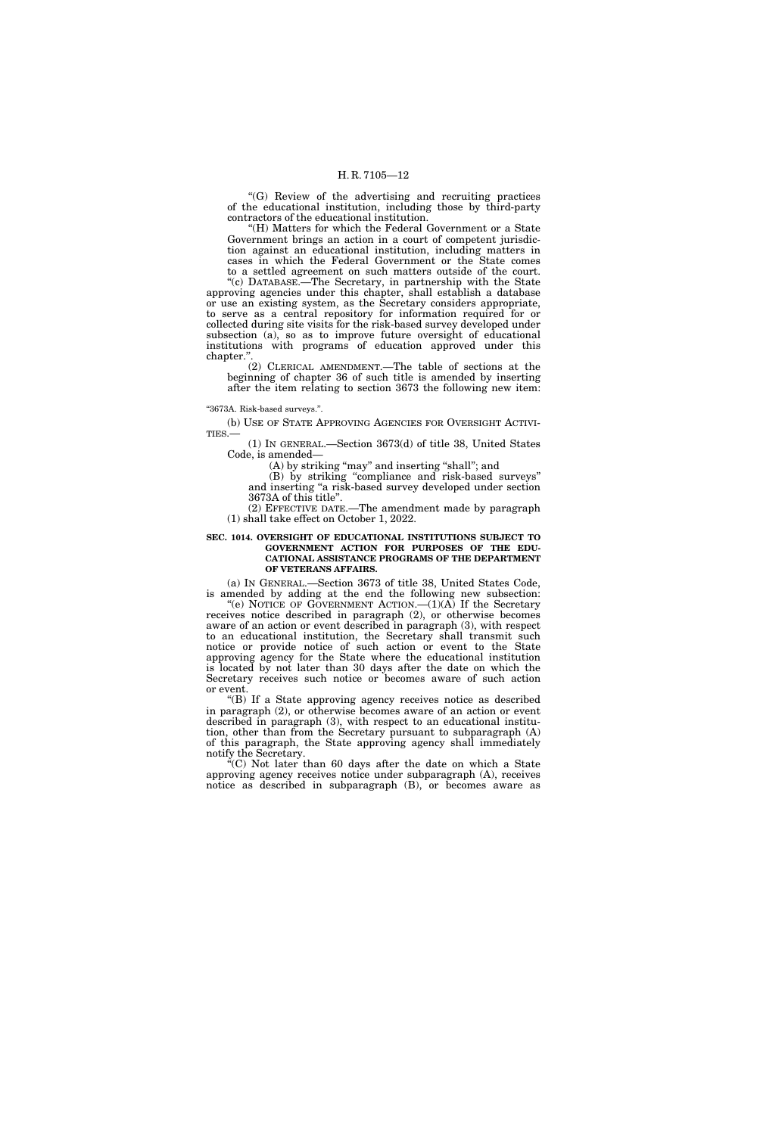"(G) Review of the advertising and recruiting practices of the educational institution, including those by third-party contractors of the educational institution.

"(H) Matters for which the Federal Government or a State Government brings an action in a court of competent jurisdiction against an educational institution, including matters in cases in which the Federal Government or the State comes to a settled agreement on such matters outside of the court.

''(c) DATABASE.—The Secretary, in partnership with the State approving agencies under this chapter, shall establish a database or use an existing system, as the Secretary considers appropriate, to serve as a central repository for information required for or collected during site visits for the risk-based survey developed under subsection (a), so as to improve future oversight of educational institutions with programs of education approved under this chapter.''.

(2) CLERICAL AMENDMENT.—The table of sections at the beginning of chapter 36 of such title is amended by inserting after the item relating to section 3673 the following new item:

#### ''3673A. Risk-based surveys.''.

(b) USE OF STATE APPROVING AGENCIES FOR OVERSIGHT ACTIVI-TIES.—

(1) IN GENERAL.—Section 3673(d) of title 38, United States Code, is amended—

(A) by striking "may" and inserting "shall"; and

(B) by striking ''compliance and risk-based surveys'' and inserting ''a risk-based survey developed under section 3673A of this title''.

(2) EFFECTIVE DATE.—The amendment made by paragraph (1) shall take effect on October 1, 2022.

#### **SEC. 1014. OVERSIGHT OF EDUCATIONAL INSTITUTIONS SUBJECT TO GOVERNMENT ACTION FOR PURPOSES OF THE EDU-CATIONAL ASSISTANCE PROGRAMS OF THE DEPARTMENT OF VETERANS AFFAIRS.**

(a) IN GENERAL.—Section 3673 of title 38, United States Code, is amended by adding at the end the following new subsection:

"(e) NOTICE OF GOVERNMENT ACTION.— $(1)(A)$  If the Secretary receives notice described in paragraph (2), or otherwise becomes aware of an action or event described in paragraph (3), with respect to an educational institution, the Secretary shall transmit such notice or provide notice of such action or event to the State approving agency for the State where the educational institution is located by not later than 30 days after the date on which the Secretary receives such notice or becomes aware of such action or event.

''(B) If a State approving agency receives notice as described in paragraph (2), or otherwise becomes aware of an action or event described in paragraph (3), with respect to an educational institution, other than from the Secretary pursuant to subparagraph (A) of this paragraph, the State approving agency shall immediately notify the Secretary.

''(C) Not later than 60 days after the date on which a State approving agency receives notice under subparagraph (A), receives notice as described in subparagraph (B), or becomes aware as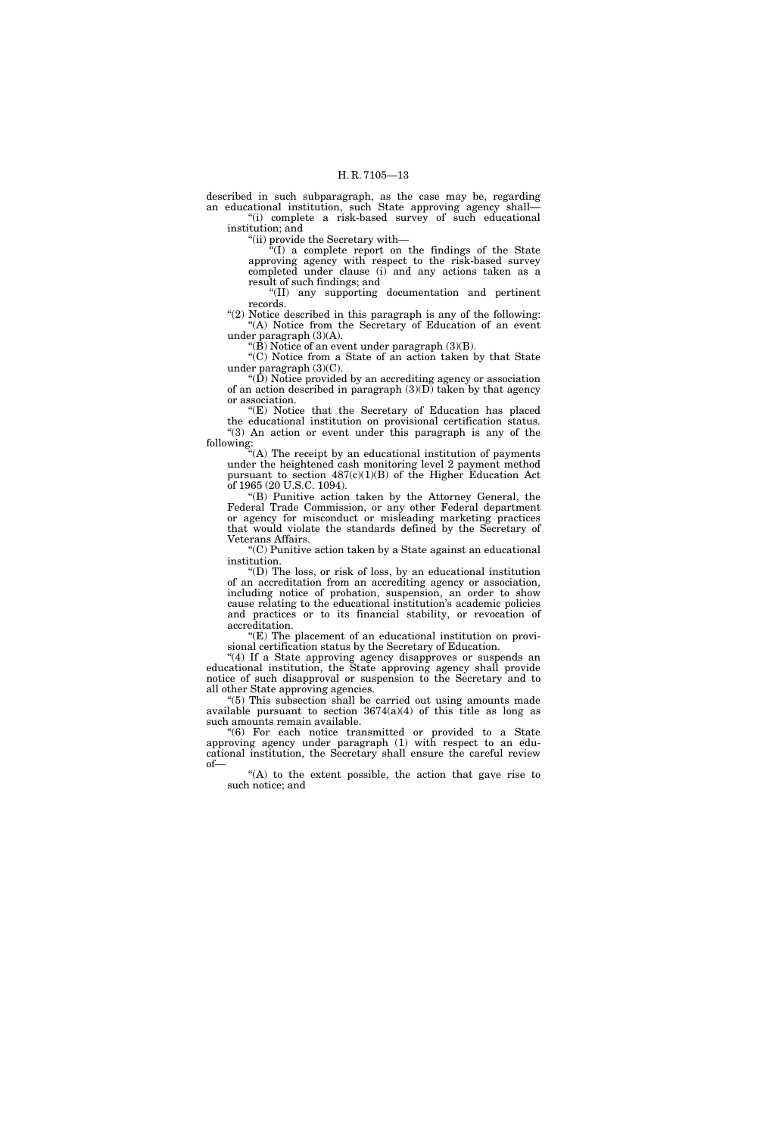described in such subparagraph, as the case may be, regarding an educational institution, such State approving agency shall— "(i) complete a risk-based survey of such educational

institution; and

''(ii) provide the Secretary with—

 $f''(I)$  a complete report on the findings of the State approving agency with respect to the risk-based survey completed under clause (i) and any actions taken as a result of such findings; and

''(II) any supporting documentation and pertinent records.

"(2) Notice described in this paragraph is any of the following: "(A) Notice from the Secretary of Education of an event under paragraph (3)(A).

"( $\overline{B}$ ) Notice of an event under paragraph (3)( $\overline{B}$ ).

''(C) Notice from a State of an action taken by that State under paragraph (3)(C).

 $\mathrm{``(D)}$  Notice provided by an accrediting agency or association of an action described in paragraph  $(3)(D)$  taken by that agency or association.

"(E) Notice that the Secretary of Education has placed the educational institution on provisional certification status. "(3) An action or event under this paragraph is any of the following:

"(A) The receipt by an educational institution of payments under the heightened cash monitoring level 2 payment method pursuant to section 487(c)(1)(B) of the Higher Education Act of 1965 (20 U.S.C. 1094).

''(B) Punitive action taken by the Attorney General, the Federal Trade Commission, or any other Federal department or agency for misconduct or misleading marketing practices that would violate the standards defined by the Secretary of Veterans Affairs.

''(C) Punitive action taken by a State against an educational institution.

''(D) The loss, or risk of loss, by an educational institution of an accreditation from an accrediting agency or association, including notice of probation, suspension, an order to show cause relating to the educational institution's academic policies and practices or to its financial stability, or revocation of accreditation.

 $f(E)$  The placement of an educational institution on provisional certification status by the Secretary of Education.

"(4) If a State approving agency disapproves or suspends an educational institution, the State approving agency shall provide notice of such disapproval or suspension to the Secretary and to all other State approving agencies.

 $(5)$  This subsection shall be carried out using amounts made available pursuant to section  $3674(a)(4)$  of this title as long as such amounts remain available.

''(6) For each notice transmitted or provided to a State approving agency under paragraph (1) with respect to an educational institution, the Secretary shall ensure the careful review of—

"(A) to the extent possible, the action that gave rise to such notice; and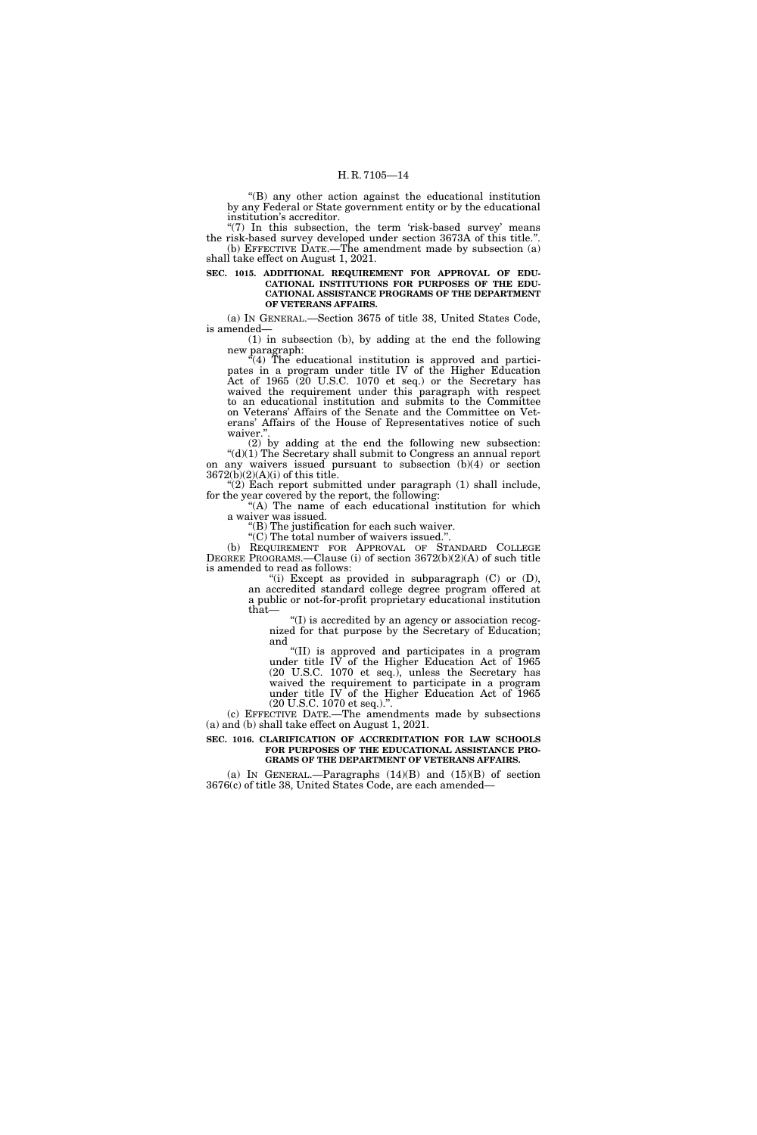''(B) any other action against the educational institution by any Federal or State government entity or by the educational institution's accreditor.

" $(7)$  In this subsection, the term 'risk-based survey' means the risk-based survey developed under section 3673A of this title.''. (b) EFFECTIVE DATE.—The amendment made by subsection (a) shall take effect on August 1, 2021.

**SEC. 1015. ADDITIONAL REQUIREMENT FOR APPROVAL OF EDU-CATIONAL INSTITUTIONS FOR PURPOSES OF THE EDU-CATIONAL ASSISTANCE PROGRAMS OF THE DEPARTMENT OF VETERANS AFFAIRS.** 

(a) IN GENERAL.—Section 3675 of title 38, United States Code, is amended—

(1) in subsection (b), by adding at the end the following new paragraph:

 $(4)$  The educational institution is approved and participates in a program under title IV of the Higher Education Act of 1965 (20 U.S.C. 1070 et seq.) or the Secretary has waived the requirement under this paragraph with respect to an educational institution and submits to the Committee on Veterans' Affairs of the Senate and the Committee on Veterans' Affairs of the House of Representatives notice of such waiver."

(2) by adding at the end the following new subsection: "(d)(1) The Secretary shall submit to Congress an annual report on any waivers issued pursuant to subsection (b)(4) or section 3672(b)(2)(A)(i) of this title.

" $(2)$  Each report submitted under paragraph  $(1)$  shall include, for the year covered by the report, the following:

"(A) The name of each educational institution for which a waiver was issued.

''(B) The justification for each such waiver.

 $\mathcal{C}(C)$  The total number of waivers issued.". (b) REQUIREMENT FOR APPROVAL OF STANDARD COLLEGE DEGREE PROGRAMS.—Clause (i) of section 3672(b)(2)(A) of such title is amended to read as follows:

"(i) Except as provided in subparagraph  $(C)$  or  $(D)$ , an accredited standard college degree program offered at a public or not-for-profit proprietary educational institution that—

''(I) is accredited by an agency or association recognized for that purpose by the Secretary of Education; and

''(II) is approved and participates in a program under title IV of the Higher Education Act of 1965 (20 U.S.C. 1070 et seq.), unless the Secretary has waived the requirement to participate in a program under title IV of the Higher Education Act of 1965 (20 U.S.C. 1070 et seq.).''.

(c) EFFECTIVE DATE.—The amendments made by subsections (a) and (b) shall take effect on August 1, 2021.

#### **SEC. 1016. CLARIFICATION OF ACCREDITATION FOR LAW SCHOOLS FOR PURPOSES OF THE EDUCATIONAL ASSISTANCE PRO-GRAMS OF THE DEPARTMENT OF VETERANS AFFAIRS.**

(a) IN GENERAL.—Paragraphs  $(14)(B)$  and  $(15)(B)$  of section 3676(c) of title 38, United States Code, are each amended—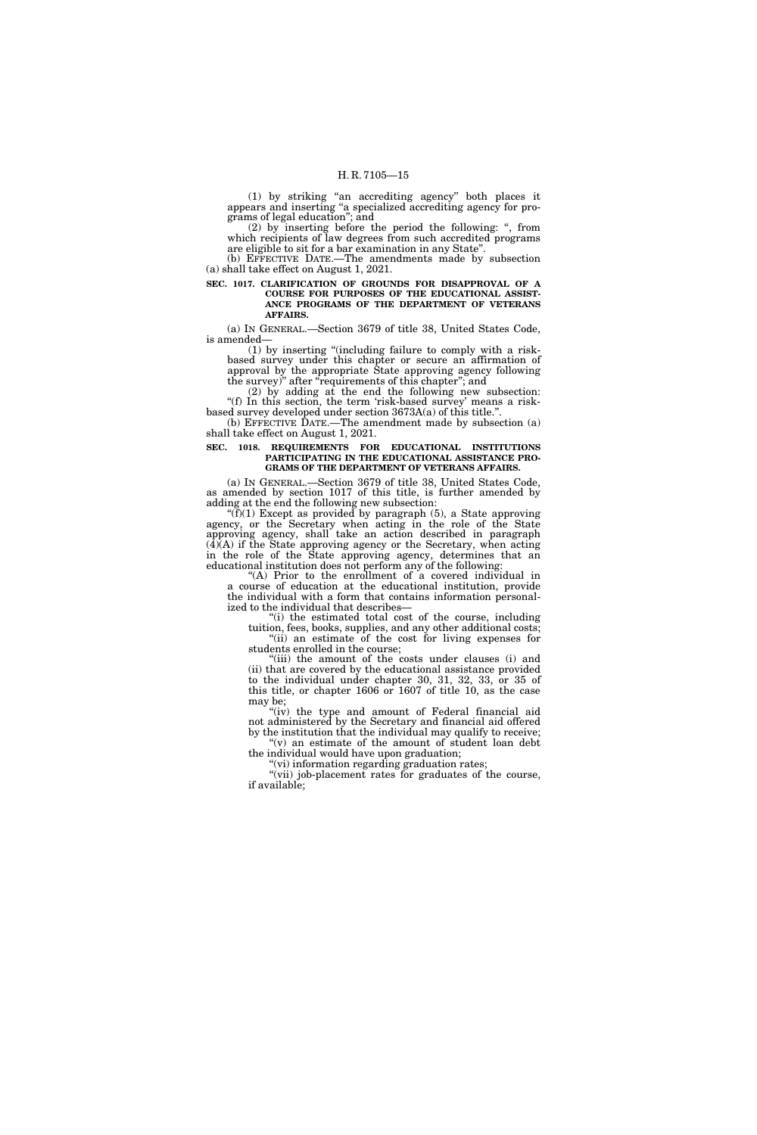(1) by striking ''an accrediting agency'' both places it appears and inserting ''a specialized accrediting agency for programs of legal education''; and

(2) by inserting before the period the following: '', from which recipients of law degrees from such accredited programs are eligible to sit for a bar examination in any State''.

(b) EFFECTIVE DATE.—The amendments made by subsection (a) shall take effect on August 1, 2021.

**SEC. 1017. CLARIFICATION OF GROUNDS FOR DISAPPROVAL OF A COURSE FOR PURPOSES OF THE EDUCATIONAL ASSIST-ANCE PROGRAMS OF THE DEPARTMENT OF VETERANS AFFAIRS.** 

(a) IN GENERAL.—Section 3679 of title 38, United States Code, is amended—

(1) by inserting ''(including failure to comply with a riskbased survey under this chapter or secure an affirmation of approval by the appropriate State approving agency following the survey)'' after ''requirements of this chapter''; and

(2) by adding at the end the following new subsection: "(f) In this section, the term 'risk-based survey' means a riskbased survey developed under section 3673A(a) of this title.''.

(b) EFFECTIVE DATE.—The amendment made by subsection (a) shall take effect on August 1, 2021.

#### **SEC. 1018. REQUIREMENTS FOR EDUCATIONAL INSTITUTIONS PARTICIPATING IN THE EDUCATIONAL ASSISTANCE PRO-GRAMS OF THE DEPARTMENT OF VETERANS AFFAIRS.**

(a) IN GENERAL.—Section 3679 of title 38, United States Code, as amended by section 1017 of this title, is further amended by adding at the end the following new subsection:

" $(f)(1)$  Except as provided by paragraph (5), a State approving agency, or the Secretary when acting in the role of the State approving agency, shall take an action described in paragraph  $(\overline{4})(\overline{A})$  if the State approving agency or the Secretary, when acting in the role of the State approving agency, determines that an educational institution does not perform any of the following:

''(A) Prior to the enrollment of a covered individual in a course of education at the educational institution, provide the individual with a form that contains information personalized to the individual that describes-

''(i) the estimated total cost of the course, including tuition, fees, books, supplies, and any other additional costs; ''(ii) an estimate of the cost for living expenses for

students enrolled in the course; ''(iii) the amount of the costs under clauses (i) and (ii) that are covered by the educational assistance provided to the individual under chapter 30, 31, 32, 33, or 35 of this title, or chapter 1606 or 1607 of title 10, as the case may be;

"(iv) the type and amount of Federal financial aid not administered by the Secretary and financial aid offered by the institution that the individual may qualify to receive; ''(v) an estimate of the amount of student loan debt

the individual would have upon graduation;

 $'$ (vi) information regarding graduation rates; "(vii) job-placement rates for graduates of the course, if available;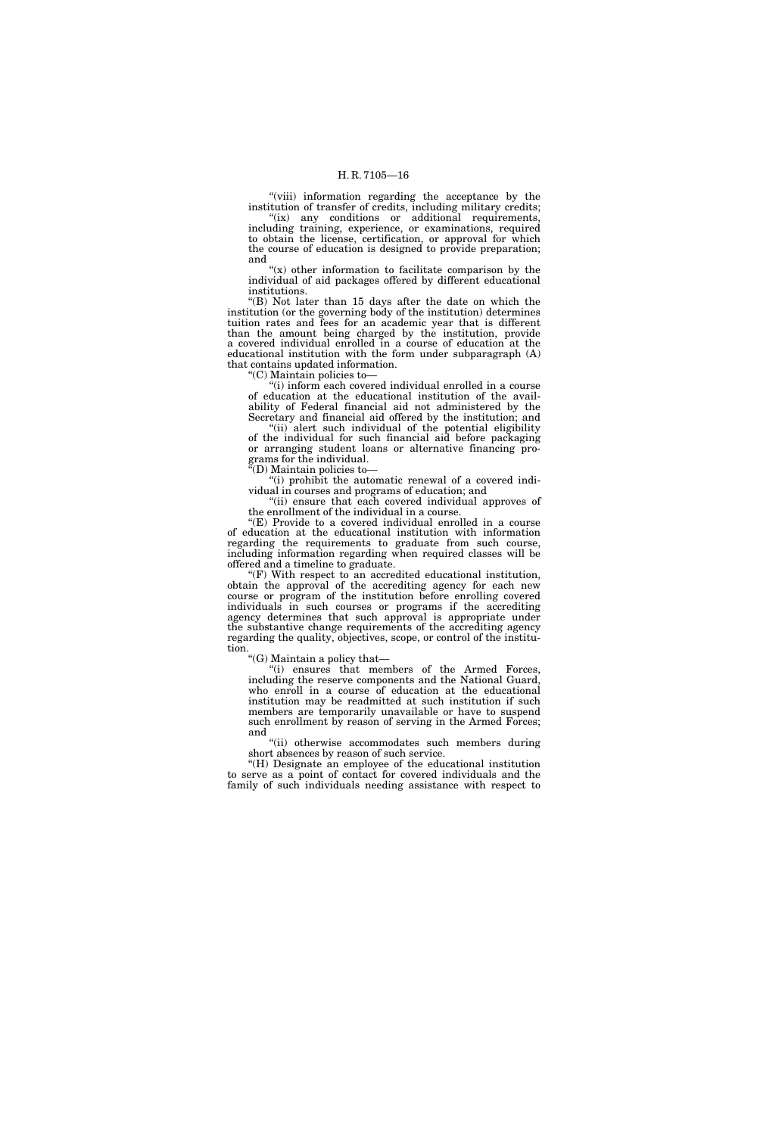"(viii) information regarding the acceptance by the institution of transfer of credits, including military credits; "(ix) any conditions or additional requirements, including training, experience, or examinations, required to obtain the license, certification, or approval for which the course of education is designed to provide preparation;

and  $f(x)$  other information to facilitate comparison by the individual of aid packages offered by different educational institutions.

''(B) Not later than 15 days after the date on which the institution (or the governing body of the institution) determines tuition rates and fees for an academic year that is different than the amount being charged by the institution, provide a covered individual enrolled in a course of education at the educational institution with the form under subparagraph (A) that contains updated information.

''(C) Maintain policies to—

''(i) inform each covered individual enrolled in a course of education at the educational institution of the availability of Federal financial aid not administered by the Secretary and financial aid offered by the institution; and

"(ii) alert such individual of the potential eligibility of the individual for such financial aid before packaging or arranging student loans or alternative financing programs for the individual.

''(D) Maintain policies to—

''(i) prohibit the automatic renewal of a covered individual in courses and programs of education; and

"(ii) ensure that each covered individual approves of the enrollment of the individual in a course.

"(E) Provide to a covered individual enrolled in a course of education at the educational institution with information regarding the requirements to graduate from such course, including information regarding when required classes will be offered and a timeline to graduate.

''(F) With respect to an accredited educational institution, obtain the approval of the accrediting agency for each new course or program of the institution before enrolling covered individuals in such courses or programs if the accrediting agency determines that such approval is appropriate under the substantive change requirements of the accrediting agency regarding the quality, objectives, scope, or control of the institution.

''(G) Maintain a policy that—

''(i) ensures that members of the Armed Forces, including the reserve components and the National Guard, who enroll in a course of education at the educational institution may be readmitted at such institution if such members are temporarily unavailable or have to suspend such enrollment by reason of serving in the Armed Forces; and

''(ii) otherwise accommodates such members during short absences by reason of such service.

''(H) Designate an employee of the educational institution to serve as a point of contact for covered individuals and the family of such individuals needing assistance with respect to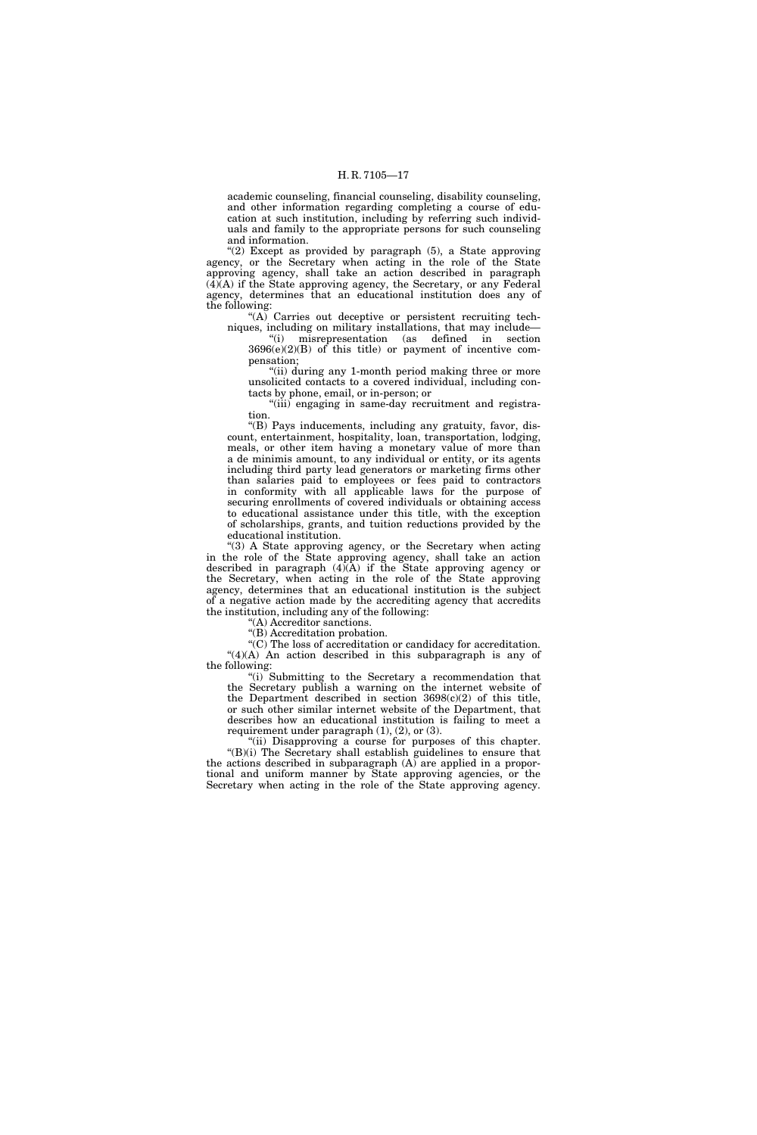academic counseling, financial counseling, disability counseling, and other information regarding completing a course of education at such institution, including by referring such individuals and family to the appropriate persons for such counseling and information.

"(2) Except as provided by paragraph (5), a State approving agency, or the Secretary when acting in the role of the State approving agency, shall take an action described in paragraph  $(\overline{4})(A)$  if the State approving agency, the Secretary, or any Federal agency, determines that an educational institution does any of the following:

"(A) Carries out deceptive or persistent recruiting tech-

niques, including on military installations, that may include— ''(i) misrepresentation (as defined in section  $3696(e)(2)(B)$  of this title) or payment of incentive compensation;

"(ii) during any 1-month period making three or more unsolicited contacts to a covered individual, including contacts by phone, email, or in-person; or

"(iii) engaging in same-day recruitment and registration.

''(B) Pays inducements, including any gratuity, favor, discount, entertainment, hospitality, loan, transportation, lodging, meals, or other item having a monetary value of more than a de minimis amount, to any individual or entity, or its agents including third party lead generators or marketing firms other than salaries paid to employees or fees paid to contractors in conformity with all applicable laws for the purpose of securing enrollments of covered individuals or obtaining access to educational assistance under this title, with the exception of scholarships, grants, and tuition reductions provided by the educational institution.

''(3) A State approving agency, or the Secretary when acting in the role of the State approving agency, shall take an action described in paragraph (4)(A) if the State approving agency or the Secretary, when acting in the role of the State approving agency, determines that an educational institution is the subject of a negative action made by the accrediting agency that accredits the institution, including any of the following:

(A) Accreditor sanctions.

''(B) Accreditation probation.

''(C) The loss of accreditation or candidacy for accreditation. ''(4)(A) An action described in this subparagraph is any of the following:

"(i) Submitting to the Secretary a recommendation that the Secretary publish a warning on the internet website of the Department described in section  $3698(c)(2)$  of this title, or such other similar internet website of the Department, that describes how an educational institution is failing to meet a requirement under paragraph  $(1)$ ,  $(2)$ , or  $(3)$ .

"(ii) Disapproving a course for purposes of this chapter. "(B)(i) The Secretary shall establish guidelines to ensure that the actions described in subparagraph  $(A)$  are applied in a proportional and uniform manner by State approving agencies, or the Secretary when acting in the role of the State approving agency.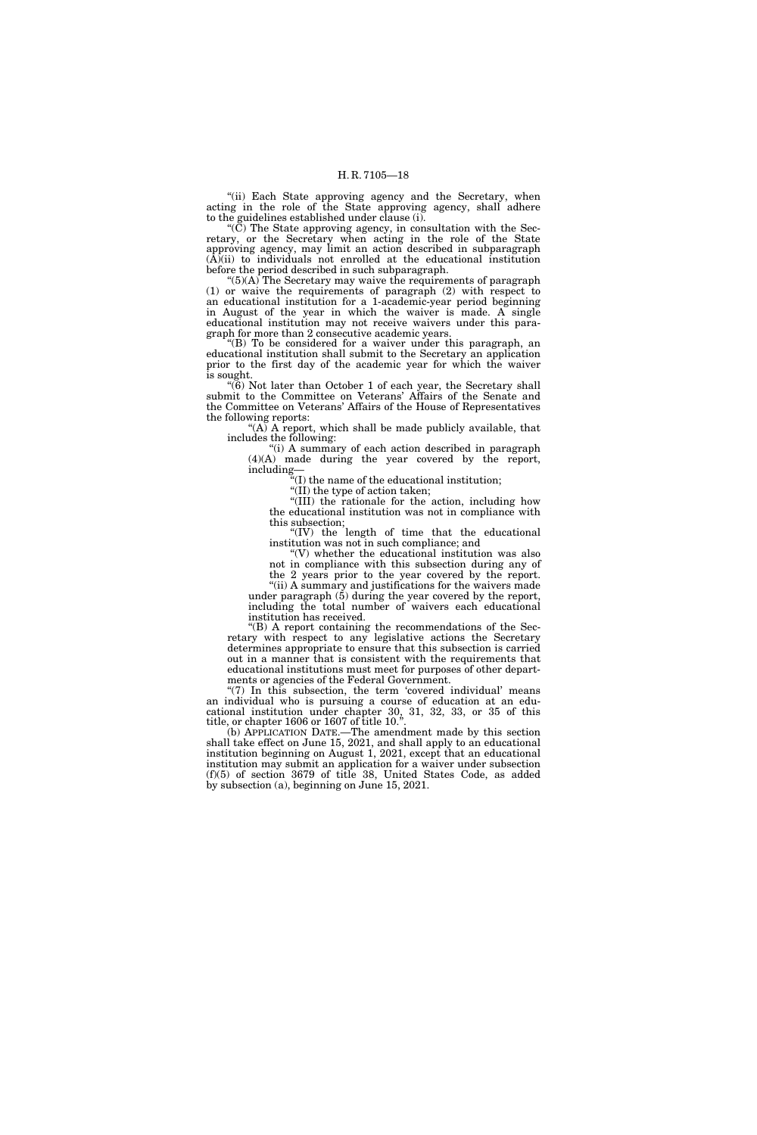"(ii) Each State approving agency and the Secretary, when acting in the role of the State approving agency, shall adhere to the guidelines established under clause (i).

''(C) The State approving agency, in consultation with the Secretary, or the Secretary when acting in the role of the State approving agency, may limit an action described in subparagraph (A)(ii) to individuals not enrolled at the educational institution before the period described in such subparagraph.

" $(5)$ (A) The Secretary may waive the requirements of paragraph (1) or waive the requirements of paragraph (2) with respect to an educational institution for a 1-academic-year period beginning in August of the year in which the waiver is made. A single educational institution may not receive waivers under this paragraph for more than 2 consecutive academic years.

"(B) To be considered for a waiver under this paragraph, an educational institution shall submit to the Secretary an application prior to the first day of the academic year for which the waiver is sought.

''(6) Not later than October 1 of each year, the Secretary shall submit to the Committee on Veterans' Affairs of the Senate and the Committee on Veterans' Affairs of the House of Representatives the following reports:

 $(A)$  A report, which shall be made publicly available, that includes the following:

"(i) A summary of each action described in paragraph (4)(A) made during the year covered by the report, including—

''(I) the name of the educational institution;

''(II) the type of action taken; "(II) the type of action taken;<br>"(III) the rationale for the action, including how

the educational institution was not in compliance with this subsection;

''(IV) the length of time that the educational institution was not in such compliance; and

''(V) whether the educational institution was also not in compliance with this subsection during any of the 2 years prior to the year covered by the report.

''(ii) A summary and justifications for the waivers made under paragraph  $(5)$  during the year covered by the report, including the total number of waivers each educational institution has received.

''(B) A report containing the recommendations of the Secretary with respect to any legislative actions the Secretary determines appropriate to ensure that this subsection is carried out in a manner that is consistent with the requirements that educational institutions must meet for purposes of other departments or agencies of the Federal Government.

"(7) In this subsection, the term 'covered individual' means an individual who is pursuing a course of education at an educational institution under chapter 30, 31, 32, 33, or 35 of this title, or chapter 1606 or 1607 of title 10.''.

(b) APPLICATION DATE.—The amendment made by this section shall take effect on June 15, 2021, and shall apply to an educational institution beginning on August 1, 2021, except that an educational institution may submit an application for a waiver under subsection (f)(5) of section 3679 of title 38, United States Code, as added by subsection (a), beginning on June 15, 2021.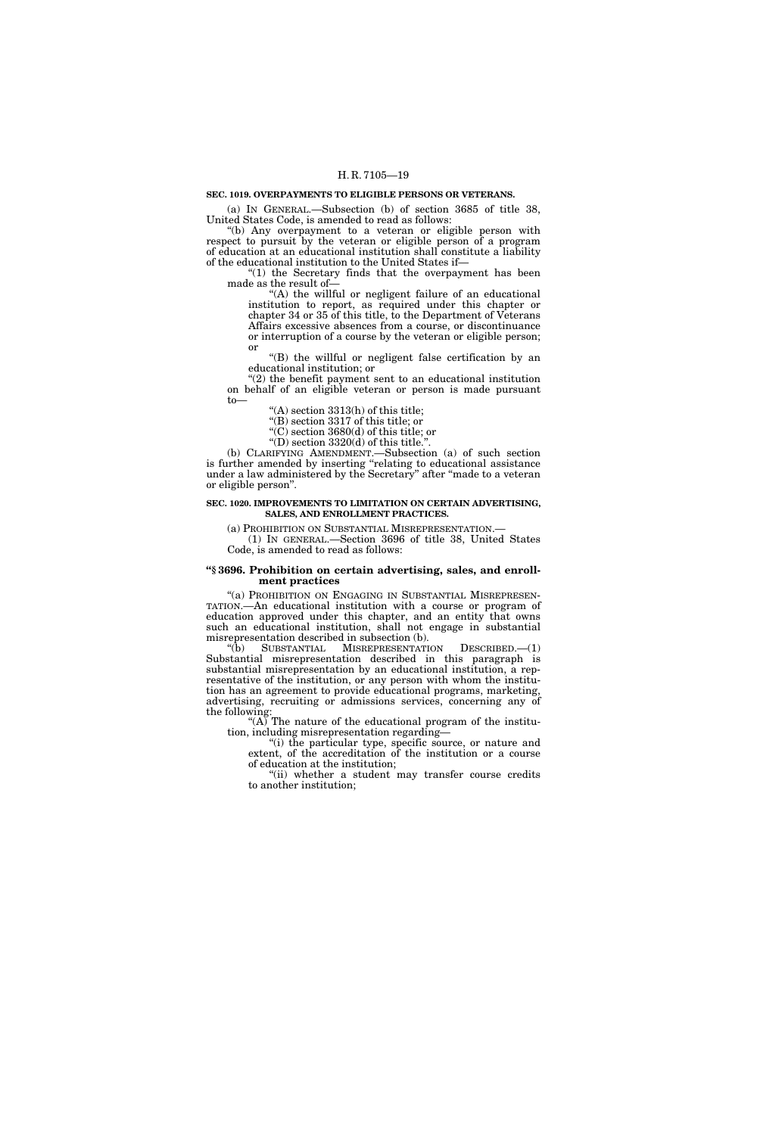#### **SEC. 1019. OVERPAYMENTS TO ELIGIBLE PERSONS OR VETERANS.**

(a) IN GENERAL.—Subsection (b) of section 3685 of title 38, United States Code, is amended to read as follows:

''(b) Any overpayment to a veteran or eligible person with respect to pursuit by the veteran or eligible person of a program of education at an educational institution shall constitute a liability of the educational institution to the United States if—

"(1) the Secretary finds that the overpayment has been made as the result of—

"(A) the willful or negligent failure of an educational institution to report, as required under this chapter or chapter 34 or 35 of this title, to the Department of Veterans Affairs excessive absences from a course, or discontinuance or interruption of a course by the veteran or eligible person; or

''(B) the willful or negligent false certification by an educational institution; or

''(2) the benefit payment sent to an educational institution on behalf of an eligible veteran or person is made pursuant to—

''(A) section 3313(h) of this title;

''(B) section 3317 of this title; or

''(C) section 3680(d) of this title; or

"(D) section  $3320(d)$  of this title.".

(b) CLARIFYING AMENDMENT.—Subsection (a) of such section is further amended by inserting "relating to educational assistance under a law administered by the Secretary" after "made to a veteran or eligible person''.

#### **SEC. 1020. IMPROVEMENTS TO LIMITATION ON CERTAIN ADVERTISING, SALES, AND ENROLLMENT PRACTICES.**

(a) PROHIBITION ON SUBSTANTIAL MISREPRESENTATION.—

(1) IN GENERAL.—Section 3696 of title 38, United States Code, is amended to read as follows:

#### **''§ 3696. Prohibition on certain advertising, sales, and enrollment practices**

"(a) PROHIBITION ON ENGAGING IN SUBSTANTIAL MISREPRESEN-TATION.—An educational institution with a course or program of education approved under this chapter, and an entity that owns such an educational institution, shall not engage in substantial misrepresentation described in subsection (b).<br>
"(b) SUBSTANTIAL MISREPRESENTATI

SUBSTANTIAL MISREPRESENTATION DESCRIBED.—(1) Substantial misrepresentation described in this paragraph is substantial misrepresentation by an educational institution, a representative of the institution, or any person with whom the institution has an agreement to provide educational programs, marketing, advertising, recruiting or admissions services, concerning any of the following:

" $(A)$ "The nature of the educational program of the institution, including misrepresentation regarding—

''(i) the particular type, specific source, or nature and extent, of the accreditation of the institution or a course of education at the institution;

"(ii) whether a student may transfer course credits to another institution;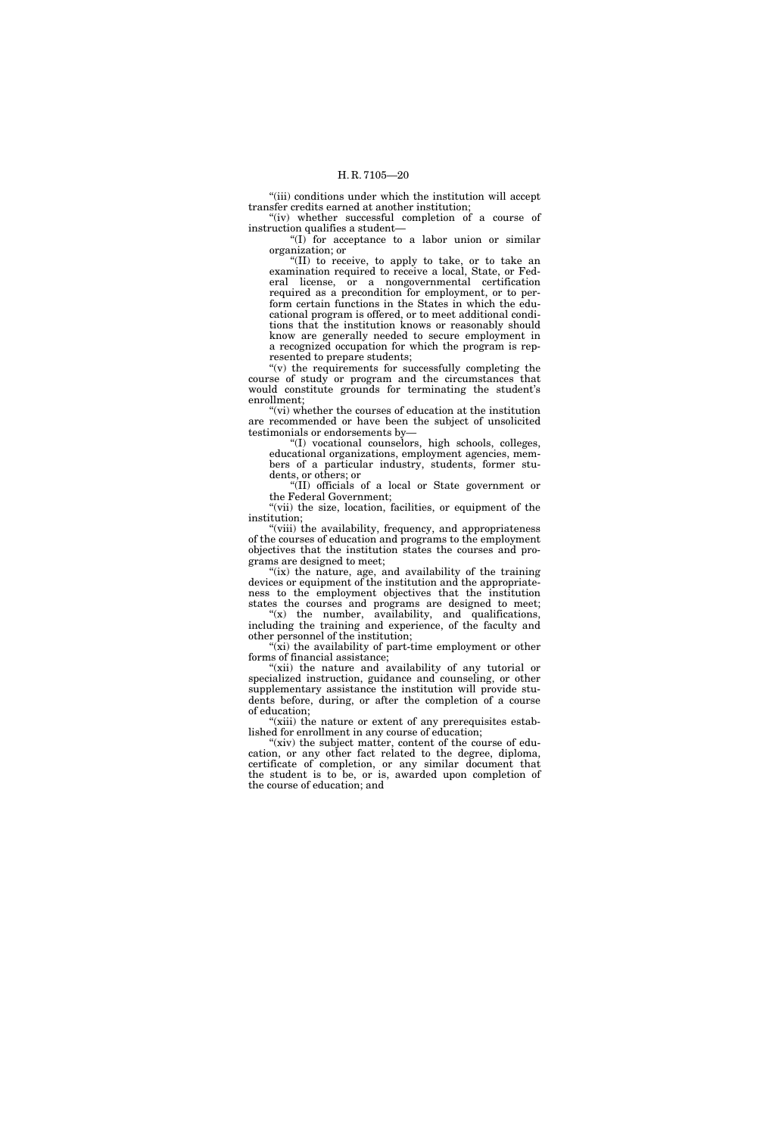"(iii) conditions under which the institution will accept transfer credits earned at another institution; "(iv) whether successful completion of a course of

instruction qualifies a student—

" $(I)$  for acceptance to a labor union or similar organization; or

''(II) to receive, to apply to take, or to take an examination required to receive a local, State, or Federal license, or a nongovernmental certification required as a precondition for employment, or to perform certain functions in the States in which the educational program is offered, or to meet additional conditions that the institution knows or reasonably should know are generally needed to secure employment in a recognized occupation for which the program is represented to prepare students;

''(v) the requirements for successfully completing the course of study or program and the circumstances that would constitute grounds for terminating the student's enrollment;

"(vi) whether the courses of education at the institution are recommended or have been the subject of unsolicited testimonials or endorsements by—

''(I) vocational counselors, high schools, colleges, educational organizations, employment agencies, members of a particular industry, students, former students, or others; or

''(II) officials of a local or State government or the Federal Government;

"(vii) the size, location, facilities, or equipment of the institution;

''(viii) the availability, frequency, and appropriateness of the courses of education and programs to the employment objectives that the institution states the courses and programs are designed to meet;

"(ix) the nature, age, and availability of the training devices or equipment of the institution and the appropriateness to the employment objectives that the institution states the courses and programs are designed to meet;

" $(x)$  the number, availability, and qualifications, including the training and experience, of the faculty and other personnel of the institution;

" $(xi)$  the availability of part-time employment or other forms of financial assistance;

"(xii) the nature and availability of any tutorial or specialized instruction, guidance and counseling, or other supplementary assistance the institution will provide students before, during, or after the completion of a course of education;

"(xiii) the nature or extent of any prerequisites established for enrollment in any course of education;

"(xiv) the subject matter, content of the course of education, or any other fact related to the degree, diploma, certificate of completion, or any similar document that the student is to be, or is, awarded upon completion of the course of education; and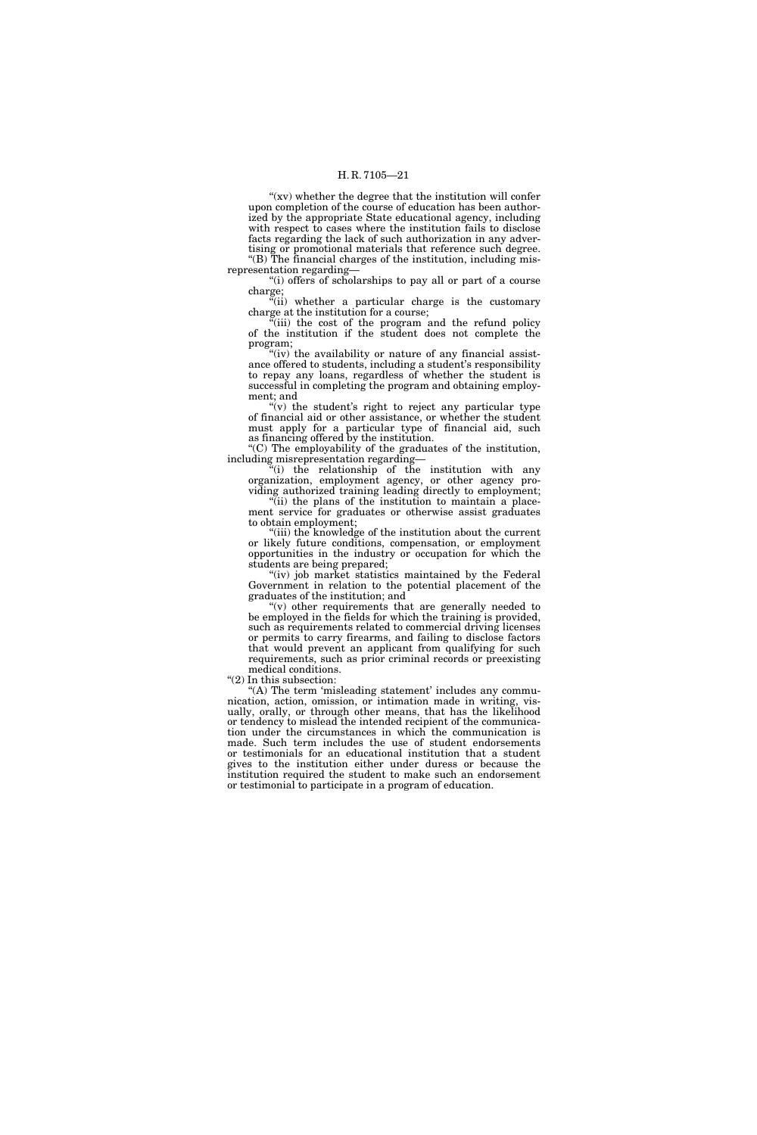"(xv) whether the degree that the institution will confer upon completion of the course of education has been authorized by the appropriate State educational agency, including with respect to cases where the institution fails to disclose facts regarding the lack of such authorization in any advertising or promotional materials that reference such degree. "(B) The financial charges of the institution, including mis-

representation regarding— ''(i) offers of scholarships to pay all or part of a course

charge; "(ii) whether a particular charge is the customary

charge at the institution for a course;

''(iii) the cost of the program and the refund policy of the institution if the student does not complete the program;

"(iv) the availability or nature of any financial assistance offered to students, including a student's responsibility to repay any loans, regardless of whether the student is successful in completing the program and obtaining employment; and

" $(v)$  the student's right to reject any particular type of financial aid or other assistance, or whether the student must apply for a particular type of financial aid, such as financing offered by the institution.

 $f(C)$  The employability of the graduates of the institution, including misrepresentation regarding—

''(i) the relationship of the institution with any organization, employment agency, or other agency providing authorized training leading directly to employment;

"(ii) the plans of the institution to maintain a placement service for graduates or otherwise assist graduates to obtain employment;

''(iii) the knowledge of the institution about the current or likely future conditions, compensation, or employment opportunities in the industry or occupation for which the students are being prepared;

 $(iv)$  job market statistics maintained by the Federal Government in relation to the potential placement of the graduates of the institution; and

''(v) other requirements that are generally needed to be employed in the fields for which the training is provided, such as requirements related to commercial driving licenses or permits to carry firearms, and failing to disclose factors that would prevent an applicant from qualifying for such requirements, such as prior criminal records or preexisting medical conditions.

" $(2)$  In this subsection:

"(A) The term 'misleading statement' includes any communication, action, omission, or intimation made in writing, visually, orally, or through other means, that has the likelihood or tendency to mislead the intended recipient of the communication under the circumstances in which the communication is made. Such term includes the use of student endorsements or testimonials for an educational institution that a student gives to the institution either under duress or because the institution required the student to make such an endorsement or testimonial to participate in a program of education.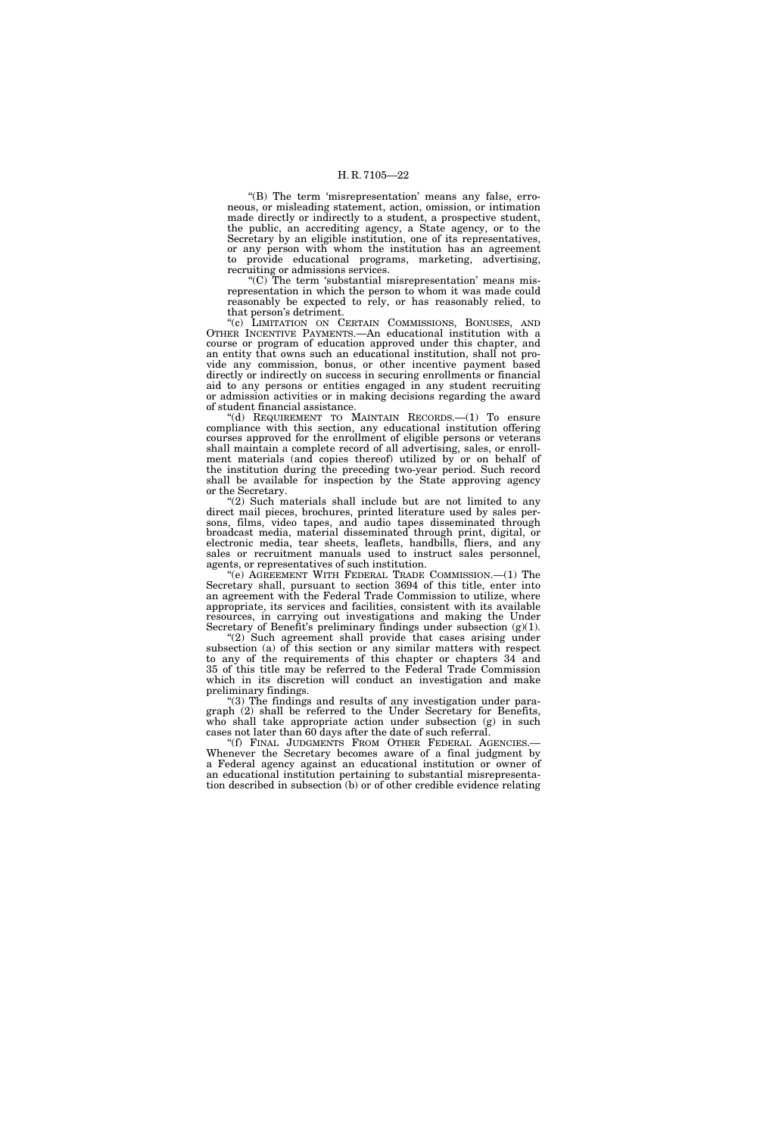"(B) The term 'misrepresentation' means any false, erroneous, or misleading statement, action, omission, or intimation made directly or indirectly to a student, a prospective student, the public, an accrediting agency, a State agency, or to the Secretary by an eligible institution, one of its representatives, or any person with whom the institution has an agreement to provide educational programs, marketing, advertising, recruiting or admissions services.

 $(C)$  The term 'substantial misrepresentation' means misrepresentation in which the person to whom it was made could reasonably be expected to rely, or has reasonably relied, to that person's detriment.

''(c) LIMITATION ON CERTAIN COMMISSIONS, BONUSES, AND OTHER INCENTIVE PAYMENTS.—An educational institution with a course or program of education approved under this chapter, and an entity that owns such an educational institution, shall not provide any commission, bonus, or other incentive payment based directly or indirectly on success in securing enrollments or financial aid to any persons or entities engaged in any student recruiting or admission activities or in making decisions regarding the award of student financial assistance.

''(d) REQUIREMENT TO MAINTAIN RECORDS.—(1) To ensure compliance with this section, any educational institution offering courses approved for the enrollment of eligible persons or veterans shall maintain a complete record of all advertising, sales, or enrollment materials (and copies thereof) utilized by or on behalf of the institution during the preceding two-year period. Such record shall be available for inspection by the State approving agency or the Secretary.

"(2) Such materials shall include but are not limited to any direct mail pieces, brochures, printed literature used by sales persons, films, video tapes, and audio tapes disseminated through broadcast media, material disseminated through print, digital, or electronic media, tear sheets, leaflets, handbills, fliers, and any sales or recruitment manuals used to instruct sales personnel, agents, or representatives of such institution.

"(e) AGREEMENT WITH FEDERAL TRADE COMMISSION.—(1) The Secretary shall, pursuant to section 3694 of this title, enter into an agreement with the Federal Trade Commission to utilize, where appropriate, its services and facilities, consistent with its available resources, in carrying out investigations and making the Under Secretary of Benefit's preliminary findings under subsection (g)(1).

''(2) Such agreement shall provide that cases arising under subsection (a) of this section or any similar matters with respect to any of the requirements of this chapter or chapters 34 and 35 of this title may be referred to the Federal Trade Commission which in its discretion will conduct an investigation and make preliminary findings.

''(3) The findings and results of any investigation under paragraph (2) shall be referred to the Under Secretary for Benefits, who shall take appropriate action under subsection (g) in such cases not later than 60 days after the date of such referral.

''(f) FINAL JUDGMENTS FROM OTHER FEDERAL AGENCIES.— Whenever the Secretary becomes aware of a final judgment by a Federal agency against an educational institution or owner of an educational institution pertaining to substantial misrepresentation described in subsection (b) or of other credible evidence relating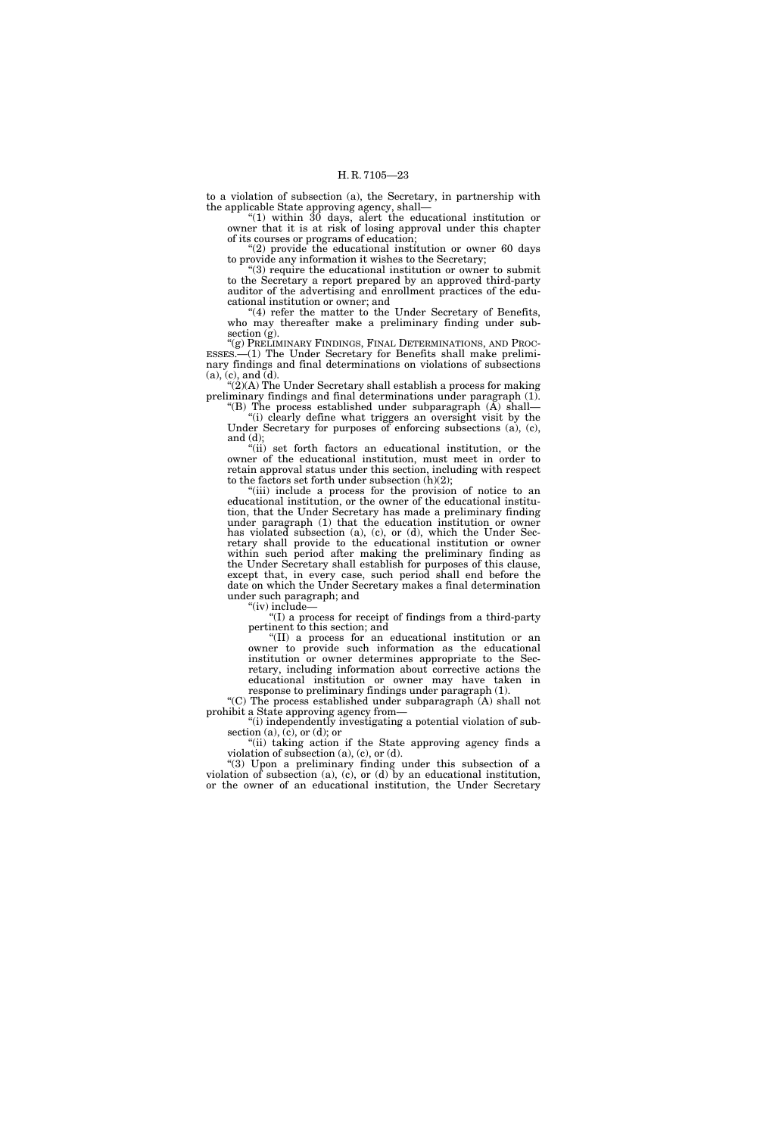to a violation of subsection (a), the Secretary, in partnership with the applicable State approving agency, shall—

''(1) within 30 days, alert the educational institution or owner that it is at risk of losing approval under this chapter of its courses or programs of education;

''(2) provide the educational institution or owner 60 days to provide any information it wishes to the Secretary;

''(3) require the educational institution or owner to submit to the Secretary a report prepared by an approved third-party auditor of the advertising and enrollment practices of the educational institution or owner; and

"(4) refer the matter to the Under Secretary of Benefits, who may thereafter make a preliminary finding under subsection (g).

''(g) PRELIMINARY FINDINGS, FINAL DETERMINATIONS, AND PROC-ESSES.—(1) The Under Secretary for Benefits shall make preliminary findings and final determinations on violations of subsections (a), (c), and (d).

"(2)(A) The Under Secretary shall establish a process for making preliminary findings and final determinations under paragraph (1). "(B) The process established under subparagraph  $(A)$  shall—

''(i) clearly define what triggers an oversight visit by the Under Secretary for purposes of enforcing subsections (a), (c), and (d);

''(ii) set forth factors an educational institution, or the owner of the educational institution, must meet in order to retain approval status under this section, including with respect to the factors set forth under subsection (h)(2);

"(iii) include a process for the provision of notice to an educational institution, or the owner of the educational institution, that the Under Secretary has made a preliminary finding under paragraph (1) that the education institution or owner has violated subsection (a), (c), or (d), which the Under Secretary shall provide to the educational institution or owner within such period after making the preliminary finding as the Under Secretary shall establish for purposes of this clause, except that, in every case, such period shall end before the date on which the Under Secretary makes a final determination under such paragraph; and

" $(iv)$  include-

''(I) a process for receipt of findings from a third-party pertinent to this section; and

''(II) a process for an educational institution or an owner to provide such information as the educational institution or owner determines appropriate to the Secretary, including information about corrective actions the educational institution or owner may have taken in response to preliminary findings under paragraph (1).

''(C) The process established under subparagraph (A) shall not prohibit a State approving agency from—

''(i) independently investigating a potential violation of subsection (a), (c), or (d); or

"(ii) taking action if the State approving agency finds a violation of subsection (a), (c), or (d).

''(3) Upon a preliminary finding under this subsection of a violation of subsection (a), (c), or (d) by an educational institution, or the owner of an educational institution, the Under Secretary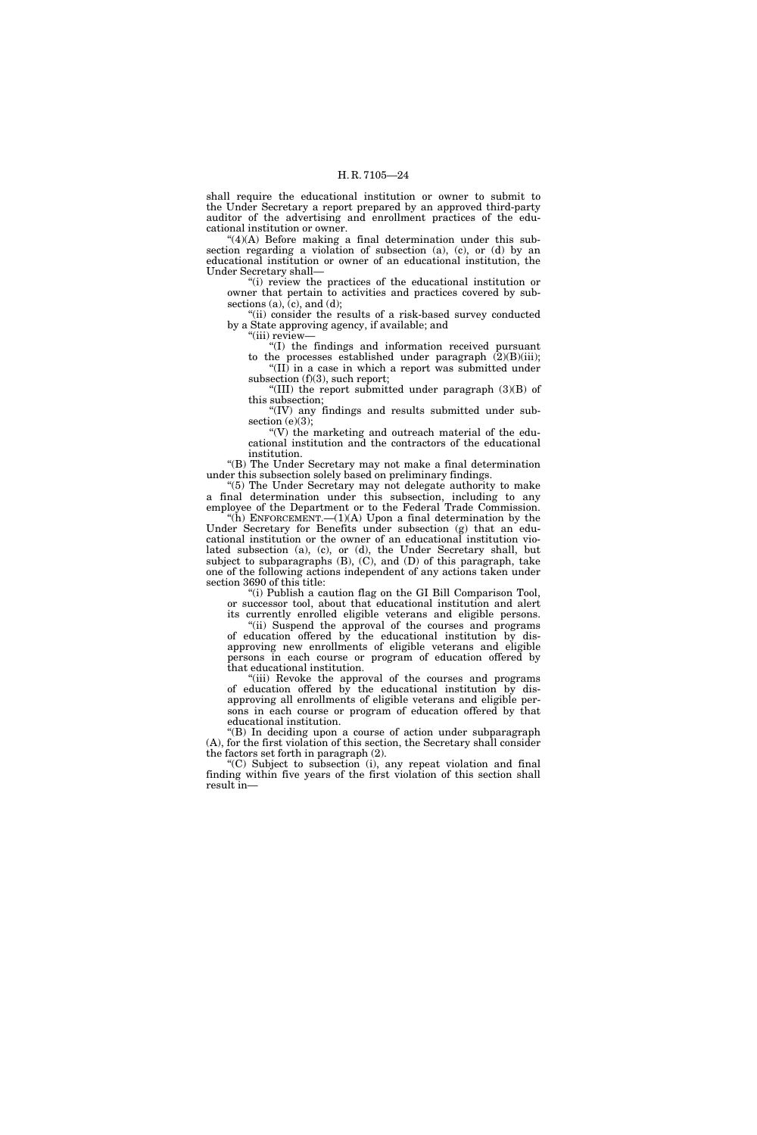shall require the educational institution or owner to submit to the Under Secretary a report prepared by an approved third-party auditor of the advertising and enrollment practices of the educational institution or owner.

 $^{(4)}$ (A) Before making a final determination under this subsection regarding a violation of subsection (a), (c), or (d) by an educational institution or owner of an educational institution, the Under Secretary shall—

''(i) review the practices of the educational institution or owner that pertain to activities and practices covered by subsections  $(a)$ ,  $(c)$ , and  $(d)$ ;

''(ii) consider the results of a risk-based survey conducted by a State approving agency, if available; and

''(iii) review—

''(I) the findings and information received pursuant to the processes established under paragraph  $(2)(B)(iii)$ ;

''(II) in a case in which a report was submitted under subsection (f)(3), such report;

''(III) the report submitted under paragraph (3)(B) of this subsection;

''(IV) any findings and results submitted under subsection  $(e)(3)$ ;

" $(V)$  the marketing and outreach material of the educational institution and the contractors of the educational institution.

''(B) The Under Secretary may not make a final determination under this subsection solely based on preliminary findings.

''(5) The Under Secretary may not delegate authority to make a final determination under this subsection, including to any employee of the Department or to the Federal Trade Commission.

"(h) ENFORCEMENT.— $(1)(A)$  Upon a final determination by the Under Secretary for Benefits under subsection (g) that an educational institution or the owner of an educational institution violated subsection (a), (c), or (d), the Under Secretary shall, but subject to subparagraphs (B), (C), and (D) of this paragraph, take one of the following actions independent of any actions taken under section 3690 of this title:

''(i) Publish a caution flag on the GI Bill Comparison Tool, or successor tool, about that educational institution and alert its currently enrolled eligible veterans and eligible persons.

"(ii) Suspend the approval of the courses and programs of education offered by the educational institution by disapproving new enrollments of eligible veterans and eligible persons in each course or program of education offered by that educational institution.

"(iii) Revoke the approval of the courses and programs of education offered by the educational institution by disapproving all enrollments of eligible veterans and eligible persons in each course or program of education offered by that educational institution.

''(B) In deciding upon a course of action under subparagraph (A), for the first violation of this section, the Secretary shall consider the factors set forth in paragraph (2).

''(C) Subject to subsection (i), any repeat violation and final finding within five years of the first violation of this section shall result in—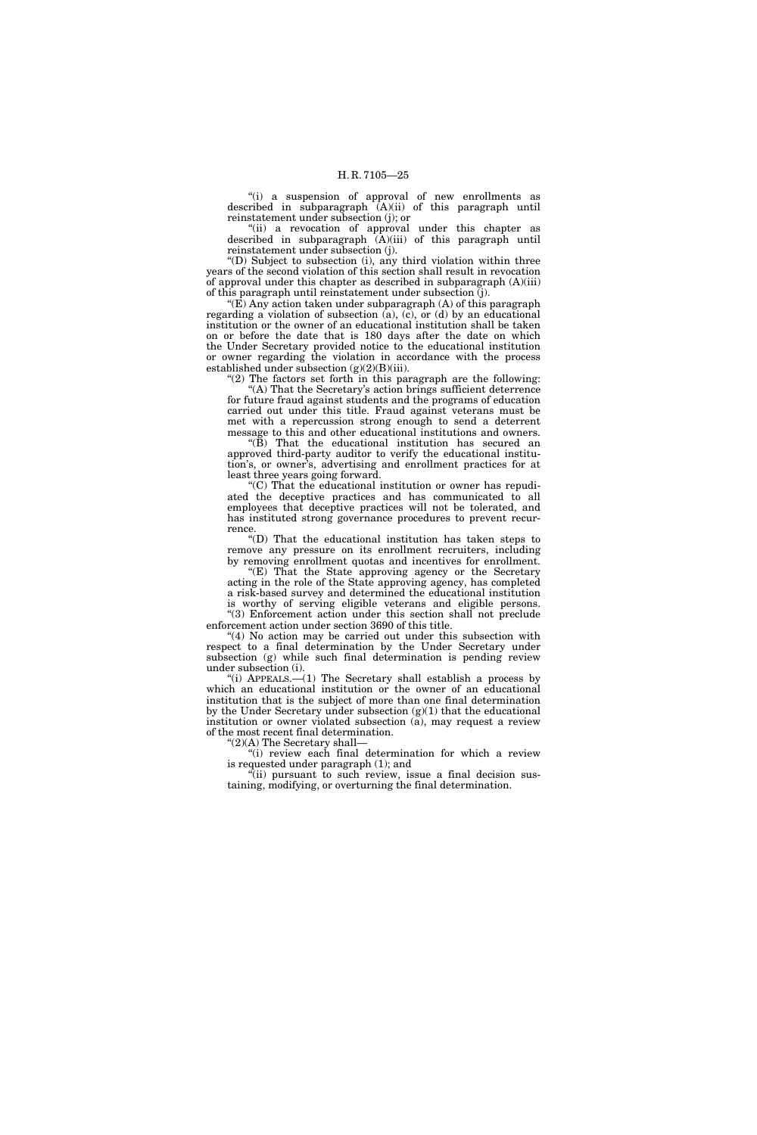"(i) a suspension of approval of new enrollments as described in subparagraph (A)(ii) of this paragraph until reinstatement under subsection (j); or

"(ii) a revocation of approval under this chapter as described in subparagraph  $\hat{A}$ (iii) of this paragraph until reinstatement under subsection (j).

''(D) Subject to subsection (i), any third violation within three years of the second violation of this section shall result in revocation of approval under this chapter as described in subparagraph (A)(iii) of this paragraph until reinstatement under subsection (j).

" $(E)$  Any action taken under subparagraph  $(A)$  of this paragraph regarding a violation of subsection (a), (c), or (d) by an educational institution or the owner of an educational institution shall be taken on or before the date that is 180 days after the date on which the Under Secretary provided notice to the educational institution or owner regarding the violation in accordance with the process established under subsection  $(g)(2)(B)(iii)$ .

" $(2)$  The factors set forth in this paragraph are the following: '(A) That the Secretary's action brings sufficient deterrence for future fraud against students and the programs of education carried out under this title. Fraud against veterans must be met with a repercussion strong enough to send a deterrent message to this and other educational institutions and owners.

" $(\overline{B})$  That the educational institution has secured an approved third-party auditor to verify the educational institution's, or owner's, advertising and enrollment practices for at least three years going forward.

''(C) That the educational institution or owner has repudiated the deceptive practices and has communicated to all employees that deceptive practices will not be tolerated, and has instituted strong governance procedures to prevent recurrence.

''(D) That the educational institution has taken steps to remove any pressure on its enrollment recruiters, including by removing enrollment quotas and incentives for enrollment.

"(E) That the State approving agency or the Secretary acting in the role of the State approving agency, has completed a risk-based survey and determined the educational institution is worthy of serving eligible veterans and eligible persons. ''(3) Enforcement action under this section shall not preclude

enforcement action under section 3690 of this title.  $(4)$  No action may be carried out under this subsection with respect to a final determination by the Under Secretary under

subsection (g) while such final determination is pending review under subsection (i).

''(i) APPEALS.—(1) The Secretary shall establish a process by which an educational institution or the owner of an educational institution that is the subject of more than one final determination by the Under Secretary under subsection  $(g)(1)$  that the educational institution or owner violated subsection (a), may request a review of the most recent final determination.

''(2)(A) The Secretary shall—

''(i) review each final determination for which a review is requested under paragraph (1); and

''(ii) pursuant to such review, issue a final decision sustaining, modifying, or overturning the final determination.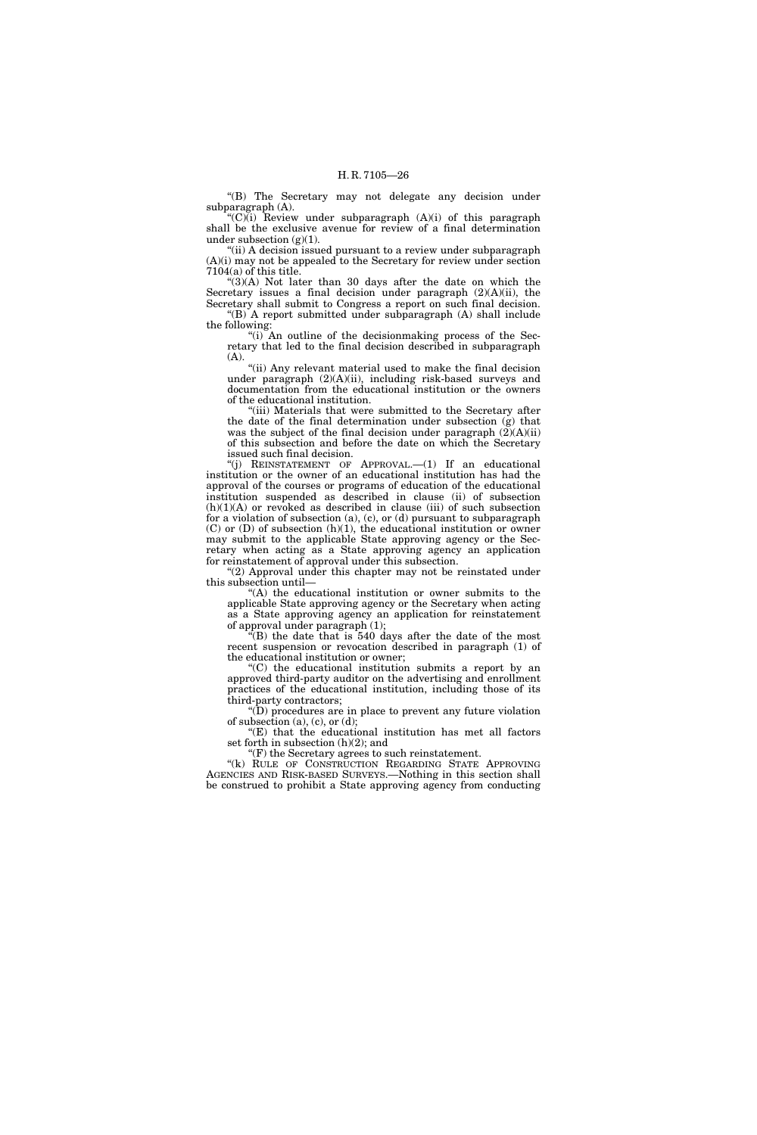''(B) The Secretary may not delegate any decision under subparagraph (A).

" $(C)(i)$  Review under subparagraph  $(A)(i)$  of this paragraph shall be the exclusive avenue for review of a final determination under subsection  $(g)(1)$ .

"(ii) A decision issued pursuant to a review under subparagraph (A)(i) may not be appealed to the Secretary for review under section 7104(a) of this title.

" $(3)(A)$  Not later than 30 days after the date on which the Secretary issues a final decision under paragraph  $(2)(A)(ii)$ , the Secretary shall submit to Congress a report on such final decision. ''(B) A report submitted under subparagraph (A) shall include

the following:

''(i) An outline of the decisionmaking process of the Secretary that led to the final decision described in subparagraph (A).

"(ii) Any relevant material used to make the final decision under paragraph (2)(A)(ii), including risk-based surveys and documentation from the educational institution or the owners of the educational institution.

'(iii) Materials that were submitted to the Secretary after the date of the final determination under subsection (g) that was the subject of the final decision under paragraph  $(2)(A)(ii)$ of this subsection and before the date on which the Secretary issued such final decision.

''(j) REINSTATEMENT OF APPROVAL.—(1) If an educational institution or the owner of an educational institution has had the approval of the courses or programs of education of the educational institution suspended as described in clause (ii) of subsection  $(h)(1)(A)$  or revoked as described in clause (iii) of such subsection for a violation of subsection (a), (c), or (d) pursuant to subparagraph  $(C)$  or  $(D)$  of subsection  $(h)(1)$ , the educational institution or owner may submit to the applicable State approving agency or the Secretary when acting as a State approving agency an application for reinstatement of approval under this subsection.

" $(2)$  Approval under this chapter may not be reinstated under this subsection until—

''(A) the educational institution or owner submits to the applicable State approving agency or the Secretary when acting as a State approving agency an application for reinstatement of approval under paragraph (1);

(B) the date that is 540 days after the date of the most recent suspension or revocation described in paragraph (1) of the educational institution or owner;

''(C) the educational institution submits a report by an approved third-party auditor on the advertising and enrollment practices of the educational institution, including those of its third-party contractors;

''(D) procedures are in place to prevent any future violation of subsection  $(a)$ ,  $(c)$ , or  $(d)$ ;

''(E) that the educational institution has met all factors set forth in subsection (h)(2); and

 $f(F)$  the Secretary agrees to such reinstatement. "(k) RULE OF CONSTRUCTION REGARDING STATE APPROVING AGENCIES AND RISK-BASED SURVEYS.—Nothing in this section shall be construed to prohibit a State approving agency from conducting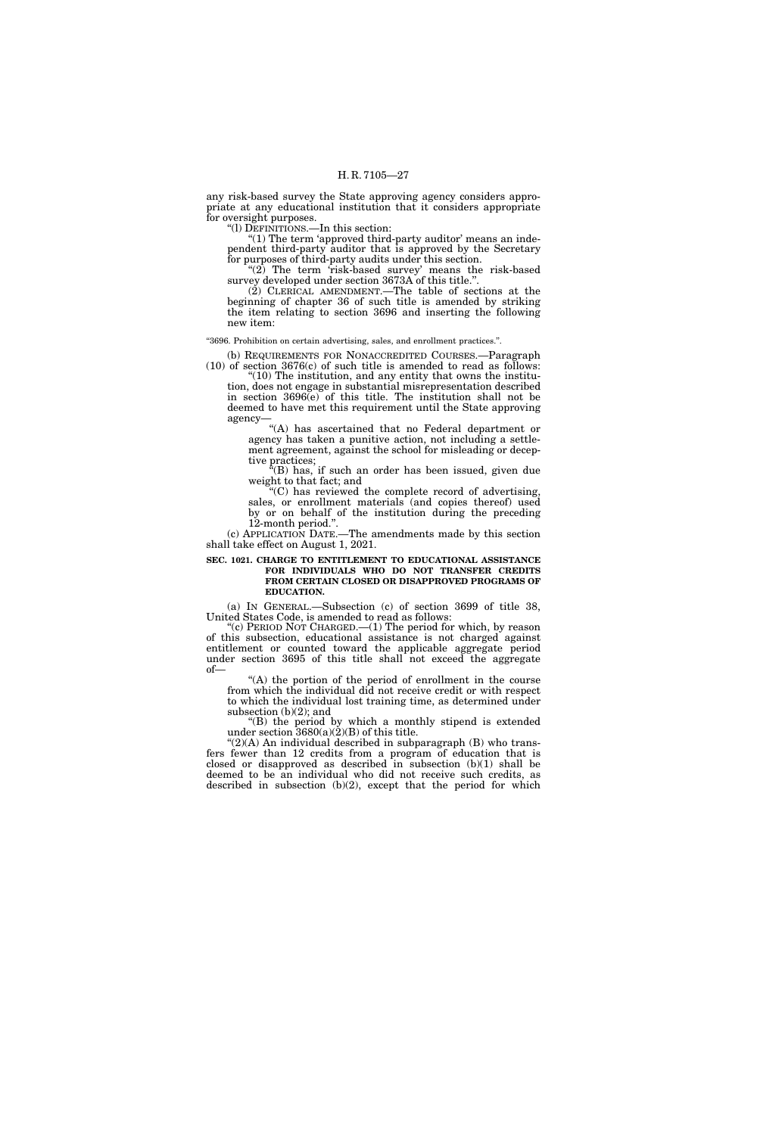any risk-based survey the State approving agency considers appropriate at any educational institution that it considers appropriate for oversight purposes.

''(l) DEFINITIONS.—In this section:

"(1) The term 'approved third-party auditor' means an independent third-party auditor that is approved by the Secretary for purposes of third-party audits under this section.

" $(2)$  The term 'risk-based survey' means the risk-based survey developed under section 3673A of this title.''.

 $(2)$  CLERICAL AMENDMENT.—The table of sections at the beginning of chapter 36 of such title is amended by striking the item relating to section 3696 and inserting the following new item:

''3696. Prohibition on certain advertising, sales, and enrollment practices.''.

(b) REQUIREMENTS FOR NONACCREDITED COURSES.—Paragraph (10) of section 3676(c) of such title is amended to read as follows:

" $(10)$  The institution, and any entity that owns the institution, does not engage in substantial misrepresentation described in section 3696(e) of this title. The institution shall not be deemed to have met this requirement until the State approving agency—

''(A) has ascertained that no Federal department or agency has taken a punitive action, not including a settlement agreement, against the school for misleading or deceptive practices;

 $E(E)$  has, if such an order has been issued, given due weight to that fact; and

"(C) has reviewed the complete record of advertising, sales, or enrollment materials (and copies thereof) used by or on behalf of the institution during the preceding 12-month period.''.

(c) APPLICATION DATE.—The amendments made by this section shall take effect on August 1, 2021.

#### **SEC. 1021. CHARGE TO ENTITLEMENT TO EDUCATIONAL ASSISTANCE FOR INDIVIDUALS WHO DO NOT TRANSFER CREDITS FROM CERTAIN CLOSED OR DISAPPROVED PROGRAMS OF EDUCATION.**

(a) IN GENERAL.—Subsection (c) of section 3699 of title 38, United States Code, is amended to read as follows:

"(c) PERIOD NOT CHARGED.— $(1)$  The period for which, by reason of this subsection, educational assistance is not charged against entitlement or counted toward the applicable aggregate period under section 3695 of this title shall not exceed the aggregate of—

''(A) the portion of the period of enrollment in the course from which the individual did not receive credit or with respect to which the individual lost training time, as determined under subsection (b)(2); and

''(B) the period by which a monthly stipend is extended under section  $3680(a)(2)(B)$  of this title.

" $(2)(A)$  An individual described in subparagraph  $(B)$  who transfers fewer than 12 credits from a program of education that is closed or disapproved as described in subsection (b)(1) shall be deemed to be an individual who did not receive such credits, as described in subsection (b)(2), except that the period for which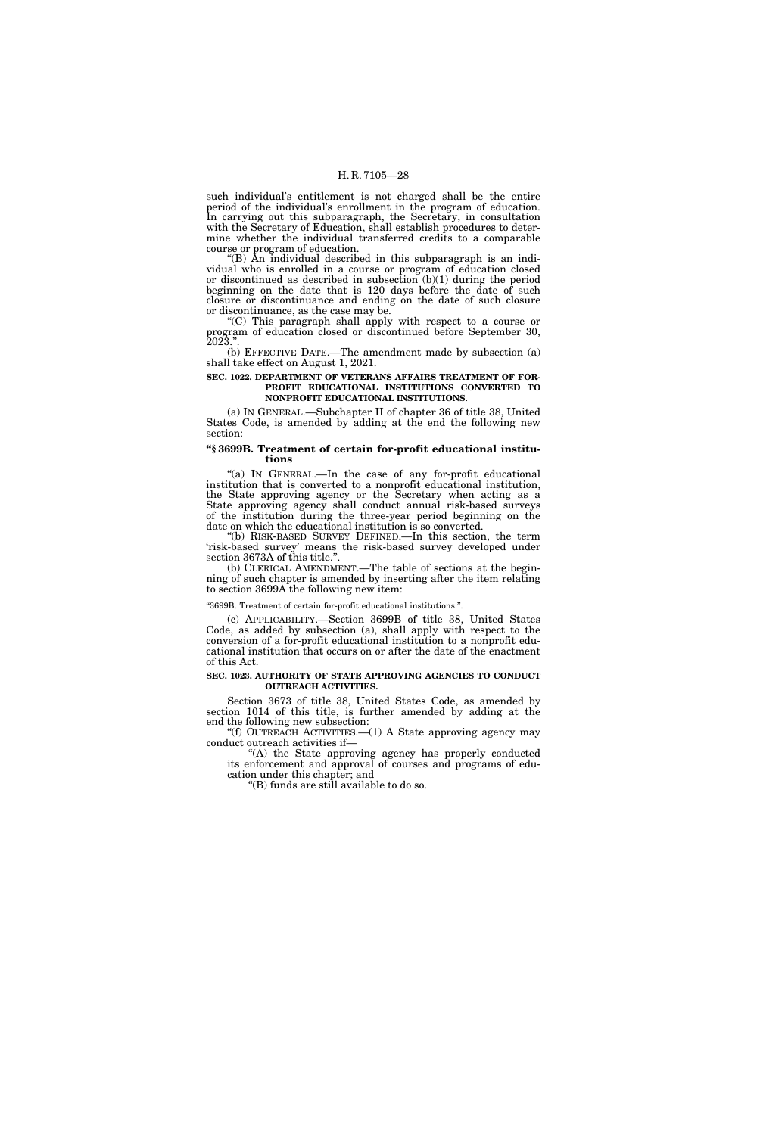such individual's entitlement is not charged shall be the entire period of the individual's enrollment in the program of education. In carrying out this subparagraph, the Secretary, in consultation with the Secretary of Education, shall establish procedures to determine whether the individual transferred credits to a comparable course or program of education.

 $f(B)$  An individual described in this subparagraph is an individual who is enrolled in a course or program of education closed or discontinued as described in subsection (b)(1) during the period beginning on the date that is 120 days before the date of such closure or discontinuance and ending on the date of such closure or discontinuance, as the case may be.

''(C) This paragraph shall apply with respect to a course or program of education closed or discontinued before September 30, 2023.''.

(b) EFFECTIVE DATE.—The amendment made by subsection (a) shall take effect on August 1, 2021.

#### **SEC. 1022. DEPARTMENT OF VETERANS AFFAIRS TREATMENT OF FOR-PROFIT EDUCATIONAL INSTITUTIONS CONVERTED TO NONPROFIT EDUCATIONAL INSTITUTIONS.**

(a) IN GENERAL.—Subchapter II of chapter 36 of title 38, United States Code, is amended by adding at the end the following new section:

### **''§ 3699B. Treatment of certain for-profit educational institutions**

''(a) IN GENERAL.—In the case of any for-profit educational institution that is converted to a nonprofit educational institution, the State approving agency or the Secretary when acting as a State approving agency shall conduct annual risk-based surveys of the institution during the three-year period beginning on the date on which the educational institution is so converted.

''(b) RISK-BASED SURVEY DEFINED.—In this section, the term 'risk-based survey' means the risk-based survey developed under section 3673A of this title.''.

(b) CLERICAL AMENDMENT.—The table of sections at the beginning of such chapter is amended by inserting after the item relating to section 3699A the following new item:

#### ''3699B. Treatment of certain for-profit educational institutions.''.

(c) APPLICABILITY.—Section 3699B of title 38, United States Code, as added by subsection (a), shall apply with respect to the conversion of a for-profit educational institution to a nonprofit educational institution that occurs on or after the date of the enactment of this Act.

#### **SEC. 1023. AUTHORITY OF STATE APPROVING AGENCIES TO CONDUCT OUTREACH ACTIVITIES.**

Section 3673 of title 38, United States Code, as amended by section 1014 of this title, is further amended by adding at the end the following new subsection:

''(f) OUTREACH ACTIVITIES.—(1) A State approving agency may conduct outreach activities if—

''(A) the State approving agency has properly conducted its enforcement and approval of courses and programs of education under this chapter; and

''(B) funds are still available to do so.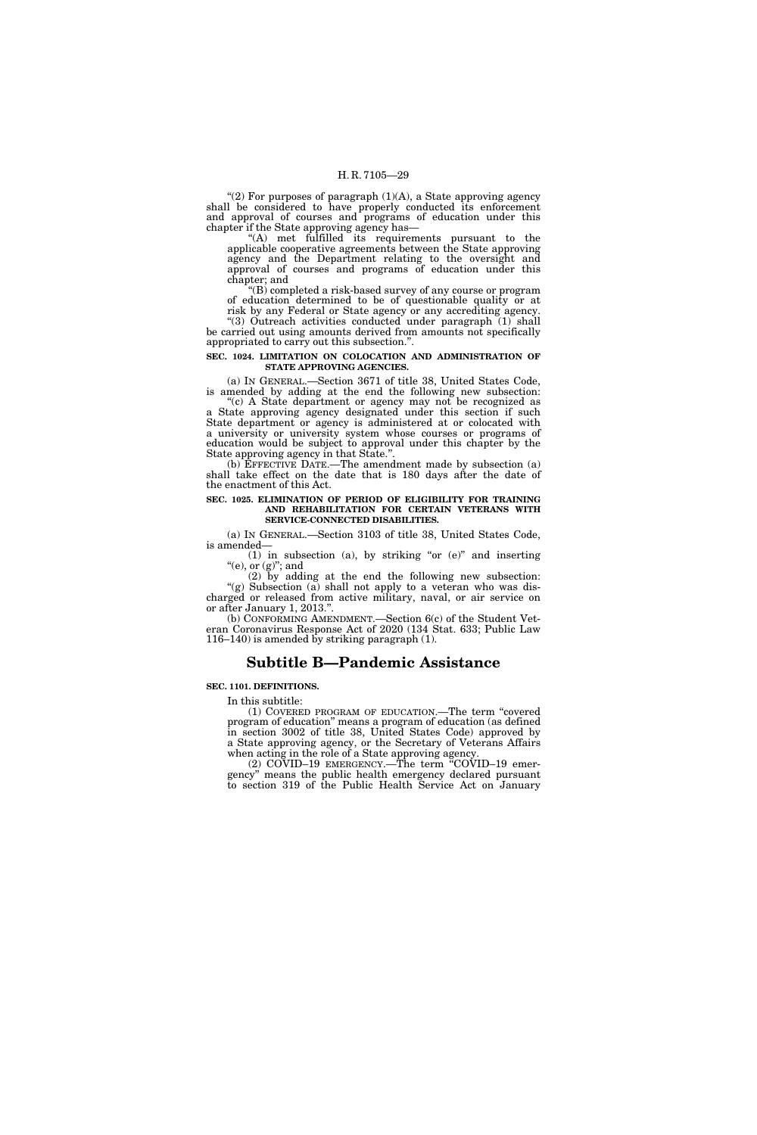''(2) For purposes of paragraph (1)(A), a State approving agency shall be considered to have properly conducted its enforcement and approval of courses and programs of education under this chapter if the State approving agency has—

''(A) met fulfilled its requirements pursuant to the applicable cooperative agreements between the State approving agency and the Department relating to the oversight and approval of courses and programs of education under this chapter; and

''(B) completed a risk-based survey of any course or program of education determined to be of questionable quality or at risk by any Federal or State agency or any accrediting agency.

"(3) Outreach activities conducted under paragraph  $(1)$  shall be carried out using amounts derived from amounts not specifically appropriated to carry out this subsection.''.

#### **SEC. 1024. LIMITATION ON COLOCATION AND ADMINISTRATION OF STATE APPROVING AGENCIES.**

(a) IN GENERAL.—Section 3671 of title 38, United States Code, is amended by adding at the end the following new subsection:

''(c) A State department or agency may not be recognized as a State approving agency designated under this section if such State department or agency is administered at or colocated with a university or university system whose courses or programs of education would be subject to approval under this chapter by the State approving agency in that State.''.

(b) EFFECTIVE DATE.—The amendment made by subsection (a) shall take effect on the date that is 180 days after the date of the enactment of this Act.

#### **SEC. 1025. ELIMINATION OF PERIOD OF ELIGIBILITY FOR TRAINING AND REHABILITATION FOR CERTAIN VETERANS WITH SERVICE-CONNECTED DISABILITIES.**

(a) IN GENERAL.—Section 3103 of title 38, United States Code, is amended—

(1) in subsection (a), by striking "or  $(e)$ " and inserting "(e), or  $(g)$ "; and

(2) by adding at the end the following new subsection: "(g) Subsection (a) shall not apply to a veteran who was discharged or released from active military, naval, or air service on or after January 1, 2013.''.

(b) CONFORMING AMENDMENT.—Section 6(c) of the Student Veteran Coronavirus Response Act of 2020 (134 Stat. 633; Public Law 116–140) is amended by striking paragraph (1).

# **Subtitle B—Pandemic Assistance**

## **SEC. 1101. DEFINITIONS.**

In this subtitle:

(1) COVERED PROGRAM OF EDUCATION.—The term ''covered program of education'' means a program of education (as defined in section 3002 of title 38, United States Code) approved by a State approving agency, or the Secretary of Veterans Affairs when acting in the role of a State approving agency.

(2) COVID–19 EMERGENCY.—The term ''COVID–19 emergency'' means the public health emergency declared pursuant to section 319 of the Public Health Service Act on January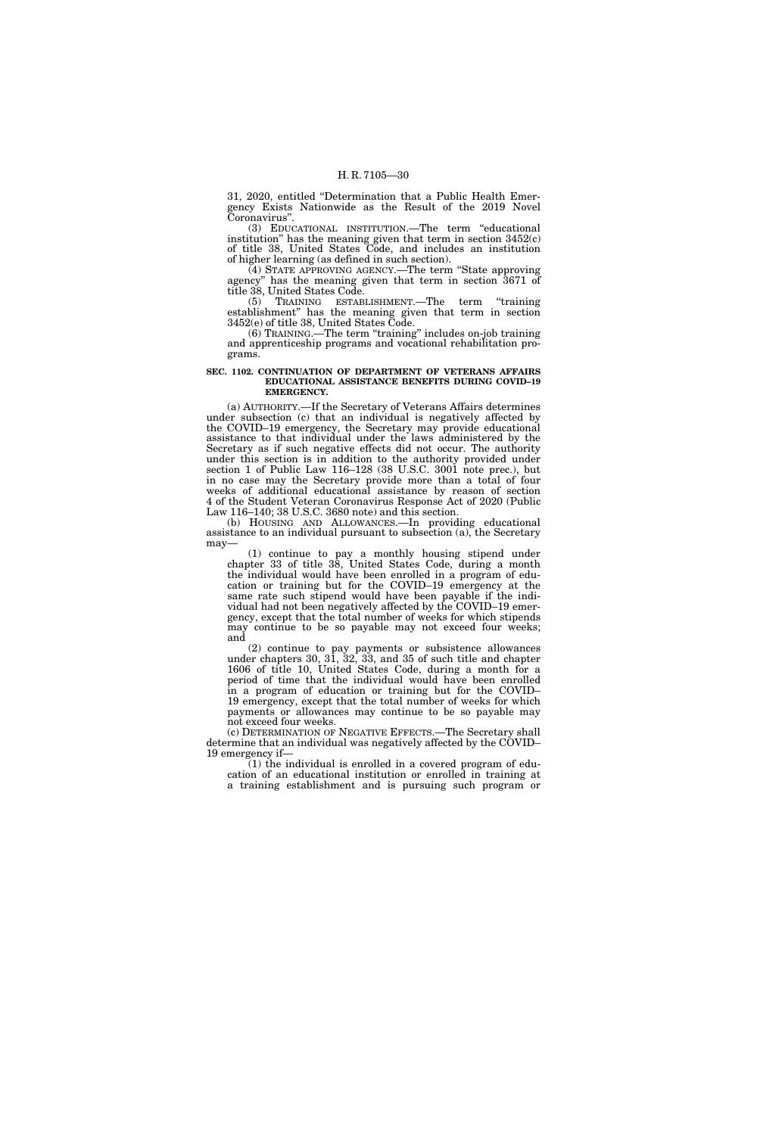31, 2020, entitled ''Determination that a Public Health Emergency Exists Nationwide as the Result of the 2019 Novel Coronavirus''.

(3) EDUCATIONAL INSTITUTION.—The term ''educational institution" has the meaning given that term in section  $3452(c)$ of title 38, United States Code, and includes an institution of higher learning (as defined in such section).

(4) STATE APPROVING AGENCY.—The term ''State approving agency'' has the meaning given that term in section 3671 of title 38, United States Code.

(5) TRAINING ESTABLISHMENT.—The term ''training establishment'' has the meaning given that term in section 3452(e) of title 38, United States Code.

(6) TRAINING.—The term ''training'' includes on-job training and apprenticeship programs and vocational rehabilitation programs.

#### **SEC. 1102. CONTINUATION OF DEPARTMENT OF VETERANS AFFAIRS EDUCATIONAL ASSISTANCE BENEFITS DURING COVID–19 EMERGENCY.**

(a) AUTHORITY.—If the Secretary of Veterans Affairs determines under subsection (c) that an individual is negatively affected by the COVID–19 emergency, the Secretary may provide educational assistance to that individual under the laws administered by the Secretary as if such negative effects did not occur. The authority under this section is in addition to the authority provided under section 1 of Public Law 116–128 (38 U.S.C. 3001 note prec.), but in no case may the Secretary provide more than a total of four weeks of additional educational assistance by reason of section 4 of the Student Veteran Coronavirus Response Act of 2020 (Public Law 116–140; 38 U.S.C. 3680 note) and this section.

(b) HOUSING AND ALLOWANCES.—In providing educational assistance to an individual pursuant to subsection (a), the Secretary may—

(1) continue to pay a monthly housing stipend under chapter 33 of title 38, United States Code, during a month the individual would have been enrolled in a program of education or training but for the COVID–19 emergency at the same rate such stipend would have been payable if the individual had not been negatively affected by the COVID–19 emergency, except that the total number of weeks for which stipends may continue to be so payable may not exceed four weeks; and

(2) continue to pay payments or subsistence allowances under chapters 30, 31, 32, 33, and 35 of such title and chapter 1606 of title 10, United States Code, during a month for a period of time that the individual would have been enrolled in a program of education or training but for the COVID– 19 emergency, except that the total number of weeks for which payments or allowances may continue to be so payable may not exceed four weeks.

(c) DETERMINATION OF NEGATIVE EFFECTS.—The Secretary shall determine that an individual was negatively affected by the COVID– 19 emergency if—

(1) the individual is enrolled in a covered program of education of an educational institution or enrolled in training at a training establishment and is pursuing such program or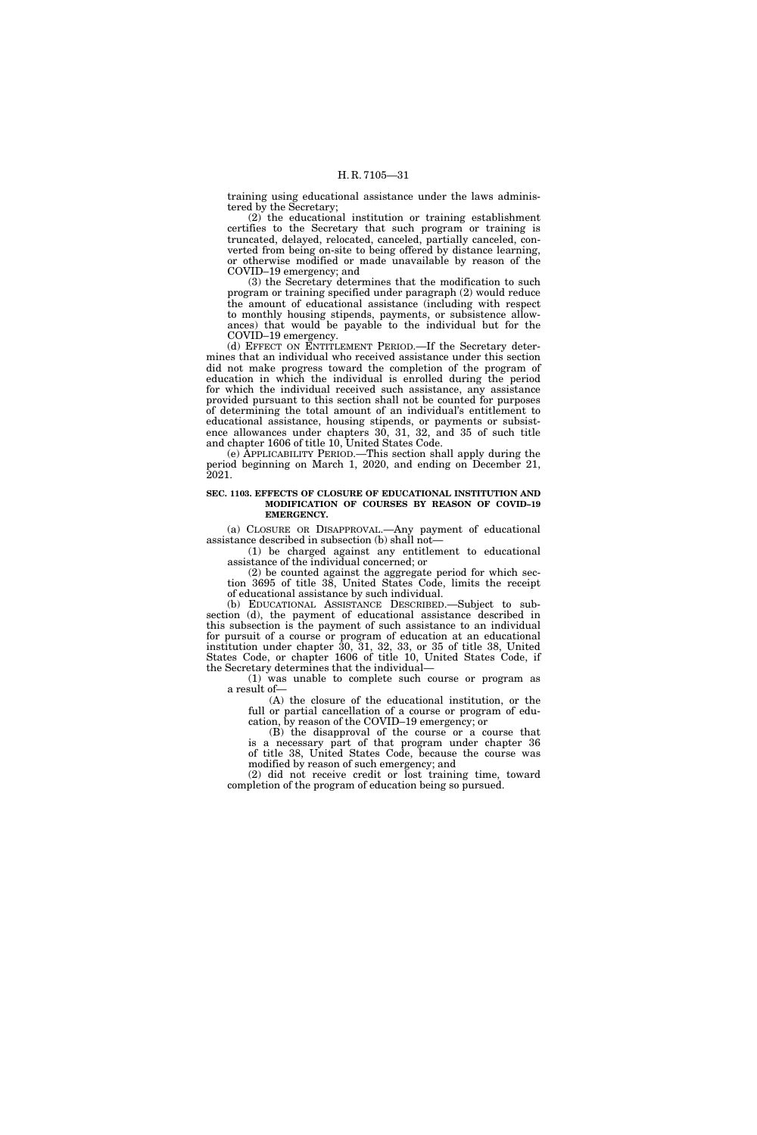training using educational assistance under the laws administered by the Secretary;

(2) the educational institution or training establishment certifies to the Secretary that such program or training is truncated, delayed, relocated, canceled, partially canceled, converted from being on-site to being offered by distance learning, or otherwise modified or made unavailable by reason of the COVID–19 emergency; and

(3) the Secretary determines that the modification to such program or training specified under paragraph (2) would reduce the amount of educational assistance (including with respect to monthly housing stipends, payments, or subsistence allowances) that would be payable to the individual but for the COVID–19 emergency.

(d) EFFECT ON ENTITLEMENT PERIOD.—If the Secretary determines that an individual who received assistance under this section did not make progress toward the completion of the program of education in which the individual is enrolled during the period for which the individual received such assistance, any assistance provided pursuant to this section shall not be counted for purposes of determining the total amount of an individual's entitlement to educational assistance, housing stipends, or payments or subsistence allowances under chapters 30, 31, 32, and 35 of such title and chapter 1606 of title 10, United States Code.

(e) APPLICABILITY PERIOD.—This section shall apply during the period beginning on March 1, 2020, and ending on December 21, 2021.

#### **SEC. 1103. EFFECTS OF CLOSURE OF EDUCATIONAL INSTITUTION AND MODIFICATION OF COURSES BY REASON OF COVID–19 EMERGENCY.**

(a) CLOSURE OR DISAPPROVAL.—Any payment of educational assistance described in subsection (b) shall not—

(1) be charged against any entitlement to educational assistance of the individual concerned; or

(2) be counted against the aggregate period for which section 3695 of title 38, United States Code, limits the receipt of educational assistance by such individual.

(b) EDUCATIONAL ASSISTANCE DESCRIBED.—Subject to subsection (d), the payment of educational assistance described in this subsection is the payment of such assistance to an individual for pursuit of a course or program of education at an educational institution under chapter 30, 31, 32, 33, or 35 of title 38, United States Code, or chapter 1606 of title 10, United States Code, if the Secretary determines that the individual—

(1) was unable to complete such course or program as a result of—

(A) the closure of the educational institution, or the full or partial cancellation of a course or program of education, by reason of the COVID–19 emergency; or

(B) the disapproval of the course or a course that is a necessary part of that program under chapter 36 of title 38, United States Code, because the course was modified by reason of such emergency; and

(2) did not receive credit or lost training time, toward completion of the program of education being so pursued.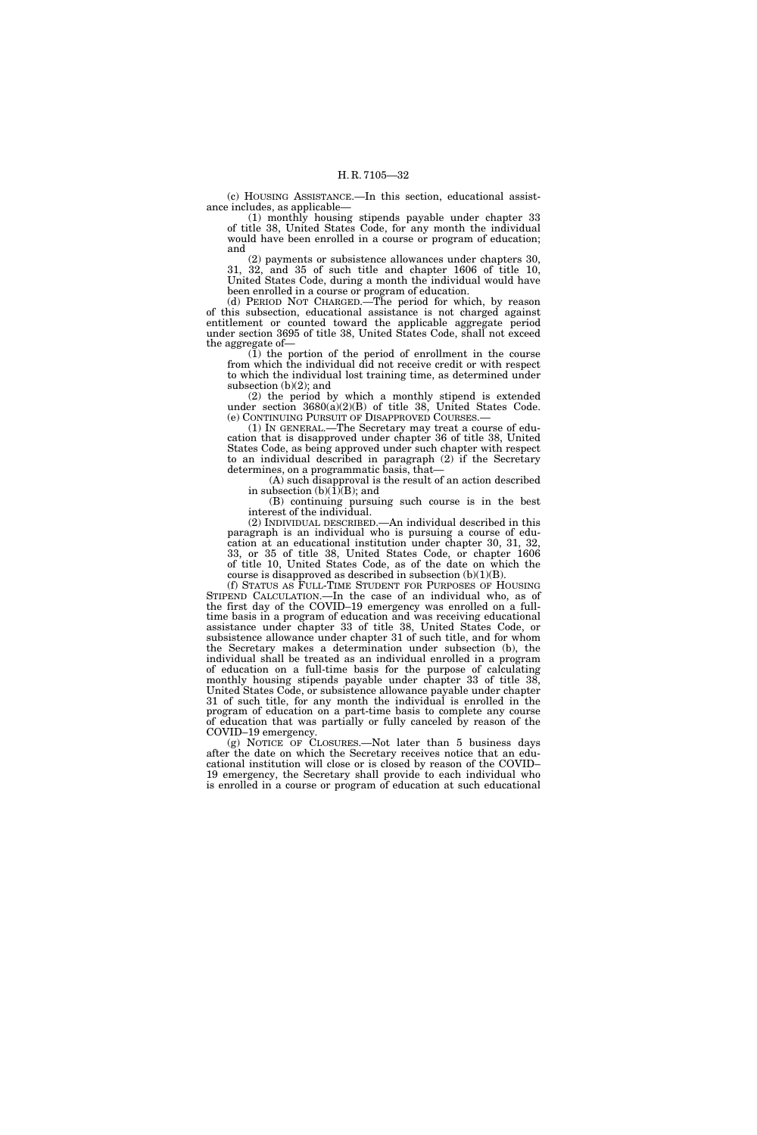(c) HOUSING ASSISTANCE.—In this section, educational assistance includes, as applicable—

(1) monthly housing stipends payable under chapter 33 of title 38, United States Code, for any month the individual would have been enrolled in a course or program of education; and

(2) payments or subsistence allowances under chapters 30, 31, 32, and 35 of such title and chapter 1606 of title 10, United States Code, during a month the individual would have been enrolled in a course or program of education.

(d) PERIOD NOT CHARGED.—The period for which, by reason of this subsection, educational assistance is not charged against entitlement or counted toward the applicable aggregate period under section 3695 of title 38, United States Code, shall not exceed the aggregate of—

(1) the portion of the period of enrollment in the course from which the individual did not receive credit or with respect to which the individual lost training time, as determined under subsection (b)(2); and

(2) the period by which a monthly stipend is extended under section 3680(a)(2)(B) of title 38, United States Code. (e) CONTINUING PURSUIT OF DISAPPROVED COURSES.—

(1) IN GENERAL.—The Secretary may treat a course of education that is disapproved under chapter 36 of title 38, United States Code, as being approved under such chapter with respect to an individual described in paragraph (2) if the Secretary determines, on a programmatic basis, that—

(A) such disapproval is the result of an action described in subsection  $(b)(1)(B)$ ; and

(B) continuing pursuing such course is in the best interest of the individual.

(2) INDIVIDUAL DESCRIBED.—An individual described in this paragraph is an individual who is pursuing a course of education at an educational institution under chapter 30, 31, 32, 33, or 35 of title 38, United States Code, or chapter 1606 of title 10, United States Code, as of the date on which the course is disapproved as described in subsection  $(b)(1)(B)$ .

(f) STATUS AS FULL-TIME STUDENT FOR PURPOSES OF HOUSING STIPEND CALCULATION.—In the case of an individual who, as of the first day of the COVID-19 emergency was enrolled on a fulltime basis in a program of education and was receiving educational assistance under chapter 33 of title 38, United States Code, or subsistence allowance under chapter 31 of such title, and for whom the Secretary makes a determination under subsection (b), the individual shall be treated as an individual enrolled in a program of education on a full-time basis for the purpose of calculating monthly housing stipends payable under chapter 33 of title 38, United States Code, or subsistence allowance payable under chapter 31 of such title, for any month the individual is enrolled in the program of education on a part-time basis to complete any course of education that was partially or fully canceled by reason of the COVID–19 emergency.

(g) NOTICE OF CLOSURES.—Not later than 5 business days after the date on which the Secretary receives notice that an educational institution will close or is closed by reason of the COVID– 19 emergency, the Secretary shall provide to each individual who is enrolled in a course or program of education at such educational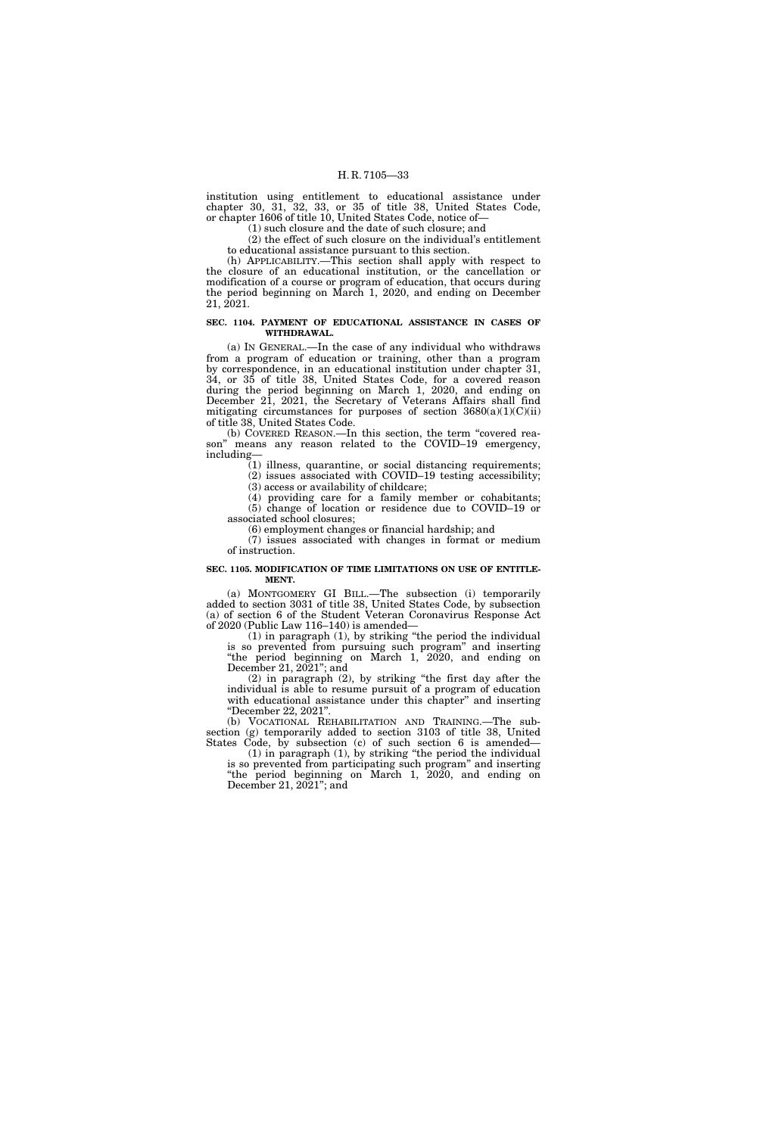institution using entitlement to educational assistance under chapter 30, 31, 32, 33, or 35 of title 38, United States Code, or chapter 1606 of title 10, United States Code, notice of—

(1) such closure and the date of such closure; and

(2) the effect of such closure on the individual's entitlement to educational assistance pursuant to this section.

(h) APPLICABILITY.—This section shall apply with respect to the closure of an educational institution, or the cancellation or modification of a course or program of education, that occurs during the period beginning on March 1, 2020, and ending on December 21, 2021.

#### **SEC. 1104. PAYMENT OF EDUCATIONAL ASSISTANCE IN CASES OF WITHDRAWAL.**

(a) IN GENERAL.—In the case of any individual who withdraws from a program of education or training, other than a program by correspondence, in an educational institution under chapter 31, 34, or 35 of title 38, United States Code, for a covered reason during the period beginning on March 1, 2020, and ending on December 21, 2021, the Secretary of Veterans Affairs shall find mitigating circumstances for purposes of section  $3680(a)(1)(C)(ii)$ of title 38, United States Code.

(b) COVERED REASON.—In this section, the term ''covered reason'' means any reason related to the COVID–19 emergency, including—

(1) illness, quarantine, or social distancing requirements; (2) issues associated with COVID–19 testing accessibility; (3) access or availability of childcare;

(4) providing care for a family member or cohabitants;

(5) change of location or residence due to COVID–19 or associated school closures;

(6) employment changes or financial hardship; and

(7) issues associated with changes in format or medium of instruction.

#### **SEC. 1105. MODIFICATION OF TIME LIMITATIONS ON USE OF ENTITLE-MENT.**

(a) MONTGOMERY GI BILL.—The subsection (i) temporarily added to section 3031 of title 38, United States Code, by subsection (a) of section 6 of the Student Veteran Coronavirus Response Act of 2020 (Public Law 116–140) is amended—

(1) in paragraph (1), by striking ''the period the individual is so prevented from pursuing such program'' and inserting "the period beginning on March 1, 2020, and ending on December 21, 2021''; and

(2) in paragraph (2), by striking ''the first day after the individual is able to resume pursuit of a program of education with educational assistance under this chapter" and inserting ''December 22, 2021''.

(b) VOCATIONAL REHABILITATION AND TRAINING.—The subsection (g) temporarily added to section 3103 of title 38, United States Code, by subsection (c) of such section 6 is amended—

(1) in paragraph (1), by striking ''the period the individual is so prevented from participating such program'' and inserting ''the period beginning on March 1, 2020, and ending on December 21, 2021''; and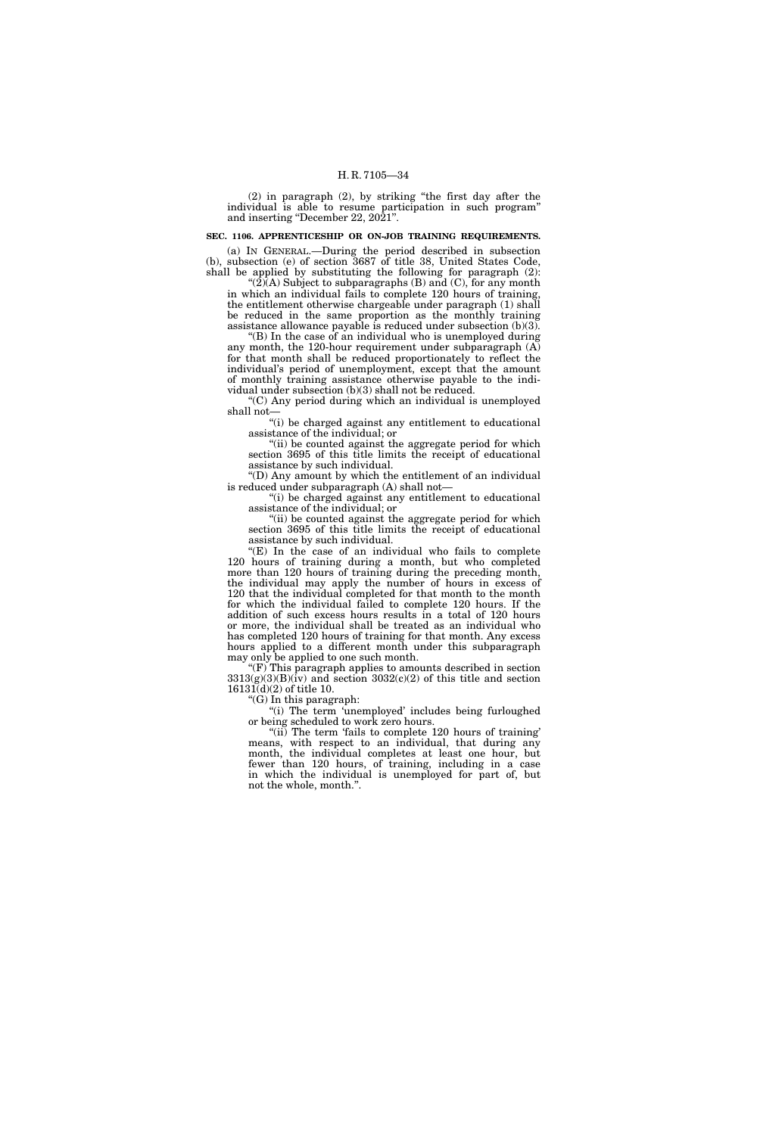(2) in paragraph (2), by striking ''the first day after the individual is able to resume participation in such program'' and inserting "December 22, 2021".

### **SEC. 1106. APPRENTICESHIP OR ON-JOB TRAINING REQUIREMENTS.**

(a) IN GENERAL.—During the period described in subsection (b), subsection (e) of section 3687 of title 38, United States Code, shall be applied by substituting the following for paragraph (2):  $'(2)$ (A) Subject to subparagraphs (B) and (C), for any month

in which an individual fails to complete 120 hours of training, the entitlement otherwise chargeable under paragraph (1) shall be reduced in the same proportion as the monthly training assistance allowance payable is reduced under subsection (b)(3).

''(B) In the case of an individual who is unemployed during any month, the 120-hour requirement under subparagraph  $(A)$ for that month shall be reduced proportionately to reflect the individual's period of unemployment, except that the amount of monthly training assistance otherwise payable to the individual under subsection (b)(3) shall not be reduced.

''(C) Any period during which an individual is unemployed shall not—

''(i) be charged against any entitlement to educational assistance of the individual; or

"(ii) be counted against the aggregate period for which section 3695 of this title limits the receipt of educational assistance by such individual.

''(D) Any amount by which the entitlement of an individual is reduced under subparagraph (A) shall not—

''(i) be charged against any entitlement to educational assistance of the individual; or

''(ii) be counted against the aggregate period for which section 3695 of this title limits the receipt of educational assistance by such individual.

" $(E)$  In the case of an individual who fails to complete 120 hours of training during a month, but who completed more than 120 hours of training during the preceding month, the individual may apply the number of hours in excess of 120 that the individual completed for that month to the month for which the individual failed to complete 120 hours. If the addition of such excess hours results in a total of 120 hours or more, the individual shall be treated as an individual who has completed 120 hours of training for that month. Any excess hours applied to a different month under this subparagraph may only be applied to one such month.

 $f(F)$  This paragraph applies to amounts described in section  $3313(g)(3)(B)(iv)$  and section  $3032(c)(2)$  of this title and section 16131(d)(2) of title 10.

''(G) In this paragraph:

"(i) The term 'unemployed' includes being furloughed or being scheduled to work zero hours.

"(ii) The term 'fails to complete 120 hours of training' means, with respect to an individual, that during any month, the individual completes at least one hour, but fewer than 120 hours, of training, including in a case in which the individual is unemployed for part of, but not the whole, month.''.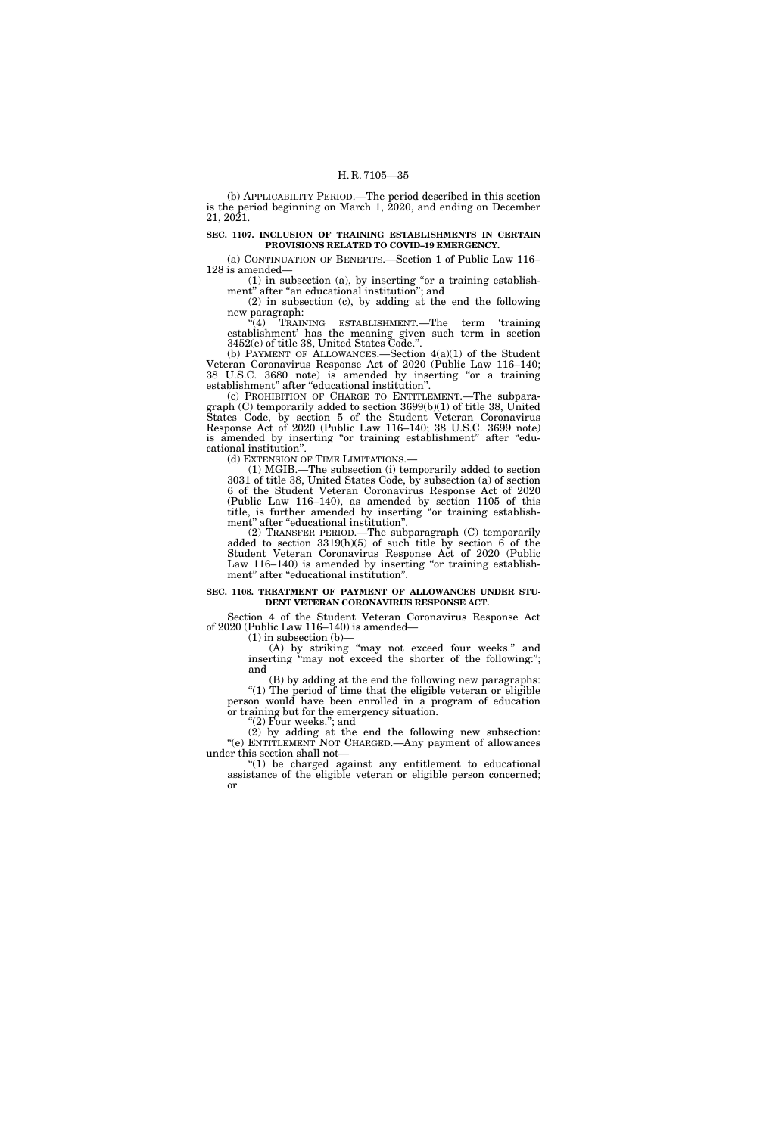(b) APPLICABILITY PERIOD.—The period described in this section is the period beginning on March 1, 2020, and ending on December 21, 2021.

#### **SEC. 1107. INCLUSION OF TRAINING ESTABLISHMENTS IN CERTAIN PROVISIONS RELATED TO COVID–19 EMERGENCY.**

(a) CONTINUATION OF BENEFITS.—Section 1 of Public Law 116– 128 is amended—

 $(1)$  in subsection  $(a)$ , by inserting "or a training establishment" after "an educational institution"; and

(2) in subsection (c), by adding at the end the following new paragraph:

 $\sqrt[4]{(4)}$  TRAINING ESTABLISHMENT.—The term 'training establishment' has the meaning given such term in section 3452(e) of title 38, United States Code.''.

(b) PAYMENT OF ALLOWANCES.—Section 4(a)(1) of the Student Veteran Coronavirus Response Act of 2020 (Public Law 116–140; 38 U.S.C. 3680 note) is amended by inserting "or a training establishment'' after ''educational institution''.

(c) PROHIBITION OF CHARGE TO ENTITLEMENT.—The subparagraph (C) temporarily added to section 3699(b)(1) of title 38, United States Code, by section 5 of the Student Veteran Coronavirus Response Act of 2020 (Public Law 116–140; 38 U.S.C. 3699 note) is amended by inserting "or training establishment" after "educational institution''.

(d) EXTENSION OF TIME LIMITATIONS.—

(1) MGIB.—The subsection (i) temporarily added to section 3031 of title 38, United States Code, by subsection (a) of section 6 of the Student Veteran Coronavirus Response Act of 2020 (Public Law 116–140), as amended by section 1105 of this title, is further amended by inserting "or training establishment'' after ''educational institution''.

(2) TRANSFER PERIOD.—The subparagraph (C) temporarily added to section  $3319(h)(5)$  of such title by section  $6$  of the Student Veteran Coronavirus Response Act of 2020 (Public Law 116–140) is amended by inserting "or training establishment" after "educational institution".

#### **SEC. 1108. TREATMENT OF PAYMENT OF ALLOWANCES UNDER STU-DENT VETERAN CORONAVIRUS RESPONSE ACT.**

Section 4 of the Student Veteran Coronavirus Response Act of 2020 (Public Law 116–140) is amended—

 $(1)$  in subsection  $(b)$ –

(A) by striking ''may not exceed four weeks.'' and inserting "may not exceed the shorter of the following:"; and

(B) by adding at the end the following new paragraphs: "(1) The period of time that the eligible veteran or eligible person would have been enrolled in a program of education or training but for the emergency situation.

" $(2)$  Four weeks."; and

(2) by adding at the end the following new subsection: "(e) ENTITLEMENT NOT CHARGED. Any payment of allowances under this section shall not—

 $*(1)$  be charged against any entitlement to educational assistance of the eligible veteran or eligible person concerned; or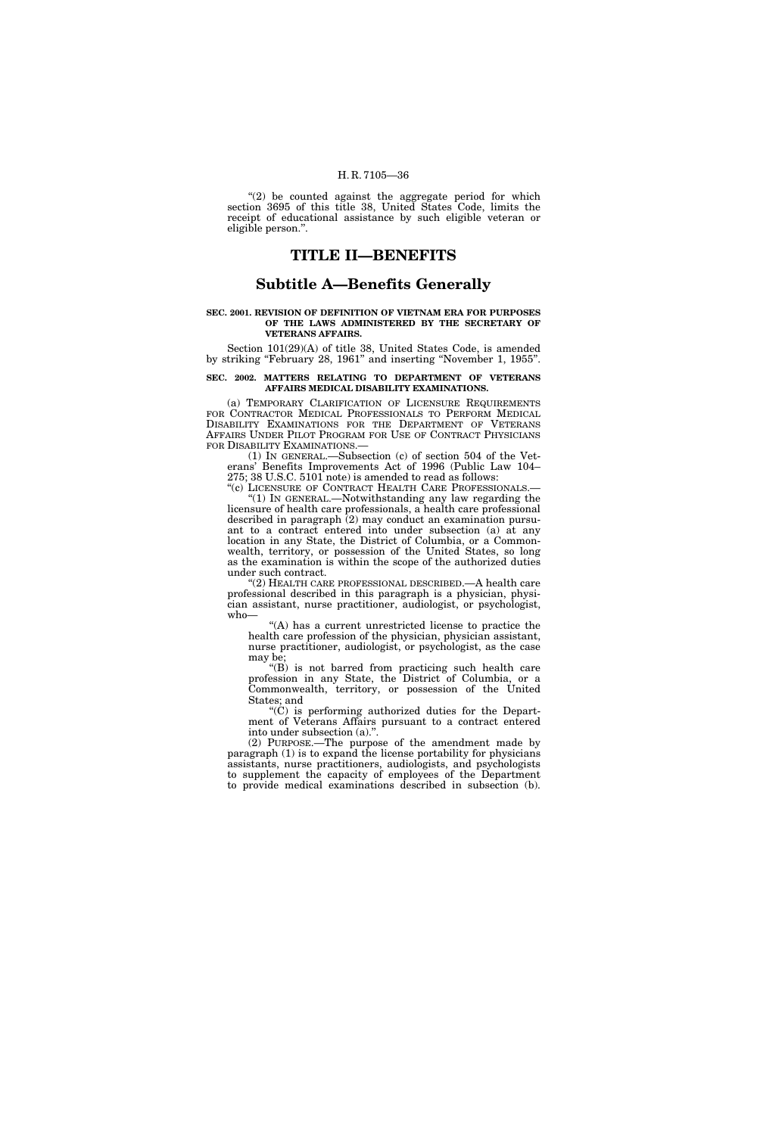" $(2)$  be counted against the aggregate period for which section 3695 of this title 38, United States Code, limits the receipt of educational assistance by such eligible veteran or eligible person.''.

# **TITLE II—BENEFITS**

# **Subtitle A—Benefits Generally**

#### **SEC. 2001. REVISION OF DEFINITION OF VIETNAM ERA FOR PURPOSES OF THE LAWS ADMINISTERED BY THE SECRETARY OF VETERANS AFFAIRS.**

Section 101(29)(A) of title 38, United States Code, is amended by striking ''February 28, 1961'' and inserting ''November 1, 1955''.

#### **SEC. 2002. MATTERS RELATING TO DEPARTMENT OF VETERANS AFFAIRS MEDICAL DISABILITY EXAMINATIONS.**

(a) TEMPORARY CLARIFICATION OF LICENSURE REQUIREMENTS FOR CONTRACTOR MEDICAL PROFESSIONALS TO PERFORM MEDICAL DISABILITY EXAMINATIONS FOR THE DEPARTMENT OF VETERANS AFFAIRS UNDER PILOT PROGRAM FOR USE OF CONTRACT PHYSICIANS FOR DISABILITY EXAMINATIONS.—

(1) IN GENERAL.—Subsection (c) of section 504 of the Veterans' Benefits Improvements Act of 1996 (Public Law 104– 275; 38 U.S.C. 5101 note) is amended to read as follows:

"(c) LICENSURE OF CONTRACT HEALTH CARE PROFESSIONALS.-''(1) IN GENERAL.—Notwithstanding any law regarding the licensure of health care professionals, a health care professional

described in paragraph  $(2)$  may conduct an examination pursuant to a contract entered into under subsection (a) at any location in any State, the District of Columbia, or a Commonwealth, territory, or possession of the United States, so long as the examination is within the scope of the authorized duties under such contract.

''(2) HEALTH CARE PROFESSIONAL DESCRIBED.—A health care professional described in this paragraph is a physician, physician assistant, nurse practitioner, audiologist, or psychologist, who—

''(A) has a current unrestricted license to practice the health care profession of the physician, physician assistant, nurse practitioner, audiologist, or psychologist, as the case may be;

''(B) is not barred from practicing such health care profession in any State, the District of Columbia, or a Commonwealth, territory, or possession of the United States; and

" $(\dot{C})$  is performing authorized duties for the Department of Veterans Affairs pursuant to a contract entered into under subsection (a).''.

(2) PURPOSE.—The purpose of the amendment made by paragraph (1) is to expand the license portability for physicians assistants, nurse practitioners, audiologists, and psychologists to supplement the capacity of employees of the Department to provide medical examinations described in subsection (b).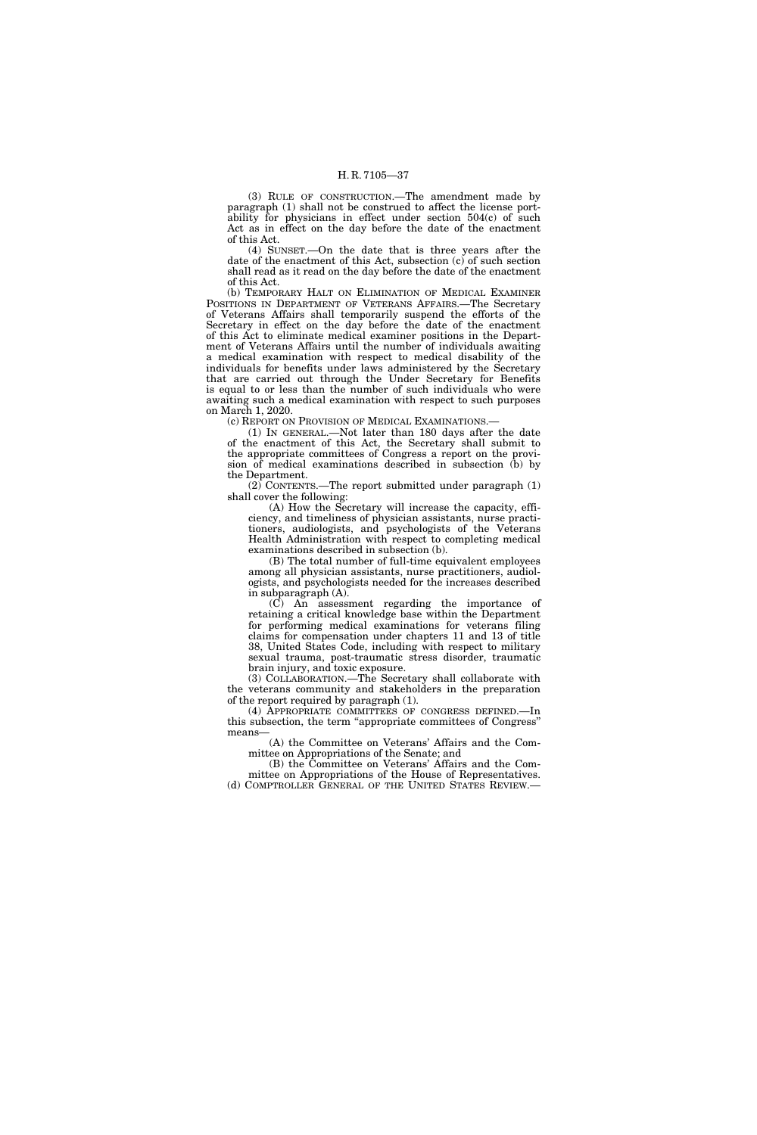(3) RULE OF CONSTRUCTION.—The amendment made by paragraph (1) shall not be construed to affect the license portability for physicians in effect under section  $504(c)$  of such Act as in effect on the day before the date of the enactment of this Act.

(4) SUNSET.—On the date that is three years after the date of the enactment of this Act, subsection (c) of such section shall read as it read on the day before the date of the enactment of this Act.

(b) TEMPORARY HALT ON ELIMINATION OF MEDICAL EXAMINER POSITIONS IN DEPARTMENT OF VETERANS AFFAIRS.—The Secretary of Veterans Affairs shall temporarily suspend the efforts of the Secretary in effect on the day before the date of the enactment of this Act to eliminate medical examiner positions in the Department of Veterans Affairs until the number of individuals awaiting a medical examination with respect to medical disability of the individuals for benefits under laws administered by the Secretary that are carried out through the Under Secretary for Benefits is equal to or less than the number of such individuals who were awaiting such a medical examination with respect to such purposes on March 1, 2020.

(c) REPORT ON PROVISION OF MEDICAL EXAMINATIONS.—

(1) IN GENERAL.—Not later than 180 days after the date of the enactment of this Act, the Secretary shall submit to the appropriate committees of Congress a report on the provision of medical examinations described in subsection (b) by the Department.

 $(2)$  CONTENTS.—The report submitted under paragraph  $(1)$ shall cover the following:

(A) How the Secretary will increase the capacity, efficiency, and timeliness of physician assistants, nurse practitioners, audiologists, and psychologists of the Veterans Health Administration with respect to completing medical examinations described in subsection (b).

(B) The total number of full-time equivalent employees among all physician assistants, nurse practitioners, audiologists, and psychologists needed for the increases described in subparagraph (A).

(C) An assessment regarding the importance of retaining a critical knowledge base within the Department for performing medical examinations for veterans filing claims for compensation under chapters 11 and 13 of title 38, United States Code, including with respect to military sexual trauma, post-traumatic stress disorder, traumatic brain injury, and toxic exposure.

(3) COLLABORATION.—The Secretary shall collaborate with the veterans community and stakeholders in the preparation of the report required by paragraph (1).

(4) APPROPRIATE COMMITTEES OF CONGRESS DEFINED.—In this subsection, the term ''appropriate committees of Congress'' means—

(A) the Committee on Veterans' Affairs and the Committee on Appropriations of the Senate; and

(B) the Committee on Veterans' Affairs and the Committee on Appropriations of the House of Representatives. (d) COMPTROLLER GENERAL OF THE UNITED STATES REVIEW.—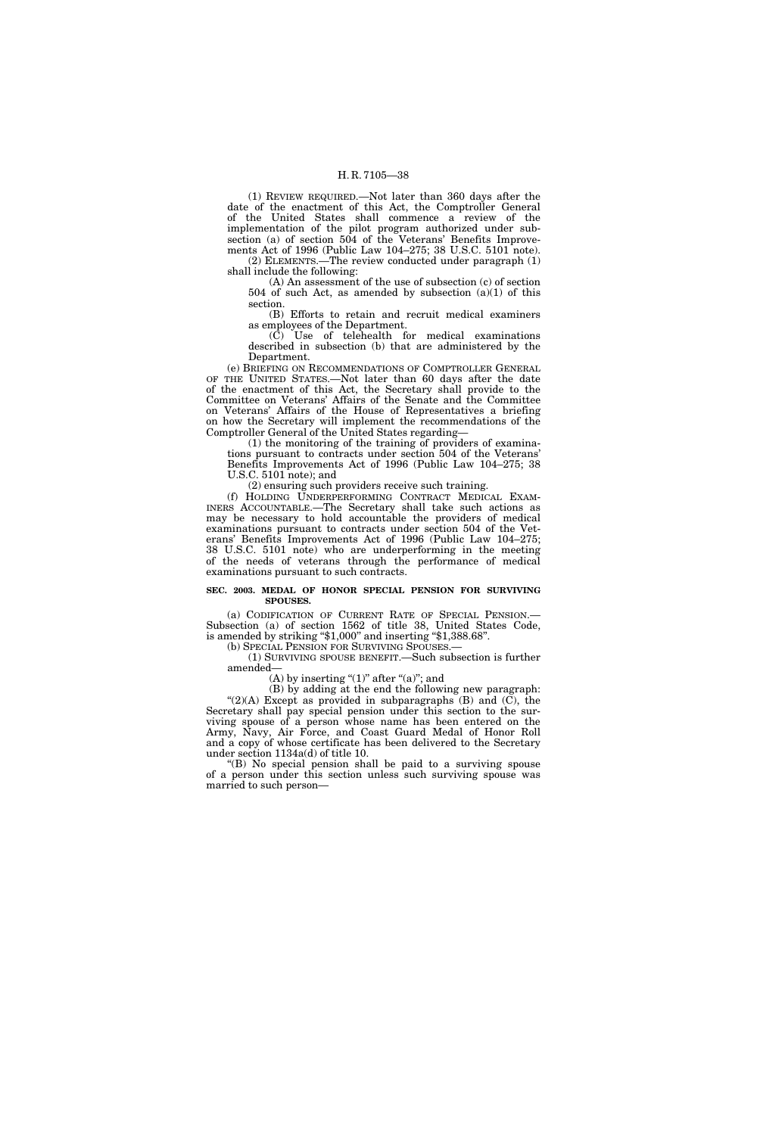(1) REVIEW REQUIRED.—Not later than 360 days after the date of the enactment of this Act, the Comptroller General of the United States shall commence a review of the implementation of the pilot program authorized under subsection (a) of section 504 of the Veterans' Benefits Improvements Act of 1996 (Public Law 104–275; 38 U.S.C. 5101 note). (2) ELEMENTS.—The review conducted under paragraph (1) shall include the following:

(A) An assessment of the use of subsection (c) of section 504 of such Act, as amended by subsection  $(a)(1)$  of this section.

(B) Efforts to retain and recruit medical examiners as employees of the Department.

(C) Use of telehealth for medical examinations described in subsection (b) that are administered by the Department.

(e) BRIEFING ON RECOMMENDATIONS OF COMPTROLLER GENERAL OF THE UNITED STATES.—Not later than 60 days after the date of the enactment of this Act, the Secretary shall provide to the Committee on Veterans' Affairs of the Senate and the Committee on Veterans' Affairs of the House of Representatives a briefing on how the Secretary will implement the recommendations of the Comptroller General of the United States regarding-

(1) the monitoring of the training of providers of examinations pursuant to contracts under section 504 of the Veterans' Benefits Improvements Act of 1996 (Public Law 104–275; 38 U.S.C. 5101 note); and

(2) ensuring such providers receive such training.

(f) HOLDING UNDERPERFORMING CONTRACT MEDICAL EXAM-INERS ACCOUNTABLE.—The Secretary shall take such actions as may be necessary to hold accountable the providers of medical examinations pursuant to contracts under section 504 of the Veterans' Benefits Improvements Act of 1996 (Public Law 104–275; 38 U.S.C. 5101 note) who are underperforming in the meeting of the needs of veterans through the performance of medical examinations pursuant to such contracts.

#### **SEC. 2003. MEDAL OF HONOR SPECIAL PENSION FOR SURVIVING SPOUSES.**

(a) CODIFICATION OF CURRENT RATE OF SPECIAL PENSION.— Subsection (a) of section 1562 of title 38, United States Code, is amended by striking ''\$1,000'' and inserting ''\$1,388.68''.

(b) SPECIAL PENSION FOR SURVIVING SPOUSES.—

(1) SURVIVING SPOUSE BENEFIT.—Such subsection is further amended—

(A) by inserting " $(1)$ " after " $(a)$ "; and

(B) by adding at the end the following new paragraph: " $(2)(A)$  Except as provided in subparagraphs  $(B)$  and  $(C)$ , the Secretary shall pay special pension under this section to the surviving spouse of a person whose name has been entered on the Army, Navy, Air Force, and Coast Guard Medal of Honor Roll and a copy of whose certificate has been delivered to the Secretary under section 1134a(d) of title 10.

''(B) No special pension shall be paid to a surviving spouse of a person under this section unless such surviving spouse was married to such person—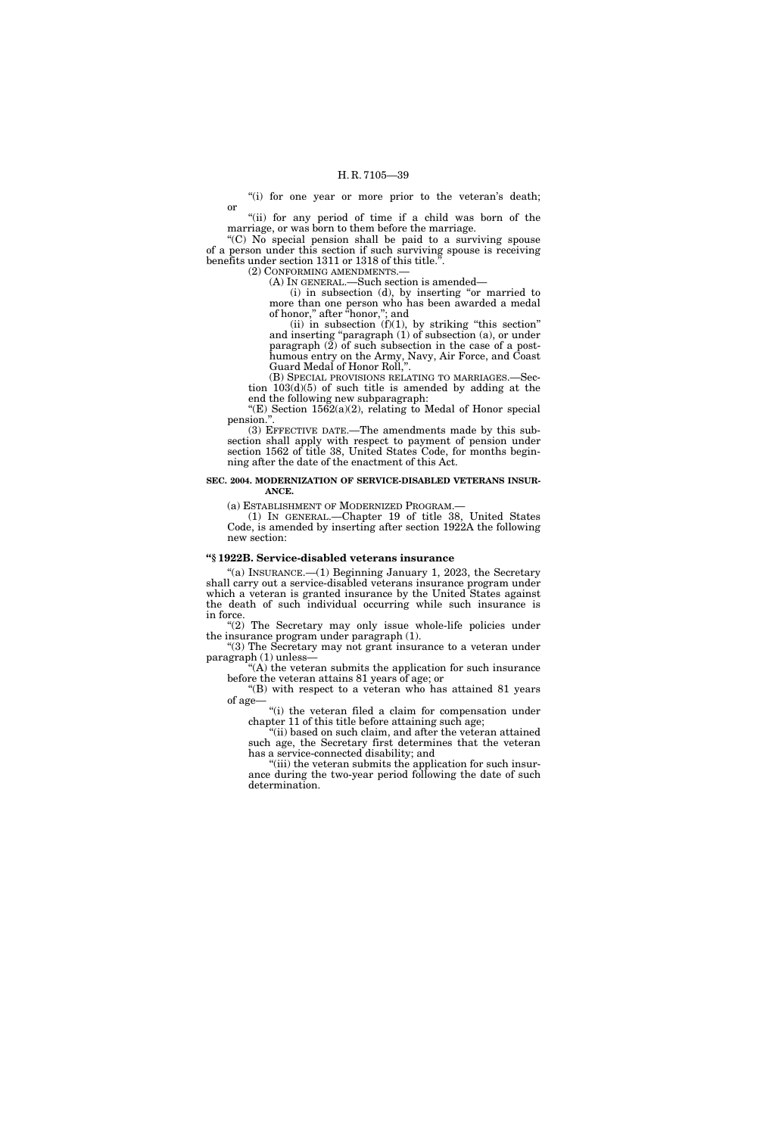"(i) for one year or more prior to the veteran's death; or

"(ii) for any period of time if a child was born of the marriage, or was born to them before the marriage.

''(C) No special pension shall be paid to a surviving spouse of a person under this section if such surviving spouse is receiving benefits under section 1311 or 1318 of this title."

(2) CONFORMING AMENDMENTS.— (A) IN GENERAL.—Such section is amended—

 $(i)$  in subsection  $(d)$ , by inserting "or married to more than one person who has been awarded a medal of honor,'' after ''honor,''; and

(ii) in subsection  $(f)(1)$ , by striking "this section" and inserting ''paragraph (1) of subsection (a), or under paragraph (2) of such subsection in the case of a posthumous entry on the Army, Navy, Air Force, and Coast Guard Medal of Honor Roll,''.

(B) SPECIAL PROVISIONS RELATING TO MARRIAGES.—Section 103(d)(5) of such title is amended by adding at the end the following new subparagraph:

"(E) Section  $1562(a)(2)$ , relating to Medal of Honor special pension."

(3) EFFECTIVE DATE.—The amendments made by this subsection shall apply with respect to payment of pension under section 1562 of title 38, United States Code, for months beginning after the date of the enactment of this Act.

### **SEC. 2004. MODERNIZATION OF SERVICE-DISABLED VETERANS INSUR-ANCE.**

(a) ESTABLISHMENT OF MODERNIZED PROGRAM.—

(1) IN GENERAL.—Chapter 19 of title 38, United States Code, is amended by inserting after section 1922A the following new section:

## **''§ 1922B. Service-disabled veterans insurance**

"(a) INSURANCE. $-(1)$  Beginning January 1, 2023, the Secretary shall carry out a service-disabled veterans insurance program under which a veteran is granted insurance by the United States against the death of such individual occurring while such insurance is in force.

"(2) The Secretary may only issue whole-life policies under the insurance program under paragraph (1).

''(3) The Secretary may not grant insurance to a veteran under paragraph (1) unless—

 $(A)$  the veteran submits the application for such insurance before the veteran attains 81 years of age; or

''(B) with respect to a veteran who has attained 81 years of age—

''(i) the veteran filed a claim for compensation under chapter 11 of this title before attaining such age;

''(ii) based on such claim, and after the veteran attained such age, the Secretary first determines that the veteran has a service-connected disability; and

''(iii) the veteran submits the application for such insurance during the two-year period following the date of such determination.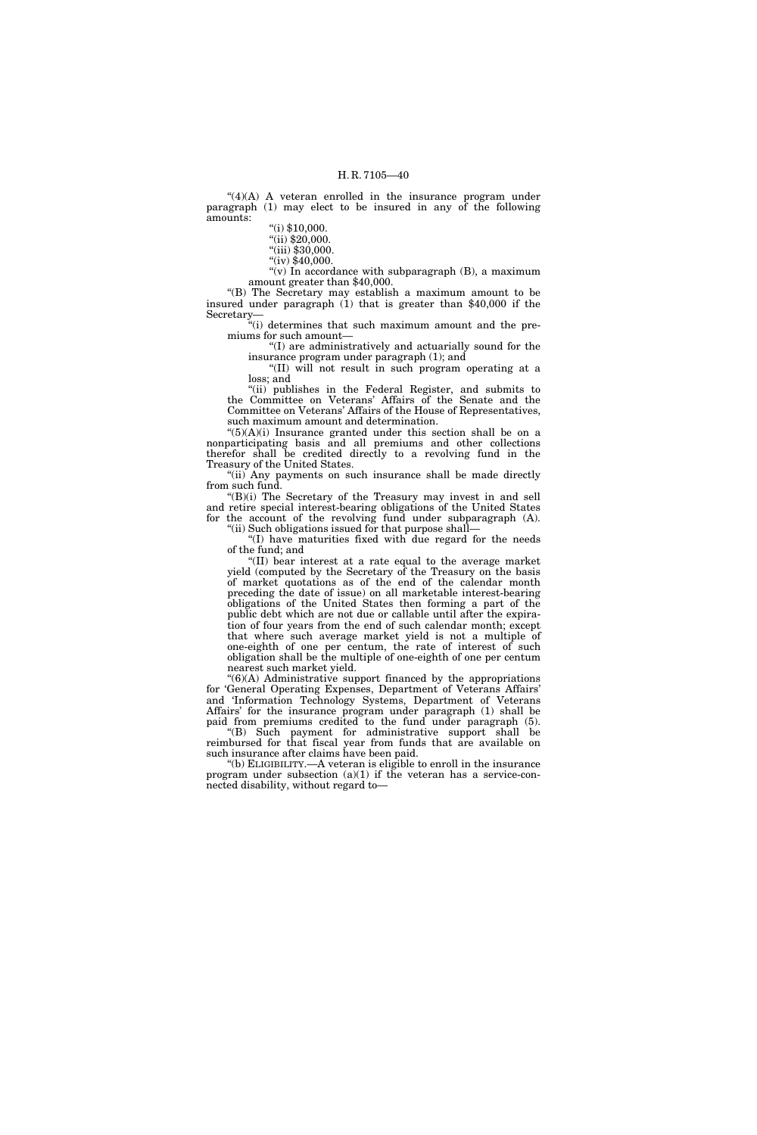"(4)(A) A veteran enrolled in the insurance program under paragraph (1) may elect to be insured in any of the following amounts:

"(i)  $$10,000$ .

"(ii) \$20,000.

"(iii) \$30,000.

 $\sqrt{\text{iv}}$  \$40,000.

"(v) In accordance with subparagraph  $(B)$ , a maximum amount greater than \$40,000.

''(B) The Secretary may establish a maximum amount to be insured under paragraph (1) that is greater than \$40,000 if the Secretary—

 $\ddot{H}$ <sup>"(i)</sup> determines that such maximum amount and the premiums for such amount—

''(I) are administratively and actuarially sound for the insurance program under paragraph (1); and

''(II) will not result in such program operating at a loss; and

"(ii) publishes in the Federal Register, and submits to the Committee on Veterans' Affairs of the Senate and the Committee on Veterans' Affairs of the House of Representatives, such maximum amount and determination.

 $\mathcal{L}(5)(A)(i)$  Insurance granted under this section shall be on a nonparticipating basis and all premiums and other collections therefor shall be credited directly to a revolving fund in the Treasury of the United States.

"(ii) Any payments on such insurance shall be made directly from such fund.

''(B)(i) The Secretary of the Treasury may invest in and sell and retire special interest-bearing obligations of the United States for the account of the revolving fund under subparagraph (A). "(ii) Such obligations issued for that purpose shall-

''(I) have maturities fixed with due regard for the needs of the fund; and

 $\mathcal{H}(II)$  bear interest at a rate equal to the average market yield (computed by the Secretary of the Treasury on the basis of market quotations as of the end of the calendar month preceding the date of issue) on all marketable interest-bearing obligations of the United States then forming a part of the public debt which are not due or callable until after the expiration of four years from the end of such calendar month; except that where such average market yield is not a multiple of one-eighth of one per centum, the rate of interest of such obligation shall be the multiple of one-eighth of one per centum nearest such market yield.

 $!(6)(A)$  Administrative support financed by the appropriations for 'General Operating Expenses, Department of Veterans Affairs' and 'Information Technology Systems, Department of Veterans Affairs' for the insurance program under paragraph (1) shall be paid from premiums credited to the fund under paragraph (5). ''(B) Such payment for administrative support shall be

reimbursed for that fiscal year from funds that are available on such insurance after claims have been paid. ''(b) ELIGIBILITY.—A veteran is eligible to enroll in the insurance

program under subsection (a)(1) if the veteran has a service-connected disability, without regard to—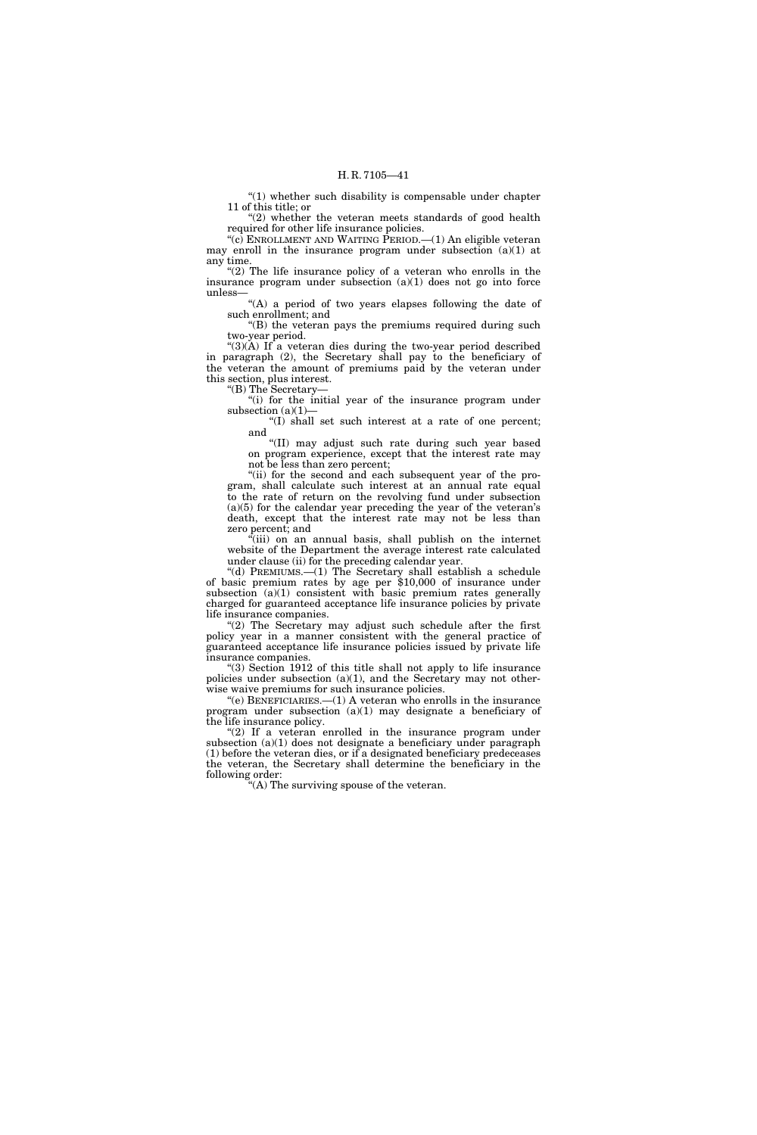''(1) whether such disability is compensable under chapter 11 of this title; or

" $(2)$  whether the veteran meets standards of good health required for other life insurance policies.

" $(c)$  ENROLLMENT AND WAITING PERIOD.— $(1)$  An eligible veteran may enroll in the insurance program under subsection  $(a)(1)$  at any time.

" $(2)$  The life insurance policy of a veteran who enrolls in the insurance program under subsection  $(a)(1)$  does not go into force unless—

"(A) a period of two years elapses following the date of such enrollment; and

"(B) the veteran pays the premiums required during such two-year period.

" $(3)(\overline{A})$  If a veteran dies during the two-year period described in paragraph (2), the Secretary shall pay to the beneficiary of the veteran the amount of premiums paid by the veteran under this section, plus interest.

''(B) The Secretary—

"(i) for the initial year of the insurance program under subsection (a)(1)-

(I) shall set such interest at a rate of one percent; and

''(II) may adjust such rate during such year based on program experience, except that the interest rate may not be less than zero percent;

"(ii) for the second and each subsequent year of the program, shall calculate such interest at an annual rate equal to the rate of return on the revolving fund under subsection  $(a)(5)$  for the calendar year preceding the year of the veteran's death, except that the interest rate may not be less than zero percent; and

 $\tilde{f}$ (iii) on an annual basis, shall publish on the internet website of the Department the average interest rate calculated under clause (ii) for the preceding calendar year.

''(d) PREMIUMS.—(1) The Secretary shall establish a schedule of basic premium rates by age per \$10,000 of insurance under subsection (a)(1) consistent with basic premium rates generally charged for guaranteed acceptance life insurance policies by private life insurance companies.

"(2) The Secretary may adjust such schedule after the first policy year in a manner consistent with the general practice of guaranteed acceptance life insurance policies issued by private life insurance companies.

''(3) Section 1912 of this title shall not apply to life insurance policies under subsection (a)(1), and the Secretary may not otherwise waive premiums for such insurance policies.

''(e) BENEFICIARIES.—(1) A veteran who enrolls in the insurance program under subsection (a)(1) may designate a beneficiary of the life insurance policy.

" $(2)$  If a veteran enrolled in the insurance program under subsection (a)(1) does not designate a beneficiary under paragraph (1) before the veteran dies, or if a designated beneficiary predeceases the veteran, the Secretary shall determine the beneficiary in the following order:

''(A) The surviving spouse of the veteran.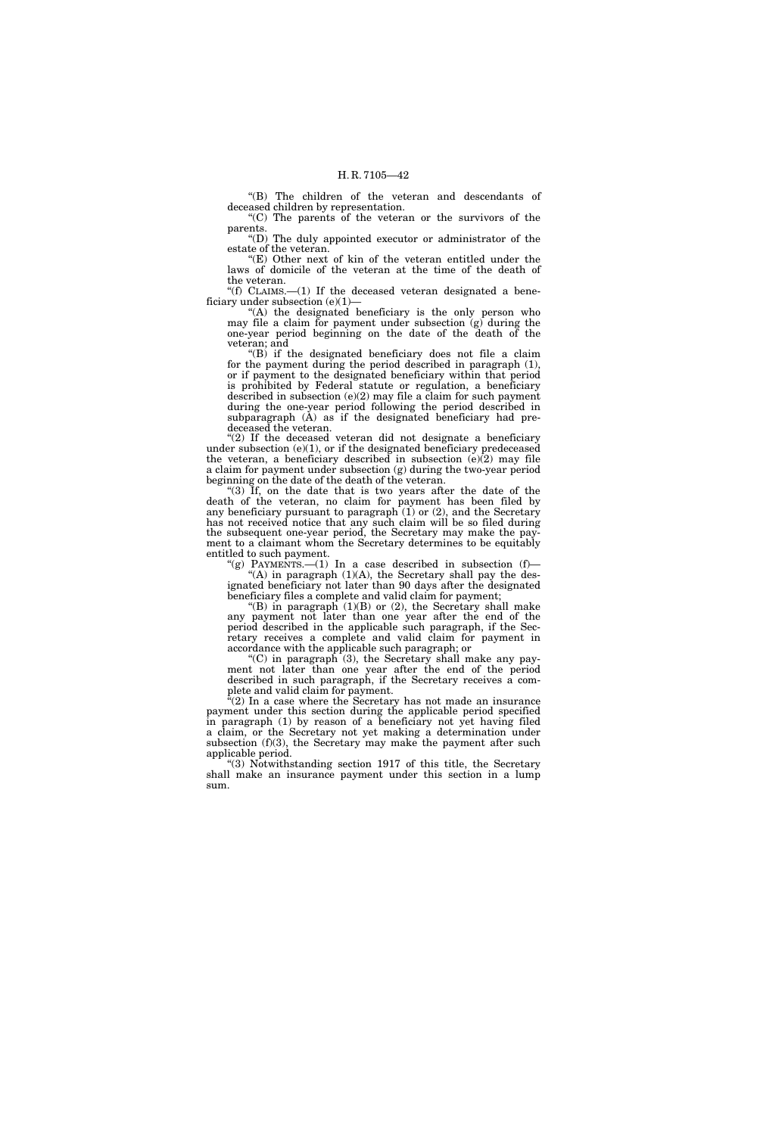''(B) The children of the veteran and descendants of deceased children by representation.

''(C) The parents of the veteran or the survivors of the parents.

''(D) The duly appointed executor or administrator of the estate of the veteran.

''(E) Other next of kin of the veteran entitled under the laws of domicile of the veteran at the time of the death of the veteran.

''(f) CLAIMS.—(1) If the deceased veteran designated a beneficiary under subsection  $(e)(1)$ 

"(A) the designated beneficiary is the only person who may file a claim for payment under subsection  $(g)$  during the one-year period beginning on the date of the death of the veteran; and

''(B) if the designated beneficiary does not file a claim for the payment during the period described in paragraph (1), or if payment to the designated beneficiary within that period is prohibited by Federal statute or regulation, a beneficiary described in subsection (e)(2) may file a claim for such payment during the one-year period following the period described in subparagraph (A) as if the designated beneficiary had predeceased the veteran.

"(2) If the deceased veteran did not designate a beneficiary under subsection (e)(1), or if the designated beneficiary predeceased the veteran, a beneficiary described in subsection  $(e)(2)$  may file a claim for payment under subsection (g) during the two-year period beginning on the date of the death of the veteran.

''(3) If, on the date that is two years after the date of the death of the veteran, no claim for payment has been filed by any beneficiary pursuant to paragraph  $(1)$  or  $(2)$ , and the Secretary has not received notice that any such claim will be so filed during the subsequent one-year period, the Secretary may make the payment to a claimant whom the Secretary determines to be equitably entitled to such payment.

"(g) PAYMENTS.— $(1)$  In a case described in subsection  $(f)$ — "(A) in paragraph (1)(A), the Secretary shall pay the designated beneficiary not later than 90 days after the designated beneficiary files a complete and valid claim for payment;

''(B) in paragraph (1)(B) or (2), the Secretary shall make any payment not later than one year after the end of the period described in the applicable such paragraph, if the Secretary receives a complete and valid claim for payment in accordance with the applicable such paragraph; or

"(C) in paragraph  $(3)$ , the Secretary shall make any payment not later than one year after the end of the period described in such paragraph, if the Secretary receives a complete and valid claim for payment.

 $\mathcal{E}(2)$  In a case where the Secretary has not made an insurance payment under this section during the applicable period specified in paragraph (1) by reason of a beneficiary not yet having filed a claim, or the Secretary not yet making a determination under subsection (f)(3), the Secretary may make the payment after such applicable period.

''(3) Notwithstanding section 1917 of this title, the Secretary shall make an insurance payment under this section in a lump sum.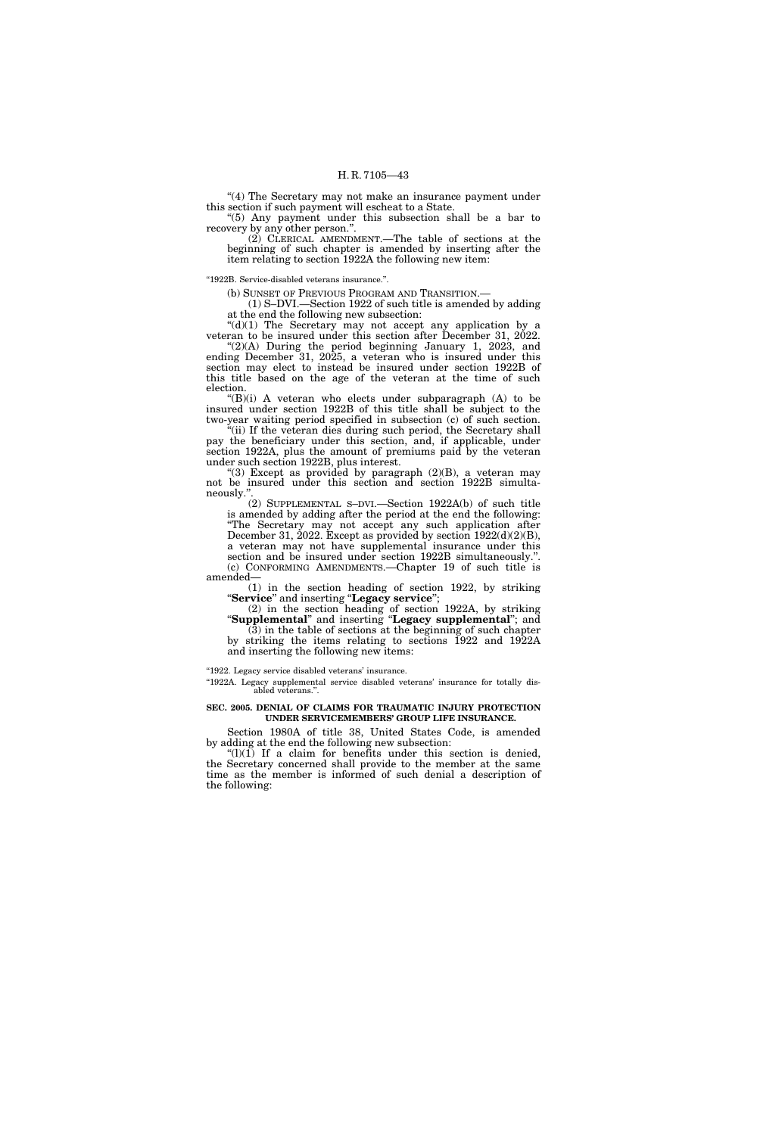"(4) The Secretary may not make an insurance payment under this section if such payment will escheat to a State.

''(5) Any payment under this subsection shall be a bar to recovery by any other person.''.

(2) CLERICAL AMENDMENT.—The table of sections at the beginning of such chapter is amended by inserting after the item relating to section 1922A the following new item:

''1922B. Service-disabled veterans insurance.''.

(b) SUNSET OF PREVIOUS PROGRAM AND TRANSITION.—

(1) S–DVI.—Section 1922 of such title is amended by adding at the end the following new subsection:

 $"(d)(1)$  The Secretary may not accept any application by a veteran to be insured under this section after December 31, 2022.

" $(2)(A)$  During the period beginning January 1, 2023, and ending December 31, 2025, a veteran who is insured under this section may elect to instead be insured under section 1922B of this title based on the age of the veteran at the time of such election.

" $(B)(i)$  A veteran who elects under subparagraph  $(A)$  to be insured under section 1922B of this title shall be subject to the two-year waiting period specified in subsection (c) of such section.

''(ii) If the veteran dies during such period, the Secretary shall pay the beneficiary under this section, and, if applicable, under section 1922A, plus the amount of premiums paid by the veteran under such section 1922B, plus interest.

"(3) Except as provided by paragraph  $(2)(B)$ , a veteran may not be insured under this section and section 1922B simultaneously.''.

(2) SUPPLEMENTAL S–DVI.—Section 1922A(b) of such title is amended by adding after the period at the end the following: ''The Secretary may not accept any such application after December 31, 2022. Except as provided by section 1922(d)(2)(B), a veteran may not have supplemental insurance under this section and be insured under section 1922B simultaneously.''. (c) CONFORMING AMENDMENTS.—Chapter 19 of such title is amended—

(1) in the section heading of section 1922, by striking ''**Service**'' and inserting ''**Legacy service**'';

(2) in the section heading of section 1922A, by striking ''**Supplemental**'' and inserting ''**Legacy supplemental**''; and  $(3)$  in the table of sections at the beginning of such chapter by striking the items relating to sections 1922 and 1922A and inserting the following new items:

"1922. Legacy service disabled veterans' insurance.

"1922A. Legacy supplemental service disabled veterans' insurance for totally disabled veterans.''.

## **SEC. 2005. DENIAL OF CLAIMS FOR TRAUMATIC INJURY PROTECTION UNDER SERVICEMEMBERS' GROUP LIFE INSURANCE.**

Section 1980A of title 38, United States Code, is amended by adding at the end the following new subsection:

 $''(l)(1)$  If a claim for benefits under this section is denied, the Secretary concerned shall provide to the member at the same time as the member is informed of such denial a description of the following: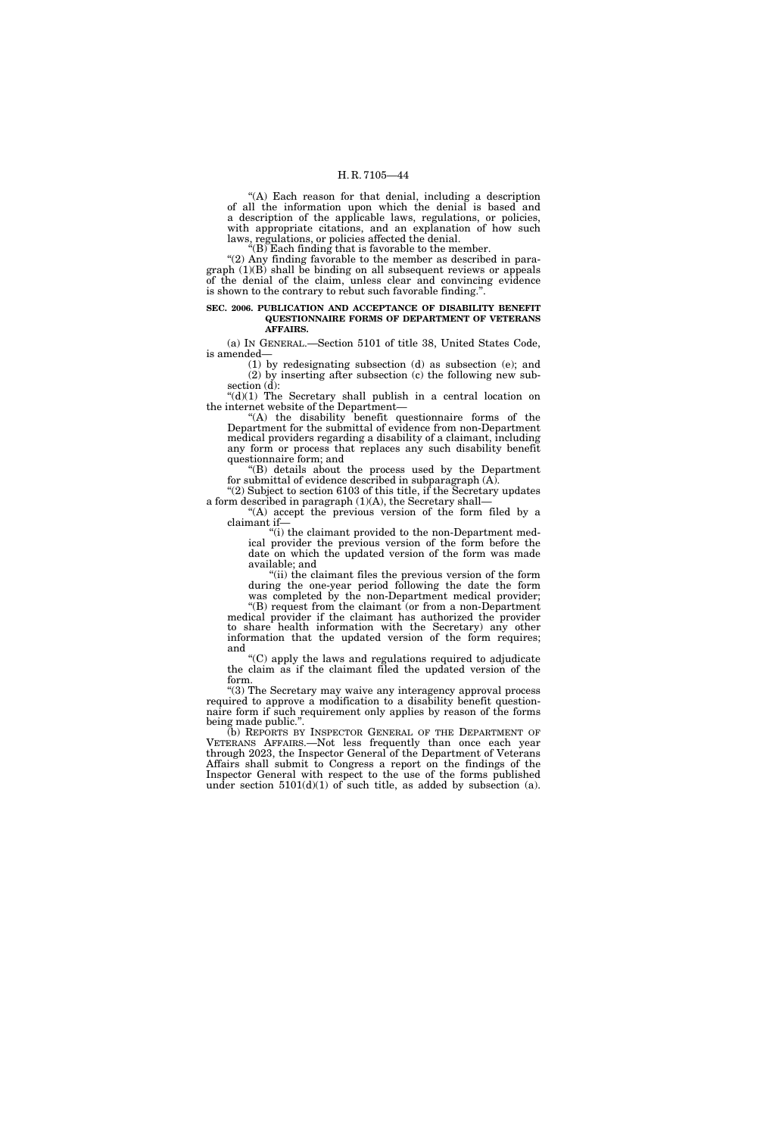''(A) Each reason for that denial, including a description of all the information upon which the denial is based and a description of the applicable laws, regulations, or policies, with appropriate citations, and an explanation of how such laws, regulations, or policies affected the denial.

''(B) Each finding that is favorable to the member.

''(2) Any finding favorable to the member as described in para $graph (1)(B)$  shall be binding on all subsequent reviews or appeals of the denial of the claim, unless clear and convincing evidence is shown to the contrary to rebut such favorable finding.''.

#### **SEC. 2006. PUBLICATION AND ACCEPTANCE OF DISABILITY BENEFIT QUESTIONNAIRE FORMS OF DEPARTMENT OF VETERANS AFFAIRS.**

(a) IN GENERAL.—Section 5101 of title 38, United States Code, is amended—

(1) by redesignating subsection (d) as subsection (e); and (2) by inserting after subsection (c) the following new subsection (d):

 $((d)(1)$  The Secretary shall publish in a central location on the internet website of the Department—

''(A) the disability benefit questionnaire forms of the Department for the submittal of evidence from non-Department medical providers regarding a disability of a claimant, including any form or process that replaces any such disability benefit questionnaire form; and

''(B) details about the process used by the Department for submittal of evidence described in subparagraph (A). "(2) Subject to section 6103 of this title, if the Secretary updates

a form described in paragraph  $(1)(A)$ , the Secretary shall-''(A) accept the previous version of the form filed by a

claimant if— "(i) the claimant provided to the non-Department med-

ical provider the previous version of the form before the date on which the updated version of the form was made available; and

''(ii) the claimant files the previous version of the form during the one-year period following the date the form was completed by the non-Department medical provider;

''(B) request from the claimant (or from a non-Department medical provider if the claimant has authorized the provider to share health information with the Secretary) any other information that the updated version of the form requires; and

 $C$ ) apply the laws and regulations required to adjudicate the claim as if the claimant filed the updated version of the form.

"(3) The Secretary may waive any interagency approval process required to approve a modification to a disability benefit questionnaire form if such requirement only applies by reason of the forms being made public.''.

(b) REPORTS BY INSPECTOR GENERAL OF THE DEPARTMENT OF VETERANS AFFAIRS.—Not less frequently than once each year through 2023, the Inspector General of the Department of Veterans Affairs shall submit to Congress a report on the findings of the Inspector General with respect to the use of the forms published under section  $5101(d)(1)$  of such title, as added by subsection (a).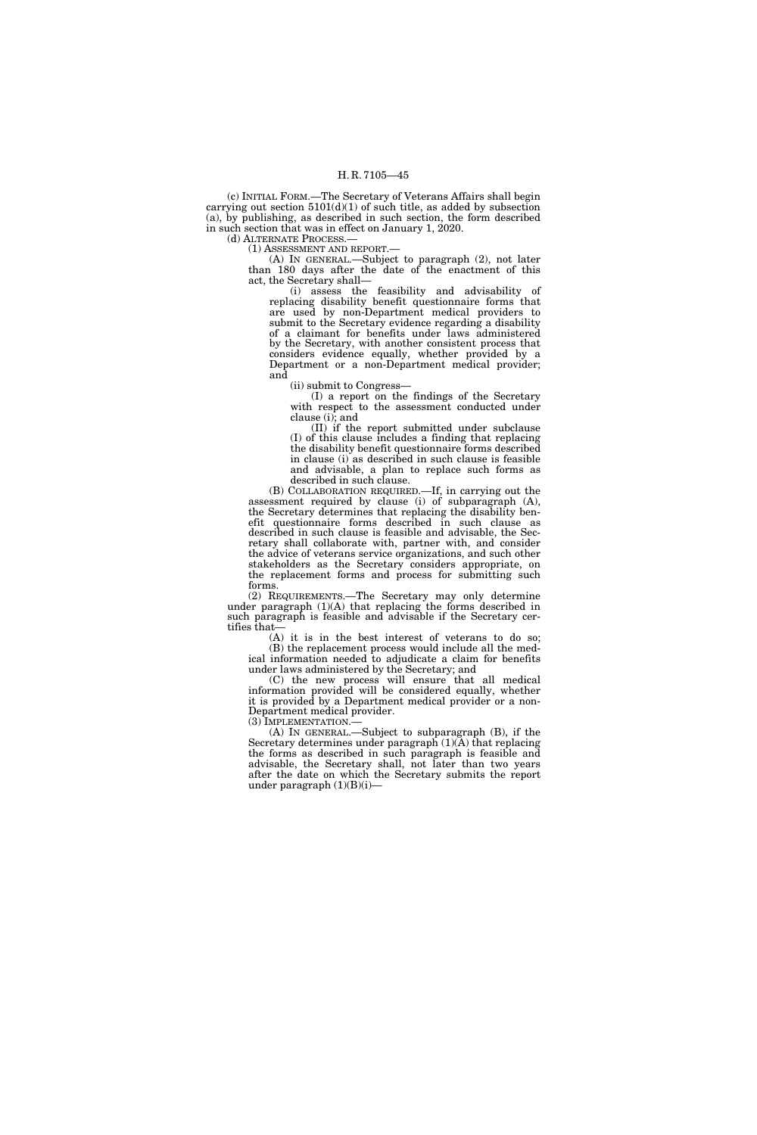(c) INITIAL FORM.—The Secretary of Veterans Affairs shall begin carrying out section  $5101(d)(1)$  of such title, as added by subsection (a), by publishing, as described in such section, the form described in such section that was in effect on January 1, 2020.

(d) ALTERNATE PROCESS.— (1) ASSESSMENT AND REPORT.—

(A) IN GENERAL.—Subject to paragraph (2), not later than 180 days after the date of the enactment of this act, the Secretary shall—

(i) assess the feasibility and advisability of replacing disability benefit questionnaire forms that are used by non-Department medical providers to submit to the Secretary evidence regarding a disability of a claimant for benefits under laws administered by the Secretary, with another consistent process that considers evidence equally, whether provided by a Department or a non-Department medical provider; and

(ii) submit to Congress—

(I) a report on the findings of the Secretary with respect to the assessment conducted under clause (i); and

(II) if the report submitted under subclause (I) of this clause includes a finding that replacing the disability benefit questionnaire forms described in clause (i) as described in such clause is feasible and advisable, a plan to replace such forms as described in such clause.

(B) COLLABORATION REQUIRED.—If, in carrying out the assessment required by clause (i) of subparagraph (A), the Secretary determines that replacing the disability benefit questionnaire forms described in such clause as described in such clause is feasible and advisable, the Secretary shall collaborate with, partner with, and consider the advice of veterans service organizations, and such other stakeholders as the Secretary considers appropriate, on the replacement forms and process for submitting such forms.

(2) REQUIREMENTS.—The Secretary may only determine under paragraph (1)(A) that replacing the forms described in such paragraph is feasible and advisable if the Secretary certifies that—

(A) it is in the best interest of veterans to do so; (B) the replacement process would include all the medical information needed to adjudicate a claim for benefits under laws administered by the Secretary; and

(C) the new process will ensure that all medical information provided will be considered equally, whether it is provided by a Department medical provider or a non-Department medical provider.<br>(3) IMPLEMENTATION.—

 $(A)$  In GENERAL.—Subject to subparagraph  $(B)$ , if the Secretary determines under paragraph (1)(A) that replacing the forms as described in such paragraph is feasible and advisable, the Secretary shall, not later than two years after the date on which the Secretary submits the report under paragraph  $(1)(B)(i)$ —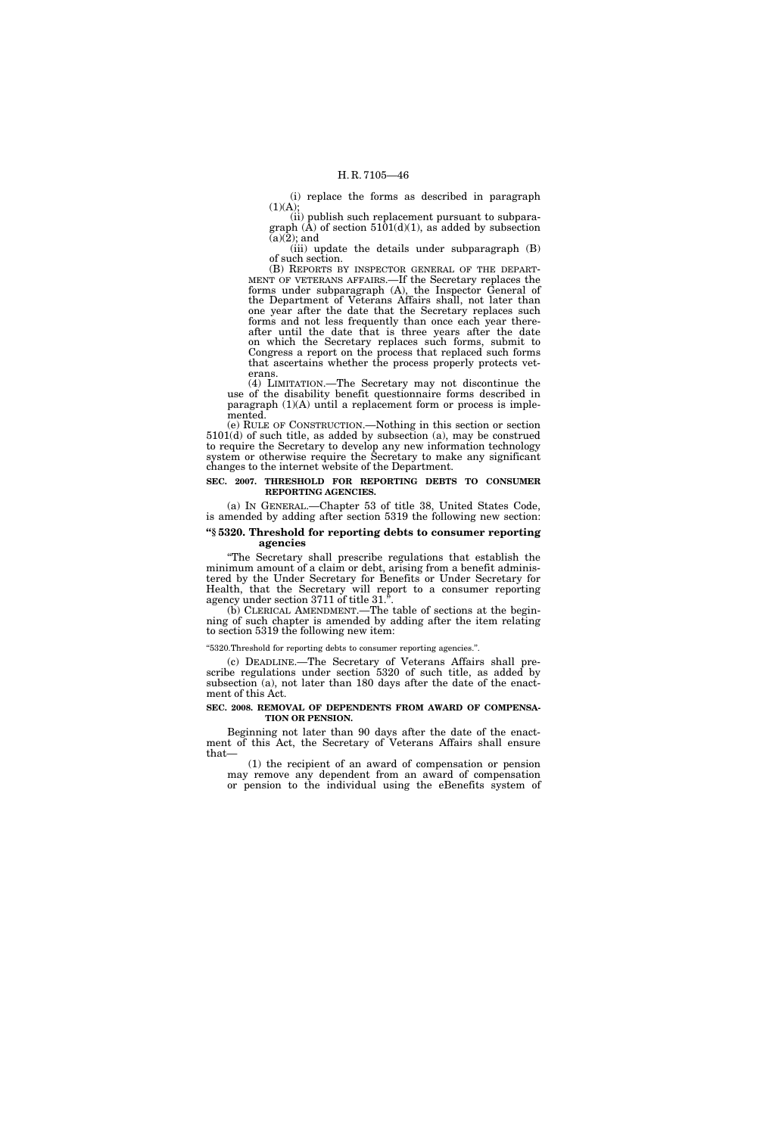(i) replace the forms as described in paragraph  $(1)(A);$ 

(ii) publish such replacement pursuant to subparagraph  $(\hat{A})$  of section 5101(d)(1), as added by subsection  $(a)(2)$ ; and

(iii) update the details under subparagraph (B) of such section.<br>
(B) REPORTS BY INSPECTOR GENERAL OF THE DEPART-

MENT OF VETERANS AFFAIRS.—If the Secretary replaces the forms under subparagraph (A), the Inspector General of the Department of Veterans Affairs shall, not later than one year after the date that the Secretary replaces such forms and not less frequently than once each year thereafter until the date that is three years after the date on which the Secretary replaces such forms, submit to Congress a report on the process that replaced such forms that ascertains whether the process properly protects veterans.

(4) LIMITATION.—The Secretary may not discontinue the use of the disability benefit questionnaire forms described in paragraph (1)(A) until a replacement form or process is implemented.

(e) RULE OF CONSTRUCTION.—Nothing in this section or section 5101(d) of such title, as added by subsection (a), may be construed to require the Secretary to develop any new information technology system or otherwise require the Secretary to make any significant changes to the internet website of the Department.

#### **SEC. 2007. THRESHOLD FOR REPORTING DEBTS TO CONSUMER REPORTING AGENCIES.**

(a) IN GENERAL.—Chapter 53 of title 38, United States Code, is amended by adding after section 5319 the following new section:

# **''§ 5320. Threshold for reporting debts to consumer reporting agencies**

''The Secretary shall prescribe regulations that establish the minimum amount of a claim or debt, arising from a benefit administered by the Under Secretary for Benefits or Under Secretary for Health, that the Secretary will report to a consumer reporting agency under section 3711 of title 31.''.

(b) CLERICAL AMENDMENT.—The table of sections at the beginning of such chapter is amended by adding after the item relating to section 5319 the following new item:

#### ''5320.Threshold for reporting debts to consumer reporting agencies.''.

(c) DEADLINE.—The Secretary of Veterans Affairs shall prescribe regulations under section 5320 of such title, as added by subsection (a), not later than 180 days after the date of the enactment of this Act.

## **SEC. 2008. REMOVAL OF DEPENDENTS FROM AWARD OF COMPENSA-TION OR PENSION.**

Beginning not later than 90 days after the date of the enactment of this Act, the Secretary of Veterans Affairs shall ensure that—

(1) the recipient of an award of compensation or pension may remove any dependent from an award of compensation or pension to the individual using the eBenefits system of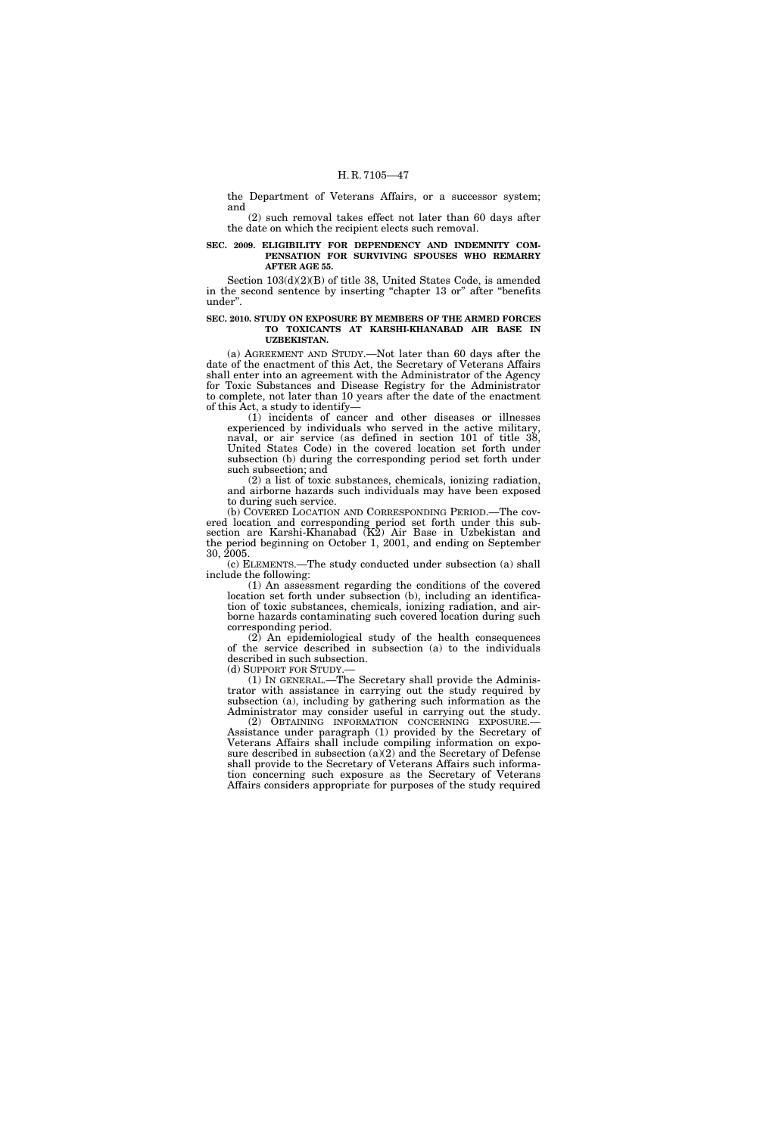the Department of Veterans Affairs, or a successor system; and

(2) such removal takes effect not later than 60 days after the date on which the recipient elects such removal.

# **SEC. 2009. ELIGIBILITY FOR DEPENDENCY AND INDEMNITY COM-PENSATION FOR SURVIVING SPOUSES WHO REMARRY AFTER AGE 55.**

Section 103(d)(2)(B) of title 38, United States Code, is amended in the second sentence by inserting "chapter 13 or" after "benefits under''.

#### **SEC. 2010. STUDY ON EXPOSURE BY MEMBERS OF THE ARMED FORCES TO TOXICANTS AT KARSHI-KHANABAD AIR BASE IN UZBEKISTAN.**

(a) AGREEMENT AND STUDY.—Not later than 60 days after the date of the enactment of this Act, the Secretary of Veterans Affairs shall enter into an agreement with the Administrator of the Agency for Toxic Substances and Disease Registry for the Administrator to complete, not later than 10 years after the date of the enactment of this Act, a study to identify—

(1) incidents of cancer and other diseases or illnesses experienced by individuals who served in the active military, naval, or air service (as defined in section 101 of title 38, United States Code) in the covered location set forth under subsection (b) during the corresponding period set forth under such subsection; and

(2) a list of toxic substances, chemicals, ionizing radiation, and airborne hazards such individuals may have been exposed to during such service.

(b) COVERED LOCATION AND CORRESPONDING PERIOD.—The covered location and corresponding period set forth under this subsection are Karshi-Khanabad (K2) Air Base in Uzbekistan and the period beginning on October 1, 2001, and ending on September 30, 2005.

(c) ELEMENTS.—The study conducted under subsection (a) shall include the following:

(1) An assessment regarding the conditions of the covered location set forth under subsection (b), including an identification of toxic substances, chemicals, ionizing radiation, and airborne hazards contaminating such covered location during such corresponding period.

(2) An epidemiological study of the health consequences of the service described in subsection (a) to the individuals described in such subsection.

(d) SUPPORT FOR STUDY.—<br>(1) IN GENERAL.—The Secretary shall provide the Administrator with assistance in carrying out the study required by subsection (a), including by gathering such information as the Administrator may consider useful in carrying out the study.<br>(2) OBTAINING INFORMATION CONCERNING EXPOSURE.—

Assistance under paragraph (1) provided by the Secretary of Veterans Affairs shall include compiling information on exposure described in subsection (a)(2) and the Secretary of Defense shall provide to the Secretary of Veterans Affairs such information concerning such exposure as the Secretary of Veterans Affairs considers appropriate for purposes of the study required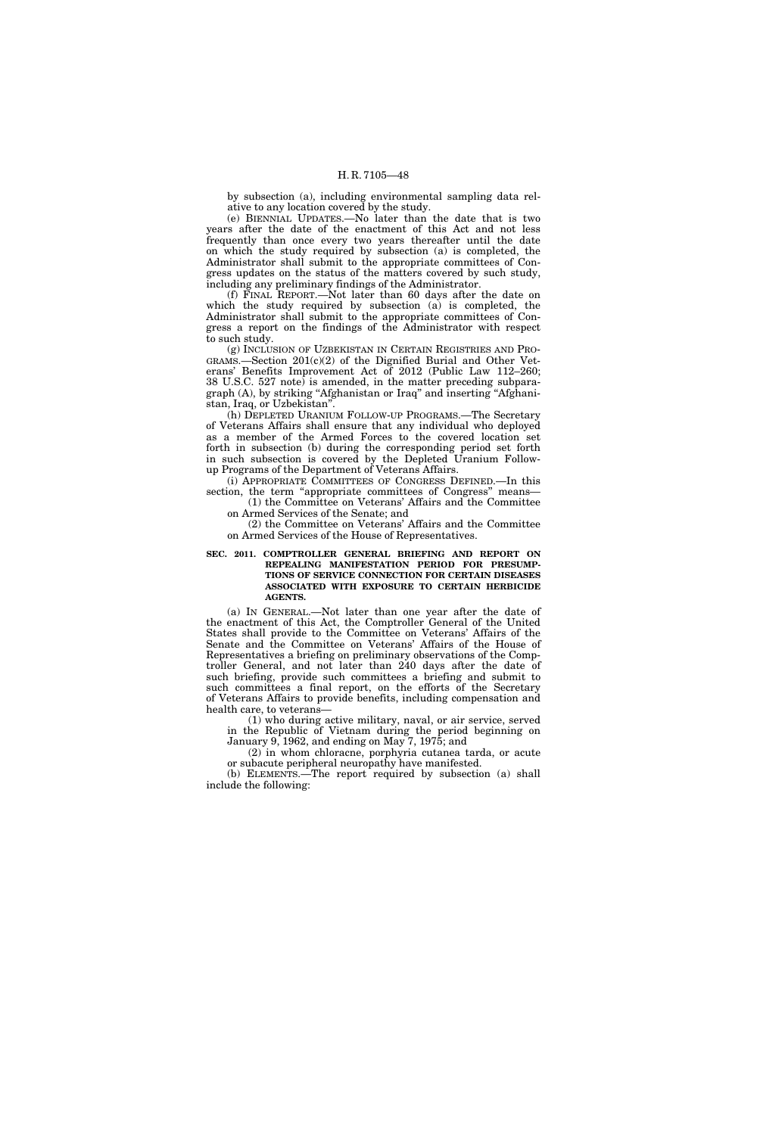by subsection (a), including environmental sampling data relative to any location covered by the study.

(e) BIENNIAL UPDATES.—No later than the date that is two years after the date of the enactment of this Act and not less frequently than once every two years thereafter until the date on which the study required by subsection (a) is completed, the Administrator shall submit to the appropriate committees of Congress updates on the status of the matters covered by such study, including any preliminary findings of the Administrator.

(f) FINAL REPORT.—Not later than 60 days after the date on which the study required by subsection (a) is completed, the Administrator shall submit to the appropriate committees of Congress a report on the findings of the Administrator with respect to such study.

(g) INCLUSION OF UZBEKISTAN IN CERTAIN REGISTRIES AND PRO-GRAMS.—Section 201(c)(2) of the Dignified Burial and Other Veterans' Benefits Improvement Act of 2012 (Public Law 112–260; 38 U.S.C. 527 note) is amended, in the matter preceding subparagraph (A), by striking ''Afghanistan or Iraq'' and inserting ''Afghanistan, Iraq, or Uzbekistan''.

(h) DEPLETED URANIUM FOLLOW-UP PROGRAMS.—The Secretary of Veterans Affairs shall ensure that any individual who deployed as a member of the Armed Forces to the covered location set forth in subsection (b) during the corresponding period set forth in such subsection is covered by the Depleted Uranium Followup Programs of the Department of Veterans Affairs.

(i) APPROPRIATE COMMITTEES OF CONGRESS DEFINED.—In this section, the term "appropriate committees of Congress" means-(1) the Committee on Veterans' Affairs and the Committee

on Armed Services of the Senate; and

(2) the Committee on Veterans' Affairs and the Committee on Armed Services of the House of Representatives.

## **SEC. 2011. COMPTROLLER GENERAL BRIEFING AND REPORT ON REPEALING MANIFESTATION PERIOD FOR PRESUMP-TIONS OF SERVICE CONNECTION FOR CERTAIN DISEASES ASSOCIATED WITH EXPOSURE TO CERTAIN HERBICIDE AGENTS.**

(a) IN GENERAL.—Not later than one year after the date of the enactment of this Act, the Comptroller General of the United States shall provide to the Committee on Veterans' Affairs of the Senate and the Committee on Veterans' Affairs of the House of Representatives a briefing on preliminary observations of the Comptroller General, and not later than 240 days after the date of such briefing, provide such committees a briefing and submit to such committees a final report, on the efforts of the Secretary of Veterans Affairs to provide benefits, including compensation and health care, to veterans—

(1) who during active military, naval, or air service, served in the Republic of Vietnam during the period beginning on January 9, 1962, and ending on May 7, 1975; and

(2) in whom chloracne, porphyria cutanea tarda, or acute or subacute peripheral neuropathy have manifested.

(b) ELEMENTS.—The report required by subsection (a) shall include the following: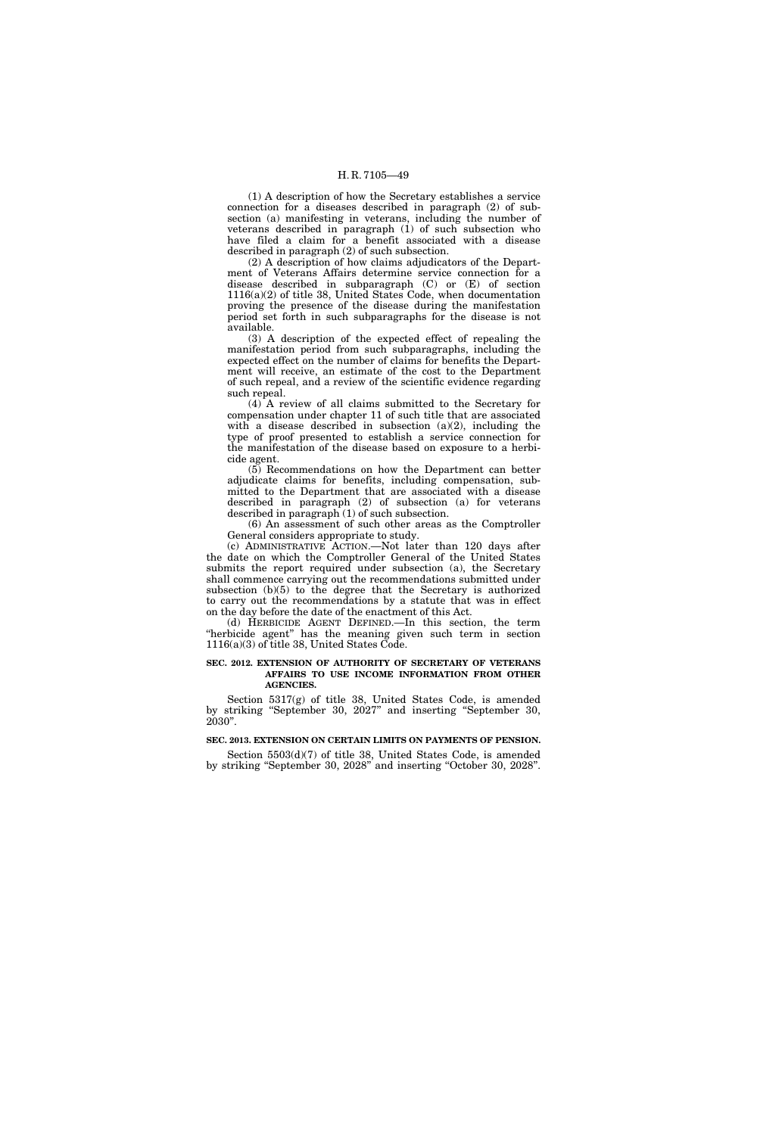(1) A description of how the Secretary establishes a service connection for a diseases described in paragraph (2) of subsection (a) manifesting in veterans, including the number of veterans described in paragraph (1) of such subsection who have filed a claim for a benefit associated with a disease described in paragraph (2) of such subsection.

(2) A description of how claims adjudicators of the Department of Veterans Affairs determine service connection for a disease described in subparagraph (C) or (E) of section 1116(a)(2) of title 38, United States Code, when documentation proving the presence of the disease during the manifestation period set forth in such subparagraphs for the disease is not available.

(3) A description of the expected effect of repealing the manifestation period from such subparagraphs, including the expected effect on the number of claims for benefits the Department will receive, an estimate of the cost to the Department of such repeal, and a review of the scientific evidence regarding such repeal.

(4) A review of all claims submitted to the Secretary for compensation under chapter 11 of such title that are associated with a disease described in subsection  $(a)(2)$ , including the type of proof presented to establish a service connection for the manifestation of the disease based on exposure to a herbicide agent.

(5) Recommendations on how the Department can better adjudicate claims for benefits, including compensation, submitted to the Department that are associated with a disease described in paragraph (2) of subsection (a) for veterans described in paragraph (1) of such subsection.

(6) An assessment of such other areas as the Comptroller General considers appropriate to study.

(c) ADMINISTRATIVE ACTION.—Not later than 120 days after the date on which the Comptroller General of the United States submits the report required under subsection (a), the Secretary shall commence carrying out the recommendations submitted under subsection (b)(5) to the degree that the Secretary is authorized to carry out the recommendations by a statute that was in effect on the day before the date of the enactment of this Act.

(d) HERBICIDE AGENT DEFINED.—In this section, the term ''herbicide agent'' has the meaning given such term in section 1116(a)(3) of title 38, United States Code.

## **SEC. 2012. EXTENSION OF AUTHORITY OF SECRETARY OF VETERANS AFFAIRS TO USE INCOME INFORMATION FROM OTHER AGENCIES.**

Section 5317(g) of title 38, United States Code, is amended by striking ''September 30, 2027'' and inserting ''September 30, 2030''.

#### **SEC. 2013. EXTENSION ON CERTAIN LIMITS ON PAYMENTS OF PENSION.**

Section 5503(d)(7) of title 38, United States Code, is amended by striking ''September 30, 2028'' and inserting ''October 30, 2028''.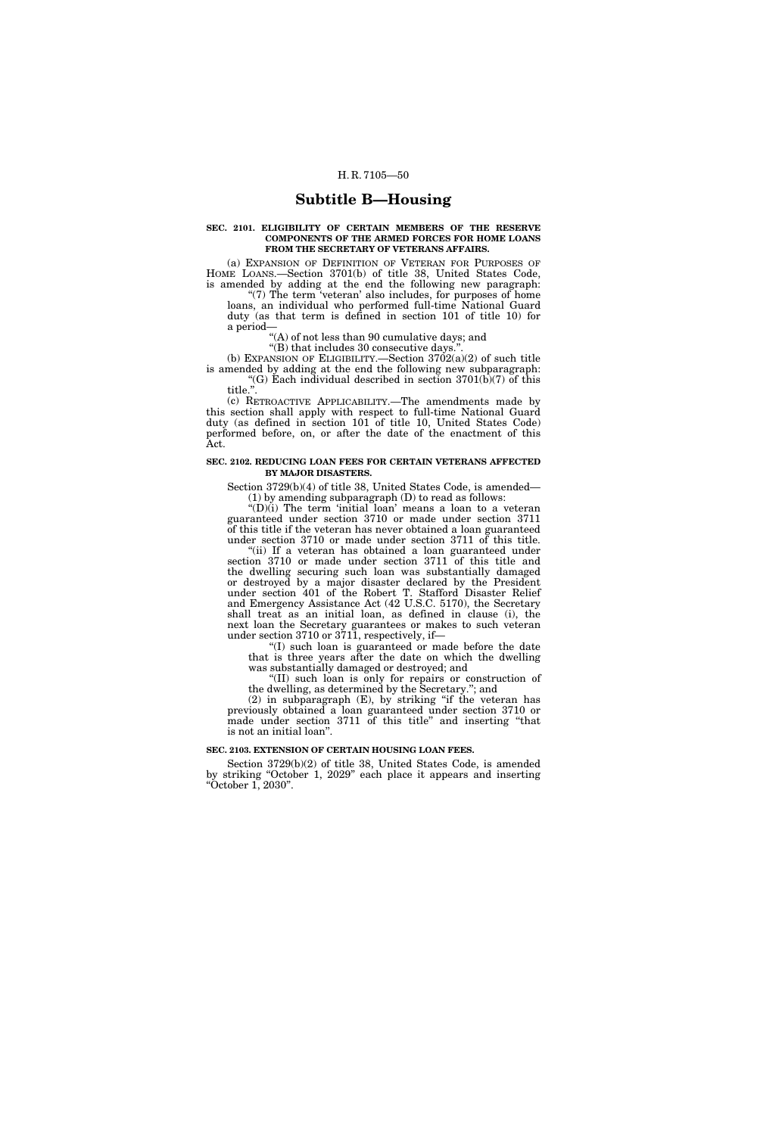# **Subtitle B—Housing**

## **SEC. 2101. ELIGIBILITY OF CERTAIN MEMBERS OF THE RESERVE COMPONENTS OF THE ARMED FORCES FOR HOME LOANS FROM THE SECRETARY OF VETERANS AFFAIRS.**

(a) EXPANSION OF DEFINITION OF VETERAN FOR PURPOSES OF HOME LOANS.—Section 3701(b) of title 38, United States Code, is amended by adding at the end the following new paragraph: "(7) The term 'veteran' also includes, for purposes of home loans, an individual who performed full-time National Guard duty (as that term is defined in section 101 of title 10) for

a period— ''(A) of not less than 90 cumulative days; and

"(B) that includes 30 consecutive days."

(b) EXPANSION OF ELIGIBILITY.—Section  $3702(a)(2)$  of such title is amended by adding at the end the following new subparagraph: "(G) Each individual described in section  $3701(b)(7)$  of this

title.''. (c) RETROACTIVE APPLICABILITY.—The amendments made by this section shall apply with respect to full-time National Guard duty (as defined in section 101 of title 10, United States Code) performed before, on, or after the date of the enactment of this Act.

# **SEC. 2102. REDUCING LOAN FEES FOR CERTAIN VETERANS AFFECTED BY MAJOR DISASTERS.**

Section 3729(b)(4) of title 38, United States Code, is amended— (1) by amending subparagraph (D) to read as follows:

 $'(D)(i)$  The term 'initial loan' means a loan to a veteran guaranteed under section 3710 or made under section 3711 of this title if the veteran has never obtained a loan guaranteed under section 3710 or made under section 3711 of this title.

''(ii) If a veteran has obtained a loan guaranteed under section 3710 or made under section 3711 of this title and the dwelling securing such loan was substantially damaged or destroyed by a major disaster declared by the President under section 401 of the Robert T. Stafford Disaster Relief and Emergency Assistance Act (42 U.S.C. 5170), the Secretary shall treat as an initial loan, as defined in clause (i), the next loan the Secretary guarantees or makes to such veteran under section 3710 or 3711, respectively, if—

''(I) such loan is guaranteed or made before the date that is three years after the date on which the dwelling was substantially damaged or destroyed; and

''(II) such loan is only for repairs or construction of the dwelling, as determined by the Secretary.''; and

 $(2)$  in subparagraph  $(E)$ , by striking "if the veteran has previously obtained a loan guaranteed under section 3710 or made under section 3711 of this title" and inserting "that is not an initial loan''.

## **SEC. 2103. EXTENSION OF CERTAIN HOUSING LOAN FEES.**

Section 3729(b)(2) of title 38, United States Code, is amended by striking ''October 1, 2029'' each place it appears and inserting ''October 1, 2030''.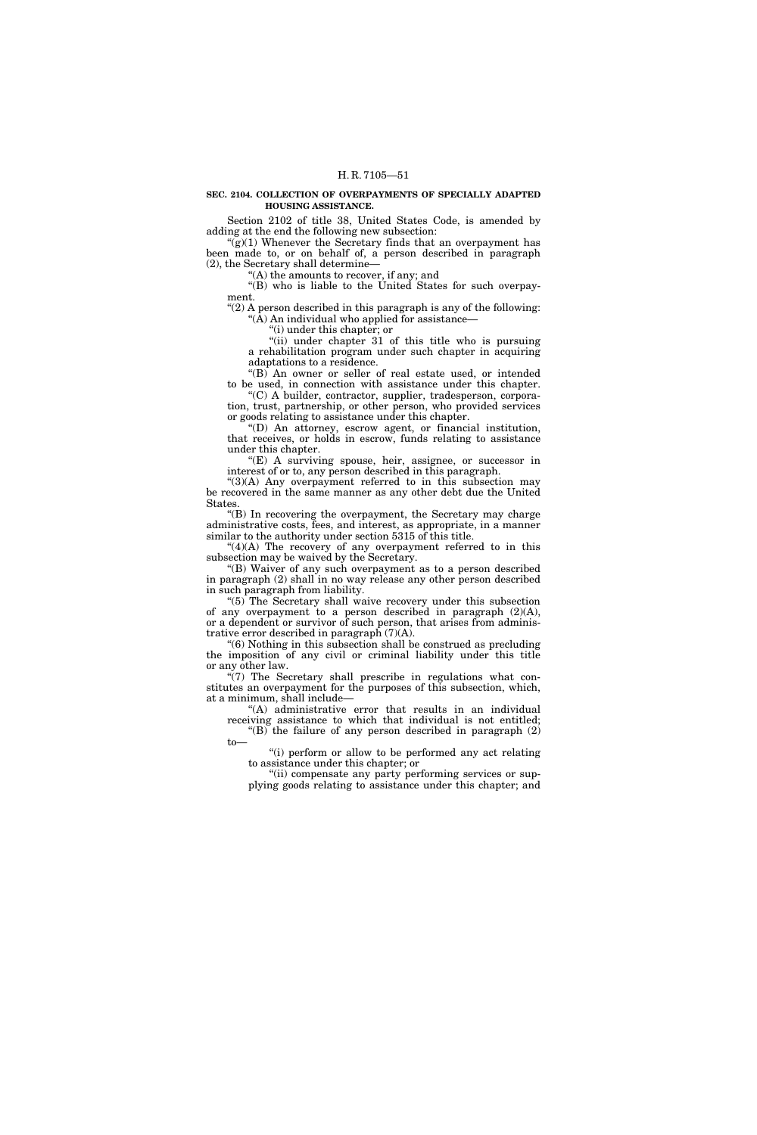# **SEC. 2104. COLLECTION OF OVERPAYMENTS OF SPECIALLY ADAPTED HOUSING ASSISTANCE.**

Section 2102 of title 38, United States Code, is amended by adding at the end the following new subsection:

" $(g)(1)$  Whenever the Secretary finds that an overpayment has been made to, or on behalf of, a person described in paragraph (2), the Secretary shall determine—

''(A) the amounts to recover, if any; and

''(B) who is liable to the United States for such overpayment.

" $(2)$  A person described in this paragraph is any of the following: ''(A) An individual who applied for assistance—

''(i) under this chapter; or

"(ii) under chapter 31 of this title who is pursuing a rehabilitation program under such chapter in acquiring adaptations to a residence.

''(B) An owner or seller of real estate used, or intended to be used, in connection with assistance under this chapter. "(C) A builder, contractor, supplier, tradesperson, corpora-

tion, trust, partnership, or other person, who provided services or goods relating to assistance under this chapter.

 $'(D)$  An attorney, escrow agent, or financial institution, that receives, or holds in escrow, funds relating to assistance under this chapter.

''(E) A surviving spouse, heir, assignee, or successor in interest of or to, any person described in this paragraph.

 $^{\prime\prime}(3)$ (A) Any overpayment referred to in this subsection may be recovered in the same manner as any other debt due the United States.

''(B) In recovering the overpayment, the Secretary may charge administrative costs, fees, and interest, as appropriate, in a manner similar to the authority under section 5315 of this title.

 $"(4)(A)$  The recovery of any overpayment referred to in this subsection may be waived by the Secretary.

''(B) Waiver of any such overpayment as to a person described in paragraph (2) shall in no way release any other person described in such paragraph from liability.

"(5) The Secretary shall waive recovery under this subsection of any overpayment to a person described in paragraph (2)(A), or a dependent or survivor of such person, that arises from administrative error described in paragraph (7)(A).

''(6) Nothing in this subsection shall be construed as precluding the imposition of any civil or criminal liability under this title or any other law.

 $\sqrt{\gamma}$ ) The Secretary shall prescribe in regulations what constitutes an overpayment for the purposes of this subsection, which, at a minimum, shall include—

to—

"(A) administrative error that results in an individual receiving assistance to which that individual is not entitled; "(B) the failure of any person described in paragraph  $(2)$ 

''(i) perform or allow to be performed any act relating to assistance under this chapter; or

"(ii) compensate any party performing services or supplying goods relating to assistance under this chapter; and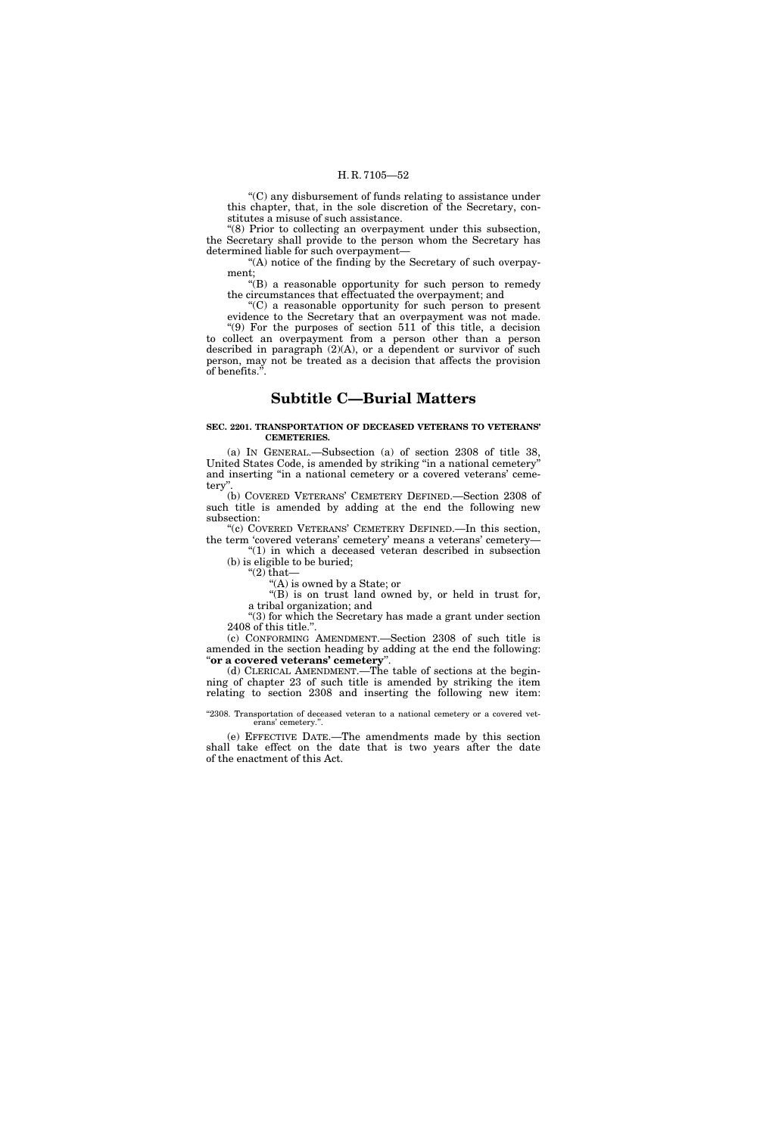''(C) any disbursement of funds relating to assistance under this chapter, that, in the sole discretion of the Secretary, constitutes a misuse of such assistance.

"(8) Prior to collecting an overpayment under this subsection, the Secretary shall provide to the person whom the Secretary has determined liable for such overpayment—

"(A) notice of the finding by the Secretary of such overpayment;

''(B) a reasonable opportunity for such person to remedy the circumstances that effectuated the overpayment; and

''(C) a reasonable opportunity for such person to present evidence to the Secretary that an overpayment was not made. "(9) For the purposes of section  $511$  of this title, a decision to collect an overpayment from a person other than a person described in paragraph (2)(A), or a dependent or survivor of such person, may not be treated as a decision that affects the provision of benefits.''.

# **Subtitle C—Burial Matters**

# **SEC. 2201. TRANSPORTATION OF DECEASED VETERANS TO VETERANS' CEMETERIES.**

(a) IN GENERAL.—Subsection (a) of section 2308 of title 38, United States Code, is amended by striking ''in a national cemetery'' and inserting ''in a national cemetery or a covered veterans' cemetery''.

(b) COVERED VETERANS' CEMETERY DEFINED.—Section 2308 of such title is amended by adding at the end the following new subsection:

''(c) COVERED VETERANS' CEMETERY DEFINED.—In this section, the term 'covered veterans' cemetery' means a veterans' cemetery—

"(1) in which a deceased veteran described in subsection (b) is eligible to be buried; " $(2)$  that-

''(A) is owned by a State; or

''(B) is on trust land owned by, or held in trust for,

a tribal organization; and

''(3) for which the Secretary has made a grant under section 2408 of this title.''.

(c) CONFORMING AMENDMENT.—Section 2308 of such title is amended in the section heading by adding at the end the following: ''**or a covered veterans' cemetery**''.

(d) CLERICAL AMENDMENT.—The table of sections at the beginning of chapter 23 of such title is amended by striking the item relating to section 2308 and inserting the following new item:

#### "2308. Transportation of deceased veteran to a national cemetery or a covered veterans' cemetery.''.

(e) EFFECTIVE DATE.—The amendments made by this section shall take effect on the date that is two years after the date of the enactment of this Act.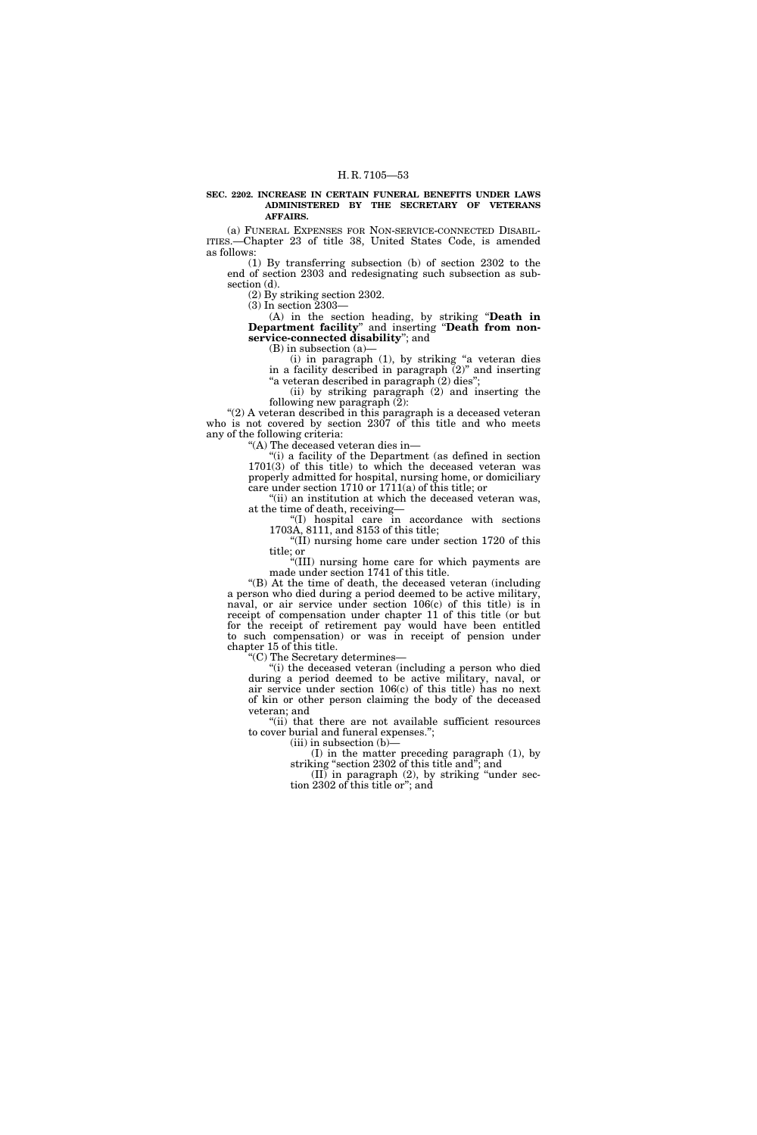#### **SEC. 2202. INCREASE IN CERTAIN FUNERAL BENEFITS UNDER LAWS ADMINISTERED BY THE SECRETARY OF VETERANS AFFAIRS.**

(a) FUNERAL EXPENSES FOR NON-SERVICE-CONNECTED DISABIL-ITIES.—Chapter 23 of title 38, United States Code, is amended as follows:

(1) By transferring subsection (b) of section 2302 to the end of section 2303 and redesignating such subsection as subsection (d).

(2) By striking section 2302.

(3) In section 2303—

(A) in the section heading, by striking ''**Death in Department facility**'' and inserting ''**Death from nonservice-connected disability**''; and

(B) in subsection (a)—

(i) in paragraph (1), by striking ''a veteran dies in a facility described in paragraph (2)'' and inserting ''a veteran described in paragraph (2) dies'';

(ii) by striking paragraph (2) and inserting the following new paragraph (2):

"(2) A veteran described in this paragraph is a deceased veteran who is not covered by section 2307 of this title and who meets any of the following criteria:

''(A) The deceased veteran dies in—

''(i) a facility of the Department (as defined in section 1701(3) of this title) to which the deceased veteran was properly admitted for hospital, nursing home, or domiciliary care under section 1710 or 1711(a) of this title; or

"(ii) an institution at which the deceased veteran was, at the time of death, receiving—

''(I) hospital care in accordance with sections 1703A, 8111, and 8153 of this title;

"(II) nursing home care under section 1720 of this title; or

''(III) nursing home care for which payments are made under section 1741 of this title.

''(B) At the time of death, the deceased veteran (including a person who died during a period deemed to be active military, naval, or air service under section 106(c) of this title) is in receipt of compensation under chapter 11 of this title (or but for the receipt of retirement pay would have been entitled to such compensation) or was in receipt of pension under chapter 15 of this title.

''(C) The Secretary determines—

''(i) the deceased veteran (including a person who died during a period deemed to be active military, naval, or air service under section 106(c) of this title) has no next of kin or other person claiming the body of the deceased veteran; and

''(ii) that there are not available sufficient resources to cover burial and funeral expenses.'';

 $(iii)$  in subsection  $(b)$ –

(I) in the matter preceding paragraph (1), by striking ''section 2302 of this title and''; and

(II) in paragraph (2), by striking ''under section 2302 of this title or''; and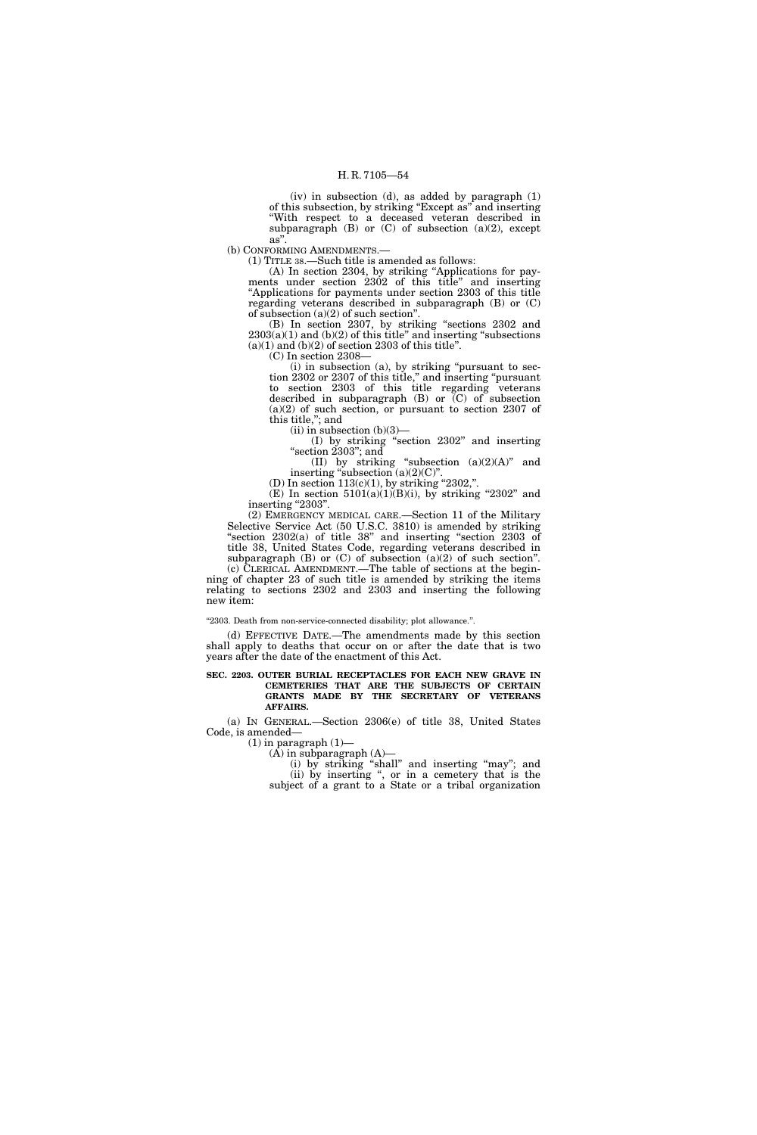(iv) in subsection (d), as added by paragraph (1) of this subsection, by striking ''Except as'' and inserting ''With respect to a deceased veteran described in subparagraph  $(B)$  or  $(C)$  of subsection  $(a)(2)$ , except as''.

(b) CONFORMING AMENDMENTS.—

(1) TITLE 38.—Such title is amended as follows:

(A) In section 2304, by striking ''Applications for payments under section 2302 of this title'' and inserting ''Applications for payments under section 2303 of this title regarding veterans described in subparagraph (B) or (C) of subsection  $(a)(2)$  of such section".

(B) In section 2307, by striking ''sections 2302 and  $2303(a)(1)$  and  $(b)(2)$  of this title" and inserting "subsections  $(a)(1)$  and  $(b)(2)$  of section 2303 of this title".

(C) In section 2308—

(i) in subsection (a), by striking ''pursuant to section 2302 or 2307 of this title,'' and inserting ''pursuant to section 2303 of this title regarding veterans described in subparagraph  $(B)$  or  $(C)$  of subsection (a)(2) of such section, or pursuant to section 2307 of this title,''; and

 $(ii)$  in subsection  $(b)(3)$ —

(I) by striking ''section 2302'' and inserting "section 2303"; and

(II) by striking "subsection  $(a)(2)(A)$ " and inserting "subsection  $(a)(2)(C)$ ".

(D) In section  $113(c)(1)$ , by striking "2302,".

(E) In section  $5101(a)(1)(B)(i)$ , by striking "2302" and inserting "2303".

(2) EMERGENCY MEDICAL CARE.—Section 11 of the Military Selective Service Act (50 U.S.C. 3810) is amended by striking ''section 2302(a) of title 38'' and inserting ''section 2303 of title 38, United States Code, regarding veterans described in subparagraph  $(B)$  or  $(C)$  of subsection  $(a)(2)$  of such section".

(c) CLERICAL AMENDMENT.—The table of sections at the beginning of chapter 23 of such title is amended by striking the items relating to sections  $2302$  and  $2303$  and inserting the following new item:

''2303. Death from non-service-connected disability; plot allowance.''.

(d) EFFECTIVE DATE.—The amendments made by this section shall apply to deaths that occur on or after the date that is two years after the date of the enactment of this Act.

**SEC. 2203. OUTER BURIAL RECEPTACLES FOR EACH NEW GRAVE IN CEMETERIES THAT ARE THE SUBJECTS OF CERTAIN GRANTS MADE BY THE SECRETARY OF VETERANS AFFAIRS.** 

(a) IN GENERAL.—Section 2306(e) of title 38, United States Code, is amended—

 $(1)$  in paragraph  $(1)$ —

 $(A)$  in subparagraph  $(A)$ — (i) by striking ''shall'' and inserting ''may''; and (ii) by inserting '', or in a cemetery that is the subject of a grant to a State or a tribal organization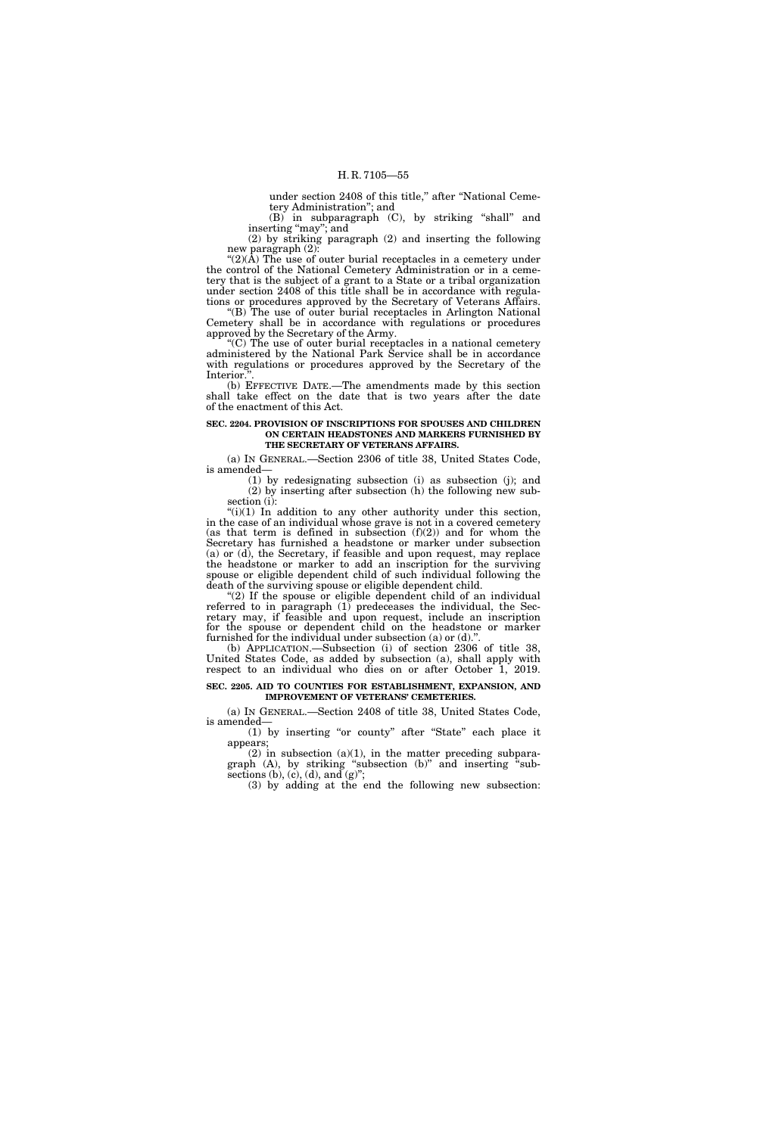under section 2408 of this title," after "National Cemetery Administration''; and

(B) in subparagraph (C), by striking ''shall'' and inserting "may"; and

(2) by striking paragraph (2) and inserting the following new paragraph (2):

" $(2)(\hat{A})$  The use of outer burial receptacles in a cemetery under the control of the National Cemetery Administration or in a cemetery that is the subject of a grant to a State or a tribal organization under section 2408 of this title shall be in accordance with regulations or procedures approved by the Secretary of Veterans Affairs.

"(B) The use of outer burial receptacles in Arlington National Cemetery shall be in accordance with regulations or procedures approved by the Secretary of the Army.

''(C) The use of outer burial receptacles in a national cemetery administered by the National Park Service shall be in accordance with regulations or procedures approved by the Secretary of the Interior.''.

(b) EFFECTIVE DATE.—The amendments made by this section shall take effect on the date that is two years after the date of the enactment of this Act.

## **SEC. 2204. PROVISION OF INSCRIPTIONS FOR SPOUSES AND CHILDREN ON CERTAIN HEADSTONES AND MARKERS FURNISHED BY THE SECRETARY OF VETERANS AFFAIRS.**

(a) IN GENERAL.—Section 2306 of title 38, United States Code, is amended—

(1) by redesignating subsection (i) as subsection (j); and (2) by inserting after subsection (h) the following new subsection (i):

 $f'(i)(1)$  In addition to any other authority under this section, in the case of an individual whose grave is not in a covered cemetery (as that term is defined in subsection  $(f)(2)$ ) and for whom the Secretary has furnished a headstone or marker under subsection (a) or (d), the Secretary, if feasible and upon request, may replace the headstone or marker to add an inscription for the surviving spouse or eligible dependent child of such individual following the death of the surviving spouse or eligible dependent child.

"(2) If the spouse or eligible dependent child of an individual referred to in paragraph (1) predeceases the individual, the Secretary may, if feasible and upon request, include an inscription for the spouse or dependent child on the headstone or marker furnished for the individual under subsection  $(a)$  or  $(d)$ ."

(b) APPLICATION.—Subsection (i) of section 2306 of title 38, United States Code, as added by subsection (a), shall apply with respect to an individual who dies on or after October 1, 2019.

# **SEC. 2205. AID TO COUNTIES FOR ESTABLISHMENT, EXPANSION, AND IMPROVEMENT OF VETERANS' CEMETERIES.**

(a) IN GENERAL.—Section 2408 of title 38, United States Code, is amended—

(1) by inserting ''or county'' after ''State'' each place it appears;

 $(2)$  in subsection  $(a)(1)$ , in the matter preceding subparagraph (A), by striking "subsection (b)" and inserting "subsections (b), (c), (d), and (g)";

(3) by adding at the end the following new subsection: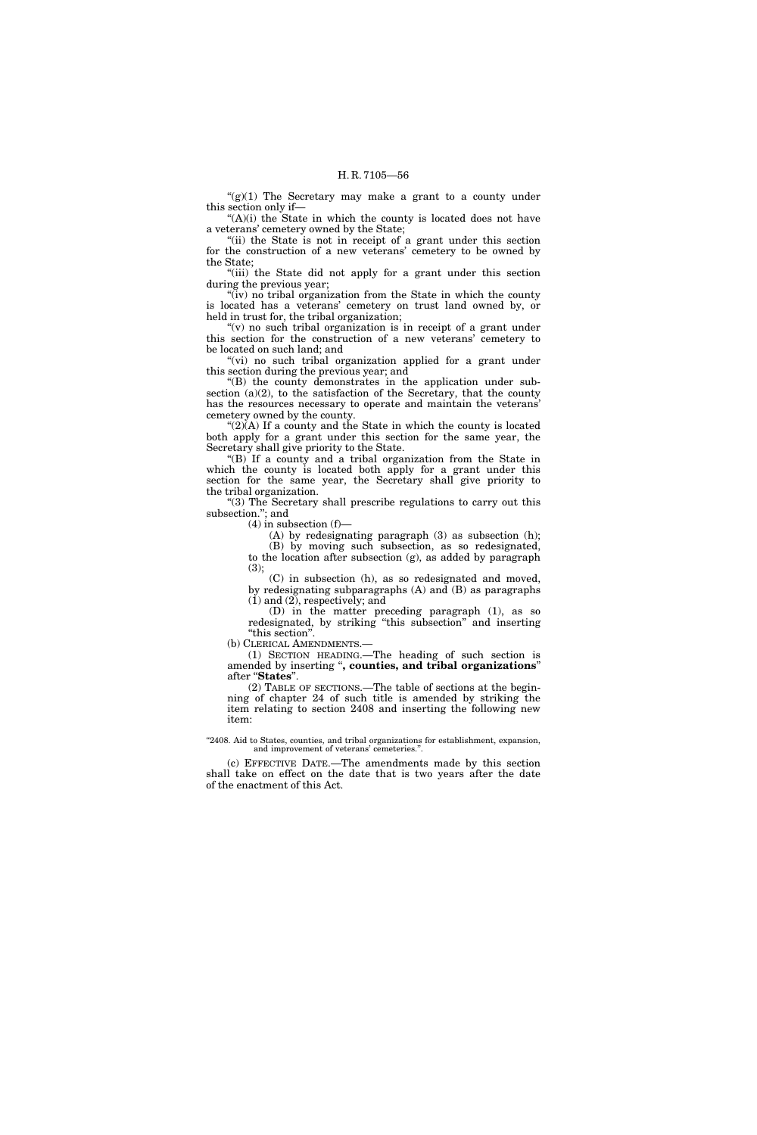$''(g)(1)$  The Secretary may make a grant to a county under this section only if—

"(A)(i) the State in which the county is located does not have a veterans' cemetery owned by the State;

"(ii) the State is not in receipt of a grant under this section for the construction of a new veterans' cemetery to be owned by the State;

"(iii) the State did not apply for a grant under this section during the previous year;

" $(iv)$  no tribal organization from the State in which the county is located has a veterans' cemetery on trust land owned by, or held in trust for, the tribal organization;

" $(v)$  no such tribal organization is in receipt of a grant under this section for the construction of a new veterans' cemetery to be located on such land; and

"(vi) no such tribal organization applied for a grant under this section during the previous year; and

''(B) the county demonstrates in the application under subsection  $(a)(2)$ , to the satisfaction of the Secretary, that the county has the resources necessary to operate and maintain the veterans' cemetery owned by the county.

" $(2)$  $(A)$  If a county and the State in which the county is located both apply for a grant under this section for the same year, the Secretary shall give priority to the State.

"(B) If a county and a tribal organization from the State in which the county is located both apply for a grant under this section for the same year, the Secretary shall give priority to the tribal organization.

"(3) The Secretary shall prescribe regulations to carry out this subsection.''; and

 $(4)$  in subsection  $(f)$ —

(A) by redesignating paragraph (3) as subsection (h); (B) by moving such subsection, as so redesignated, to the location after subsection (g), as added by paragraph (3);

(C) in subsection (h), as so redesignated and moved, by redesignating subparagraphs (A) and (B) as paragraphs (1) and (2), respectively; and

(D) in the matter preceding paragraph (1), as so redesignated, by striking ''this subsection'' and inserting ''this section''.

(b) CLERICAL AMENDMENTS.—

(1) SECTION HEADING.—The heading of such section is amended by inserting ''**, counties, and tribal organizations**'' after ''**States**''.

(2) TABLE OF SECTIONS.—The table of sections at the beginning of chapter 24 of such title is amended by striking the item relating to section 2408 and inserting the following new item:

"2408. Aid to States, counties, and tribal organizations for establishment, expansion, and improvement of veterans' cemeteries."

(c) EFFECTIVE DATE.—The amendments made by this section shall take on effect on the date that is two years after the date of the enactment of this Act.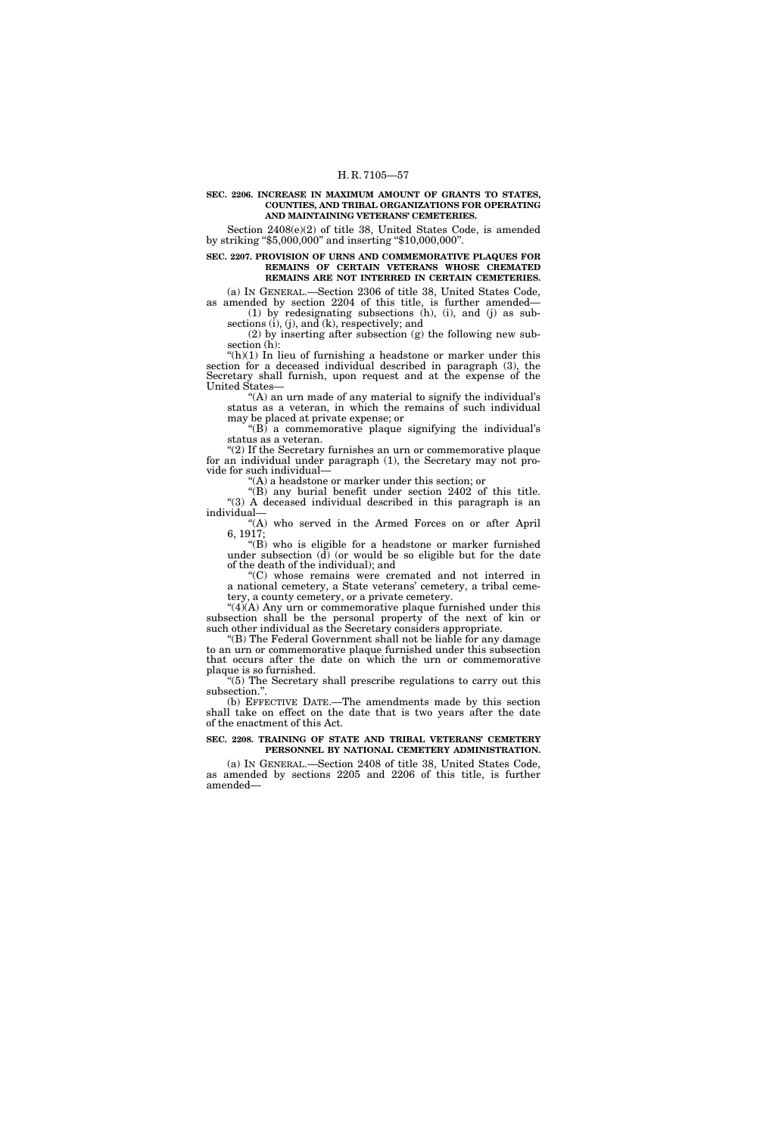#### **SEC. 2206. INCREASE IN MAXIMUM AMOUNT OF GRANTS TO STATES, COUNTIES, AND TRIBAL ORGANIZATIONS FOR OPERATING AND MAINTAINING VETERANS' CEMETERIES.**

Section 2408(e)(2) of title 38, United States Code, is amended by striking ''\$5,000,000'' and inserting ''\$10,000,000''.

# **SEC. 2207. PROVISION OF URNS AND COMMEMORATIVE PLAQUES FOR REMAINS OF CERTAIN VETERANS WHOSE CREMATED REMAINS ARE NOT INTERRED IN CERTAIN CEMETERIES.**

(a) IN GENERAL.—Section 2306 of title 38, United States Code, as amended by section 2204 of this title, is further amended— (1) by redesignating subsections (h), (i), and (j) as subsections (i), (j), and (k), respectively; and

(2) by inserting after subsection (g) the following new subsection (h):

" $(h)(1)$  In lieu of furnishing a headstone or marker under this section for a deceased individual described in paragraph (3), the Secretary shall furnish, upon request and at the expense of the United States—

"(A) an urn made of any material to signify the individual's status as a veteran, in which the remains of such individual may be placed at private expense; or

 $(G)$  a commemorative plaque signifying the individual's status as a veteran.

"(2) If the Secretary furnishes an urn or commemorative plaque for an individual under paragraph (1), the Secretary may not provide for such individual—

''(A) a headstone or marker under this section; or

''(B) any burial benefit under section 2402 of this title. ''(3) A deceased individual described in this paragraph is an individual—

''(A) who served in the Armed Forces on or after April 6, 1917;

''(B) who is eligible for a headstone or marker furnished under subsection  $(d)$  (or would be so eligible but for the date of the death of the individual); and

''(C) whose remains were cremated and not interred in a national cemetery, a State veterans' cemetery, a tribal cemetery, a county cemetery, or a private cemetery.

"(4)(A) Any urn or commemorative plaque furnished under this subsection shall be the personal property of the next of kin or such other individual as the Secretary considers appropriate.

''(B) The Federal Government shall not be liable for any damage to an urn or commemorative plaque furnished under this subsection that occurs after the date on which the urn or commemorative plaque is so furnished.

''(5) The Secretary shall prescribe regulations to carry out this subsection.''.

(b) EFFECTIVE DATE.—The amendments made by this section shall take on effect on the date that is two years after the date of the enactment of this Act.

## **SEC. 2208. TRAINING OF STATE AND TRIBAL VETERANS' CEMETERY PERSONNEL BY NATIONAL CEMETERY ADMINISTRATION.**

(a) IN GENERAL.—Section 2408 of title 38, United States Code, as amended by sections 2205 and 2206 of this title, is further amended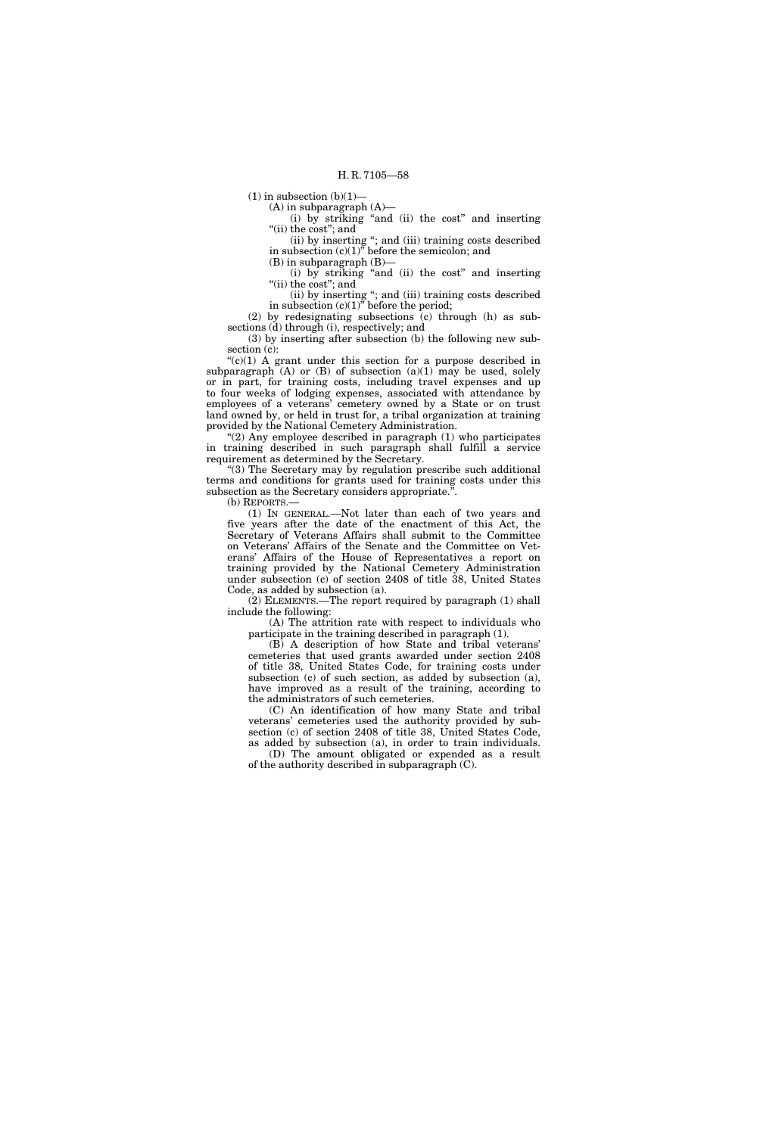$(1)$  in subsection  $(b)(1)$ —

 $(A)$  in subparagraph  $(A)$ —

(i) by striking ''and (ii) the cost'' and inserting "(ii) the cost"; and

(ii) by inserting ''; and (iii) training costs described in subsection (c)(1)'' before the semicolon; and

 $(B)$  in subparagraph  $(B)$ -

(i) by striking ''and (ii) the cost'' and inserting "(ii) the cost"; and

(ii) by inserting ''; and (iii) training costs described in subsection  $(c)(1)^{\overline{v}}$  before the period;

(2) by redesignating subsections (c) through (h) as subsections (d) through (i), respectively; and

(3) by inserting after subsection (b) the following new subsection (c):

" $(c)(1)$  A grant under this section for a purpose described in subparagraph  $(A)$  or  $(B)$  of subsection  $(a)(1)$  may be used, solely or in part, for training costs, including travel expenses and up to four weeks of lodging expenses, associated with attendance by employees of a veterans' cemetery owned by a State or on trust land owned by, or held in trust for, a tribal organization at training provided by the National Cemetery Administration.

" $(2)$  Any employee described in paragraph  $(1)$  who participates in training described in such paragraph shall fulfill a service requirement as determined by the Secretary.

''(3) The Secretary may by regulation prescribe such additional terms and conditions for grants used for training costs under this subsection as the Secretary considers appropriate.".

(b) REPORTS.—

(1) IN GENERAL.—Not later than each of two years and five years after the date of the enactment of this Act, the Secretary of Veterans Affairs shall submit to the Committee on Veterans' Affairs of the Senate and the Committee on Veterans' Affairs of the House of Representatives a report on training provided by the National Cemetery Administration under subsection (c) of section 2408 of title 38, United States Code, as added by subsection (a).

(2) ELEMENTS.—The report required by paragraph (1) shall include the following:

(A) The attrition rate with respect to individuals who participate in the training described in paragraph (1).

(B) A description of how State and tribal veterans' cemeteries that used grants awarded under section 2408 of title 38, United States Code, for training costs under subsection (c) of such section, as added by subsection (a), have improved as a result of the training, according to the administrators of such cemeteries.

(C) An identification of how many State and tribal veterans' cemeteries used the authority provided by subsection (c) of section 2408 of title 38, United States Code, as added by subsection (a), in order to train individuals.

(D) The amount obligated or expended as a result of the authority described in subparagraph (C).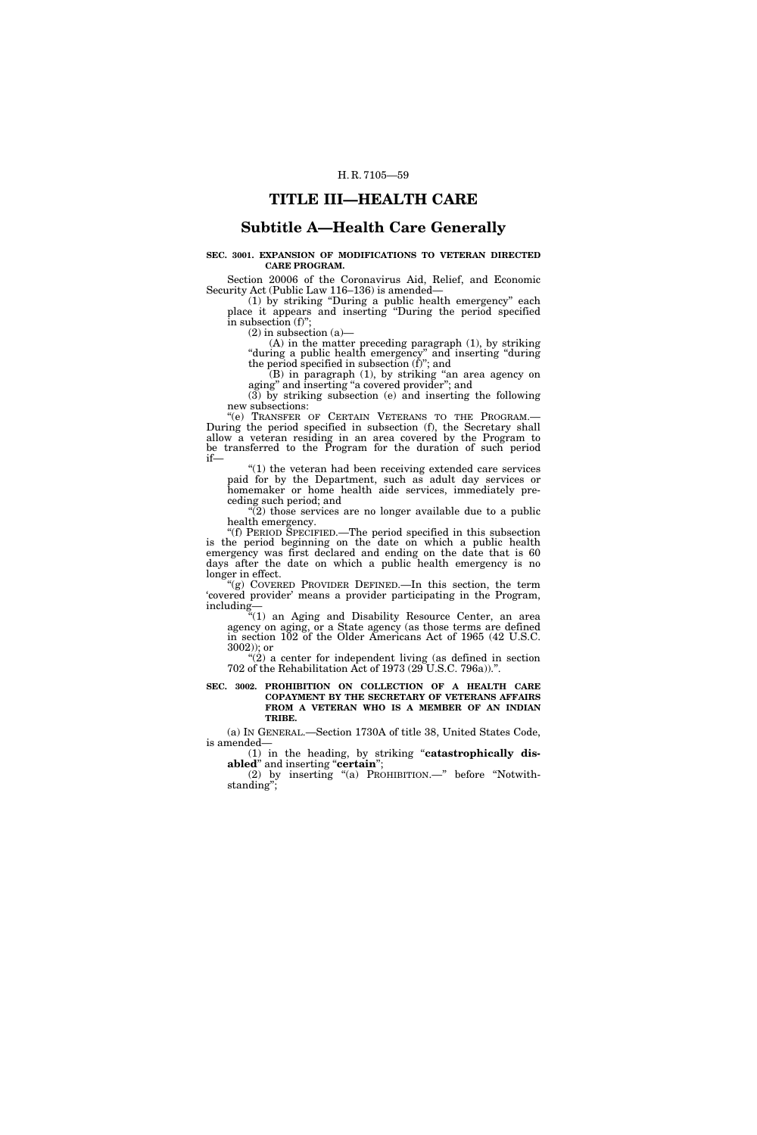# **TITLE III—HEALTH CARE**

# **Subtitle A—Health Care Generally**

# **SEC. 3001. EXPANSION OF MODIFICATIONS TO VETERAN DIRECTED CARE PROGRAM.**

Section 20006 of the Coronavirus Aid, Relief, and Economic Security Act (Public Law 116–136) is amended—

(1) by striking ''During a public health emergency'' each place it appears and inserting 'During the period specified in subsection  $(f)$ "

(2) in subsection (a)—

(A) in the matter preceding paragraph (1), by striking ''during a public health emergency'' and inserting ''during the period specified in subsection (f)''; and

(B) in paragraph (1), by striking ''an area agency on aging" and inserting "a covered provider"; and

(3) by striking subsection (e) and inserting the following new subsections:

"(e) TRANSFER OF CERTAIN VETERANS TO THE PROGRAM.-During the period specified in subsection (f), the Secretary shall allow a veteran residing in an area covered by the Program to be transferred to the Program for the duration of such period if—

''(1) the veteran had been receiving extended care services paid for by the Department, such as adult day services or homemaker or home health aide services, immediately preceding such period; and

 $\sqrt{2}$ ) those services are no longer available due to a public health emergency.

''(f) PERIOD SPECIFIED.—The period specified in this subsection is the period beginning on the date on which a public health emergency was first declared and ending on the date that is 60 days after the date on which a public health emergency is no longer in effect.

''(g) COVERED PROVIDER DEFINED.—In this section, the term 'covered provider' means a provider participating in the Program, including—

"(1) an Aging and Disability Resource Center, an area agency on aging, or a State agency (as those terms are defined agency on aging, or a State agency (as those terms are defined in section 102 of the Older Americans Act of 1965 (42 U.S.C. 3002)); or

" $(2)$  a center for independent living (as defined in section 702 of the Rehabilitation Act of 1973 (29 U.S.C. 796a)).''.

#### **SEC. 3002. PROHIBITION ON COLLECTION OF A HEALTH CARE COPAYMENT BY THE SECRETARY OF VETERANS AFFAIRS FROM A VETERAN WHO IS A MEMBER OF AN INDIAN TRIBE.**

(a) IN GENERAL.—Section 1730A of title 38, United States Code, is amended—

(1) in the heading, by striking ''**catastrophically disabled**'' and inserting ''**certain**'';

(2) by inserting ''(a) PROHIBITION.—'' before ''Notwithstanding'';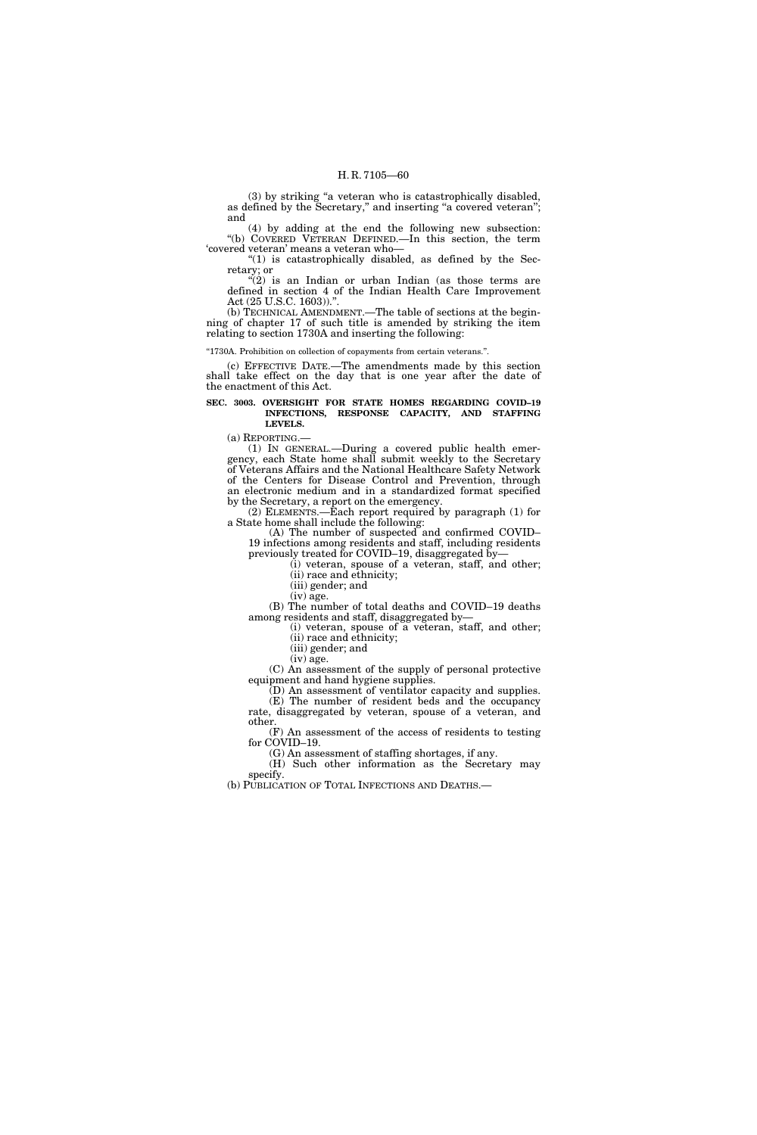(3) by striking ''a veteran who is catastrophically disabled, as defined by the Secretary,'' and inserting ''a covered veteran''; and

(4) by adding at the end the following new subsection: ''(b) COVERED VETERAN DEFINED.—In this section, the term 'covered veteran' means a veteran who—

''(1) is catastrophically disabled, as defined by the Secretary; or

 $'(2)$  is an Indian or urban Indian (as those terms are defined in section 4 of the Indian Health Care Improvement Act (25 U.S.C. 1603)).''.

(b) TECHNICAL AMENDMENT.—The table of sections at the beginning of chapter 17 of such title is amended by striking the item relating to section 1730A and inserting the following:

''1730A. Prohibition on collection of copayments from certain veterans.''.

(c) EFFECTIVE DATE.—The amendments made by this section shall take effect on the day that is one year after the date of the enactment of this Act.

#### **SEC. 3003. OVERSIGHT FOR STATE HOMES REGARDING COVID–19 INFECTIONS, RESPONSE CAPACITY, AND STAFFING LEVELS.**

(a) REPORTING.—

(1) IN GENERAL.—During a covered public health emergency, each State home shall submit weekly to the Secretary of Veterans Affairs and the National Healthcare Safety Network of the Centers for Disease Control and Prevention, through an electronic medium and in a standardized format specified by the Secretary, a report on the emergency.

(2) ELEMENTS.—Each report required by paragraph (1) for a State home shall include the following:

(A) The number of suspected and confirmed COVID– 19 infections among residents and staff, including residents previously treated for COVID–19, disaggregated by—

(i) veteran, spouse of a veteran, staff, and other;

(ii) race and ethnicity;

(iii) gender; and (iv) age.

(B) The number of total deaths and COVID–19 deaths among residents and staff, disaggregated by—

(i) veteran, spouse of a veteran, staff, and other; (ii) race and ethnicity;

(iii) gender; and (iv) age.

(C) An assessment of the supply of personal protective equipment and hand hygiene supplies.

(D) An assessment of ventilator capacity and supplies. (E) The number of resident beds and the occupancy rate, disaggregated by veteran, spouse of a veteran, and other.

(F) An assessment of the access of residents to testing for COVID–19.

(G) An assessment of staffing shortages, if any. (H) Such other information as the Secretary may specify.

(b) PUBLICATION OF TOTAL INFECTIONS AND DEATHS.—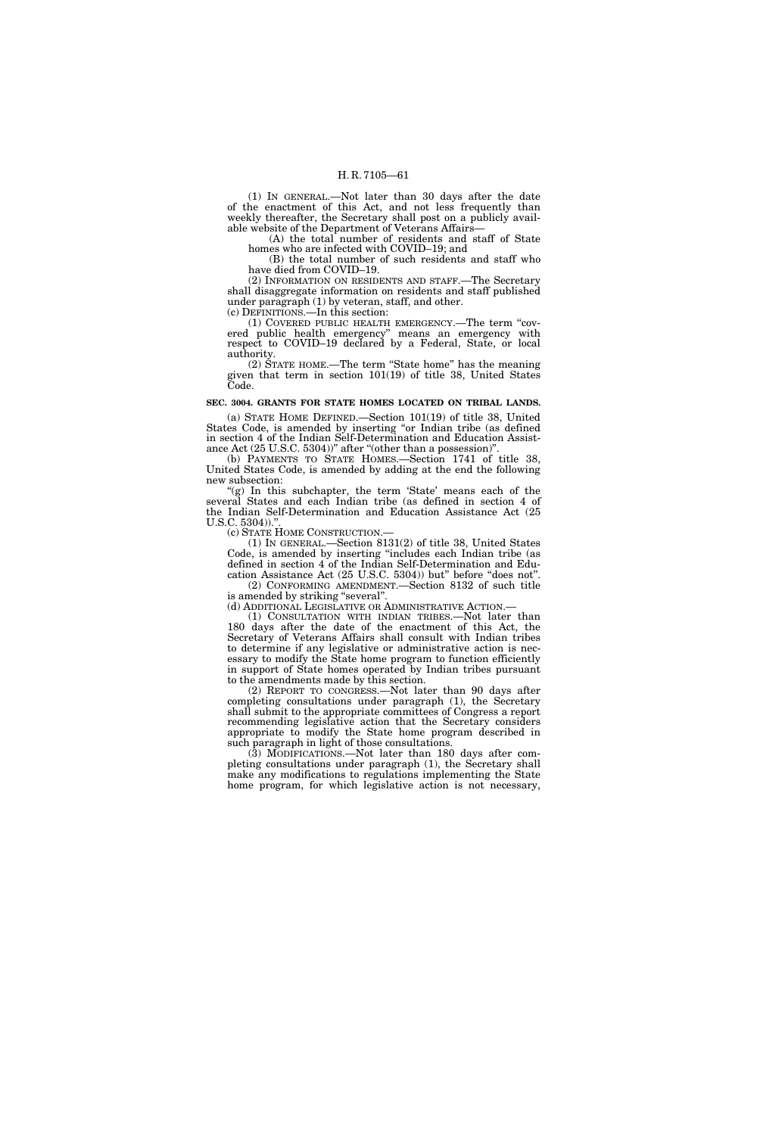(1) IN GENERAL.—Not later than 30 days after the date of the enactment of this Act, and not less frequently than weekly thereafter, the Secretary shall post on a publicly available website of the Department of Veterans Affairs—

(A) the total number of residents and staff of State homes who are infected with COVID–19; and

(B) the total number of such residents and staff who have died from COVID–19.

(2) INFORMATION ON RESIDENTS AND STAFF.—The Secretary shall disaggregate information on residents and staff published under paragraph (1) by veteran, staff, and other.

(c) DEFINITIONS.—In this section:

(1) COVERED PUBLIC HEALTH EMERGENCY.—The term ''covered public health emergency'' means an emergency with respect to COVID–19 declared by a Federal, State, or local authority.

(2) STATE HOME.—The term ''State home'' has the meaning given that term in section 101(19) of title 38, United States Code.

### **SEC. 3004. GRANTS FOR STATE HOMES LOCATED ON TRIBAL LANDS.**

(a) STATE HOME DEFINED.—Section 101(19) of title 38, United States Code, is amended by inserting "or Indian tribe (as defined in section 4 of the Indian Self-Determination and Education Assistance Act (25 U.S.C. 5304))" after "(other than a possession)"

(b) PAYMENTS TO STATE HOMES.—Section 1741 of title 38, United States Code, is amended by adding at the end the following new subsection:

"(g) In this subchapter, the term 'State' means each of the several States and each Indian tribe (as defined in section 4 of the Indian Self-Determination and Education Assistance Act (25 U.S.C. 5304))."

(c) STATE HOME CONSTRUCTION.—

(1) IN GENERAL.—Section 8131(2) of title 38, United States Code, is amended by inserting ''includes each Indian tribe (as defined in section 4 of the Indian Self-Determination and Education Assistance Act (25 U.S.C. 5304)) but'' before ''does not''.

(2) CONFORMING AMENDMENT.—Section 8132 of such title is amended by striking "several".

(d) ADDITIONAL LEGISLATIVE OR ADMINISTRATIVE ACTION.— (1) CONSULTATION WITH INDIAN TRIBES.—Not later than 180 days after the date of the enactment of this Act, the Secretary of Veterans Affairs shall consult with Indian tribes to determine if any legislative or administrative action is necessary to modify the State home program to function efficiently in support of State homes operated by Indian tribes pursuant to the amendments made by this section.

(2) REPORT TO CONGRESS.—Not later than 90 days after completing consultations under paragraph (1), the Secretary shall submit to the appropriate committees of Congress a report recommending legislative action that the Secretary considers appropriate to modify the State home program described in such paragraph in light of those consultations.

(3) MODIFICATIONS.—Not later than 180 days after completing consultations under paragraph (1), the Secretary shall make any modifications to regulations implementing the State home program, for which legislative action is not necessary,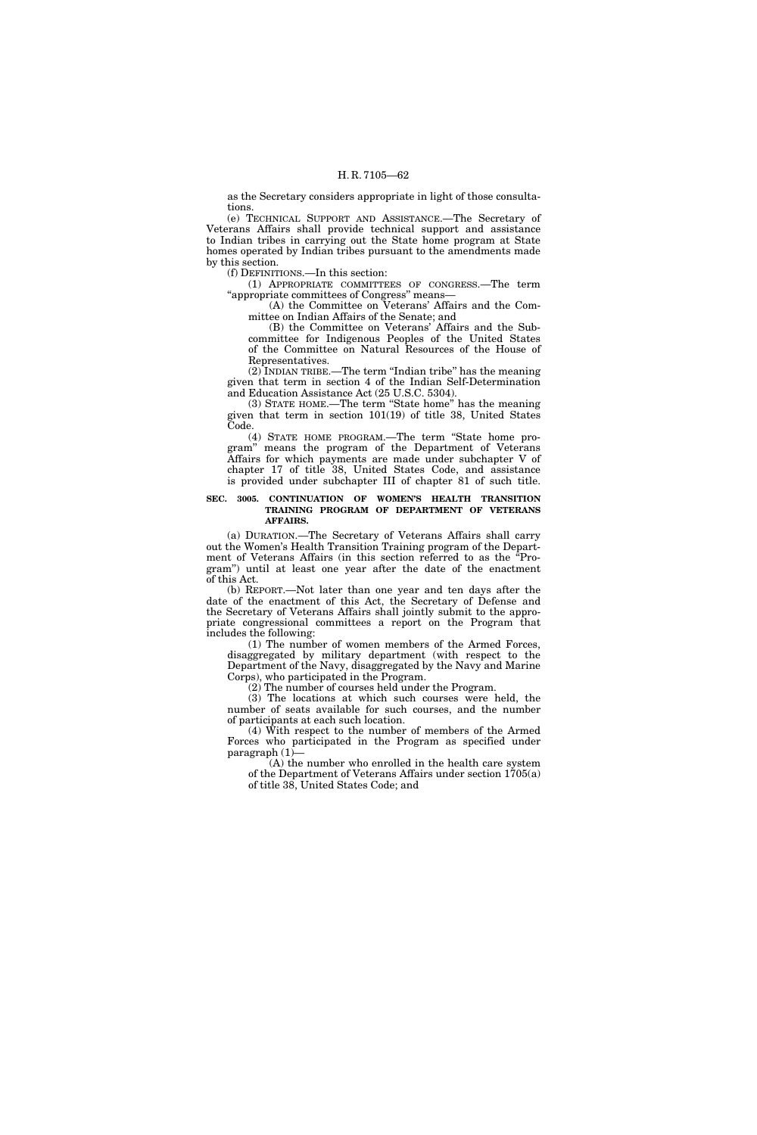as the Secretary considers appropriate in light of those consultations.

(e) TECHNICAL SUPPORT AND ASSISTANCE.—The Secretary of Veterans Affairs shall provide technical support and assistance to Indian tribes in carrying out the State home program at State homes operated by Indian tribes pursuant to the amendments made by this section.

(f) DEFINITIONS.—In this section:

(1) APPROPRIATE COMMITTEES OF CONGRESS.—The term ''appropriate committees of Congress'' means—

(A) the Committee on Veterans' Affairs and the Committee on Indian Affairs of the Senate; and

(B) the Committee on Veterans' Affairs and the Subcommittee for Indigenous Peoples of the United States of the Committee on Natural Resources of the House of Representatives.

(2) INDIAN TRIBE.—The term ''Indian tribe'' has the meaning given that term in section 4 of the Indian Self-Determination and Education Assistance Act (25 U.S.C. 5304).

(3) STATE HOME.—The term ''State home'' has the meaning given that term in section 101(19) of title 38, United States Code.

(4) STATE HOME PROGRAM.—The term ''State home program'' means the program of the Department of Veterans Affairs for which payments are made under subchapter V of chapter 17 of title 38, United States Code, and assistance is provided under subchapter III of chapter 81 of such title.

# **SEC. 3005. CONTINUATION OF WOMEN'S HEALTH TRANSITION TRAINING PROGRAM OF DEPARTMENT OF VETERANS AFFAIRS.**

(a) DURATION.—The Secretary of Veterans Affairs shall carry out the Women's Health Transition Training program of the Department of Veterans Affairs (in this section referred to as the ''Program'') until at least one year after the date of the enactment of this Act.

(b) REPORT.—Not later than one year and ten days after the date of the enactment of this Act, the Secretary of Defense and the Secretary of Veterans Affairs shall jointly submit to the appropriate congressional committees a report on the Program that includes the following:

(1) The number of women members of the Armed Forces, disaggregated by military department (with respect to the Department of the Navy, disaggregated by the Navy and Marine Corps), who participated in the Program.

(2) The number of courses held under the Program.

(3) The locations at which such courses were held, the number of seats available for such courses, and the number of participants at each such location.

(4) With respect to the number of members of the Armed Forces who participated in the Program as specified under paragraph (1)—

(A) the number who enrolled in the health care system of the Department of Veterans Affairs under section 1705(a) of title 38, United States Code; and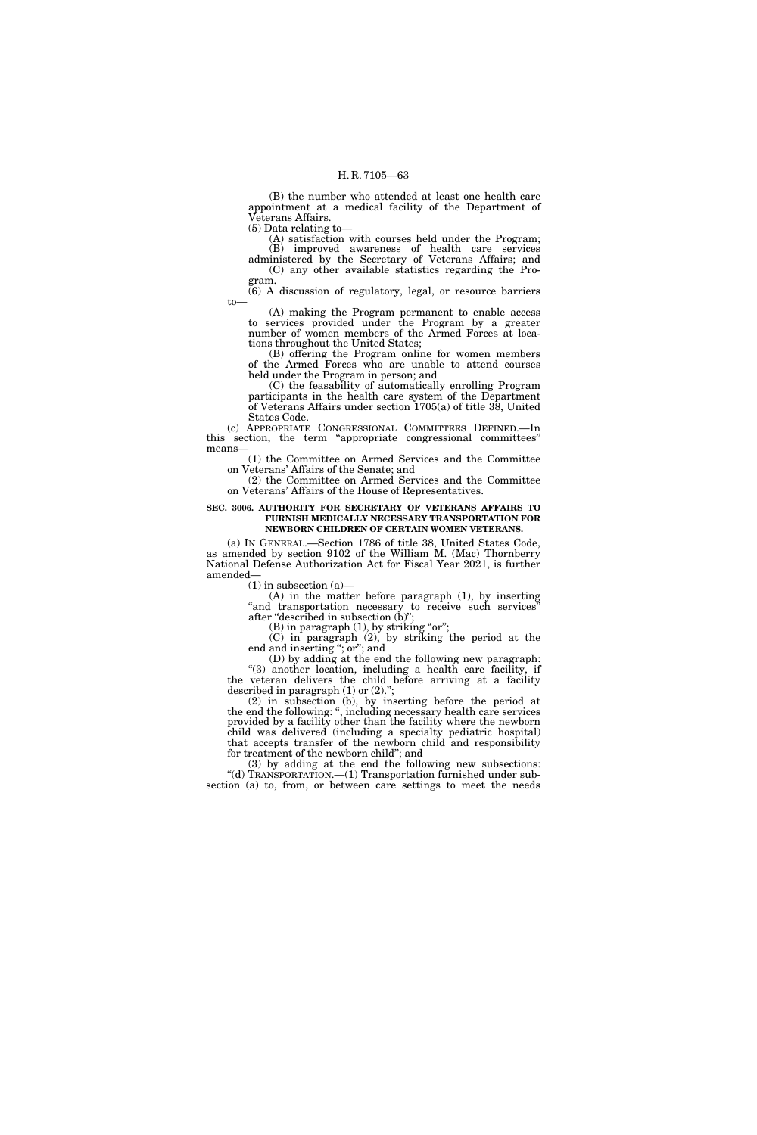(B) the number who attended at least one health care appointment at a medical facility of the Department of Veterans Affairs.

(5) Data relating to— (A) satisfaction with courses held under the Program;

(B) improved awareness of health care services administered by the Secretary of Veterans Affairs; and (C) any other available statistics regarding the Pro-

gram.

(6) A discussion of regulatory, legal, or resource barriers to—

(A) making the Program permanent to enable access to services provided under the Program by a greater number of women members of the Armed Forces at locations throughout the United States;

(B) offering the Program online for women members of the Armed Forces who are unable to attend courses held under the Program in person; and

(C) the feasability of automatically enrolling Program participants in the health care system of the Department of Veterans Affairs under section 1705(a) of title 38, United States Code.

(c) APPROPRIATE CONGRESSIONAL COMMITTEES DEFINED.—In this section, the term ''appropriate congressional committees'' means—

(1) the Committee on Armed Services and the Committee on Veterans' Affairs of the Senate; and

(2) the Committee on Armed Services and the Committee on Veterans' Affairs of the House of Representatives.

#### **SEC. 3006. AUTHORITY FOR SECRETARY OF VETERANS AFFAIRS TO FURNISH MEDICALLY NECESSARY TRANSPORTATION FOR NEWBORN CHILDREN OF CERTAIN WOMEN VETERANS.**

(a) IN GENERAL.—Section 1786 of title 38, United States Code, as amended by section 9102 of the William M. (Mac) Thornberry National Defense Authorization Act for Fiscal Year 2021, is further amended—

 $(1)$  in subsection  $(a)$ —

(A) in the matter before paragraph (1), by inserting "and transportation necessary to receive such services" after "described in subsection (b)";

 $(B)$  in paragraph  $(1)$ , by striking "or";

(C) in paragraph (2), by striking the period at the end and inserting ''; or''; and

(D) by adding at the end the following new paragraph: ''(3) another location, including a health care facility, if the veteran delivers the child before arriving at a facility described in paragraph (1) or (2).'';

(2) in subsection (b), by inserting before the period at the end the following: '', including necessary health care services provided by a facility other than the facility where the newborn child was delivered (including a specialty pediatric hospital) that accepts transfer of the newborn child and responsibility for treatment of the newborn child''; and

(3) by adding at the end the following new subsections: ''(d) TRANSPORTATION.—(1) Transportation furnished under subsection (a) to, from, or between care settings to meet the needs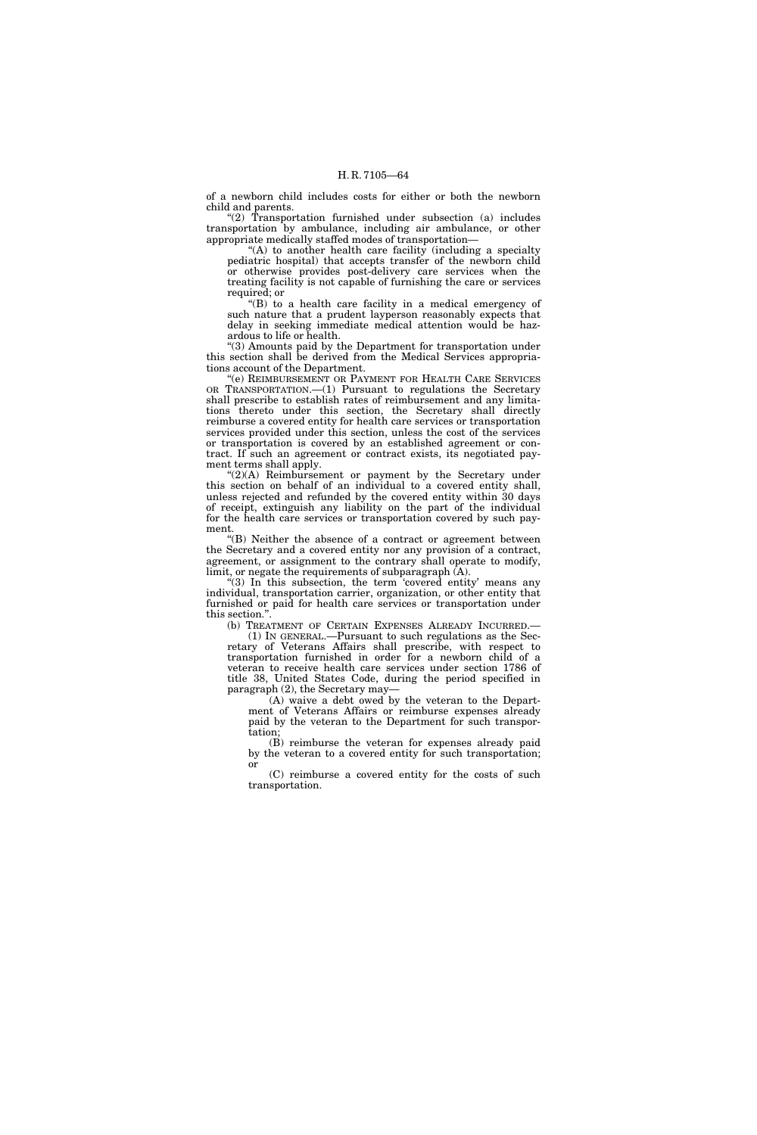of a newborn child includes costs for either or both the newborn child and parents.

''(2) Transportation furnished under subsection (a) includes transportation by ambulance, including air ambulance, or other appropriate medically staffed modes of transportation—

''(A) to another health care facility (including a specialty pediatric hospital) that accepts transfer of the newborn child or otherwise provides post-delivery care services when the treating facility is not capable of furnishing the care or services required; or

''(B) to a health care facility in a medical emergency of such nature that a prudent layperson reasonably expects that delay in seeking immediate medical attention would be hazardous to life or health.

''(3) Amounts paid by the Department for transportation under this section shall be derived from the Medical Services appropriations account of the Department.

''(e) REIMBURSEMENT OR PAYMENT FOR HEALTH CARE SERVICES OR TRANSPORTATION.—(1) Pursuant to regulations the Secretary shall prescribe to establish rates of reimbursement and any limitations thereto under this section, the Secretary shall directly reimburse a covered entity for health care services or transportation services provided under this section, unless the cost of the services or transportation is covered by an established agreement or contract. If such an agreement or contract exists, its negotiated payment terms shall apply.

 $C(2)(A)$  Reimbursement or payment by the Secretary under this section on behalf of an individual to a covered entity shall, unless rejected and refunded by the covered entity within 30 days of receipt, extinguish any liability on the part of the individual for the health care services or transportation covered by such payment.

''(B) Neither the absence of a contract or agreement between the Secretary and a covered entity nor any provision of a contract, agreement, or assignment to the contrary shall operate to modify, limit, or negate the requirements of subparagraph (A).

 $(3)$  In this subsection, the term covered entity means any individual, transportation carrier, organization, or other entity that furnished or paid for health care services or transportation under this section.''.

(b) TREATMENT OF CERTAIN EXPENSES ALREADY INCURRED.— (1) IN GENERAL.—Pursuant to such regulations as the Sec-

retary of Veterans Affairs shall prescribe, with respect to transportation furnished in order for a newborn child of a veteran to receive health care services under section 1786 of title 38, United States Code, during the period specified in paragraph (2), the Secretary may—

(A) waive a debt owed by the veteran to the Department of Veterans Affairs or reimburse expenses already paid by the veteran to the Department for such transportation;

(B) reimburse the veteran for expenses already paid by the veteran to a covered entity for such transportation; or

(C) reimburse a covered entity for the costs of such transportation.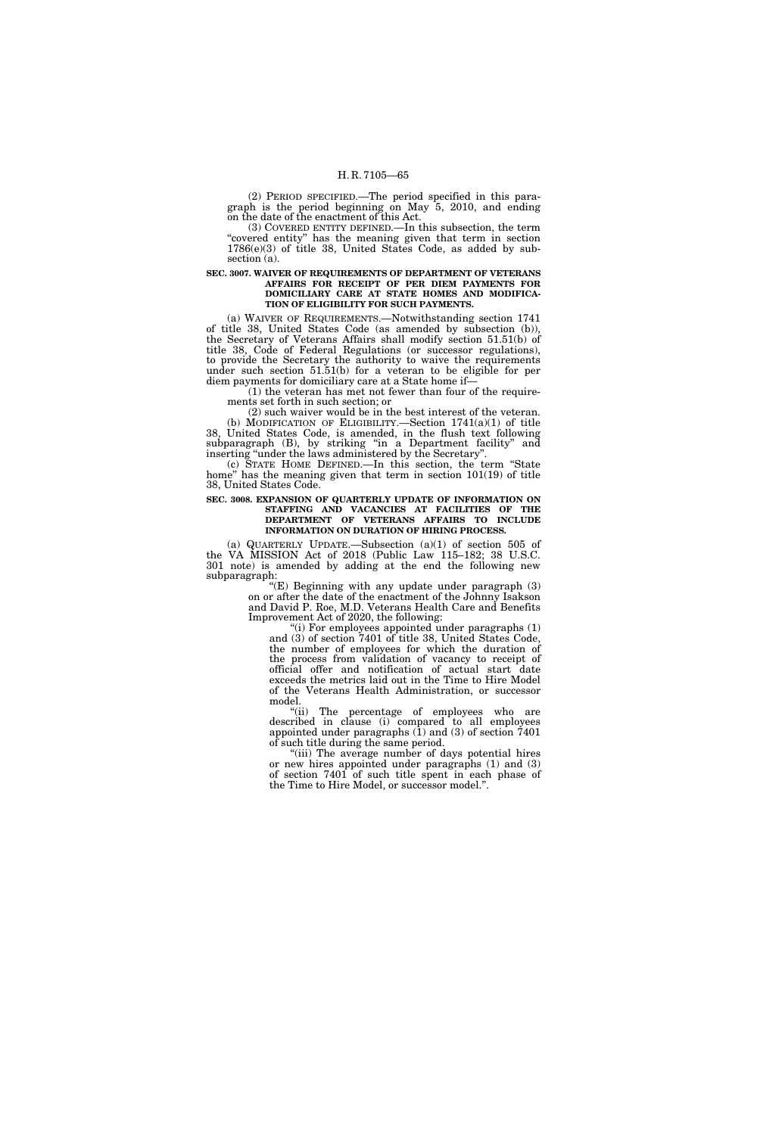(2) PERIOD SPECIFIED.—The period specified in this paragraph is the period beginning on May 5, 2010, and ending on the date of the enactment of this Act.

(3) COVERED ENTITY DEFINED.—In this subsection, the term "covered entity" has the meaning given that term in section  $1786(e)(3)$  of title 38, United States Code, as added by subsection (a).

## **SEC. 3007. WAIVER OF REQUIREMENTS OF DEPARTMENT OF VETERANS AFFAIRS FOR RECEIPT OF PER DIEM PAYMENTS FOR DOMICILIARY CARE AT STATE HOMES AND MODIFICA-TION OF ELIGIBILITY FOR SUCH PAYMENTS.**

(a) WAIVER OF REQUIREMENTS.—Notwithstanding section 1741 of title 38, United States Code (as amended by subsection (b)), the Secretary of Veterans Affairs shall modify section 51.51(b) of title 38, Code of Federal Regulations (or successor regulations), to provide the Secretary the authority to waive the requirements under such section 51.51(b) for a veteran to be eligible for per diem payments for domiciliary care at a State home if—

(1) the veteran has met not fewer than four of the requirements set forth in such section; or

(2) such waiver would be in the best interest of the veteran. (b) MODIFICATION OF ELIGIBILITY.—Section 1741(a)(1) of title 38, United States Code, is amended, in the flush text following subparagraph (B), by striking "in a Department facility" and inserting ''under the laws administered by the Secretary''.

(c) STATE HOME DEFINED.—In this section, the term ''State home'' has the meaning given that term in section 101(19) of title 38, United States Code.

## **SEC. 3008. EXPANSION OF QUARTERLY UPDATE OF INFORMATION ON STAFFING AND VACANCIES AT FACILITIES OF THE DEPARTMENT OF VETERANS AFFAIRS TO INCLUDE INFORMATION ON DURATION OF HIRING PROCESS.**

(a) QUARTERLY UPDATE.—Subsection  $(a)(1)$  of section 505 of the VA MISSION Act of 2018 (Public Law 115–182; 38 U.S.C. 301 note) is amended by adding at the end the following new subparagraph:

''(E) Beginning with any update under paragraph (3) on or after the date of the enactment of the Johnny Isakson and David P. Roe, M.D. Veterans Health Care and Benefits Improvement Act of 2020, the following:

"(i) For employees appointed under paragraphs (1) and (3) of section 7401 of title 38, United States Code, the number of employees for which the duration of the process from validation of vacancy to receipt of official offer and notification of actual start date exceeds the metrics laid out in the Time to Hire Model of the Veterans Health Administration, or successor model.

''(ii) The percentage of employees who are described in clause (i) compared to all employees appointed under paragraphs  $(1)$  and  $(3)$  of section 7401 of such title during the same period.

''(iii) The average number of days potential hires or new hires appointed under paragraphs (1) and (3) of section 7401 of such title spent in each phase of the Time to Hire Model, or successor model.''.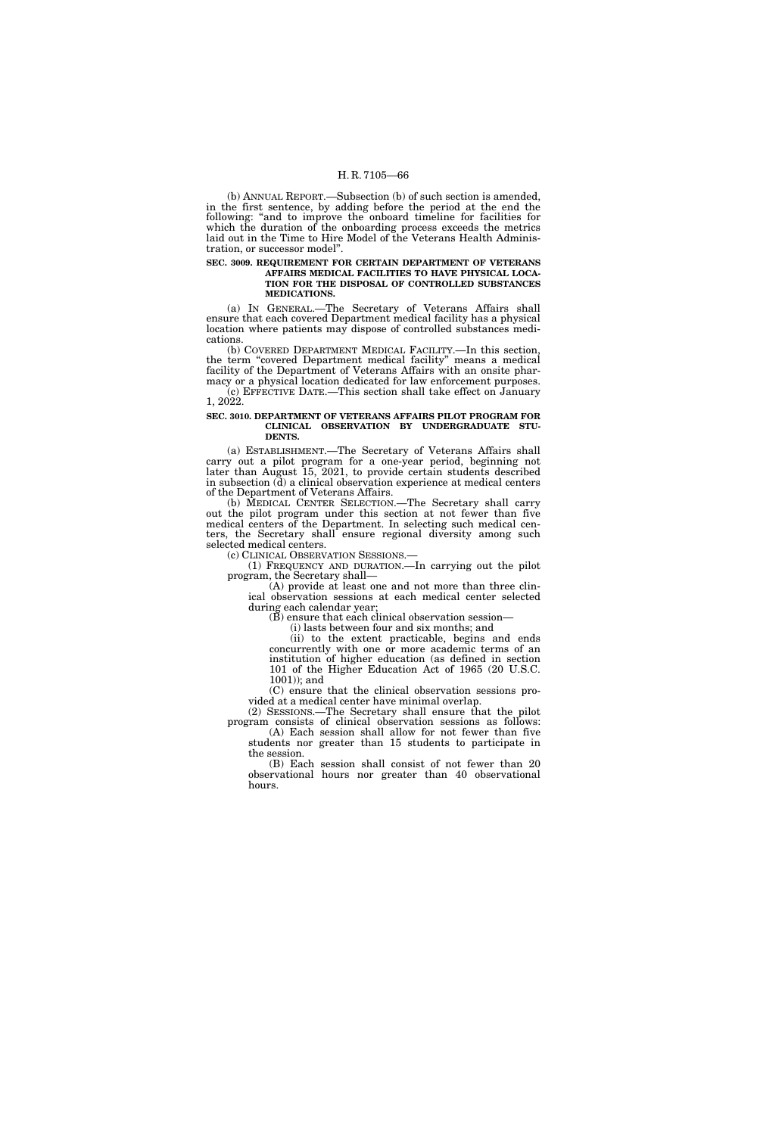(b) ANNUAL REPORT.—Subsection (b) of such section is amended, in the first sentence, by adding before the period at the end the following: "and to improve the onboard timeline for facilities for which the duration of the onboarding process exceeds the metrics laid out in the Time to Hire Model of the Veterans Health Administration, or successor model''.

# **SEC. 3009. REQUIREMENT FOR CERTAIN DEPARTMENT OF VETERANS AFFAIRS MEDICAL FACILITIES TO HAVE PHYSICAL LOCA-**

# **TION FOR THE DISPOSAL OF CONTROLLED SUBSTANCES MEDICATIONS.**

(a) IN GENERAL.—The Secretary of Veterans Affairs shall ensure that each covered Department medical facility has a physical location where patients may dispose of controlled substances medications.

(b) COVERED DEPARTMENT MEDICAL FACILITY.—In this section, the term "covered Department medical facility" means a medical facility of the Department of Veterans Affairs with an onsite pharmacy or a physical location dedicated for law enforcement purposes.

(c) EFFECTIVE DATE.—This section shall take effect on January 1, 2022.

# **SEC. 3010. DEPARTMENT OF VETERANS AFFAIRS PILOT PROGRAM FOR CLINICAL OBSERVATION BY UNDERGRADUATE STU-DENTS.**

(a) ESTABLISHMENT.—The Secretary of Veterans Affairs shall carry out a pilot program for a one-year period, beginning not later than August 15, 2021, to provide certain students described in subsection (d) a clinical observation experience at medical centers of the Department of Veterans Affairs.

(b) MEDICAL CENTER SELECTION.—The Secretary shall carry out the pilot program under this section at not fewer than five medical centers of the Department. In selecting such medical centers, the Secretary shall ensure regional diversity among such selected medical centers.<br>(c) CLINICAL OBSERVATION SESSIONS.

(1) FREQUENCY AND DURATION.—In carrying out the pilot program, the Secretary shall—

(A) provide at least one and not more than three clinical observation sessions at each medical center selected during each calendar year;

(B) ensure that each clinical observation session—

(i) lasts between four and six months; and

(ii) to the extent practicable, begins and ends concurrently with one or more academic terms of an institution of higher education (as defined in section 101 of the Higher Education Act of 1965 (20 U.S.C. 1001)); and

(C) ensure that the clinical observation sessions provided at a medical center have minimal overlap.

(2) SESSIONS.—The Secretary shall ensure that the pilot program consists of clinical observation sessions as follows: (A) Each session shall allow for not fewer than five

students nor greater than 15 students to participate in the session.

(B) Each session shall consist of not fewer than 20 observational hours nor greater than 40 observational hours.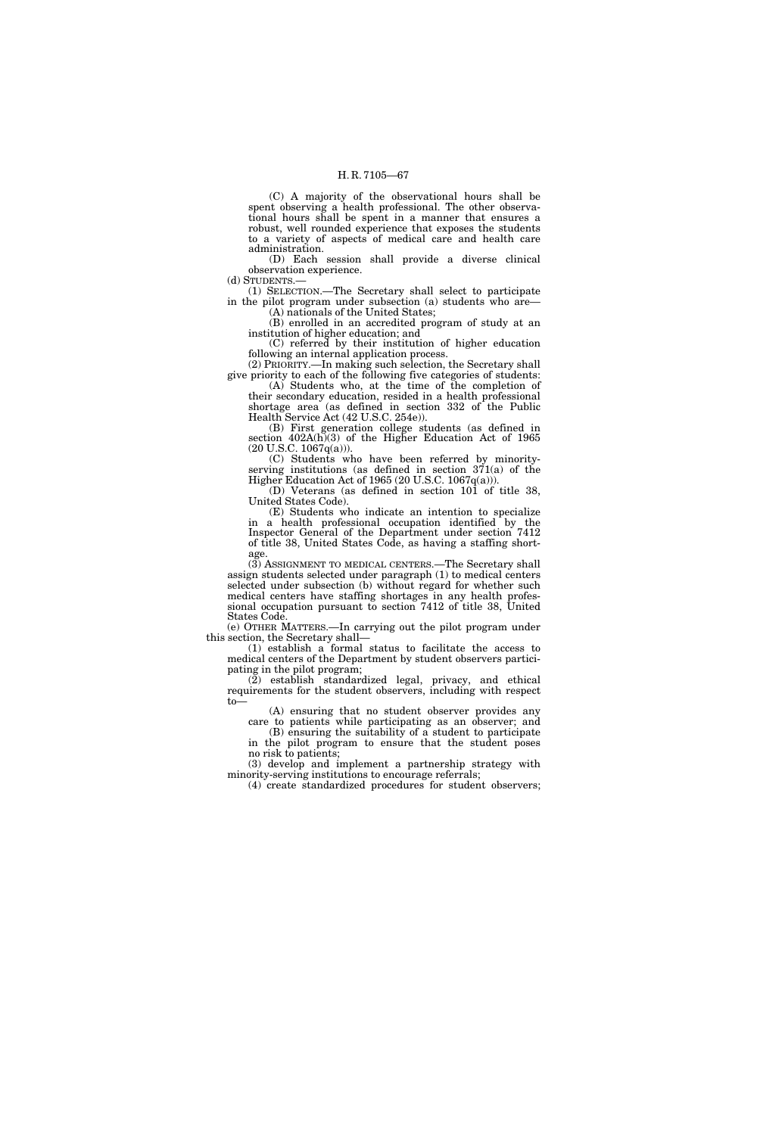(C) A majority of the observational hours shall be spent observing a health professional. The other observational hours shall be spent in a manner that ensures a robust, well rounded experience that exposes the students to a variety of aspects of medical care and health care administration.

(D) Each session shall provide a diverse clinical observation experience. (d) STUDENTS.—

(1) SELECTION.—The Secretary shall select to participate in the pilot program under subsection (a) students who are— (A) nationals of the United States;

(B) enrolled in an accredited program of study at an institution of higher education; and

(C) referred by their institution of higher education following an internal application process.

(2) PRIORITY.—In making such selection, the Secretary shall give priority to each of the following five categories of students: (A) Students who, at the time of the completion of

their secondary education, resided in a health professional shortage area (as defined in section 332 of the Public Health Service Act (42 U.S.C. 254e)).

(B) First generation college students (as defined in section  $402A(h)(3)$  of the Higher Education Act of 1965 (20 U.S.C. 1067q(a))).

(C) Students who have been referred by minorityserving institutions (as defined in section 371(a) of the Higher Education Act of 1965 (20 U.S.C. 1067q(a))).

(D) Veterans (as defined in section 101 of title 38, United States Code).

(E) Students who indicate an intention to specialize in a health professional occupation identified by the Inspector General of the Department under section 7412 of title 38, United States Code, as having a staffing shortage.

(3) ASSIGNMENT TO MEDICAL CENTERS.—The Secretary shall assign students selected under paragraph (1) to medical centers selected under subsection (b) without regard for whether such medical centers have staffing shortages in any health professional occupation pursuant to section 7412 of title 38, United States Code.

(e) OTHER MATTERS.—In carrying out the pilot program under this section, the Secretary shall—

(1) establish a formal status to facilitate the access to medical centers of the Department by student observers participating in the pilot program;

 $(2)$  establish standardized legal, privacy, and ethical requirements for the student observers, including with respect to—

(A) ensuring that no student observer provides any care to patients while participating as an observer; and

(B) ensuring the suitability of a student to participate in the pilot program to ensure that the student poses no risk to patients;

(3) develop and implement a partnership strategy with minority-serving institutions to encourage referrals;

(4) create standardized procedures for student observers;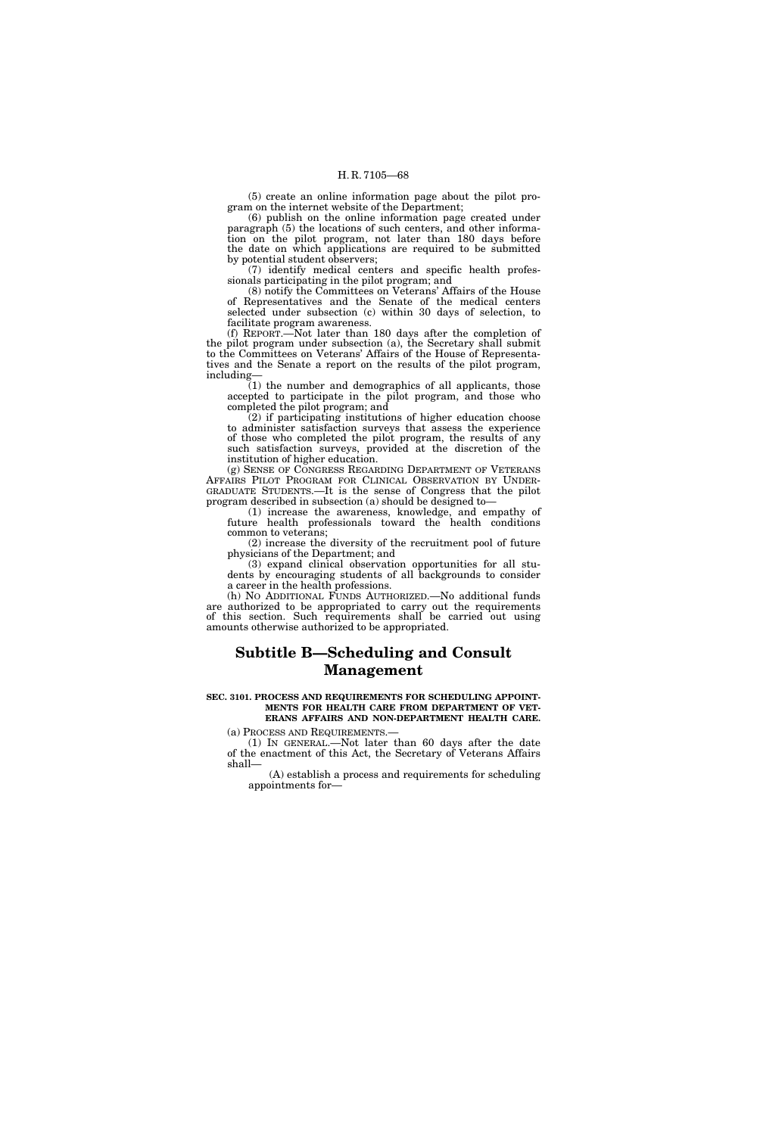(5) create an online information page about the pilot program on the internet website of the Department;

(6) publish on the online information page created under paragraph (5) the locations of such centers, and other information on the pilot program, not later than 180 days before the date on which applications are required to be submitted by potential student observers;

(7) identify medical centers and specific health professionals participating in the pilot program; and

(8) notify the Committees on Veterans' Affairs of the House of Representatives and the Senate of the medical centers selected under subsection (c) within 30 days of selection, to facilitate program awareness.

(f) REPORT.—Not later than 180 days after the completion of the pilot program under subsection (a), the Secretary shall submit to the Committees on Veterans' Affairs of the House of Representatives and the Senate a report on the results of the pilot program, including—

(1) the number and demographics of all applicants, those accepted to participate in the pilot program, and those who completed the pilot program; and

(2) if participating institutions of higher education choose to administer satisfaction surveys that assess the experience of those who completed the pilot program, the results of any such satisfaction surveys, provided at the discretion of the institution of higher education.

(g) SENSE OF CONGRESS REGARDING DEPARTMENT OF VETERANS AFFAIRS PILOT PROGRAM FOR CLINICAL OBSERVATION BY UNDER-GRADUATE STUDENTS.—It is the sense of Congress that the pilot program described in subsection (a) should be designed to—

(1) increase the awareness, knowledge, and empathy of future health professionals toward the health conditions common to veterans;

(2) increase the diversity of the recruitment pool of future physicians of the Department; and

(3) expand clinical observation opportunities for all students by encouraging students of all backgrounds to consider a career in the health professions.

(h) NO ADDITIONAL FUNDS AUTHORIZED.—No additional funds are authorized to be appropriated to carry out the requirements of this section. Such requirements shall be carried out using amounts otherwise authorized to be appropriated.

# **Subtitle B—Scheduling and Consult Management**

#### **SEC. 3101. PROCESS AND REQUIREMENTS FOR SCHEDULING APPOINT-MENTS FOR HEALTH CARE FROM DEPARTMENT OF VET-ERANS AFFAIRS AND NON-DEPARTMENT HEALTH CARE.**

(a) PROCESS AND REQUIREMENTS.—

(1) IN GENERAL.—Not later than 60 days after the date of the enactment of this Act, the Secretary of Veterans Affairs shall—

(A) establish a process and requirements for scheduling appointments for—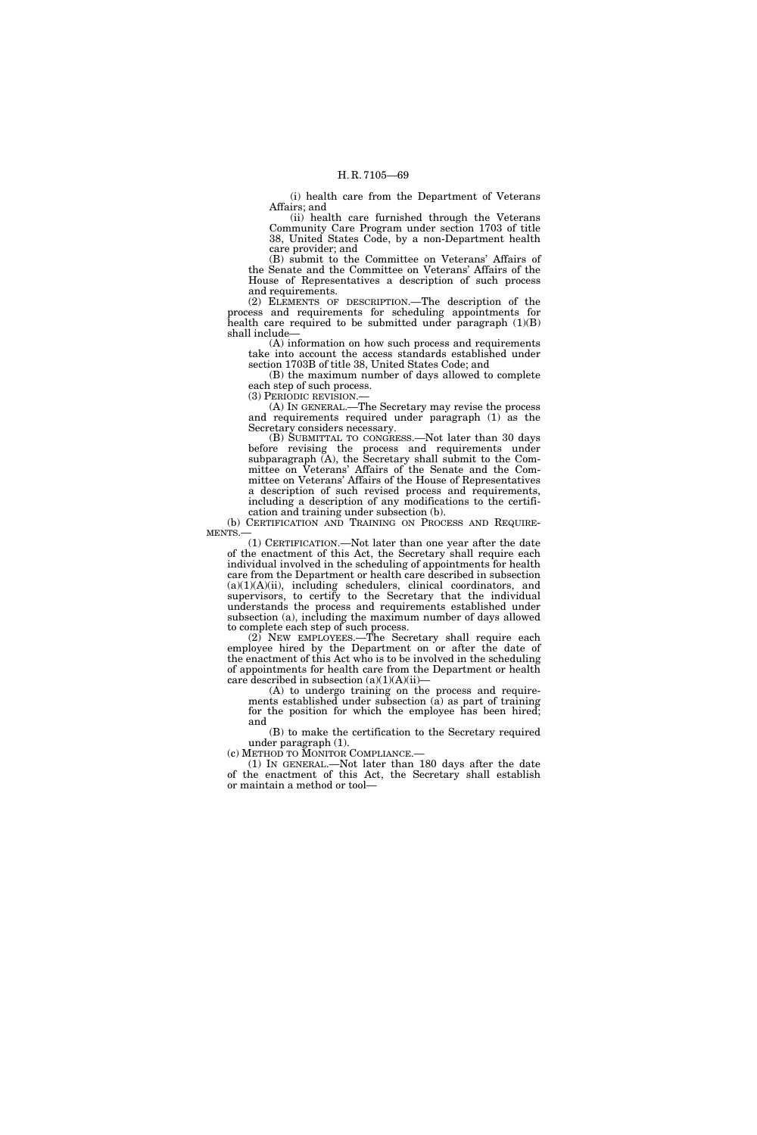(i) health care from the Department of Veterans Affairs; and

(ii) health care furnished through the Veterans Community Care Program under section 1703 of title 38, United States Code, by a non-Department health care provider; and

(B) submit to the Committee on Veterans' Affairs of the Senate and the Committee on Veterans' Affairs of the House of Representatives a description of such process and requirements.

(2) ELEMENTS OF DESCRIPTION.—The description of the process and requirements for scheduling appointments for health care required to be submitted under paragraph  $(1)(B)$ shall include—

(A) information on how such process and requirements take into account the access standards established under section 1703B of title 38, United States Code; and

(B) the maximum number of days allowed to complete each step of such process.

(3) PERIODIC REVISION.—

(A) IN GENERAL.—The Secretary may revise the process and requirements required under paragraph (1) as the Secretary considers necessary.

(B) SUBMITTAL TO CONGRESS.—Not later than 30 days before revising the process and requirements under subparagraph (A), the Secretary shall submit to the Committee on Veterans' Affairs of the Senate and the Committee on Veterans' Affairs of the House of Representatives a description of such revised process and requirements, including a description of any modifications to the certification and training under subsection (b).

(b) CERTIFICATION AND TRAINING ON PROCESS AND REQUIRE-**MENTS** 

(1) CERTIFICATION.—Not later than one year after the date of the enactment of this Act, the Secretary shall require each individual involved in the scheduling of appointments for health care from the Department or health care described in subsection (a)(1)(A)(ii), including schedulers, clinical coordinators, and supervisors, to certify to the Secretary that the individual understands the process and requirements established under subsection (a), including the maximum number of days allowed to complete each step of such process.

(2) NEW EMPLOYEES.—The Secretary shall require each employee hired by the Department on or after the date of the enactment of this Act who is to be involved in the scheduling of appointments for health care from the Department or health care described in subsection  $(a)(1)(A)(ii)$ 

(A) to undergo training on the process and requirements established under subsection (a) as part of training for the position for which the employee has been hired; and

(B) to make the certification to the Secretary required under paragraph (1).<br>(c) METHOD TO MONITOR COMPLIANCE.—

(c) METHOD TO MONITOR COMPLIANCE.— (1) IN GENERAL.—Not later than 180 days after the date of the enactment of this Act, the Secretary shall establish or maintain a method or tool—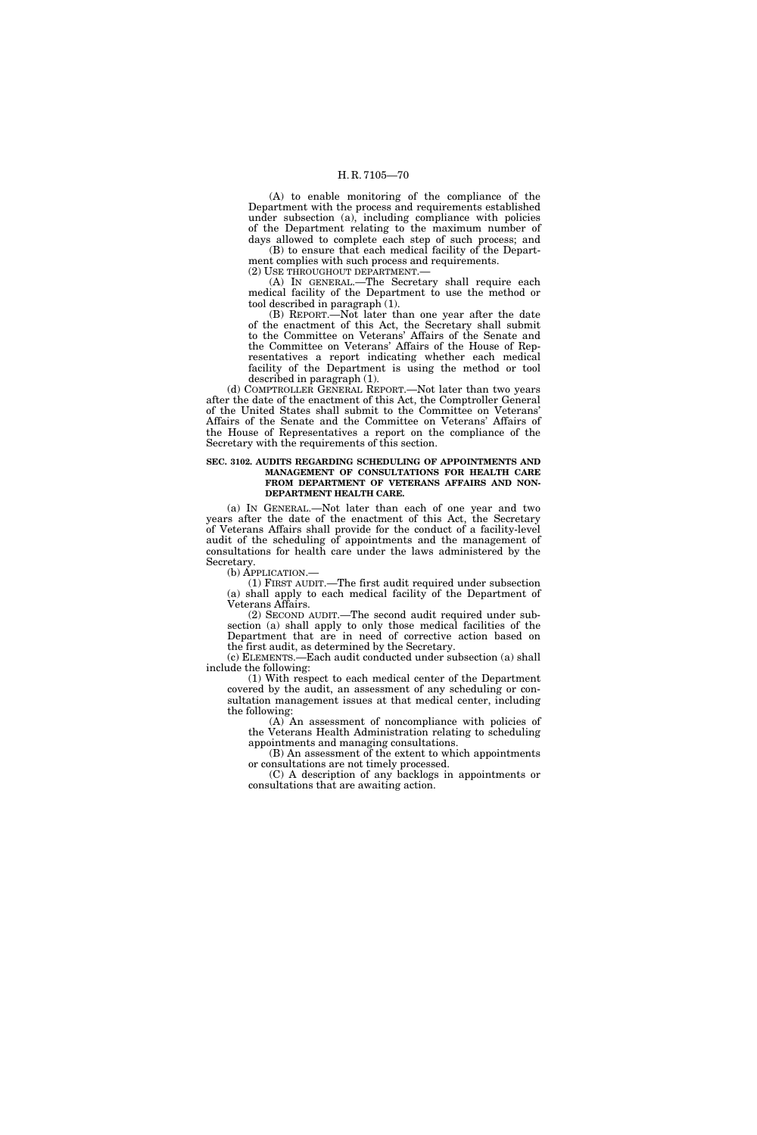(A) to enable monitoring of the compliance of the Department with the process and requirements established under subsection (a), including compliance with policies of the Department relating to the maximum number of days allowed to complete each step of such process; and

(B) to ensure that each medical facility of the Department complies with such process and requirements. (2) USE THROUGHOUT DEPARTMENT.—

(A) IN GENERAL.—The Secretary shall require each

medical facility of the Department to use the method or tool described in paragraph (1).

(B) REPORT.—Not later than one year after the date of the enactment of this Act, the Secretary shall submit to the Committee on Veterans' Affairs of the Senate and the Committee on Veterans' Affairs of the House of Representatives a report indicating whether each medical facility of the Department is using the method or tool described in paragraph (1).

(d) COMPTROLLER GENERAL REPORT.—Not later than two years after the date of the enactment of this Act, the Comptroller General of the United States shall submit to the Committee on Veterans' Affairs of the Senate and the Committee on Veterans' Affairs of the House of Representatives a report on the compliance of the Secretary with the requirements of this section.

### **SEC. 3102. AUDITS REGARDING SCHEDULING OF APPOINTMENTS AND MANAGEMENT OF CONSULTATIONS FOR HEALTH CARE FROM DEPARTMENT OF VETERANS AFFAIRS AND NON-DEPARTMENT HEALTH CARE.**

(a) IN GENERAL.—Not later than each of one year and two years after the date of the enactment of this Act, the Secretary of Veterans Affairs shall provide for the conduct of a facility-level audit of the scheduling of appointments and the management of consultations for health care under the laws administered by the Secretary.

(b) APPLICATION.—

(1) FIRST AUDIT.—The first audit required under subsection (a) shall apply to each medical facility of the Department of Veterans Affairs.

(2) SECOND AUDIT.—The second audit required under subsection (a) shall apply to only those medical facilities of the Department that are in need of corrective action based on the first audit, as determined by the Secretary.

(c) ELEMENTS.—Each audit conducted under subsection (a) shall include the following:

(1) With respect to each medical center of the Department covered by the audit, an assessment of any scheduling or consultation management issues at that medical center, including the following:

(A) An assessment of noncompliance with policies of the Veterans Health Administration relating to scheduling

appointments and managing consultations. (B) An assessment of the extent to which appointments or consultations are not timely processed.

(C) A description of any backlogs in appointments or consultations that are awaiting action.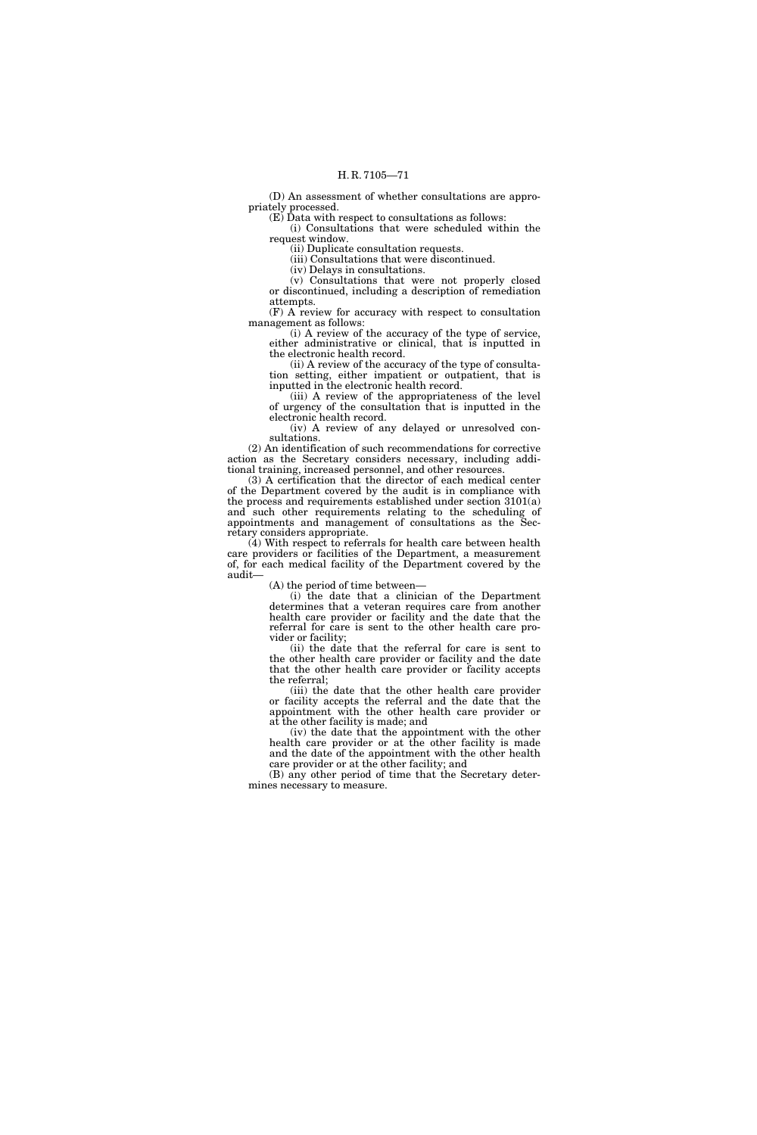(D) An assessment of whether consultations are appropriately processed.

(E) Data with respect to consultations as follows: (i) Consultations that were scheduled within the request window.

(ii) Duplicate consultation requests.

(iii) Consultations that were discontinued.

(iv) Delays in consultations.

(v) Consultations that were not properly closed or discontinued, including a description of remediation attempts.

(F) A review for accuracy with respect to consultation management as follows:

(i) A review of the accuracy of the type of service, either administrative or clinical, that is inputted in the electronic health record.

(ii) A review of the accuracy of the type of consultation setting, either impatient or outpatient, that is inputted in the electronic health record.

(iii) A review of the appropriateness of the level of urgency of the consultation that is inputted in the electronic health record.

(iv) A review of any delayed or unresolved consultations.

(2) An identification of such recommendations for corrective action as the Secretary considers necessary, including additional training, increased personnel, and other resources.

(3) A certification that the director of each medical center of the Department covered by the audit is in compliance with the process and requirements established under section 3101(a) and such other requirements relating to the scheduling of appointments and management of consultations as the Secretary considers appropriate.

(4) With respect to referrals for health care between health care providers or facilities of the Department, a measurement of, for each medical facility of the Department covered by the audit—

(A) the period of time between—

(i) the date that a clinician of the Department determines that a veteran requires care from another health care provider or facility and the date that the referral for care is sent to the other health care provider or facility;

(ii) the date that the referral for care is sent to the other health care provider or facility and the date that the other health care provider or facility accepts the referral;

(iii) the date that the other health care provider or facility accepts the referral and the date that the appointment with the other health care provider or at the other facility is made; and

(iv) the date that the appointment with the other health care provider or at the other facility is made and the date of the appointment with the other health care provider or at the other facility; and

(B) any other period of time that the Secretary determines necessary to measure.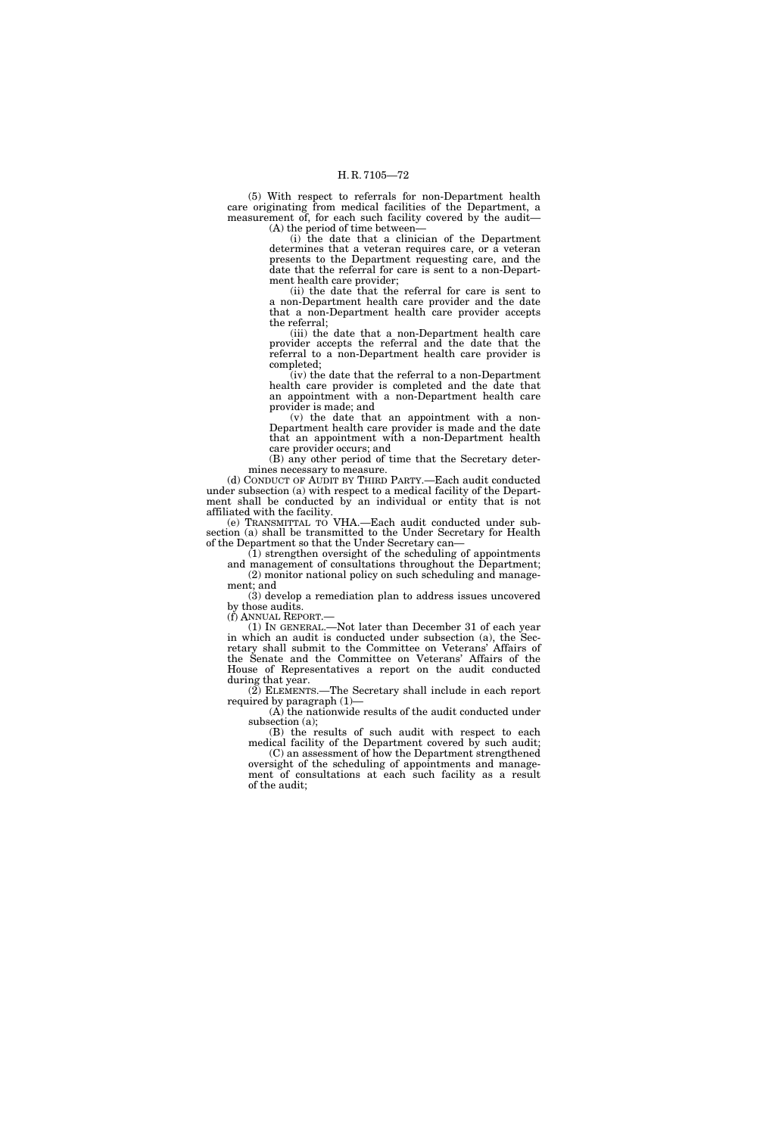(5) With respect to referrals for non-Department health care originating from medical facilities of the Department, a measurement of, for each such facility covered by the audit— (A) the period of time between—

(i) the date that a clinician of the Department determines that a veteran requires care, or a veteran presents to the Department requesting care, and the date that the referral for care is sent to a non-Department health care provider;

(ii) the date that the referral for care is sent to a non-Department health care provider and the date that a non-Department health care provider accepts the referral;

(iii) the date that a non-Department health care provider accepts the referral and the date that the referral to a non-Department health care provider is completed;

(iv) the date that the referral to a non-Department health care provider is completed and the date that an appointment with a non-Department health care provider is made; and

(v) the date that an appointment with a non-Department health care provider is made and the date that an appointment with a non-Department health care provider occurs; and

(B) any other period of time that the Secretary determines necessary to measure.

(d) CONDUCT OF AUDIT BY THIRD PARTY.—Each audit conducted under subsection (a) with respect to a medical facility of the Department shall be conducted by an individual or entity that is not affiliated with the facility.

(e) TRANSMITTAL TO VHA.—Each audit conducted under subsection (a) shall be transmitted to the Under Secretary for Health of the Department so that the Under Secretary can—

(1) strengthen oversight of the scheduling of appointments and management of consultations throughout the Department; (2) monitor national policy on such scheduling and management; and

(3) develop a remediation plan to address issues uncovered by those audits.

(f) ANNUAL REPORT.—

(1) IN GENERAL.—Not later than December 31 of each year in which an audit is conducted under subsection (a), the Secretary shall submit to the Committee on Veterans' Affairs of the Senate and the Committee on Veterans' Affairs of the House of Representatives a report on the audit conducted during that year.

(2) ELEMENTS.—The Secretary shall include in each report required by paragraph (1)—

(A) the nationwide results of the audit conducted under subsection (a);

(B) the results of such audit with respect to each medical facility of the Department covered by such audit;

(C) an assessment of how the Department strengthened oversight of the scheduling of appointments and management of consultations at each such facility as a result of the audit;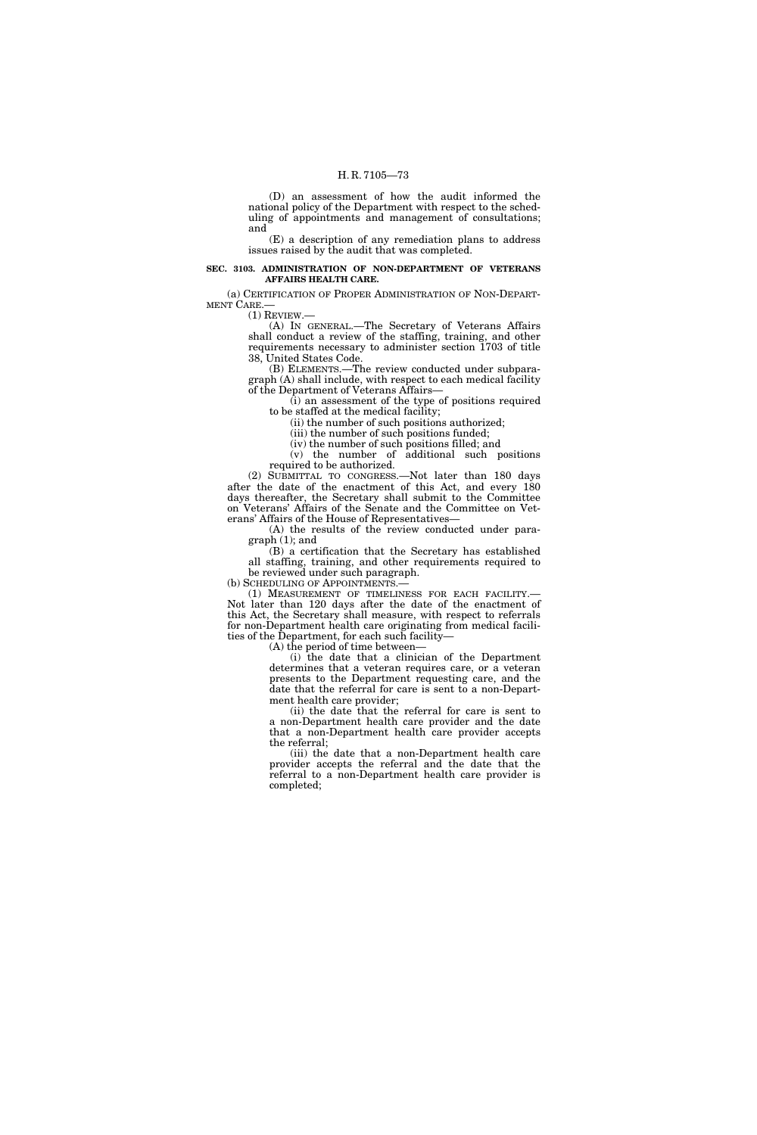(D) an assessment of how the audit informed the national policy of the Department with respect to the scheduling of appointments and management of consultations; and

(E) a description of any remediation plans to address issues raised by the audit that was completed.

# **SEC. 3103. ADMINISTRATION OF NON-DEPARTMENT OF VETERANS AFFAIRS HEALTH CARE.**

(a) CERTIFICATION OF PROPER ADMINISTRATION OF NON-DEPART-MENT CARE.—

 $(1)$  REVIEW.

(A) IN GENERAL.—The Secretary of Veterans Affairs shall conduct a review of the staffing, training, and other requirements necessary to administer section 1703 of title 38, United States Code.

(B) ELEMENTS.—The review conducted under subparagraph (A) shall include, with respect to each medical facility of the Department of Veterans Affairs—

 $(i)$  an assessment of the type of positions required to be staffed at the medical facility;

(ii) the number of such positions authorized;

(iii) the number of such positions funded;

(iv) the number of such positions filled; and (v) the number of additional such positions

required to be authorized. (2) SUBMITTAL TO CONGRESS.—Not later than 180 days after the date of the enactment of this Act, and every 180 days thereafter, the Secretary shall submit to the Committee on Veterans' Affairs of the Senate and the Committee on Veterans' Affairs of the House of Representatives—

(A) the results of the review conducted under paragraph (1); and

(B) a certification that the Secretary has established all staffing, training, and other requirements required to be reviewed under such paragraph.

(b) SCHEDULING OF APPOINTMENTS.—

(1) MEASUREMENT OF TIMELINESS FOR EACH FACILITY.— Not later than 120 days after the date of the enactment of this Act, the Secretary shall measure, with respect to referrals for non-Department health care originating from medical facilities of the Department, for each such facility—

(A) the period of time between—

(i) the date that a clinician of the Department determines that a veteran requires care, or a veteran presents to the Department requesting care, and the date that the referral for care is sent to a non-Department health care provider;

(ii) the date that the referral for care is sent to a non-Department health care provider and the date that a non-Department health care provider accepts the referral;

(iii) the date that a non-Department health care provider accepts the referral and the date that the referral to a non-Department health care provider is completed;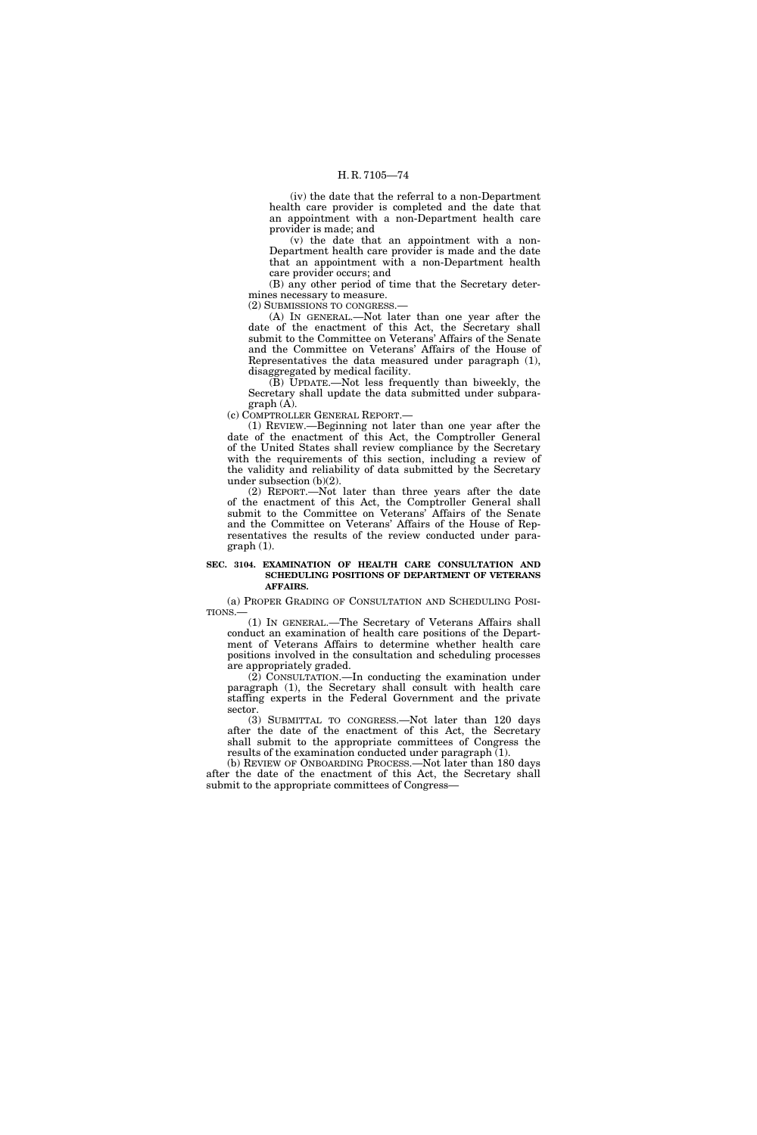(iv) the date that the referral to a non-Department health care provider is completed and the date that an appointment with a non-Department health care provider is made; and

(v) the date that an appointment with a non-Department health care provider is made and the date that an appointment with a non-Department health care provider occurs; and

(B) any other period of time that the Secretary determines necessary to measure.

(2) SUBMISSIONS TO CONGRESS.—

(A) IN GENERAL.—Not later than one year after the date of the enactment of this Act, the Secretary shall submit to the Committee on Veterans' Affairs of the Senate and the Committee on Veterans' Affairs of the House of Representatives the data measured under paragraph (1), disaggregated by medical facility.

(B) UPDATE.—Not less frequently than biweekly, the Secretary shall update the data submitted under subparagraph (A).

(c) COMPTROLLER GENERAL REPORT.—

(1) REVIEW.—Beginning not later than one year after the date of the enactment of this Act, the Comptroller General of the United States shall review compliance by the Secretary with the requirements of this section, including a review of the validity and reliability of data submitted by the Secretary under subsection (b)(2).

(2) REPORT.—Not later than three years after the date of the enactment of this Act, the Comptroller General shall submit to the Committee on Veterans' Affairs of the Senate and the Committee on Veterans' Affairs of the House of Representatives the results of the review conducted under paragraph (1).

### **SEC. 3104. EXAMINATION OF HEALTH CARE CONSULTATION AND SCHEDULING POSITIONS OF DEPARTMENT OF VETERANS AFFAIRS.**

(a) PROPER GRADING OF CONSULTATION AND SCHEDULING POSI-TIONS.—

(1) IN GENERAL.—The Secretary of Veterans Affairs shall conduct an examination of health care positions of the Department of Veterans Affairs to determine whether health care positions involved in the consultation and scheduling processes are appropriately graded.

 $(2)$  CONSULTATION.—In conducting the examination under paragraph (1), the Secretary shall consult with health care staffing experts in the Federal Government and the private sector.

(3) SUBMITTAL TO CONGRESS.—Not later than 120 days after the date of the enactment of this Act, the Secretary shall submit to the appropriate committees of Congress the results of the examination conducted under paragraph (1).

(b) REVIEW OF ONBOARDING PROCESS.—Not later than 180 days after the date of the enactment of this Act, the Secretary shall submit to the appropriate committees of Congress—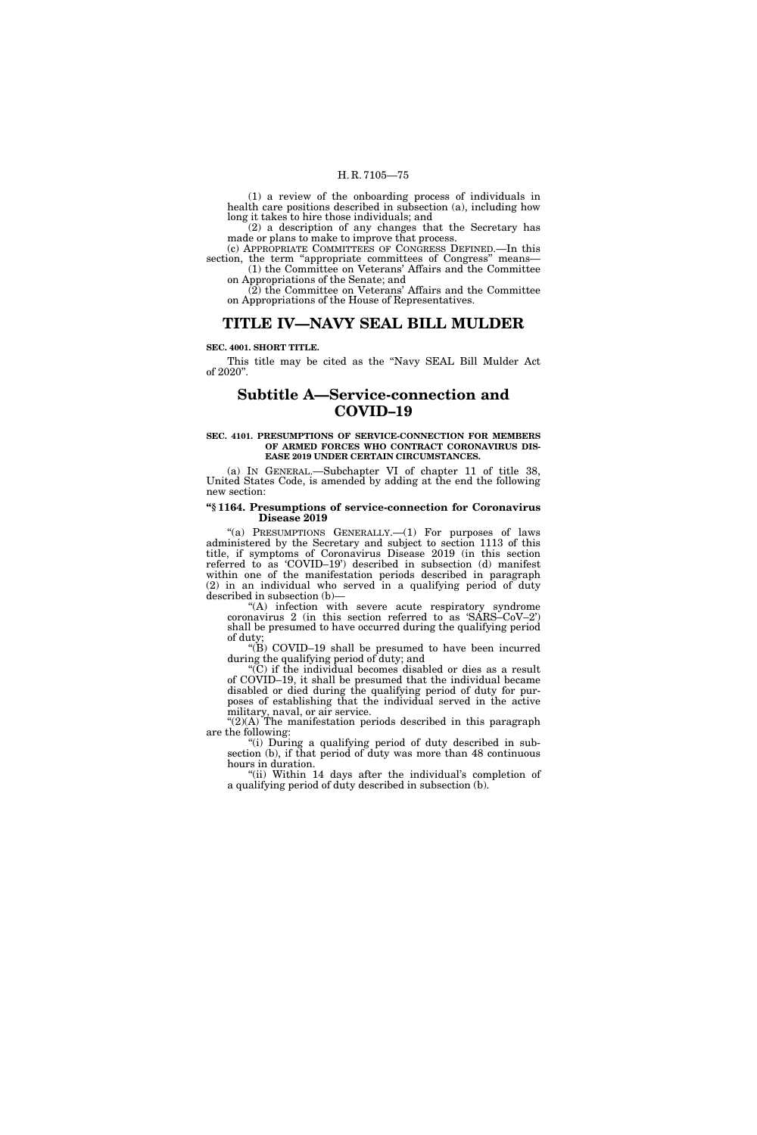(1) a review of the onboarding process of individuals in health care positions described in subsection (a), including how long it takes to hire those individuals; and

(2) a description of any changes that the Secretary has made or plans to make to improve that process.

(c) APPROPRIATE COMMITTEES OF CONGRESS DEFINED.—In this section, the term "appropriate committees of Congress" means— (1) the Committee on Veterans' Affairs and the Committee

on Appropriations of the Senate; and (2) the Committee on Veterans' Affairs and the Committee on Appropriations of the House of Representatives.

# **TITLE IV—NAVY SEAL BILL MULDER**

### **SEC. 4001. SHORT TITLE.**

This title may be cited as the ''Navy SEAL Bill Mulder Act of 2020''.

# **Subtitle A—Service-connection and COVID–19**

### **SEC. 4101. PRESUMPTIONS OF SERVICE-CONNECTION FOR MEMBERS OF ARMED FORCES WHO CONTRACT CORONAVIRUS DIS-EASE 2019 UNDER CERTAIN CIRCUMSTANCES.**

(a) IN GENERAL.—Subchapter VI of chapter 11 of title 38, United States Code, is amended by adding at the end the following new section:

### **''§ 1164. Presumptions of service-connection for Coronavirus Disease 2019**

"(a) PRESUMPTIONS GENERALLY. $-(1)$  For purposes of laws administered by the Secretary and subject to section 1113 of this title, if symptoms of Coronavirus Disease 2019 (in this section referred to as 'COVID–19') described in subsection (d) manifest within one of the manifestation periods described in paragraph (2) in an individual who served in a qualifying period of duty described in subsection (b)—

"(A) infection with severe acute respiratory syndrome coronavirus 2 (in this section referred to as 'SARS–CoV–2') shall be presumed to have occurred during the qualifying period of duty;

''(B) COVID–19 shall be presumed to have been incurred during the qualifying period of duty; and

''(C) if the individual becomes disabled or dies as a result of COVID–19, it shall be presumed that the individual became disabled or died during the qualifying period of duty for purposes of establishing that the individual served in the active military, naval, or air service.

" $(2)(A)$  The manifestation periods described in this paragraph are the following:

''(i) During a qualifying period of duty described in subsection (b), if that period of duty was more than 48 continuous hours in duration.

"(ii) Within 14 days after the individual's completion of a qualifying period of duty described in subsection (b).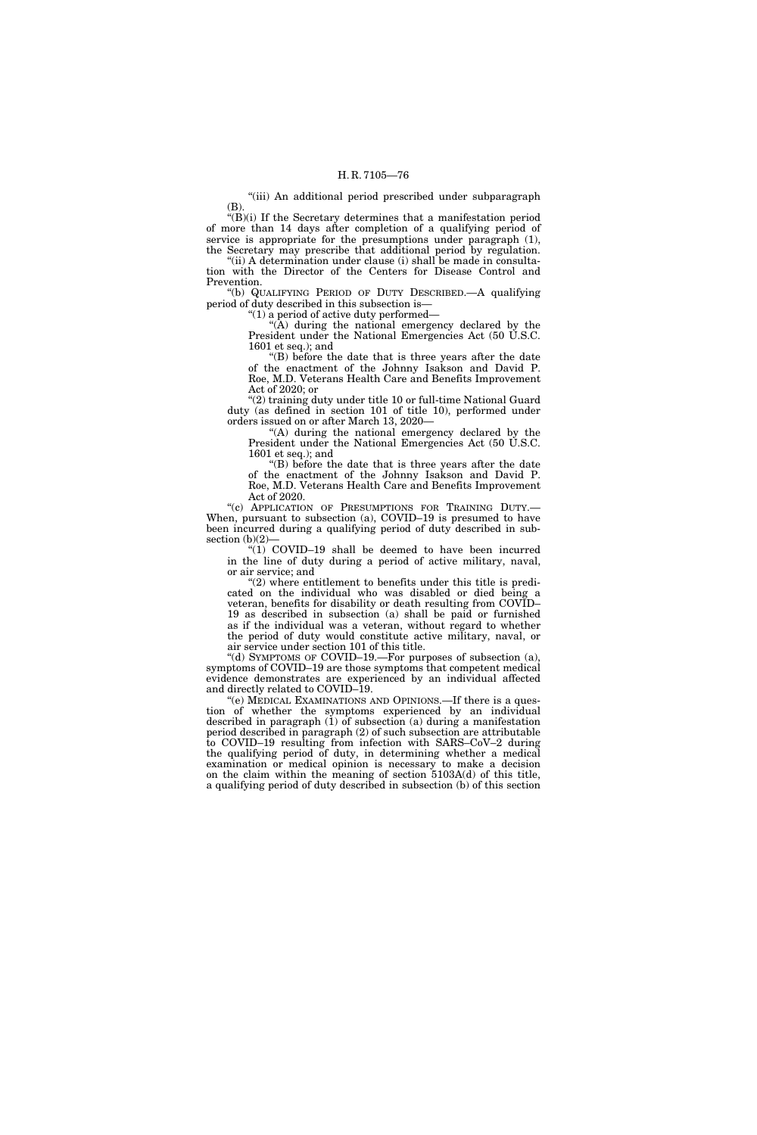"(iii) An additional period prescribed under subparagraph (B).

 $'(B)(i)$  If the Secretary determines that a manifestation period of more than 14 days after completion of a qualifying period of service is appropriate for the presumptions under paragraph (1), the Secretary may prescribe that additional period by regulation.

"(ii) A determination under clause (i) shall be made in consultation with the Director of the Centers for Disease Control and Prevention.

''(b) QUALIFYING PERIOD OF DUTY DESCRIBED.—A qualifying period of duty described in this subsection is—

''(1) a period of active duty performed—

" $(A)$  during the national emergency declared by the President under the National Emergencies Act (50 U.S.C. 1601 et seq.); and

''(B) before the date that is three years after the date of the enactment of the Johnny Isakson and David P. Roe, M.D. Veterans Health Care and Benefits Improvement Act of 2020; or

''(2) training duty under title 10 or full-time National Guard duty (as defined in section 101 of title 10), performed under orders issued on or after March 13, 2020—

"(A) during the national emergency declared by the President under the National Emergencies Act (50 U.S.C. 1601 et seq.); and

''(B) before the date that is three years after the date of the enactment of the Johnny Isakson and David P. Roe, M.D. Veterans Health Care and Benefits Improvement Act of 2020.

"(c) APPLICATION OF PRESUMPTIONS FOR TRAINING DUTY.-When, pursuant to subsection (a), COVID–19 is presumed to have been incurred during a qualifying period of duty described in subsection  $(b)(2)$ –

 $''(1)$  COVID-19 shall be deemed to have been incurred in the line of duty during a period of active military, naval, or air service; and

 $''(2)$  where entitlement to benefits under this title is predicated on the individual who was disabled or died being a veteran, benefits for disability or death resulting from COVID– 19 as described in subsection (a) shall be paid or furnished as if the individual was a veteran, without regard to whether the period of duty would constitute active military, naval, or air service under section 101 of this title.

''(d) SYMPTOMS OF COVID–19.—For purposes of subsection (a), symptoms of COVID–19 are those symptoms that competent medical evidence demonstrates are experienced by an individual affected and directly related to COVID–19.

"(e) MEDICAL EXAMINATIONS AND OPINIONS.—If there is a question of whether the symptoms experienced by an individual described in paragraph (1) of subsection (a) during a manifestation period described in paragraph (2) of such subsection are attributable to COVID–19 resulting from infection with SARS–CoV–2 during the qualifying period of duty, in determining whether a medical examination or medical opinion is necessary to make a decision on the claim within the meaning of section 5103A(d) of this title, a qualifying period of duty described in subsection (b) of this section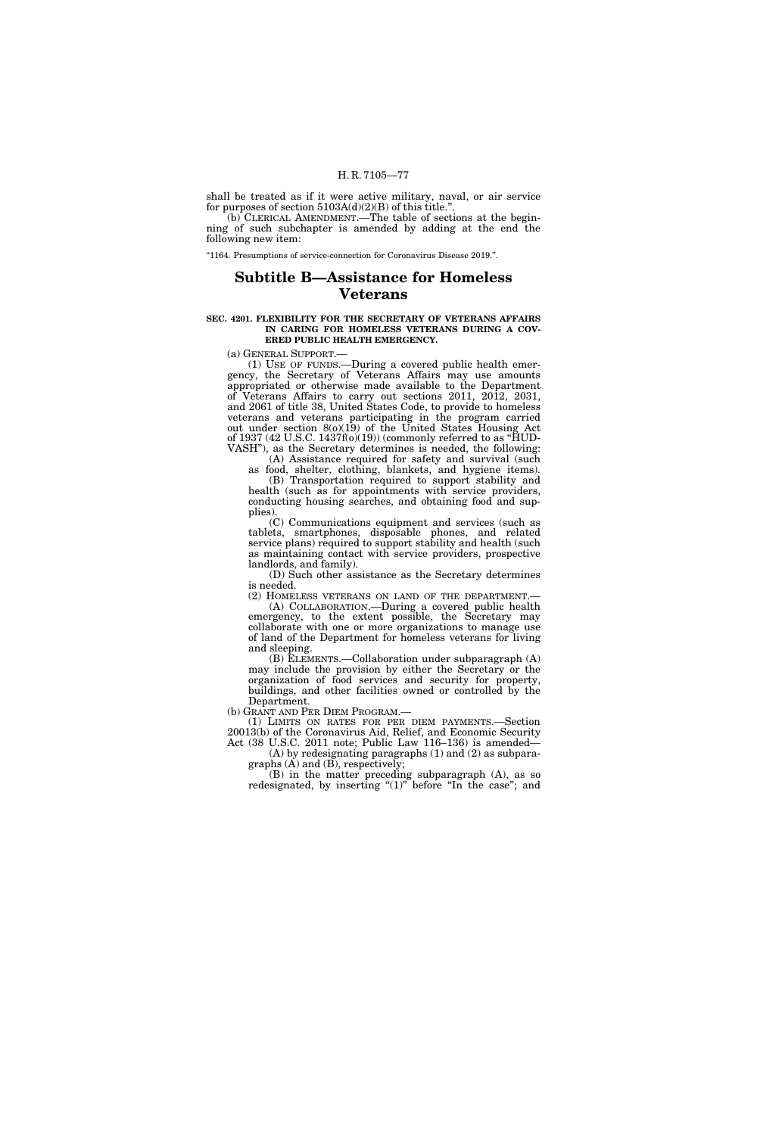shall be treated as if it were active military, naval, or air service for purposes of section  $5103A(d)(2)(B)$  of this title."

(b) CLERICAL AMENDMENT.—The table of sections at the beginning of such subchapter is amended by adding at the end the following new item:

''1164. Presumptions of service-connection for Coronavirus Disease 2019.''.

# **Subtitle B—Assistance for Homeless Veterans**

### **SEC. 4201. FLEXIBILITY FOR THE SECRETARY OF VETERANS AFFAIRS IN CARING FOR HOMELESS VETERANS DURING A COV-ERED PUBLIC HEALTH EMERGENCY.**

(a) GENERAL SUPPORT.—

(1) USE OF FUNDS.—During a covered public health emergency, the Secretary of Veterans Affairs may use amounts appropriated or otherwise made available to the Department of Veterans Affairs to carry out sections 2011, 2012, 2031, and 2061 of title 38, United States Code, to provide to homeless veterans and veterans participating in the program carried out under section 8(o)(19) of the United States Housing Act of 1937 (42 U.S.C. 1437f( $o(19)$ ) (commonly referred to as "HUD-VASH''), as the Secretary determines is needed, the following:

(A) Assistance required for safety and survival (such as food, shelter, clothing, blankets, and hygiene items).

(B) Transportation required to support stability and health (such as for appointments with service providers, conducting housing searches, and obtaining food and supplies).

(C) Communications equipment and services (such as tablets, smartphones, disposable phones, and related service plans) required to support stability and health (such as maintaining contact with service providers, prospective landlords, and family).

(D) Such other assistance as the Secretary determines is needed.

(2) HOMELESS VETERANS ON LAND OF THE DEPARTMENT.— (A) COLLABORATION.—During a covered public health emergency, to the extent possible, the Secretary may collaborate with one or more organizations to manage use of land of the Department for homeless veterans for living and sleeping.

(B) ELEMENTS.—Collaboration under subparagraph (A) may include the provision by either the Secretary or the organization of food services and security for property, buildings, and other facilities owned or controlled by the Department.

(b) GRANT AND PER DIEM PROGRAM.—

(1) LIMITS ON RATES FOR PER DIEM PAYMENTS.—Section 20013(b) of the Coronavirus Aid, Relief, and Economic Security Act (38 U.S.C. 2011 note; Public Law 116–136) is amended—

(A) by redesignating paragraphs (1) and (2) as subparagraphs  $(A)$  and  $(B)$ , respectively;

(B) in the matter preceding subparagraph (A), as so redesignated, by inserting " $(1)$ " before "In the case"; and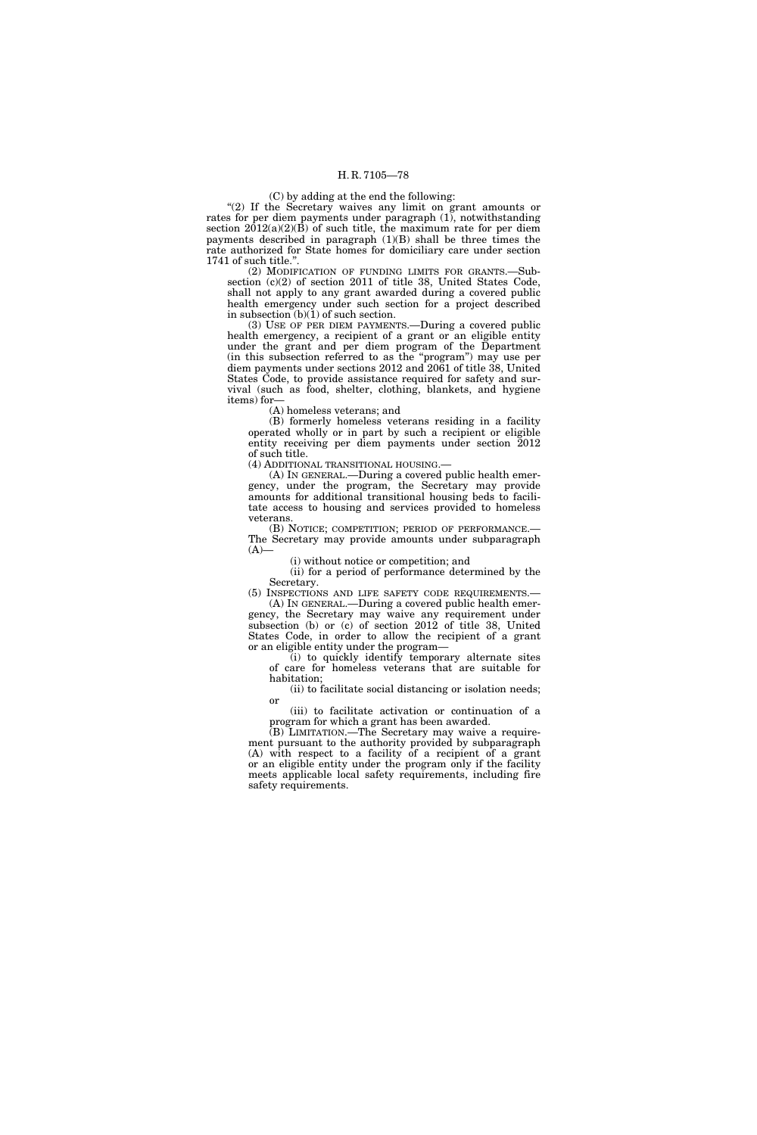# (C) by adding at the end the following:

"(2) If the Secretary waives any limit on grant amounts or rates for per diem payments under paragraph (1), notwithstanding section  $2012(a)(2)(B)$  of such title, the maximum rate for per diem payments described in paragraph  $(1)(B)$  shall be three times the rate authorized for State homes for domiciliary care under section 1741 of such title.''.

(2) MODIFICATION OF FUNDING LIMITS FOR GRANTS.—Subsection (c)(2) of section 2011 of title 38, United States Code, shall not apply to any grant awarded during a covered public health emergency under such section for a project described in subsection (b)(1) of such section.

(3) USE OF PER DIEM PAYMENTS.—During a covered public health emergency, a recipient of a grant or an eligible entity under the grant and per diem program of the Department (in this subsection referred to as the ''program'') may use per diem payments under sections 2012 and 2061 of title 38, United States Code, to provide assistance required for safety and survival (such as food, shelter, clothing, blankets, and hygiene items) for—

(A) homeless veterans; and

(B) formerly homeless veterans residing in a facility operated wholly or in part by such a recipient or eligible entity receiving per diem payments under section 2012 of such title.

(4) ADDITIONAL TRANSITIONAL HOUSING.—

(A) IN GENERAL.—During a covered public health emergency, under the program, the Secretary may provide amounts for additional transitional housing beds to facilitate access to housing and services provided to homeless veterans.

(B) NOTICE; COMPETITION; PERIOD OF PERFORMANCE.— The Secretary may provide amounts under subparagraph  $(A)$ —

(i) without notice or competition; and

(ii) for a period of performance determined by the Secretary.

(5) INSPECTIONS AND LIFE SAFETY CODE REQUIREMENTS.— (A) IN GENERAL.—During a covered public health emer-

gency, the Secretary may waive any requirement under subsection (b) or (c) of section 2012 of title 38, United States Code, in order to allow the recipient of a grant or an eligible entity under the program—

(i) to quickly identify temporary alternate sites of care for homeless veterans that are suitable for habitation;

(ii) to facilitate social distancing or isolation needs; or

(iii) to facilitate activation or continuation of a program for which a grant has been awarded.

(B) LIMITATION.—The Secretary may waive a requirement pursuant to the authority provided by subparagraph (A) with respect to a facility of a recipient of a grant or an eligible entity under the program only if the facility meets applicable local safety requirements, including fire safety requirements.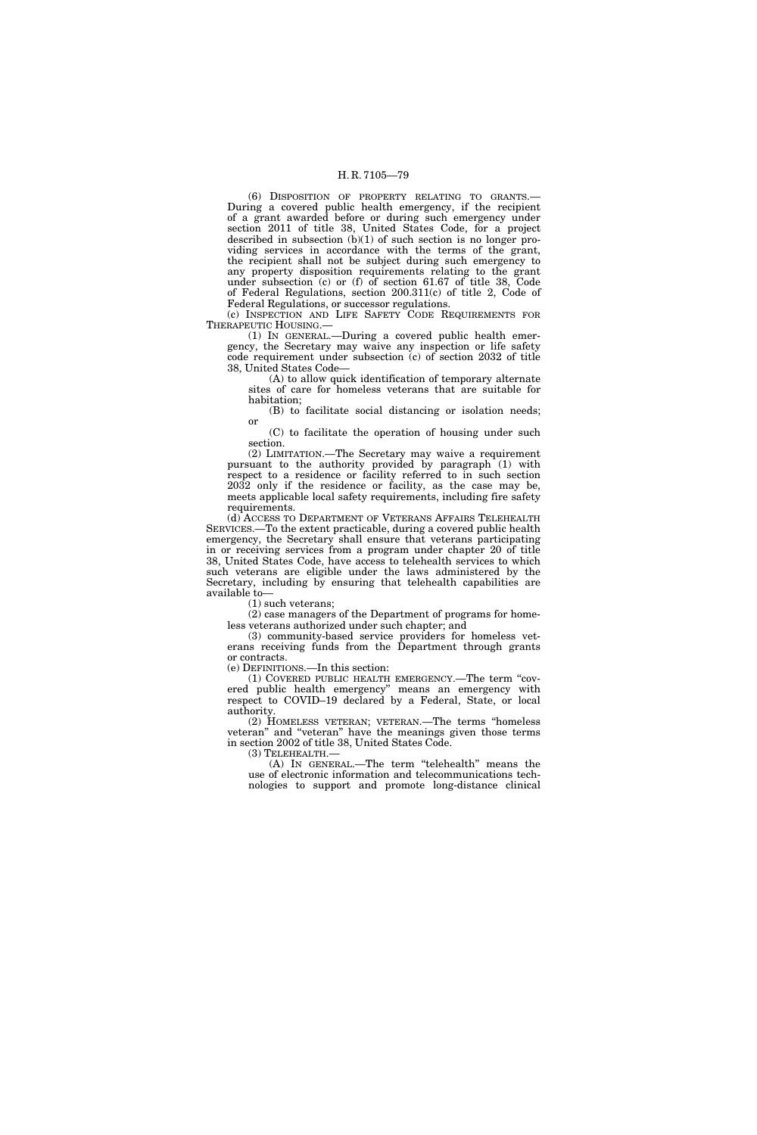(6) DISPOSITION OF PROPERTY RELATING TO GRANTS.— During a covered public health emergency, if the recipient of a grant awarded before or during such emergency under section 2011 of title 38, United States Code, for a project described in subsection  $(b)(1)$  of such section is no longer providing services in accordance with the terms of the grant, the recipient shall not be subject during such emergency to any property disposition requirements relating to the grant under subsection (c) or (f) of section 61.67 of title 38, Code of Federal Regulations, section 200.311(c) of title 2, Code of Federal Regulations, or successor regulations.

(c) INSPECTION AND LIFE SAFETY CODE REQUIREMENTS FOR THERAPEUTIC HOUSING.—

(1) IN GENERAL.—During a covered public health emergency, the Secretary may waive any inspection or life safety code requirement under subsection (c) of section 2032 of title 38, United States Code—

(A) to allow quick identification of temporary alternate sites of care for homeless veterans that are suitable for habitation;

(B) to facilitate social distancing or isolation needs; or

(C) to facilitate the operation of housing under such section.

(2) LIMITATION.—The Secretary may waive a requirement pursuant to the authority provided by paragraph (1) with respect to a residence or facility referred to in such section 2032 only if the residence or facility, as the case may be, meets applicable local safety requirements, including fire safety requirements.

(d) ACCESS TO DEPARTMENT OF VETERANS AFFAIRS TELEHEALTH SERVICES.—To the extent practicable, during a covered public health emergency, the Secretary shall ensure that veterans participating in or receiving services from a program under chapter 20 of title 38, United States Code, have access to telehealth services to which such veterans are eligible under the laws administered by the Secretary, including by ensuring that telehealth capabilities are available to—

(1) such veterans;

(2) case managers of the Department of programs for homeless veterans authorized under such chapter; and

(3) community-based service providers for homeless veterans receiving funds from the Department through grants or contracts.

(e) DEFINITIONS.—In this section:

(1) COVERED PUBLIC HEALTH EMERGENCY.—The term ''covered public health emergency'' means an emergency with respect to COVID–19 declared by a Federal, State, or local authority.

(2) HOMELESS VETERAN; VETERAN.—The terms ''homeless veteran'' and ''veteran'' have the meanings given those terms in section 2002 of title 38, United States Code.

(3) TELEHEALTH.—

(A) IN GENERAL.—The term ''telehealth'' means the use of electronic information and telecommunications technologies to support and promote long-distance clinical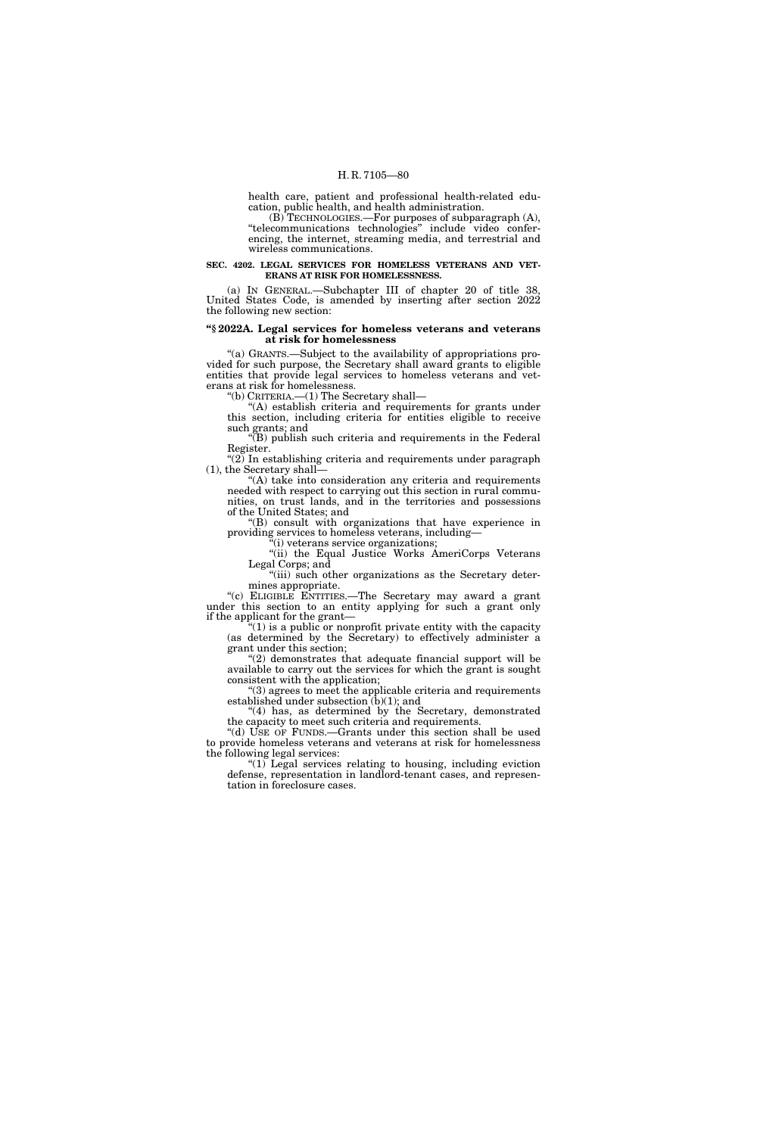health care, patient and professional health-related education, public health, and health administration.

(B) TECHNOLOGIES.—For purposes of subparagraph (A), ''telecommunications technologies'' include video conferencing, the internet, streaming media, and terrestrial and wireless communications.

# **SEC. 4202. LEGAL SERVICES FOR HOMELESS VETERANS AND VET-ERANS AT RISK FOR HOMELESSNESS.**

(a) IN GENERAL.—Subchapter III of chapter 20 of title 38, United States Code, is amended by inserting after section 2022 the following new section:

### **''§ 2022A. Legal services for homeless veterans and veterans at risk for homelessness**

''(a) GRANTS.—Subject to the availability of appropriations provided for such purpose, the Secretary shall award grants to eligible entities that provide legal services to homeless veterans and veterans at risk for homelessness.

''(b) CRITERIA.—(1) The Secretary shall—

"(A) establish criteria and requirements for grants under this section, including criteria for entities eligible to receive such grants; and

 $\tilde{H}(B)$  publish such criteria and requirements in the Federal Register.

" $(2)$  In establishing criteria and requirements under paragraph (1), the Secretary shall—

''(A) take into consideration any criteria and requirements needed with respect to carrying out this section in rural communities, on trust lands, and in the territories and possessions of the United States; and

''(B) consult with organizations that have experience in providing services to homeless veterans, including—

''(i) veterans service organizations;

"(ii) the Equal Justice Works AmeriCorps Veterans Legal Corps; and

"(iii) such other organizations as the Secretary determines appropriate.

"(c) ELIGIBLE ENTITIES.—The Secretary may award a grant under this section to an entity applying for such a grant only if the applicant for the grant—

 $f''(1)$  is a public or nonprofit private entity with the capacity (as determined by the Secretary) to effectively administer a grant under this section;

"(2) demonstrates that adequate financial support will be available to carry out the services for which the grant is sought consistent with the application;

''(3) agrees to meet the applicable criteria and requirements established under subsection (b)(1); and

"(4) has, as determined by the Secretary, demonstrated the capacity to meet such criteria and requirements.

"(d) USE OF FUNDS.—Grants under this section shall be used to provide homeless veterans and veterans at risk for homelessness the following legal services:

''(1) Legal services relating to housing, including eviction defense, representation in landlord-tenant cases, and representation in foreclosure cases.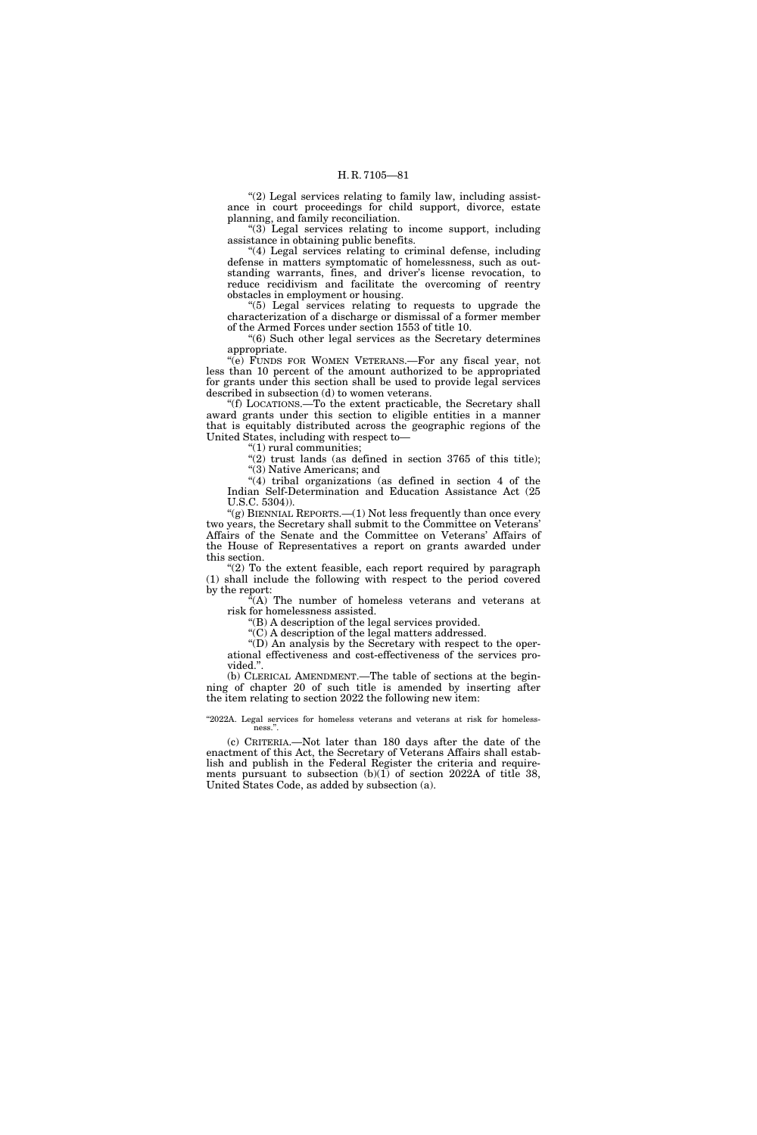" $(2)$  Legal services relating to family law, including assistance in court proceedings for child support, divorce, estate planning, and family reconciliation.

''(3) Legal services relating to income support, including assistance in obtaining public benefits.

"(4) Legal services relating to criminal defense, including defense in matters symptomatic of homelessness, such as outstanding warrants, fines, and driver's license revocation, to reduce recidivism and facilitate the overcoming of reentry obstacles in employment or housing.

''(5) Legal services relating to requests to upgrade the characterization of a discharge or dismissal of a former member of the Armed Forces under section 1553 of title 10.

''(6) Such other legal services as the Secretary determines appropriate.

''(e) FUNDS FOR WOMEN VETERANS.—For any fiscal year, not less than 10 percent of the amount authorized to be appropriated for grants under this section shall be used to provide legal services described in subsection (d) to women veterans.

''(f) LOCATIONS.—To the extent practicable, the Secretary shall award grants under this section to eligible entities in a manner that is equitably distributed across the geographic regions of the United States, including with respect to—

''(1) rural communities;

"(2) trust lands (as defined in section 3765 of this title); ''(3) Native Americans; and

 $''(4)$  tribal organizations (as defined in section 4 of the Indian Self-Determination and Education Assistance Act (25 U.S.C. 5304)).

"(g) BIENNIAL REPORTS. $-(1)$  Not less frequently than once every two years, the Secretary shall submit to the Committee on Veterans' Affairs of the Senate and the Committee on Veterans' Affairs of the House of Representatives a report on grants awarded under this section.

" $(2)$  To the extent feasible, each report required by paragraph (1) shall include the following with respect to the period covered by the report:

''(A) The number of homeless veterans and veterans at risk for homelessness assisted.

''(B) A description of the legal services provided.

 $\mathcal{C}(C)$  A description of the legal matters addressed.

''(D) An analysis by the Secretary with respect to the operational effectiveness and cost-effectiveness of the services provided.''.

(b) CLERICAL AMENDMENT.—The table of sections at the beginning of chapter 20 of such title is amended by inserting after the item relating to section 2022 the following new item:

"2022A. Legal services for homeless veterans and veterans at risk for homelessness.'

(c) CRITERIA.—Not later than 180 days after the date of the enactment of this Act, the Secretary of Veterans Affairs shall establish and publish in the Federal Register the criteria and requirements pursuant to subsection (b)(1) of section 2022A of title 38, United States Code, as added by subsection (a).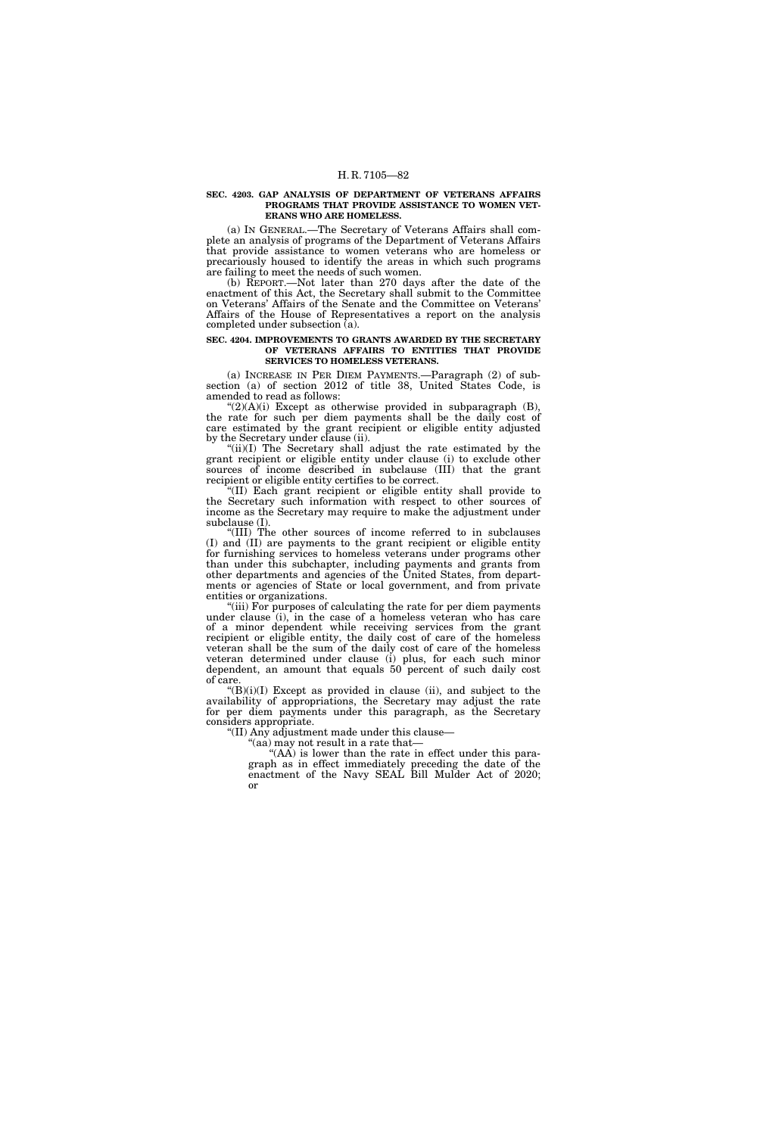#### **SEC. 4203. GAP ANALYSIS OF DEPARTMENT OF VETERANS AFFAIRS PROGRAMS THAT PROVIDE ASSISTANCE TO WOMEN VET-ERANS WHO ARE HOMELESS.**

(a) IN GENERAL.—The Secretary of Veterans Affairs shall complete an analysis of programs of the Department of Veterans Affairs that provide assistance to women veterans who are homeless or precariously housed to identify the areas in which such programs are failing to meet the needs of such women.

(b) REPORT.—Not later than 270 days after the date of the enactment of this Act, the Secretary shall submit to the Committee on Veterans' Affairs of the Senate and the Committee on Veterans' Affairs of the House of Representatives a report on the analysis completed under subsection (a).

### **SEC. 4204. IMPROVEMENTS TO GRANTS AWARDED BY THE SECRETARY OF VETERANS AFFAIRS TO ENTITIES THAT PROVIDE SERVICES TO HOMELESS VETERANS.**

(a) INCREASE IN PER DIEM PAYMENTS.—Paragraph (2) of subsection (a) of section 2012 of title 38, United States Code, is amended to read as follows:

" $(2)(A)(i)$  Except as otherwise provided in subparagraph  $(B)$ , the rate for such per diem payments shall be the daily cost of care estimated by the grant recipient or eligible entity adjusted by the Secretary under clause (ii).

"(ii)(I) The Secretary shall adjust the rate estimated by the grant recipient or eligible entity under clause (i) to exclude other sources of income described in subclause (III) that the grant recipient or eligible entity certifies to be correct.

(II) Each grant recipient or eligible entity shall provide to the Secretary such information with respect to other sources of income as the Secretary may require to make the adjustment under subclause (I).

''(III) The other sources of income referred to in subclauses (I) and (II) are payments to the grant recipient or eligible entity for furnishing services to homeless veterans under programs other than under this subchapter, including payments and grants from other departments and agencies of the United States, from departments or agencies of State or local government, and from private entities or organizations.

"(iii) For purposes of calculating the rate for per diem payments under clause (i), in the case of a homeless veteran who has care of a minor dependent while receiving services from the grant recipient or eligible entity, the daily cost of care of the homeless veteran shall be the sum of the daily cost of care of the homeless veteran determined under clause (i) plus, for each such minor dependent, an amount that equals 50 percent of such daily cost of care.

 $H(B)(i)(I)$  Except as provided in clause (ii), and subject to the availability of appropriations, the Secretary may adjust the rate for per diem payments under this paragraph, as the Secretary considers appropriate.

''(II) Any adjustment made under this clause—

 $\lq$ (aa) may not result in a rate that–

"(AA) is lower than the rate in effect under this paragraph as in effect immediately preceding the date of the enactment of the Navy SEAL Bill Mulder Act of 2020; or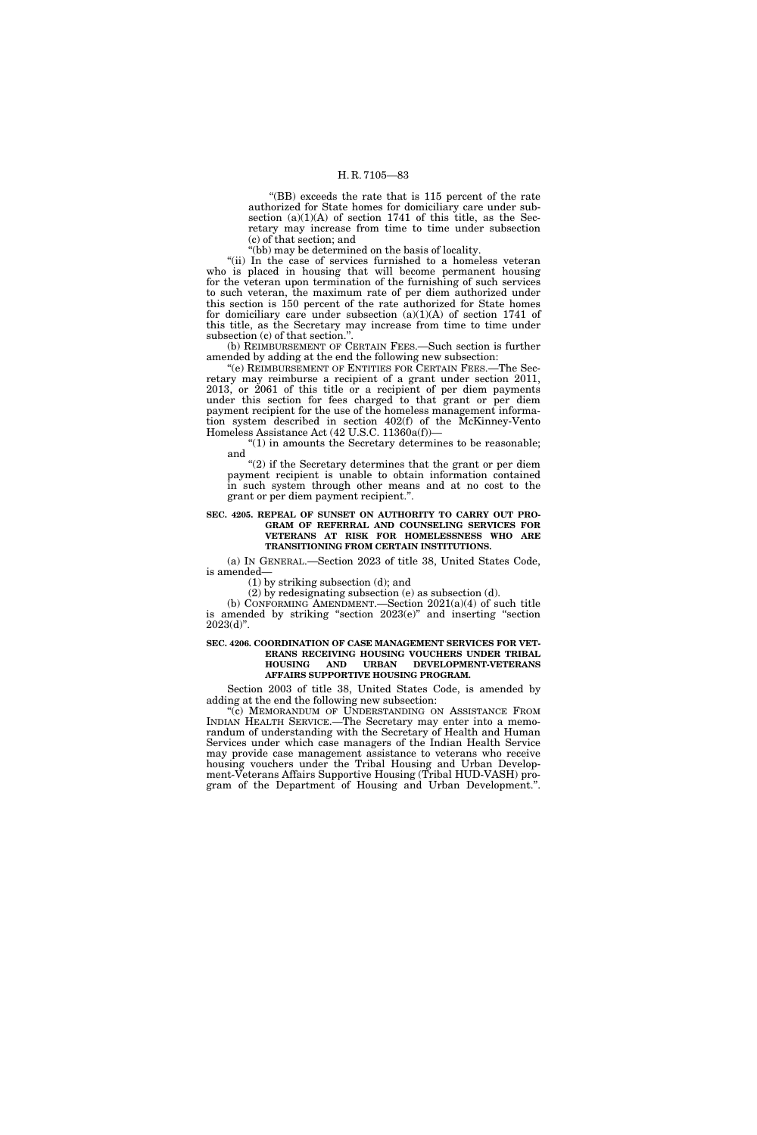''(BB) exceeds the rate that is 115 percent of the rate authorized for State homes for domiciliary care under subsection  $(a)(1)(A)$  of section 1741 of this title, as the Secretary may increase from time to time under subsection (c) of that section; and

"(bb) may be determined on the basis of locality.

"(ii) In the case of services furnished to a homeless veteran who is placed in housing that will become permanent housing for the veteran upon termination of the furnishing of such services to such veteran, the maximum rate of per diem authorized under this section is 150 percent of the rate authorized for State homes for domiciliary care under subsection  $(a)(1)(A)$  of section 1741 of this title, as the Secretary may increase from time to time under subsection (c) of that section.''.

(b) REIMBURSEMENT OF CERTAIN FEES.—Such section is further amended by adding at the end the following new subsection:

''(e) REIMBURSEMENT OF ENTITIES FOR CERTAIN FEES.—The Secretary may reimburse a recipient of a grant under section 2011, 2013, or 2061 of this title or a recipient of per diem payments under this section for fees charged to that grant or per diem payment recipient for the use of the homeless management information system described in section 402(f) of the McKinney-Vento Homeless Assistance Act (42 U.S.C. 11360a(f))—

''(1) in amounts the Secretary determines to be reasonable; and

"(2) if the Secretary determines that the grant or per diem payment recipient is unable to obtain information contained in such system through other means and at no cost to the grant or per diem payment recipient.''.

### **SEC. 4205. REPEAL OF SUNSET ON AUTHORITY TO CARRY OUT PRO-GRAM OF REFERRAL AND COUNSELING SERVICES FOR VETERANS AT RISK FOR HOMELESSNESS WHO ARE TRANSITIONING FROM CERTAIN INSTITUTIONS.**

(a) IN GENERAL.—Section 2023 of title 38, United States Code, is amended—

(1) by striking subsection (d); and

(2) by redesignating subsection (e) as subsection (d).

(b) CONFORMING AMENDMENT.—Section 2021(a)(4) of such title is amended by striking ''section 2023(e)'' and inserting ''section  $2023(d)$ ".

# **SEC. 4206. COORDINATION OF CASE MANAGEMENT SERVICES FOR VET-ERANS RECEIVING HOUSING VOUCHERS UNDER TRIBAL HOUSING AND URBAN DEVELOPMENT-VETERANS AFFAIRS SUPPORTIVE HOUSING PROGRAM.**

Section 2003 of title 38, United States Code, is amended by adding at the end the following new subsection:

"(c) MEMORANDUM OF UNDERSTANDING ON ASSISTANCE FROM INDIAN HEALTH SERVICE.—The Secretary may enter into a memorandum of understanding with the Secretary of Health and Human Services under which case managers of the Indian Health Service may provide case management assistance to veterans who receive housing vouchers under the Tribal Housing and Urban Development-Veterans Affairs Supportive Housing (Tribal HUD-VASH) program of the Department of Housing and Urban Development.''.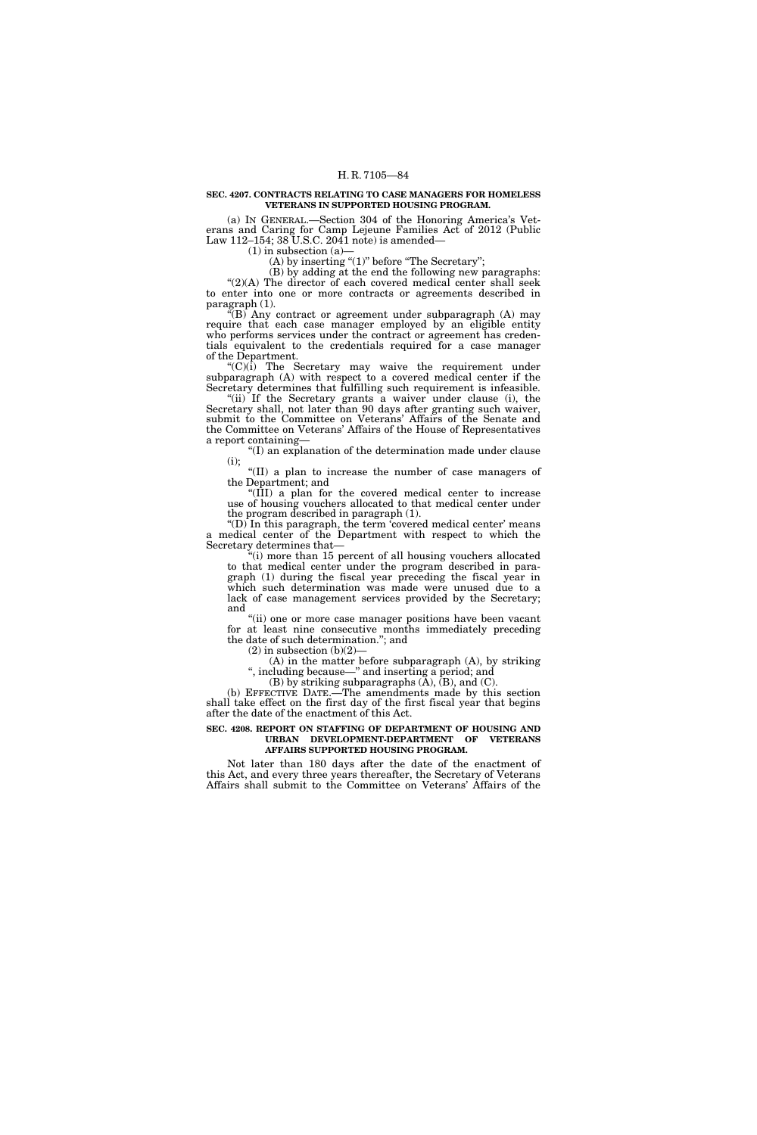### **SEC. 4207. CONTRACTS RELATING TO CASE MANAGERS FOR HOMELESS VETERANS IN SUPPORTED HOUSING PROGRAM.**

(a) IN GENERAL.—Section 304 of the Honoring America's Veterans and Caring for Camp Lejeune Families Act of 2012 (Public Law 112–154; 38 U.S.C. 2041 note) is amended—

 $(1)$  in subsection  $(a)$ 

(A) by inserting " $(1)$ " before "The Secretary";

(B) by adding at the end the following new paragraphs:

 $''(2)(A)$  The director of each covered medical center shall seek to enter into one or more contracts or agreements described in paragraph (1).

" $(B)$  Any contract or agreement under subparagraph  $(A)$  may require that each case manager employed by an eligible entity who performs services under the contract or agreement has credentials equivalent to the credentials required for a case manager of the Department.

''(C)(i) The Secretary may waive the requirement under subparagraph (A) with respect to a covered medical center if the Secretary determines that fulfilling such requirement is infeasible.

"(ii) If the Secretary grants a waiver under clause (i), the Secretary shall, not later than 90 days after granting such waiver, submit to the Committee on Veterans' Affairs of the Senate and the Committee on Veterans' Affairs of the House of Representatives a report containing—

''(I) an explanation of the determination made under clause (i);

''(II) a plan to increase the number of case managers of the Department; and

''(III) a plan for the covered medical center to increase use of housing vouchers allocated to that medical center under the program described in paragraph (1).

''(D) In this paragraph, the term 'covered medical center' means a medical center of the Department with respect to which the Secretary determines that—

''(i) more than 15 percent of all housing vouchers allocated to that medical center under the program described in paragraph (1) during the fiscal year preceding the fiscal year in which such determination was made were unused due to a lack of case management services provided by the Secretary; and

''(ii) one or more case manager positions have been vacant for at least nine consecutive months immediately preceding the date of such determination.''; and

 $(2)$  in subsection  $(b)(2)$ –

(A) in the matter before subparagraph (A), by striking '', including because—'' and inserting a period; and

(B) by striking subparagraphs  $(\overline{A})$ ,  $(\overline{B})$ , and  $(\overline{C})$ .

(b) EFFECTIVE DATE.—The amendments made by this section shall take effect on the first day of the first fiscal year that begins after the date of the enactment of this Act.

### **SEC. 4208. REPORT ON STAFFING OF DEPARTMENT OF HOUSING AND URBAN DEVELOPMENT-DEPARTMENT OF VETERANS AFFAIRS SUPPORTED HOUSING PROGRAM.**

Not later than 180 days after the date of the enactment of this Act, and every three years thereafter, the Secretary of Veterans Affairs shall submit to the Committee on Veterans' Affairs of the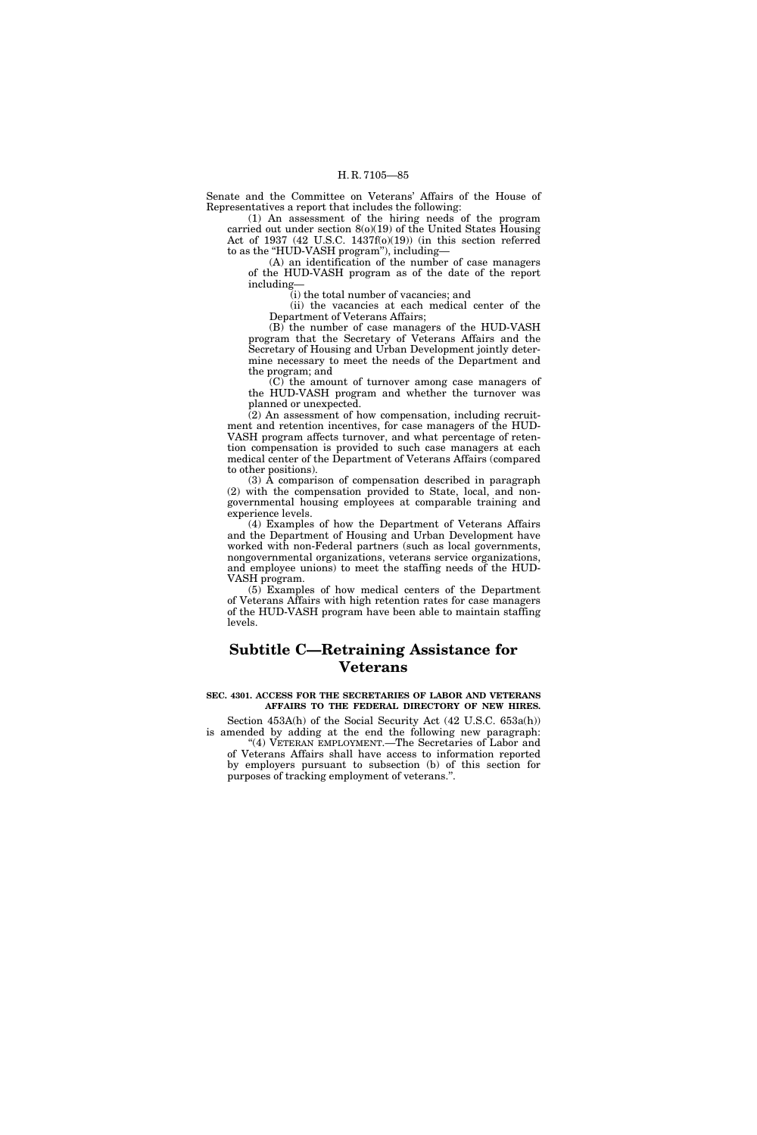Senate and the Committee on Veterans' Affairs of the House of Representatives a report that includes the following:

(1) An assessment of the hiring needs of the program carried out under section 8(o)(19) of the United States Housing Act of 1937 (42 U.S.C. 1437f(o)(19)) (in this section referred to as the "HUD-VASH program"), including-

(A) an identification of the number of case managers of the HUD-VASH program as of the date of the report including—

(i) the total number of vacancies; and

(ii) the vacancies at each medical center of the Department of Veterans Affairs;

(B) the number of case managers of the HUD-VASH program that the Secretary of Veterans Affairs and the Secretary of Housing and Urban Development jointly determine necessary to meet the needs of the Department and the program; and

(C) the amount of turnover among case managers of the HUD-VASH program and whether the turnover was planned or unexpected.

(2) An assessment of how compensation, including recruitment and retention incentives, for case managers of the HUD-VASH program affects turnover, and what percentage of retention compensation is provided to such case managers at each medical center of the Department of Veterans Affairs (compared to other positions).

(3) A comparison of compensation described in paragraph (2) with the compensation provided to State, local, and nongovernmental housing employees at comparable training and experience levels.

(4) Examples of how the Department of Veterans Affairs and the Department of Housing and Urban Development have worked with non-Federal partners (such as local governments, nongovernmental organizations, veterans service organizations, and employee unions) to meet the staffing needs of the HUD-VASH program.

(5) Examples of how medical centers of the Department of Veterans Affairs with high retention rates for case managers of the HUD-VASH program have been able to maintain staffing levels.

# **Subtitle C—Retraining Assistance for Veterans**

# **SEC. 4301. ACCESS FOR THE SECRETARIES OF LABOR AND VETERANS AFFAIRS TO THE FEDERAL DIRECTORY OF NEW HIRES.**

Section 453A(h) of the Social Security Act (42 U.S.C. 653a(h)) is amended by adding at the end the following new paragraph:

"(4) VETERAN EMPLOYMENT.—The Secretaries of Labor and of Veterans Affairs shall have access to information reported by employers pursuant to subsection (b) of this section for purposes of tracking employment of veterans.''.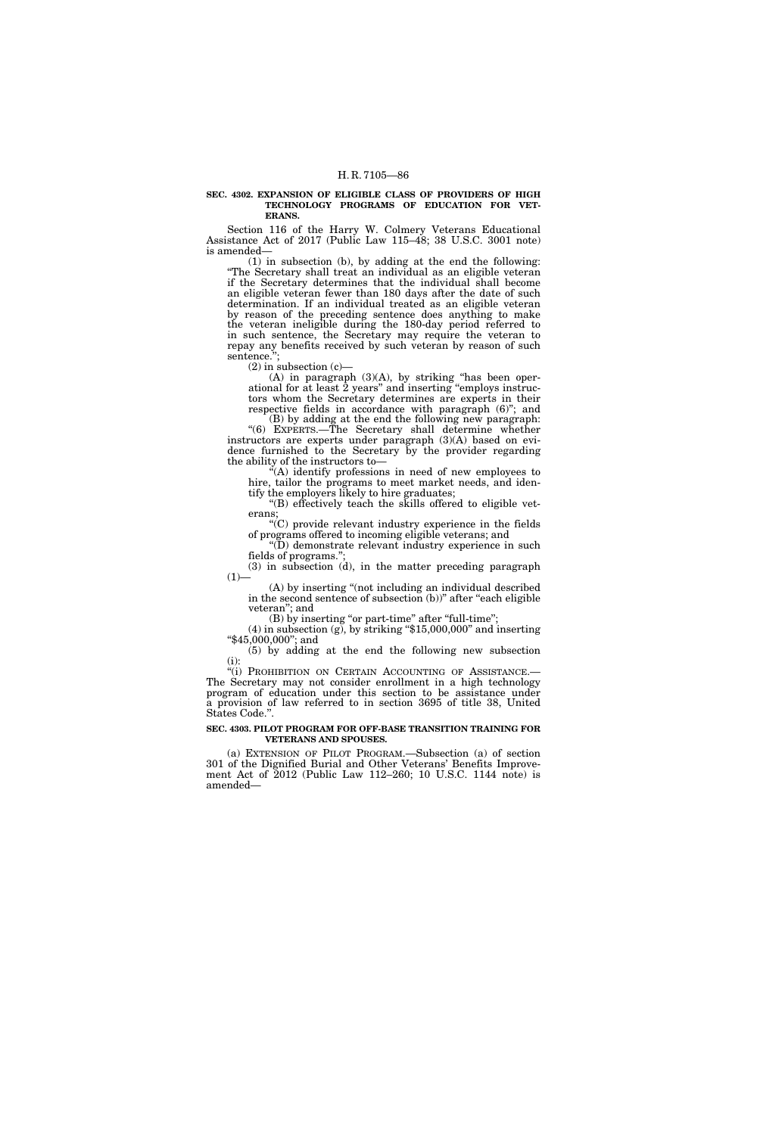#### **SEC. 4302. EXPANSION OF ELIGIBLE CLASS OF PROVIDERS OF HIGH TECHNOLOGY PROGRAMS OF EDUCATION FOR VET-ERANS.**

Section 116 of the Harry W. Colmery Veterans Educational Assistance Act of 2017 (Public Law 115–48; 38 U.S.C. 3001 note) is amended—

(1) in subsection (b), by adding at the end the following: ''The Secretary shall treat an individual as an eligible veteran if the Secretary determines that the individual shall become an eligible veteran fewer than 180 days after the date of such determination. If an individual treated as an eligible veteran by reason of the preceding sentence does anything to make the veteran ineligible during the 180-day period referred to in such sentence, the Secretary may require the veteran to repay any benefits received by such veteran by reason of such sentence.";

 $(2)$  in subsection  $(c)$ —

(A) in paragraph (3)(A), by striking ''has been operational for at least 2 years'' and inserting ''employs instructors whom the Secretary determines are experts in their respective fields in accordance with paragraph  $(6)$ "; and

(B) by adding at the end the following new paragraph: ''(6) EXPERTS.—The Secretary shall determine whether instructors are experts under paragraph (3)(A) based on evidence furnished to the Secretary by the provider regarding the ability of the instructors to—

''(A) identify professions in need of new employees to hire, tailor the programs to meet market needs, and identify the employers likely to hire graduates;

''(B) effectively teach the skills offered to eligible veterans;

''(C) provide relevant industry experience in the fields of programs offered to incoming eligible veterans; and

 $\widetilde{P}(D)$  demonstrate relevant industry experience in such fields of programs."

(3) in subsection (d), in the matter preceding paragraph  $(1)$ 

(A) by inserting ''(not including an individual described in the second sentence of subsection (b))" after "each eligible veteran''; and

(B) by inserting "or part-time" after "full-time";

 $(4)$  in subsection  $(g)$ , by striking "\$15,000,000" and inserting ''\$45,000,000''; and

(5) by adding at the end the following new subsection (i):

"(i) PROHIBITION ON CERTAIN ACCOUNTING OF ASSISTANCE.— The Secretary may not consider enrollment in a high technology program of education under this section to be assistance under a provision of law referred to in section 3695 of title 38, United States Code.''.

# **SEC. 4303. PILOT PROGRAM FOR OFF-BASE TRANSITION TRAINING FOR VETERANS AND SPOUSES.**

(a) EXTENSION OF PILOT PROGRAM.—Subsection (a) of section 301 of the Dignified Burial and Other Veterans' Benefits Improvement Act of 2012 (Public Law 112–260; 10 U.S.C. 1144 note) is amended—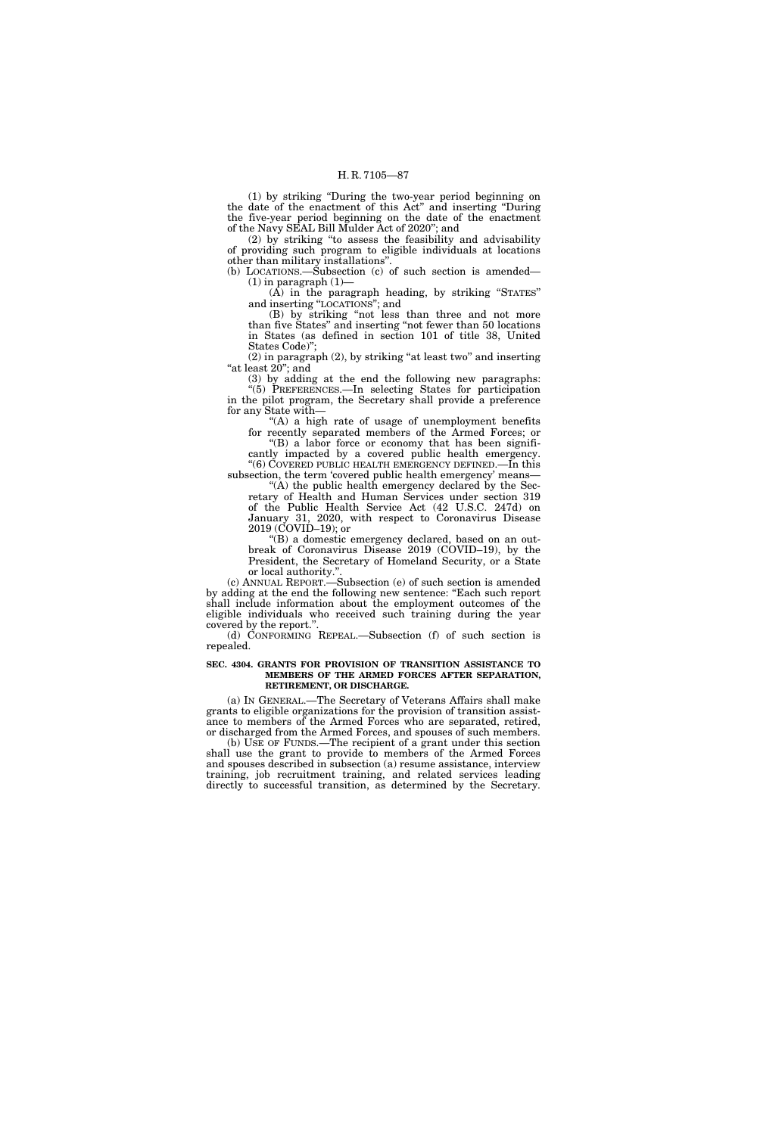(1) by striking ''During the two-year period beginning on the date of the enactment of this Act'' and inserting ''During the five-year period beginning on the date of the enactment of the Navy SEAL Bill Mulder Act of 2020''; and

(2) by striking ''to assess the feasibility and advisability of providing such program to eligible individuals at locations other than military installations''.

(b) LOCATIONS.— $\ddot{\text{Subsection}}$  (c) of such section is amended—  $(1)$  in paragraph  $(1)$ —

(A) in the paragraph heading, by striking ''STATES'' and inserting ''LOCATIONS''; and

(B) by striking ''not less than three and not more than five States'' and inserting ''not fewer than 50 locations in States (as defined in section 101 of title 38, United States Code)'';

 $(2)$  in paragraph  $(2)$ , by striking "at least two" and inserting "at least 20"; and

(3) by adding at the end the following new paragraphs: ''(5) PREFERENCES.—In selecting States for participation in the pilot program, the Secretary shall provide a preference for any State with—

''(A) a high rate of usage of unemployment benefits for recently separated members of the Armed Forces; or

''(B) a labor force or economy that has been significantly impacted by a covered public health emergency. ''(6) COVERED PUBLIC HEALTH EMERGENCY DEFINED.—In this

subsection, the term 'covered public health emergency' means— "(A) the public health emergency declared by the Sec-

retary of Health and Human Services under section 319 of the Public Health Service Act (42 U.S.C. 247d) on January 31, 2020, with respect to Coronavirus Disease 2019 (COVID–19); or

''(B) a domestic emergency declared, based on an outbreak of Coronavirus Disease 2019 (COVID–19), by the President, the Secretary of Homeland Security, or a State or local authority."

(c) ANNUAL REPORT.—Subsection (e) of such section is amended by adding at the end the following new sentence: ''Each such report shall include information about the employment outcomes of the eligible individuals who received such training during the year covered by the report.''.

(d) CONFORMING REPEAL.—Subsection (f) of such section is repealed.

### **SEC. 4304. GRANTS FOR PROVISION OF TRANSITION ASSISTANCE TO MEMBERS OF THE ARMED FORCES AFTER SEPARATION, RETIREMENT, OR DISCHARGE.**

(a) IN GENERAL.—The Secretary of Veterans Affairs shall make grants to eligible organizations for the provision of transition assistance to members of the Armed Forces who are separated, retired, or discharged from the Armed Forces, and spouses of such members.

(b) USE OF FUNDS.—The recipient of a grant under this section shall use the grant to provide to members of the Armed Forces and spouses described in subsection (a) resume assistance, interview training, job recruitment training, and related services leading directly to successful transition, as determined by the Secretary.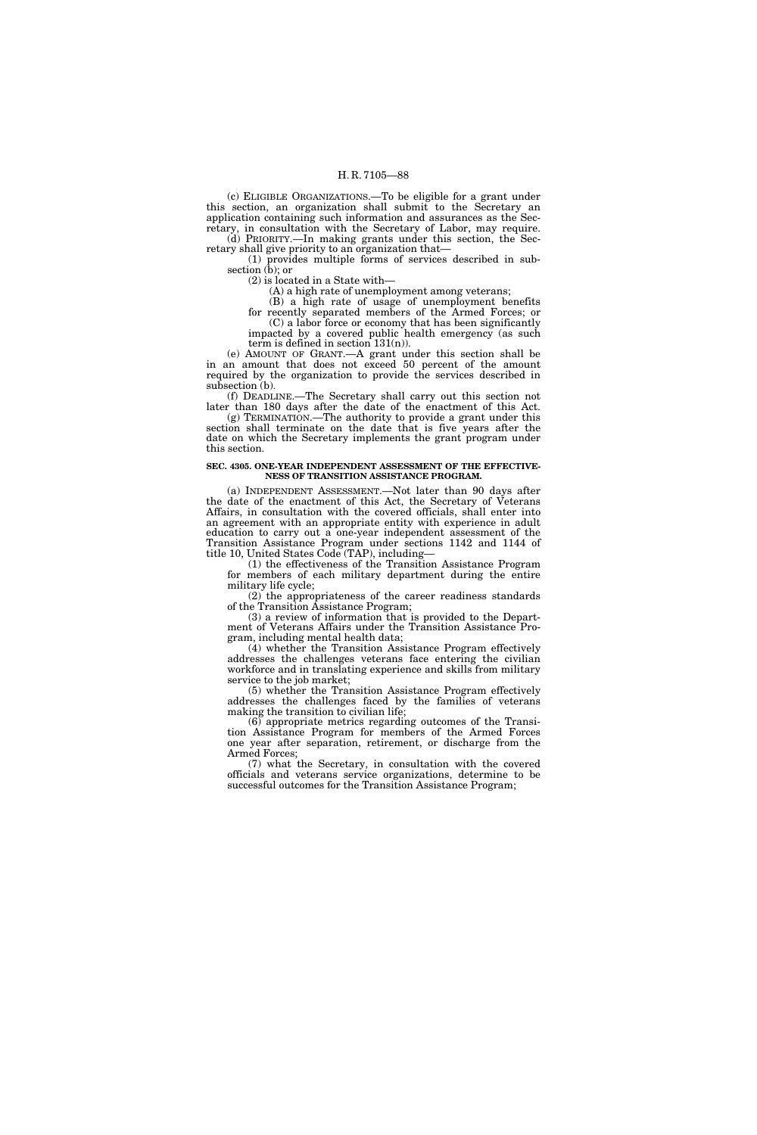(c) ELIGIBLE ORGANIZATIONS.—To be eligible for a grant under this section, an organization shall submit to the Secretary an application containing such information and assurances as the Secretary, in consultation with the Secretary of Labor, may require. (d) PRIORITY.—In making grants under this section, the Sec-

retary shall give priority to an organization that— (1) provides multiple forms of services described in subsection (b); or

(2) is located in a State with—

(A) a high rate of unemployment among veterans;

(B) a high rate of usage of unemployment benefits

for recently separated members of the Armed Forces; or (C) a labor force or economy that has been significantly impacted by a covered public health emergency (as such

term is defined in section  $131(n)$ ).

(e) AMOUNT OF GRANT.—A grant under this section shall be in an amount that does not exceed 50 percent of the amount required by the organization to provide the services described in subsection (b).

(f) DEADLINE.—The Secretary shall carry out this section not later than 180 days after the date of the enactment of this Act.

(g) TERMINATION.—The authority to provide a grant under this section shall terminate on the date that is five years after the date on which the Secretary implements the grant program under this section.

# **SEC. 4305. ONE-YEAR INDEPENDENT ASSESSMENT OF THE EFFECTIVE-NESS OF TRANSITION ASSISTANCE PROGRAM.**

(a) INDEPENDENT ASSESSMENT.—Not later than 90 days after the date of the enactment of this Act, the Secretary of Veterans Affairs, in consultation with the covered officials, shall enter into an agreement with an appropriate entity with experience in adult education to carry out a one-year independent assessment of the Transition Assistance Program under sections 1142 and 1144 of title 10, United States Code (TAP), including—

(1) the effectiveness of the Transition Assistance Program for members of each military department during the entire military life cycle;

(2) the appropriateness of the career readiness standards of the Transition Assistance Program;

(3) a review of information that is provided to the Department of Veterans Affairs under the Transition Assistance Program, including mental health data;

(4) whether the Transition Assistance Program effectively addresses the challenges veterans face entering the civilian workforce and in translating experience and skills from military service to the job market;

(5) whether the Transition Assistance Program effectively addresses the challenges faced by the families of veterans making the transition to civilian life;

(6) appropriate metrics regarding outcomes of the Transition Assistance Program for members of the Armed Forces one year after separation, retirement, or discharge from the Armed Forces;

(7) what the Secretary, in consultation with the covered officials and veterans service organizations, determine to be successful outcomes for the Transition Assistance Program;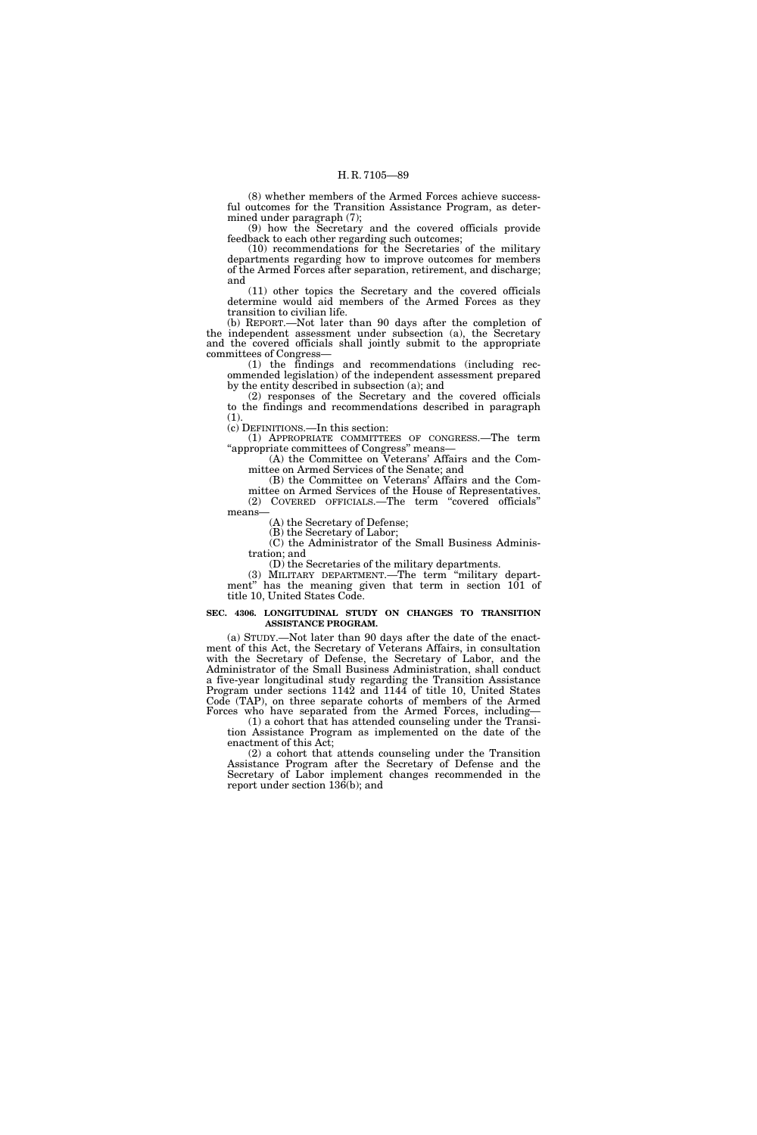(8) whether members of the Armed Forces achieve successful outcomes for the Transition Assistance Program, as determined under paragraph (7);

(9) how the Secretary and the covered officials provide feedback to each other regarding such outcomes;

(10) recommendations for the Secretaries of the military departments regarding how to improve outcomes for members of the Armed Forces after separation, retirement, and discharge; and

(11) other topics the Secretary and the covered officials determine would aid members of the Armed Forces as they transition to civilian life.

(b) REPORT.—Not later than 90 days after the completion of the independent assessment under subsection (a), the Secretary and the covered officials shall jointly submit to the appropriate committees of Congress—

(1) the findings and recommendations (including recommended legislation) of the independent assessment prepared by the entity described in subsection (a); and

(2) responses of the Secretary and the covered officials to the findings and recommendations described in paragraph (1).

(c) DEFINITIONS.—In this section:

(1) APPROPRIATE COMMITTEES OF CONGRESS.—The term ''appropriate committees of Congress'' means—

(A) the Committee on Veterans' Affairs and the Committee on Armed Services of the Senate; and

(B) the Committee on Veterans' Affairs and the Committee on Armed Services of the House of Representatives. (2) COVERED OFFICIALS.—The term ''covered officials'' means—

(A) the Secretary of Defense;

(B) the Secretary of Labor;

(C) the Administrator of the Small Business Administration; and

(D) the Secretaries of the military departments.

(3) MILITARY DEPARTMENT.—The term ''military department'' has the meaning given that term in section 101 of title 10, United States Code.

### **SEC. 4306. LONGITUDINAL STUDY ON CHANGES TO TRANSITION ASSISTANCE PROGRAM.**

(a) STUDY.—Not later than 90 days after the date of the enactment of this Act, the Secretary of Veterans Affairs, in consultation with the Secretary of Defense, the Secretary of Labor, and the Administrator of the Small Business Administration, shall conduct a five-year longitudinal study regarding the Transition Assistance Program under sections 1142 and 1144 of title 10, United States Code (TAP), on three separate cohorts of members of the Armed Forces who have separated from the Armed Forces, including—

(1) a cohort that has attended counseling under the Transition Assistance Program as implemented on the date of the enactment of this Act;

(2) a cohort that attends counseling under the Transition Assistance Program after the Secretary of Defense and the Secretary of Labor implement changes recommended in the report under section 136(b); and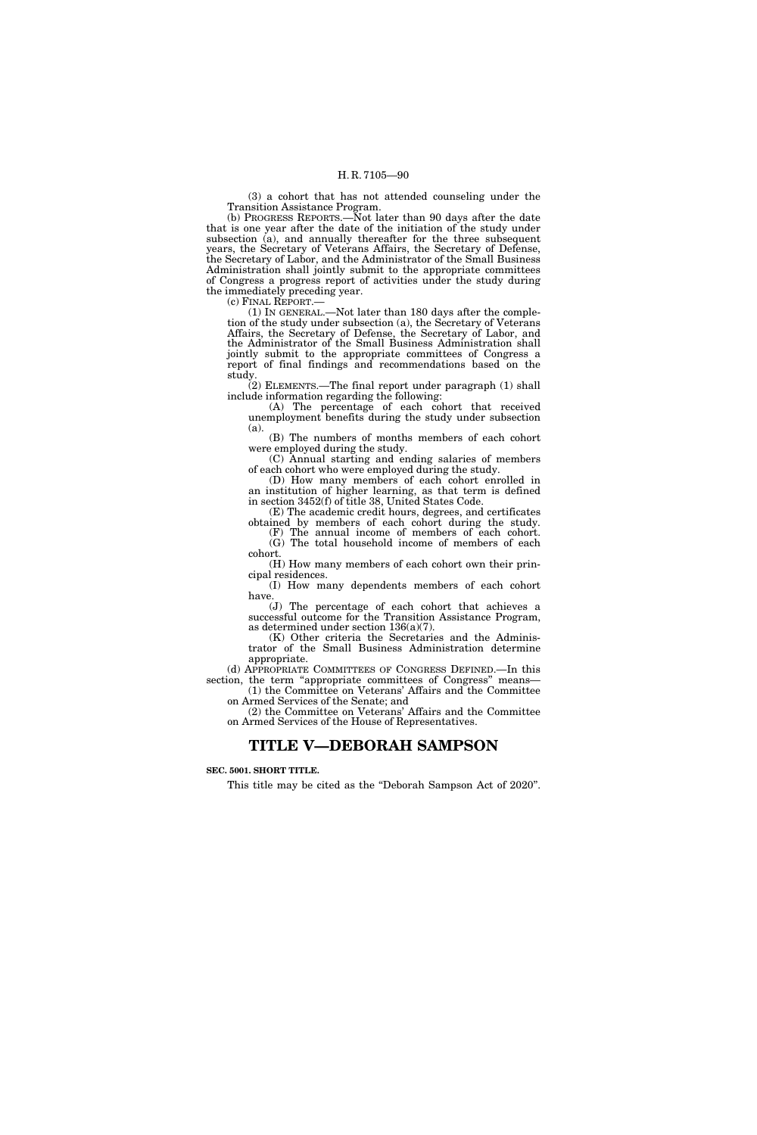(3) a cohort that has not attended counseling under the Transition Assistance Program.

(b) PROGRESS REPORTS.—Not later than 90 days after the date that is one year after the date of the initiation of the study under subsection (a), and annually thereafter for the three subsequent years, the Secretary of Veterans Affairs, the Secretary of Defense, the Secretary of Labor, and the Administrator of the Small Business Administration shall jointly submit to the appropriate committees of Congress a progress report of activities under the study during the immediately preceding year.

(c) FINAL REPORT.—

(1) IN GENERAL.—Not later than 180 days after the completion of the study under subsection (a), the Secretary of Veterans Affairs, the Secretary of Defense, the Secretary of Labor, and the Administrator of the Small Business Administration shall jointly submit to the appropriate committees of Congress a report of final findings and recommendations based on the study.

 $(2)$  ELEMENTS.—The final report under paragraph  $(1)$  shall include information regarding the following:

(A) The percentage of each cohort that received unemployment benefits during the study under subsection (a).

(B) The numbers of months members of each cohort were employed during the study.

(C) Annual starting and ending salaries of members of each cohort who were employed during the study.

(D) How many members of each cohort enrolled in an institution of higher learning, as that term is defined in section 3452(f) of title 38, United States Code.

(E) The academic credit hours, degrees, and certificates obtained by members of each cohort during the study.

(F) The annual income of members of each cohort. (G) The total household income of members of each cohort.

(H) How many members of each cohort own their principal residences.

(I) How many dependents members of each cohort have.

(J) The percentage of each cohort that achieves a successful outcome for the Transition Assistance Program, as determined under section 136(a)(7).

(K) Other criteria the Secretaries and the Administrator of the Small Business Administration determine appropriate.

(d) APPROPRIATE COMMITTEES OF CONGRESS DEFINED.—In this section, the term "appropriate committees of Congress" means-(1) the Committee on Veterans' Affairs and the Committee

on Armed Services of the Senate; and

(2) the Committee on Veterans' Affairs and the Committee on Armed Services of the House of Representatives.

# **TITLE V—DEBORAH SAMPSON**

# **SEC. 5001. SHORT TITLE.**

This title may be cited as the "Deborah Sampson Act of 2020".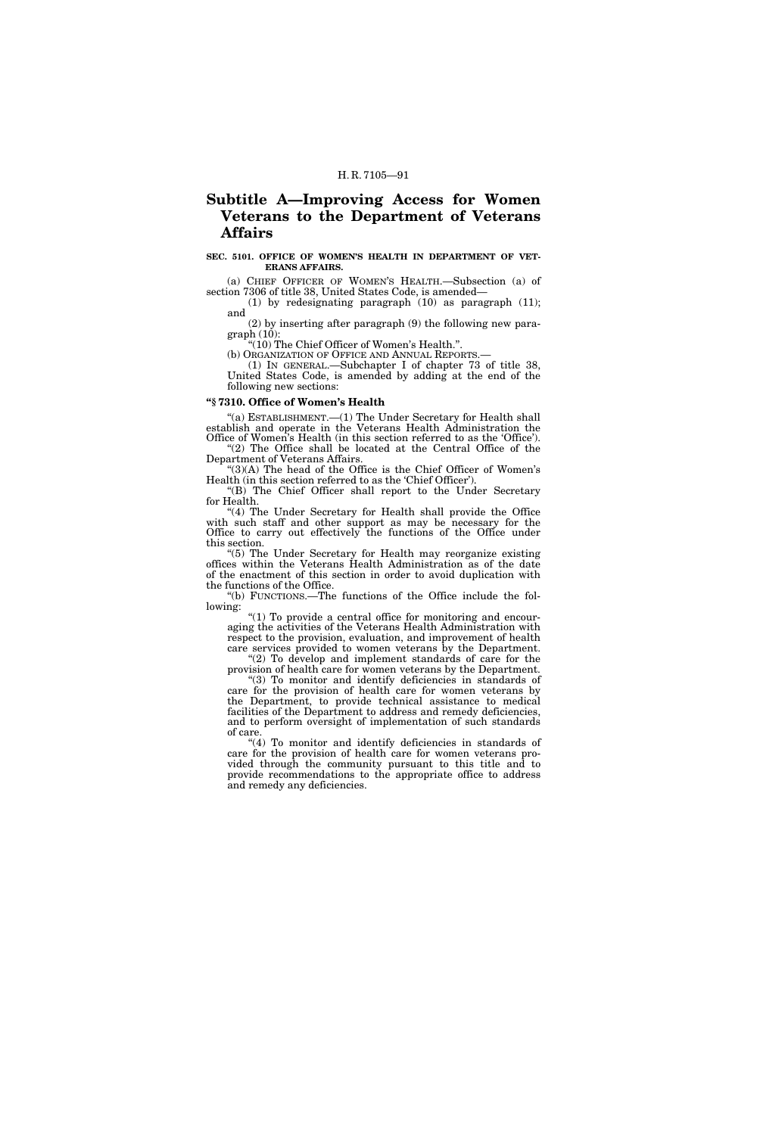# **Subtitle A—Improving Access for Women Veterans to the Department of Veterans Affairs**

# **SEC. 5101. OFFICE OF WOMEN'S HEALTH IN DEPARTMENT OF VET-ERANS AFFAIRS.**

(a) CHIEF OFFICER OF WOMEN'S HEALTH.—Subsection (a) of section 7306 of title 38, United States Code, is amended—

(1) by redesignating paragraph (10) as paragraph (11); and

(2) by inserting after paragraph (9) the following new paragraph (10):

''(10) The Chief Officer of Women's Health.''.

(b) ORGANIZATION OF OFFICE AND ANNUAL REPORTS.— (1) IN GENERAL.—Subchapter I of chapter 73 of title 38,

United States Code, is amended by adding at the end of the following new sections:

# **''§ 7310. Office of Women's Health**

"(a) ESTABLISHMENT.—(1) The Under Secretary for Health shall establish and operate in the Veterans Health Administration the Office of Women's Health (in this section referred to as the 'Office'). ''(2) The Office shall be located at the Central Office of the

Department of Veterans Affairs. ''(3)(A) The head of the Office is the Chief Officer of Women's

Health (in this section referred to as the 'Chief Officer'). ''(B) The Chief Officer shall report to the Under Secretary

for Health. "(4) The Under Secretary for Health shall provide the Office

with such staff and other support as may be necessary for the Office to carry out effectively the functions of the Office under this section.

''(5) The Under Secretary for Health may reorganize existing offices within the Veterans Health Administration as of the date of the enactment of this section in order to avoid duplication with the functions of the Office.

''(b) FUNCTIONS.—The functions of the Office include the following:

''(1) To provide a central office for monitoring and encouraging the activities of the Veterans Health Administration with respect to the provision, evaluation, and improvement of health care services provided to women veterans by the Department.

"(2) To develop and implement standards of care for the provision of health care for women veterans by the Department.

''(3) To monitor and identify deficiencies in standards of care for the provision of health care for women veterans by the Department, to provide technical assistance to medical facilities of the Department to address and remedy deficiencies, and to perform oversight of implementation of such standards of care.

''(4) To monitor and identify deficiencies in standards of care for the provision of health care for women veterans provided through the community pursuant to this title and to provide recommendations to the appropriate office to address and remedy any deficiencies.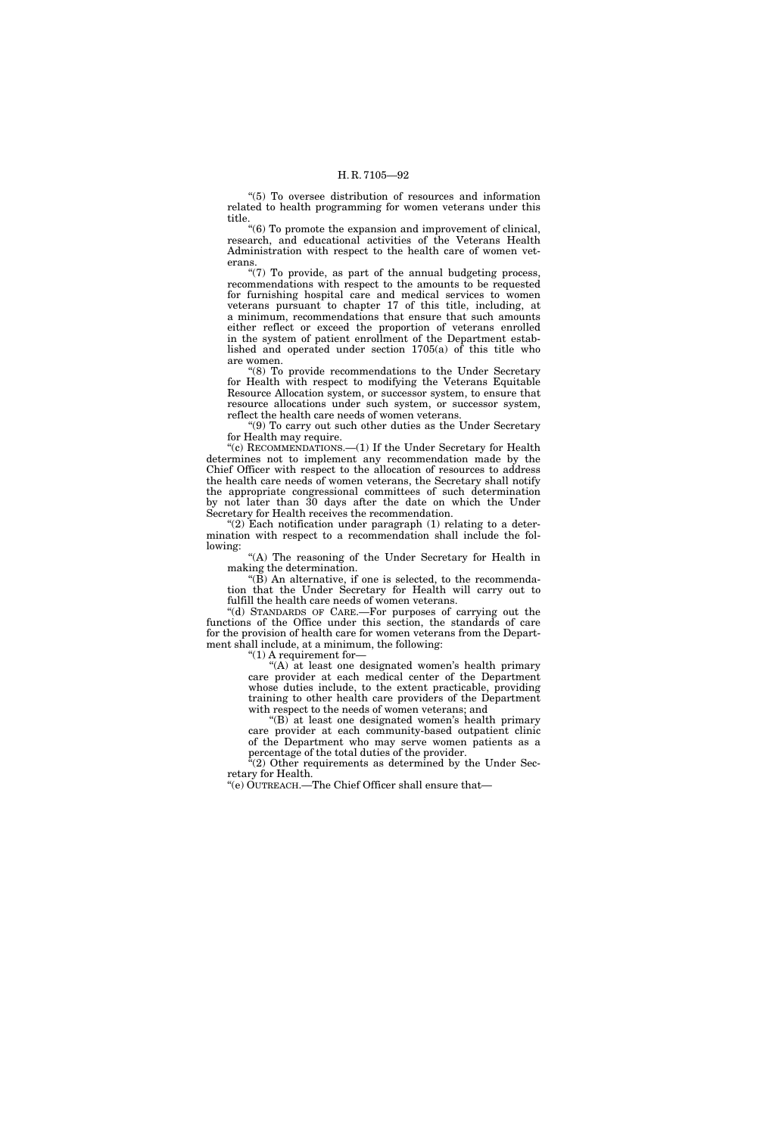''(5) To oversee distribution of resources and information related to health programming for women veterans under this title.

''(6) To promote the expansion and improvement of clinical, research, and educational activities of the Veterans Health Administration with respect to the health care of women veterans.

"(7) To provide, as part of the annual budgeting process, recommendations with respect to the amounts to be requested for furnishing hospital care and medical services to women veterans pursuant to chapter 17 of this title, including, at a minimum, recommendations that ensure that such amounts either reflect or exceed the proportion of veterans enrolled in the system of patient enrollment of the Department established and operated under section 1705(a) of this title who are women.

''(8) To provide recommendations to the Under Secretary for Health with respect to modifying the Veterans Equitable Resource Allocation system, or successor system, to ensure that resource allocations under such system, or successor system, reflect the health care needs of women veterans.

''(9) To carry out such other duties as the Under Secretary for Health may require.

''(c) RECOMMENDATIONS.—(1) If the Under Secretary for Health determines not to implement any recommendation made by the Chief Officer with respect to the allocation of resources to address the health care needs of women veterans, the Secretary shall notify the appropriate congressional committees of such determination by not later than 30 days after the date on which the Under Secretary for Health receives the recommendation.

"(2) Each notification under paragraph  $(1)$  relating to a determination with respect to a recommendation shall include the following:

''(A) The reasoning of the Under Secretary for Health in making the determination.

" $(B)$  An alternative, if one is selected, to the recommendation that the Under Secretary for Health will carry out to fulfill the health care needs of women veterans.

''(d) STANDARDS OF CARE.—For purposes of carrying out the functions of the Office under this section, the standards of care for the provision of health care for women veterans from the Department shall include, at a minimum, the following:

" $(1)$  A requirement for-

"(A) at least one designated women's health primary care provider at each medical center of the Department whose duties include, to the extent practicable, providing training to other health care providers of the Department with respect to the needs of women veterans; and

"(B) at least one designated women's health primary care provider at each community-based outpatient clinic of the Department who may serve women patients as a percentage of the total duties of the provider.

 $\mathcal{E}(2)$  Other requirements as determined by the Under Secretary for Health.

''(e) OUTREACH.—The Chief Officer shall ensure that—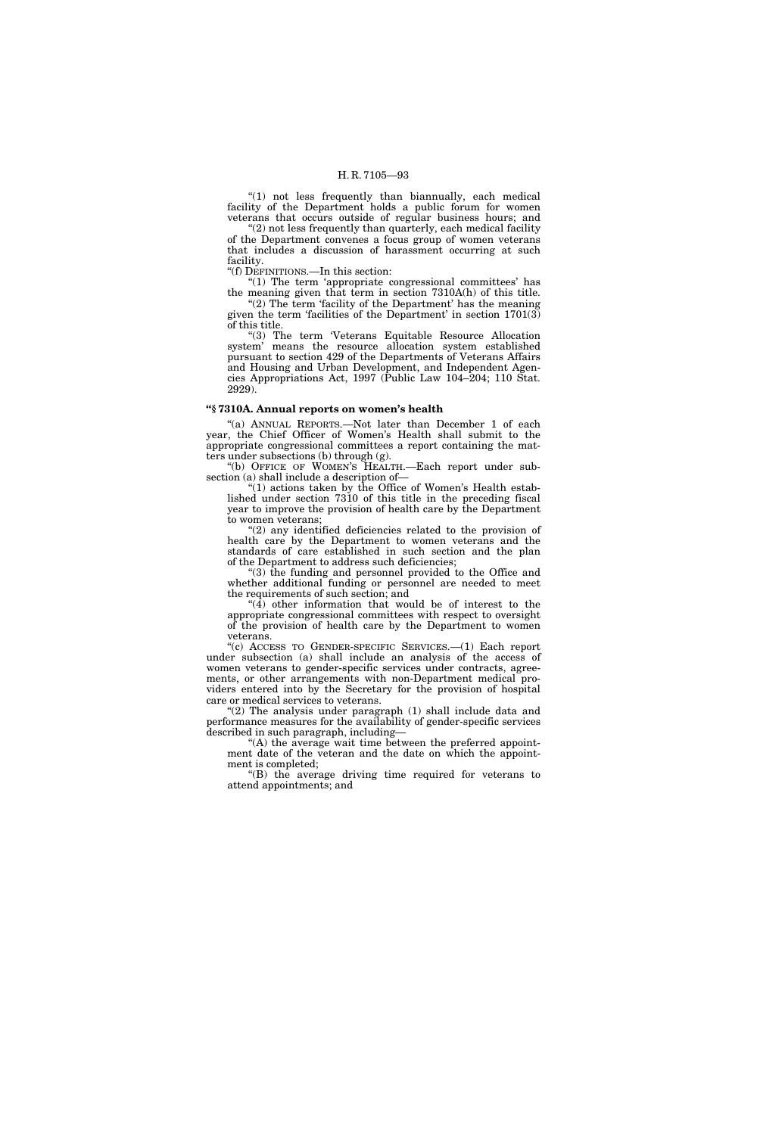''(1) not less frequently than biannually, each medical facility of the Department holds a public forum for women veterans that occurs outside of regular business hours; and

" $(2)$  not less frequently than quarterly, each medical facility of the Department convenes a focus group of women veterans that includes a discussion of harassment occurring at such facility.

''(f) DEFINITIONS.—In this section:

''(1) The term 'appropriate congressional committees' has the meaning given that term in section 7310A(h) of this title. "(2) The term 'facility of the Department' has the meaning given the term 'facilities of the Department' in section 1701(3) of this title.

"(3) The term 'Veterans Equitable Resource Allocation system' means the resource allocation system established pursuant to section 429 of the Departments of Veterans Affairs and Housing and Urban Development, and Independent Agencies Appropriations Act, 1997 (Public Law 104–204; 110 Stat. 2929).

## **''§ 7310A. Annual reports on women's health**

"(a) ANNUAL REPORTS.--Not later than December 1 of each year, the Chief Officer of Women's Health shall submit to the appropriate congressional committees a report containing the matters under subsections (b) through (g).

"(b) OFFICE OF WOMEN'S HEALTH.-Each report under subsection (a) shall include a description of—

"(1) actions taken by the Office of Women's Health established under section 7310 of this title in the preceding fiscal year to improve the provision of health care by the Department to women veterans;

''(2) any identified deficiencies related to the provision of health care by the Department to women veterans and the standards of care established in such section and the plan of the Department to address such deficiencies;

 $(3)$  the funding and personnel provided to the Office and whether additional funding or personnel are needed to meet the requirements of such section; and

"(4) other information that would be of interest to the appropriate congressional committees with respect to oversight of the provision of health care by the Department to women veterans.

''(c) ACCESS TO GENDER-SPECIFIC SERVICES.—(1) Each report under subsection (a) shall include an analysis of the access of women veterans to gender-specific services under contracts, agreements, or other arrangements with non-Department medical providers entered into by the Secretary for the provision of hospital care or medical services to veterans.

 $(2)$  The analysis under paragraph  $(1)$  shall include data and performance measures for the availability of gender-specific services described in such paragraph, including—

"(A) the average wait time between the preferred appointment date of the veteran and the date on which the appointment is completed;

 $f(B)$  the average driving time required for veterans to attend appointments; and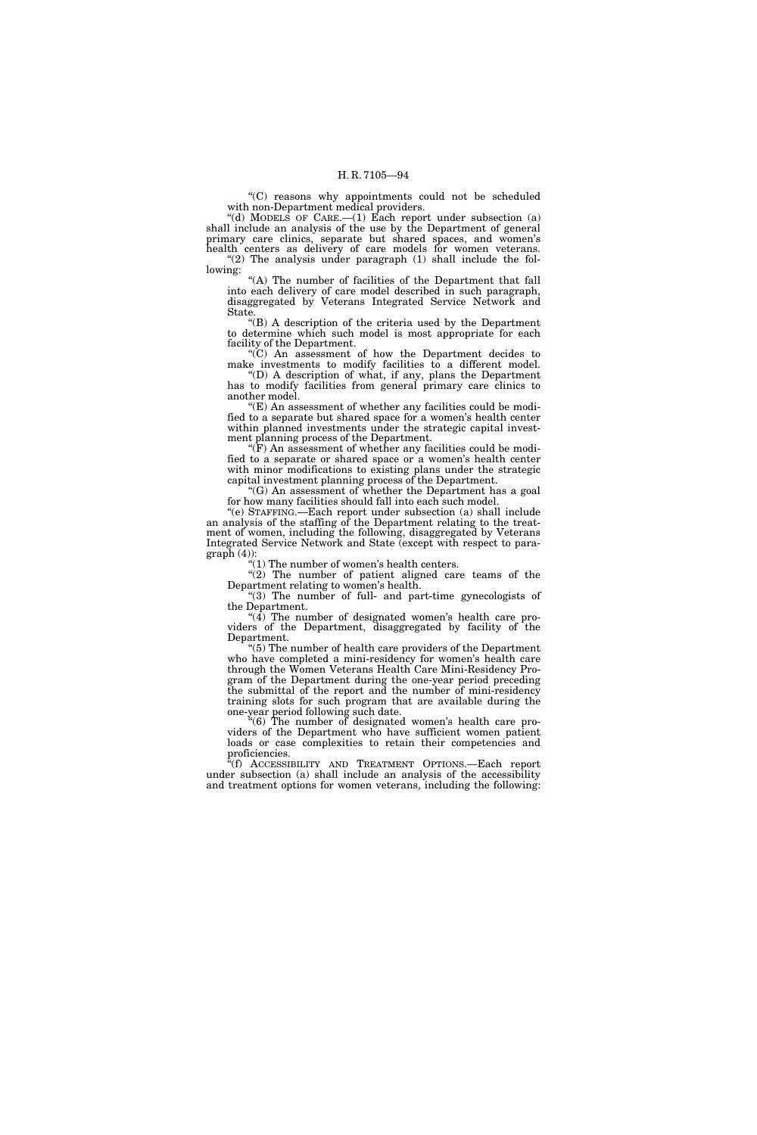''(C) reasons why appointments could not be scheduled with non-Department medical providers.

"(d) MODELS OF CARE.— $(1)$  Each report under subsection  $(a)$ shall include an analysis of the use by the Department of general primary care clinics, separate but shared spaces, and women's health centers as delivery of care models for women veterans. "(2) The analysis under paragraph (1) shall include the following:

''(A) The number of facilities of the Department that fall into each delivery of care model described in such paragraph, disaggregated by Veterans Integrated Service Network and State.

''(B) A description of the criteria used by the Department to determine which such model is most appropriate for each facility of the Department.

''(C) An assessment of how the Department decides to make investments to modify facilities to a different model. ''(D) A description of what, if any, plans the Department

has to modify facilities from general primary care clinics to another model.

 $E(E)$  An assessment of whether any facilities could be modified to a separate but shared space for a women's health center within planned investments under the strategic capital investment planning process of the Department.

 $\mathcal{F}(F)$  An assessment of whether any facilities could be modified to a separate or shared space or a women's health center with minor modifications to existing plans under the strategic capital investment planning process of the Department.

''(G) An assessment of whether the Department has a goal for how many facilities should fall into each such model.

''(e) STAFFING.—Each report under subsection (a) shall include an analysis of the staffing of the Department relating to the treatment of women, including the following, disaggregated by Veterans Integrated Service Network and State (except with respect to para $graph (4)$ :

" $(1)$  The number of women's health centers.

"(2) The number of patient aligned care teams of the Department relating to women's health.

''(3) The number of full- and part-time gynecologists of the Department.

" $(4)$  The number of designated women's health care providers of the Department, disaggregated by facility of the Department.

 $(5)$  The number of health care providers of the Department who have completed a mini-residency for women's health care through the Women Veterans Health Care Mini-Residency Program of the Department during the one-year period preceding the submittal of the report and the number of mini-residency training slots for such program that are available during the one-year period following such date.

''(6) The number of designated women's health care providers of the Department who have sufficient women patient loads or case complexities to retain their competencies and proficiencies.

''(f) ACCESSIBILITY AND TREATMENT OPTIONS.—Each report under subsection (a) shall include an analysis of the accessibility and treatment options for women veterans, including the following: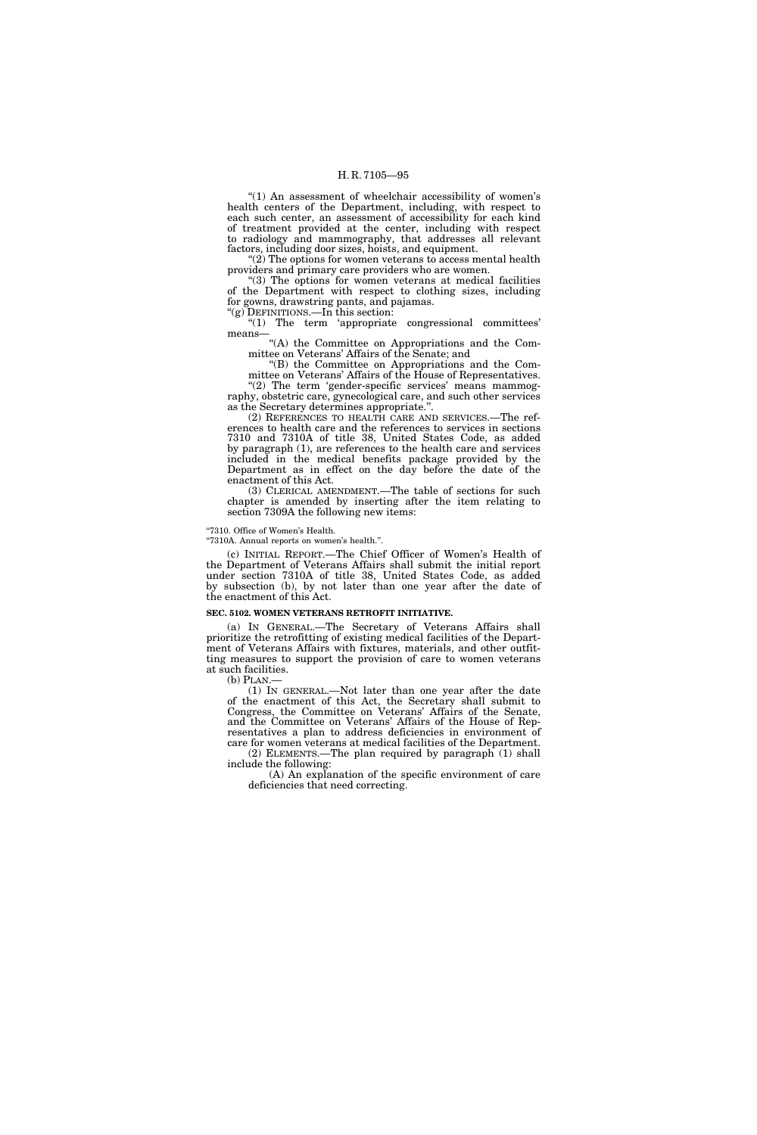" $(1)$  An assessment of wheelchair accessibility of women's health centers of the Department, including, with respect to each such center, an assessment of accessibility for each kind of treatment provided at the center, including with respect to radiology and mammography, that addresses all relevant factors, including door sizes, hoists, and equipment.

 $(2)$  The options for women veterans to access mental health providers and primary care providers who are women.

"(3) The options for women veterans at medical facilities of the Department with respect to clothing sizes, including for gowns, drawstring pants, and pajamas.

"(g) DEFINITIONS.—In this section:

''(1) The term 'appropriate congressional committees' means—

''(A) the Committee on Appropriations and the Committee on Veterans' Affairs of the Senate; and

''(B) the Committee on Appropriations and the Committee on Veterans' Affairs of the House of Representatives. "(2) The term 'gender-specific services' means mammog-

raphy, obstetric care, gynecological care, and such other services as the Secretary determines appropriate.''.

(2) REFERENCES TO HEALTH CARE AND SERVICES.—The references to health care and the references to services in sections 7310 and 7310A of title 38, United States Code, as added by paragraph (1), are references to the health care and services included in the medical benefits package provided by the Department as in effect on the day before the date of the enactment of this Act.

(3) CLERICAL AMENDMENT.—The table of sections for such chapter is amended by inserting after the item relating to section 7309A the following new items:

"7310. Office of Women's Health.

''7310A. Annual reports on women's health.''.

(c) INITIAL REPORT.—The Chief Officer of Women's Health of the Department of Veterans Affairs shall submit the initial report under section 7310A of title 38, United States Code, as added by subsection (b), by not later than one year after the date of the enactment of this Act.

### **SEC. 5102. WOMEN VETERANS RETROFIT INITIATIVE.**

(a) IN GENERAL.—The Secretary of Veterans Affairs shall prioritize the retrofitting of existing medical facilities of the Department of Veterans Affairs with fixtures, materials, and other outfitting measures to support the provision of care to women veterans at such facilities.

 $(b)$  PLAN.

(1) IN GENERAL.—Not later than one year after the date of the enactment of this Act, the Secretary shall submit to Congress, the Committee on Veterans' Affairs of the Senate, and the Committee on Veterans' Affairs of the House of Representatives a plan to address deficiencies in environment of care for women veterans at medical facilities of the Department. (2) ELEMENTS.—The plan required by paragraph (1) shall

include the following: (A) An explanation of the specific environment of care deficiencies that need correcting.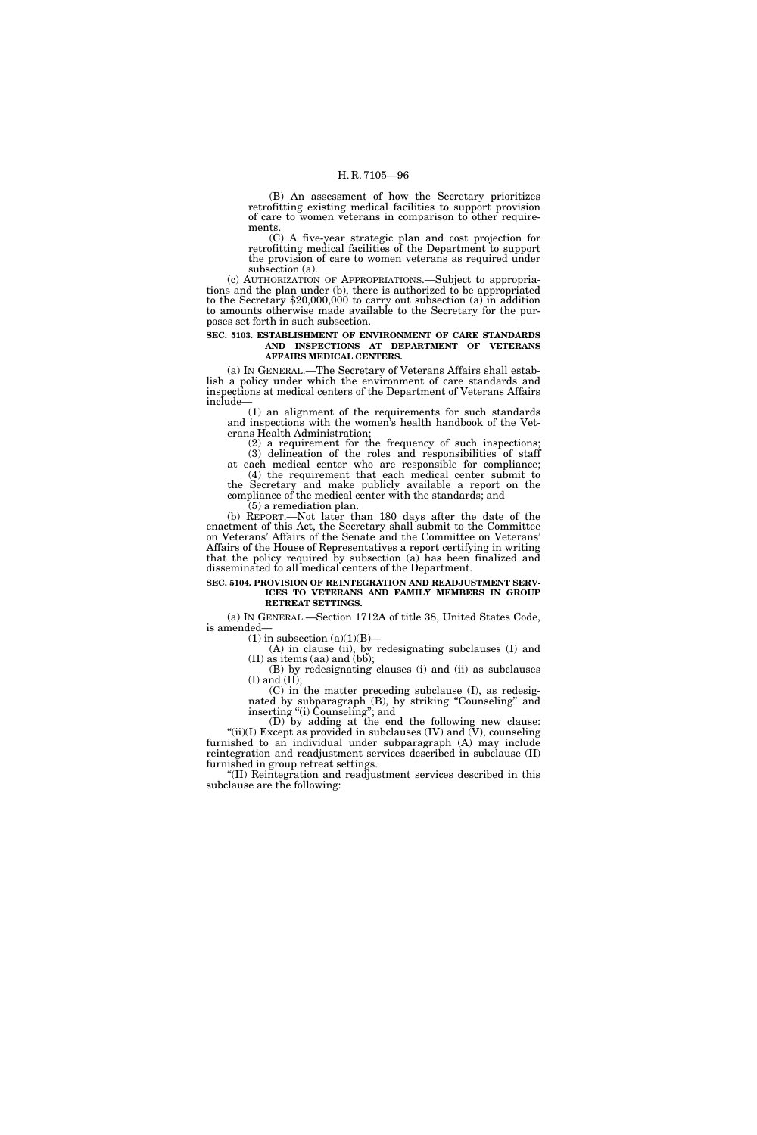(B) An assessment of how the Secretary prioritizes retrofitting existing medical facilities to support provision of care to women veterans in comparison to other requirements.

(C) A five-year strategic plan and cost projection for retrofitting medical facilities of the Department to support the provision of care to women veterans as required under subsection (a).

(c) AUTHORIZATION OF APPROPRIATIONS.—Subject to appropriations and the plan under (b), there is authorized to be appropriated to the Secretary \$20,000,000 to carry out subsection (a) in addition to amounts otherwise made available to the Secretary for the purposes set forth in such subsection.

### **SEC. 5103. ESTABLISHMENT OF ENVIRONMENT OF CARE STANDARDS AND INSPECTIONS AT DEPARTMENT OF VETERANS AFFAIRS MEDICAL CENTERS.**

(a) IN GENERAL.—The Secretary of Veterans Affairs shall establish a policy under which the environment of care standards and inspections at medical centers of the Department of Veterans Affairs include—

(1) an alignment of the requirements for such standards and inspections with the women's health handbook of the Veterans Health Administration;

(2) a requirement for the frequency of such inspections; (3) delineation of the roles and responsibilities of staff

at each medical center who are responsible for compliance; (4) the requirement that each medical center submit to the Secretary and make publicly available a report on the compliance of the medical center with the standards; and

(5) a remediation plan.

(b) REPORT.—Not later than 180 days after the date of the enactment of this Act, the Secretary shall submit to the Committee on Veterans' Affairs of the Senate and the Committee on Veterans' Affairs of the House of Representatives a report certifying in writing that the policy required by subsection (a) has been finalized and disseminated to all medical centers of the Department.

# **SEC. 5104. PROVISION OF REINTEGRATION AND READJUSTMENT SERV-ICES TO VETERANS AND FAMILY MEMBERS IN GROUP RETREAT SETTINGS.**

(a) IN GENERAL.—Section 1712A of title 38, United States Code, is amended—

 $(1)$  in subsection  $(a)(1)(B)$ —

(A) in clause (ii), by redesignating subclauses (I) and (II) as items (aa) and (bb);

(B) by redesignating clauses (i) and (ii) as subclauses  $(I)$  and  $(II)$ ;

(C) in the matter preceding subclause (I), as redesignated by subparagraph (B), by striking "Counseling" and inserting ''(i) Counseling''; and

(D) by adding at the end the following new clause: "(ii)(I) Except as provided in subclauses (IV) and  $(V)$ , counseling furnished to an individual under subparagraph (A) may include reintegration and readjustment services described in subclause (II) furnished in group retreat settings.

(II) Reintegration and readjustment services described in this subclause are the following: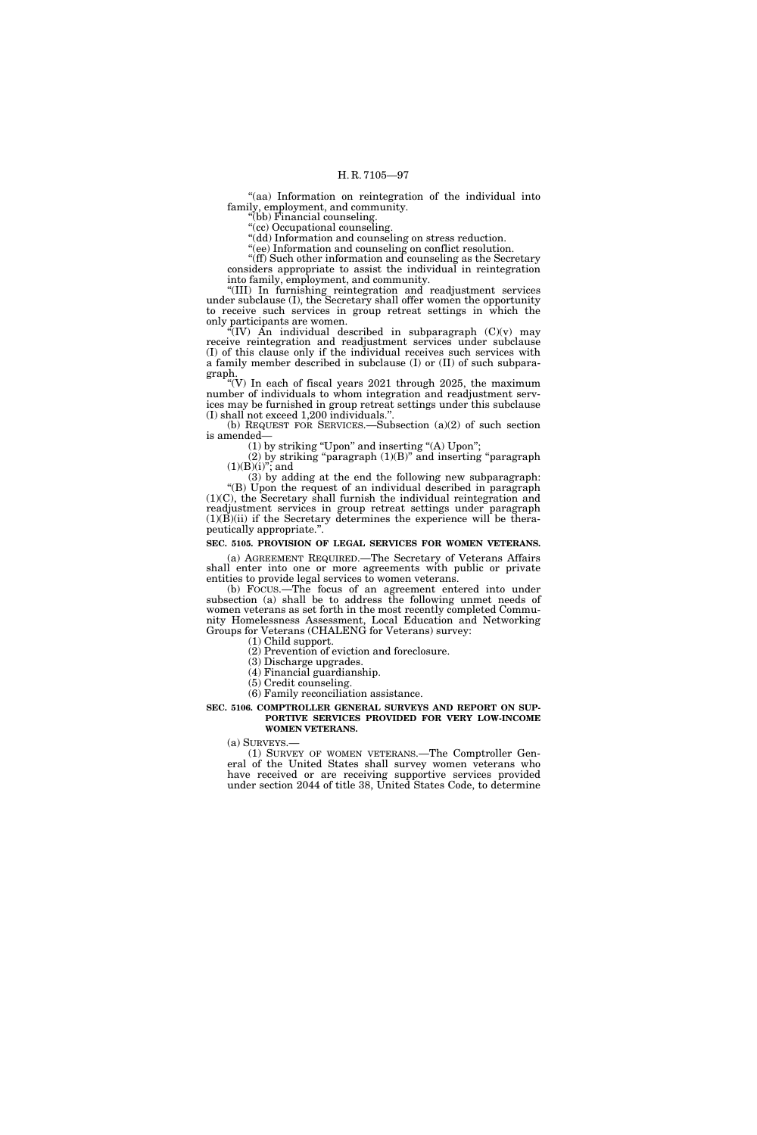"(aa) Information on reintegration of the individual into family, employment, and community.

''(bb) Financial counseling. ''(cc) Occupational counseling.

''(dd) Information and counseling on stress reduction.

''(ee) Information and counseling on conflict resolution.

''(ff) Such other information and counseling as the Secretary considers appropriate to assist the individual in reintegration into family, employment, and community.

''(III) In furnishing reintegration and readjustment services under subclause (I), the Secretary shall offer women the opportunity to receive such services in group retreat settings in which the only participants are women.

"(IV) An individual described in subparagraph  $(C)(v)$  may receive reintegration and readjustment services under subclause (I) of this clause only if the individual receives such services with a family member described in subclause (I) or (II) of such subparagraph.

"(V) In each of fiscal years  $2021$  through  $2025$ , the maximum number of individuals to whom integration and readjustment services may be furnished in group retreat settings under this subclause  $(I)$  shall not exceed 1,200 individuals."

(b) REQUEST FOR SERVICES.—Subsection (a)(2) of such section is amended—

(1) by striking ''Upon'' and inserting ''(A) Upon'';

 $(2)$  by striking "paragraph  $(1)(B)$ " and inserting "paragraph  $(1)(B)(i)$ "; and

(3) by adding at the end the following new subparagraph: "(B) Upon the request of an individual described in paragraph (1)(C), the Secretary shall furnish the individual reintegration and readjustment services in group retreat settings under paragraph  $(1)(\overrightarrow{B})(ii)$  if the Secretary determines the experience will be therapeutically appropriate.''.

# **SEC. 5105. PROVISION OF LEGAL SERVICES FOR WOMEN VETERANS.**

(a) AGREEMENT REQUIRED.—The Secretary of Veterans Affairs shall enter into one or more agreements with public or private entities to provide legal services to women veterans.

(b) FOCUS.—The focus of an agreement entered into under subsection (a) shall be to address the following unmet needs of women veterans as set forth in the most recently completed Community Homelessness Assessment, Local Education and Networking Groups for Veterans (CHALENG for Veterans) survey:

(1) Child support.

(2) Prevention of eviction and foreclosure.

(3) Discharge upgrades.

(4) Financial guardianship.

(5) Credit counseling. (6) Family reconciliation assistance.

**SEC. 5106. COMPTROLLER GENERAL SURVEYS AND REPORT ON SUP-PORTIVE SERVICES PROVIDED FOR VERY LOW-INCOME WOMEN VETERANS.** 

(a) SURVEYS.—

(1) SURVEY OF WOMEN VETERANS.—The Comptroller General of the United States shall survey women veterans who have received or are receiving supportive services provided under section 2044 of title 38, United States Code, to determine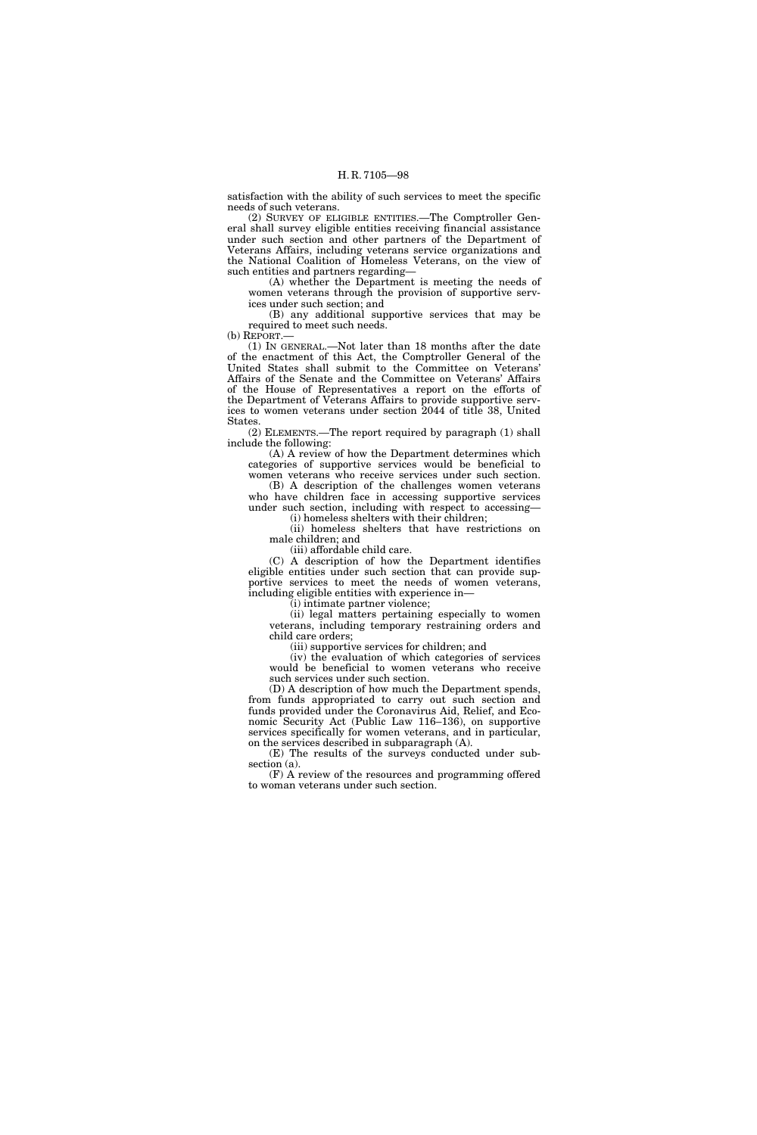satisfaction with the ability of such services to meet the specific needs of such veterans.

(2) SURVEY OF ELIGIBLE ENTITIES.—The Comptroller General shall survey eligible entities receiving financial assistance under such section and other partners of the Department of Veterans Affairs, including veterans service organizations and the National Coalition of Homeless Veterans, on the view of such entities and partners regarding—

(A) whether the Department is meeting the needs of women veterans through the provision of supportive services under such section; and

(B) any additional supportive services that may be required to meet such needs.

(b) REPORT.

(1) IN GENERAL.—Not later than 18 months after the date of the enactment of this Act, the Comptroller General of the United States shall submit to the Committee on Veterans' Affairs of the Senate and the Committee on Veterans' Affairs of the House of Representatives a report on the efforts of the Department of Veterans Affairs to provide supportive services to women veterans under section 2044 of title 38, United States.

(2) ELEMENTS.—The report required by paragraph (1) shall include the following:

(A) A review of how the Department determines which categories of supportive services would be beneficial to women veterans who receive services under such section.

(B) A description of the challenges women veterans who have children face in accessing supportive services under such section, including with respect to accessing—

(i) homeless shelters with their children; (ii) homeless shelters that have restrictions on

male children; and

(iii) affordable child care.

(C) A description of how the Department identifies eligible entities under such section that can provide supportive services to meet the needs of women veterans, including eligible entities with experience in—

(i) intimate partner violence;

(ii) legal matters pertaining especially to women veterans, including temporary restraining orders and child care orders;

(iii) supportive services for children; and

(iv) the evaluation of which categories of services would be beneficial to women veterans who receive such services under such section.

(D) A description of how much the Department spends, from funds appropriated to carry out such section and funds provided under the Coronavirus Aid, Relief, and Economic Security Act (Public Law 116–136), on supportive services specifically for women veterans, and in particular, on the services described in subparagraph (A).

(E) The results of the surveys conducted under subsection (a).

(F) A review of the resources and programming offered to woman veterans under such section.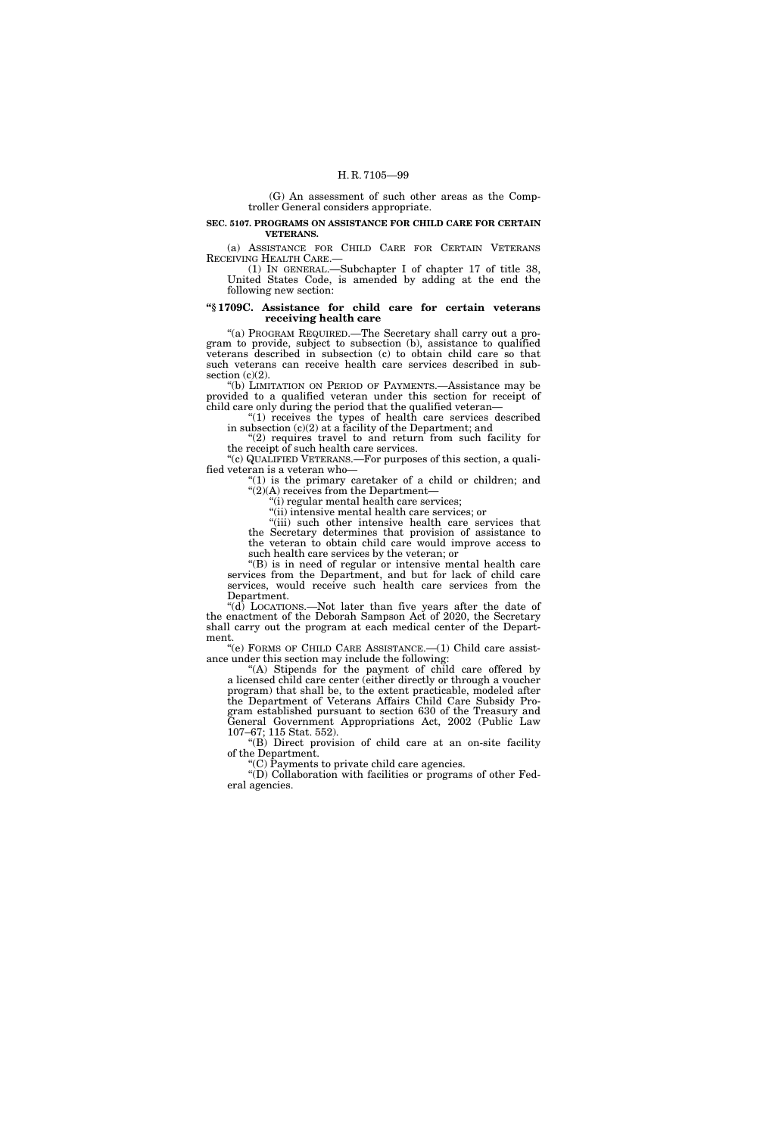(G) An assessment of such other areas as the Comptroller General considers appropriate.

### **SEC. 5107. PROGRAMS ON ASSISTANCE FOR CHILD CARE FOR CERTAIN VETERANS.**

(a) ASSISTANCE FOR CHILD CARE FOR CERTAIN VETERANS RECEIVING HEALTH CARE.—

(1) IN GENERAL.—Subchapter I of chapter 17 of title 38, United States Code, is amended by adding at the end the following new section:

# **''§ 1709C. Assistance for child care for certain veterans receiving health care**

''(a) PROGRAM REQUIRED.—The Secretary shall carry out a program to provide, subject to subsection (b), assistance to qualified veterans described in subsection (c) to obtain child care so that such veterans can receive health care services described in subsection  $(c)(2)$ .

''(b) LIMITATION ON PERIOD OF PAYMENTS.—Assistance may be provided to a qualified veteran under this section for receipt of child care only during the period that the qualified veteran—

''(1) receives the types of health care services described in subsection (c)(2) at a facility of the Department; and

"(2) requires travel to and return from such facility for the receipt of such health care services.

''(c) QUALIFIED VETERANS.—For purposes of this section, a qualified veteran is a veteran who—

" $(1)$  is the primary caretaker of a child or children; and  $\sqrt{\frac{2}{A}}$  receives from the Department-

''(i) regular mental health care services;

''(ii) intensive mental health care services; or

''(iii) such other intensive health care services that the Secretary determines that provision of assistance to the veteran to obtain child care would improve access to such health care services by the veteran; or

''(B) is in need of regular or intensive mental health care services from the Department, and but for lack of child care services, would receive such health care services from the Department.

''(d) LOCATIONS.—Not later than five years after the date of the enactment of the Deborah Sampson Act of 2020, the Secretary shall carry out the program at each medical center of the Department.

''(e) FORMS OF CHILD CARE ASSISTANCE.—(1) Child care assistance under this section may include the following:

''(A) Stipends for the payment of child care offered by a licensed child care center (either directly or through a voucher program) that shall be, to the extent practicable, modeled after the Department of Veterans Affairs Child Care Subsidy Program established pursuant to section 630 of the Treasury and General Government Appropriations Act, 2002 (Public Law 107–67; 115 Stat. 552).

''(B) Direct provision of child care at an on-site facility of the Department.

''(C) Payments to private child care agencies.

"(D) Collaboration with facilities or programs of other Federal agencies.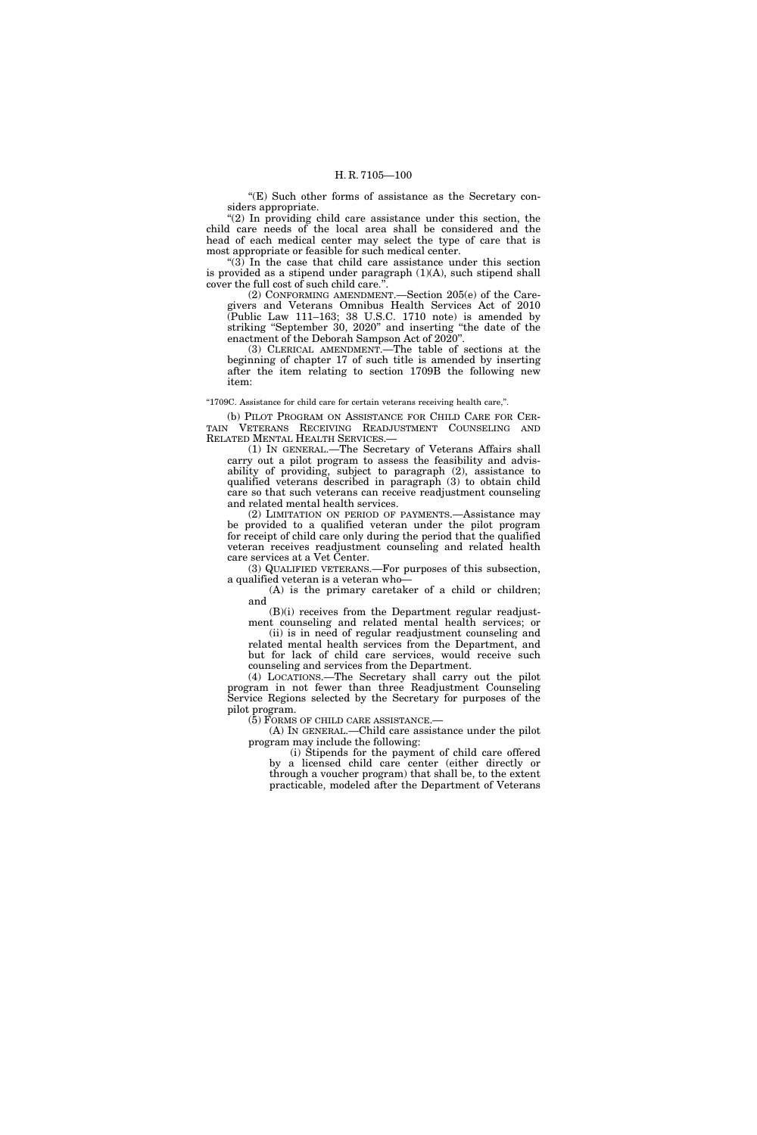''(E) Such other forms of assistance as the Secretary considers appropriate.

"(2) In providing child care assistance under this section, the child care needs of the local area shall be considered and the head of each medical center may select the type of care that is most appropriate or feasible for such medical center.

"(3) In the case that child care assistance under this section is provided as a stipend under paragraph (1)(A), such stipend shall cover the full cost of such child care.''.

(2) CONFORMING AMENDMENT.—Section 205(e) of the Caregivers and Veterans Omnibus Health Services Act of 2010 (Public Law 111–163; 38 U.S.C. 1710 note) is amended by striking ''September 30, 2020'' and inserting ''the date of the enactment of the Deborah Sampson Act of 2020''.

(3) CLERICAL AMENDMENT.—The table of sections at the beginning of chapter 17 of such title is amended by inserting after the item relating to section 1709B the following new item:

''1709C. Assistance for child care for certain veterans receiving health care,''.

(b) PILOT PROGRAM ON ASSISTANCE FOR CHILD CARE FOR CER-TAIN VETERANS RECEIVING READJUSTMENT COUNSELING AND RELATED MENTAL HEALTH SERVICES.—

(1) IN GENERAL.—The Secretary of Veterans Affairs shall carry out a pilot program to assess the feasibility and advisability of providing, subject to paragraph (2), assistance to qualified veterans described in paragraph (3) to obtain child care so that such veterans can receive readjustment counseling and related mental health services.

(2) LIMITATION ON PERIOD OF PAYMENTS.—Assistance may be provided to a qualified veteran under the pilot program for receipt of child care only during the period that the qualified veteran receives readjustment counseling and related health care services at a Vet Center.

(3) QUALIFIED VETERANS.—For purposes of this subsection, a qualified veteran is a veteran who—

(A) is the primary caretaker of a child or children; and

(B)(i) receives from the Department regular readjustment counseling and related mental health services; or

(ii) is in need of regular readjustment counseling and related mental health services from the Department, and but for lack of child care services, would receive such counseling and services from the Department.

(4) LOCATIONS.—The Secretary shall carry out the pilot program in not fewer than three Readjustment Counseling Service Regions selected by the Secretary for purposes of the pilot program.

(5) FORMS OF CHILD CARE ASSISTANCE.—

(A) IN GENERAL.—Child care assistance under the pilot program may include the following:

(i) Stipends for the payment of child care offered by a licensed child care center (either directly or through a voucher program) that shall be, to the extent practicable, modeled after the Department of Veterans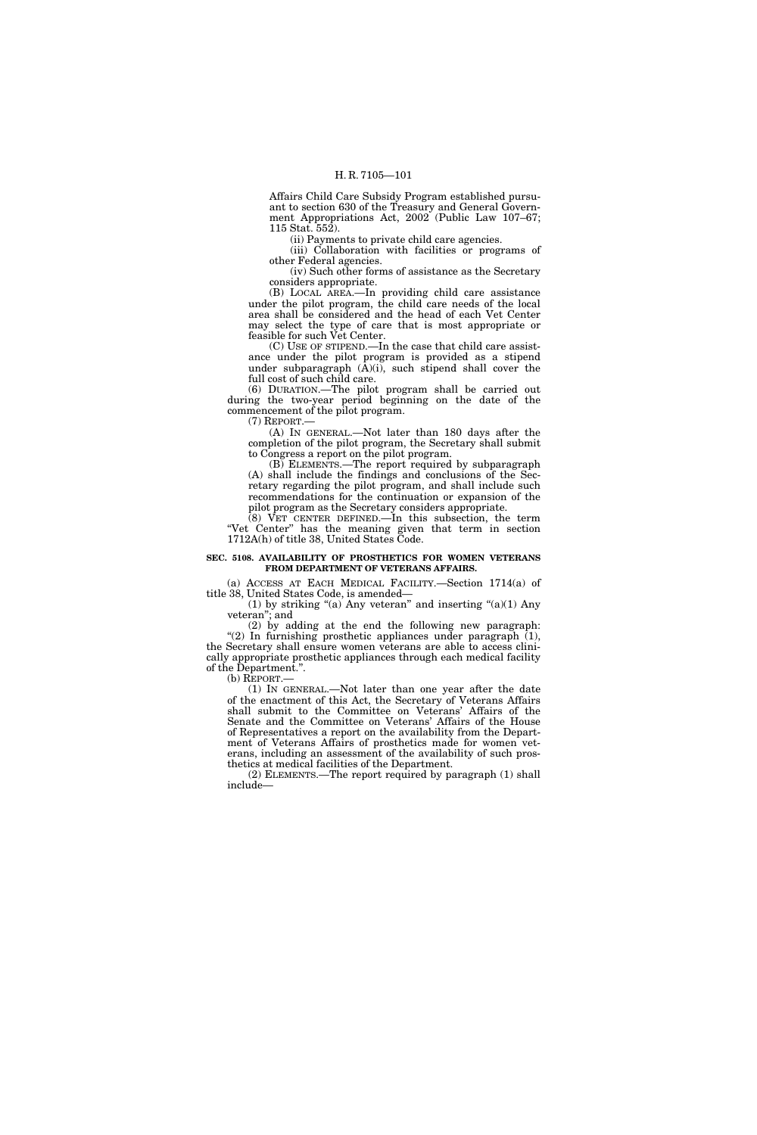Affairs Child Care Subsidy Program established pursuant to section 630 of the Treasury and General Government Appropriations Act, 2002 (Public Law 107–67; 115 Stat. 552).

(ii) Payments to private child care agencies.

(iii) Collaboration with facilities or programs of other Federal agencies.

(iv) Such other forms of assistance as the Secretary considers appropriate.

(B) LOCAL AREA.—In providing child care assistance under the pilot program, the child care needs of the local area shall be considered and the head of each Vet Center may select the type of care that is most appropriate or feasible for such Vet Center.

(C) USE OF STIPEND.—In the case that child care assistance under the pilot program is provided as a stipend under subparagraph  $(\tilde{A})(i)$ , such stipend shall cover the full cost of such child care.

(6) DURATION.—The pilot program shall be carried out during the two-year period beginning on the date of the commencement of the pilot program.

(7) REPORT.— (A) IN GENERAL.—Not later than 180 days after the completion of the pilot program, the Secretary shall submit

to Congress a report on the pilot program. (B) ELEMENTS.—The report required by subparagraph (A) shall include the findings and conclusions of the Secretary regarding the pilot program, and shall include such recommendations for the continuation or expansion of the

pilot program as the Secretary considers appropriate. (8) VET CENTER DEFINED.—In this subsection, the term

"Vet Center" has the meaning given that term in section 1712A(h) of title 38, United States Code.

## **SEC. 5108. AVAILABILITY OF PROSTHETICS FOR WOMEN VETERANS FROM DEPARTMENT OF VETERANS AFFAIRS.**

(a) ACCESS AT EACH MEDICAL FACILITY.—Section 1714(a) of title 38, United States Code, is amended—

(1) by striking "(a) Any veteran" and inserting "(a)(1) Any veteran''; and

(2) by adding at the end the following new paragraph: " $(2)$  In furnishing prosthetic appliances under paragraph  $(1)$ , the Secretary shall ensure women veterans are able to access clinically appropriate prosthetic appliances through each medical facility of the Department.''.

(b) REPORT.—

(1) IN GENERAL.—Not later than one year after the date of the enactment of this Act, the Secretary of Veterans Affairs shall submit to the Committee on Veterans' Affairs of the Senate and the Committee on Veterans' Affairs of the House of Representatives a report on the availability from the Department of Veterans Affairs of prosthetics made for women veterans, including an assessment of the availability of such prosthetics at medical facilities of the Department.

(2) ELEMENTS.—The report required by paragraph (1) shall include—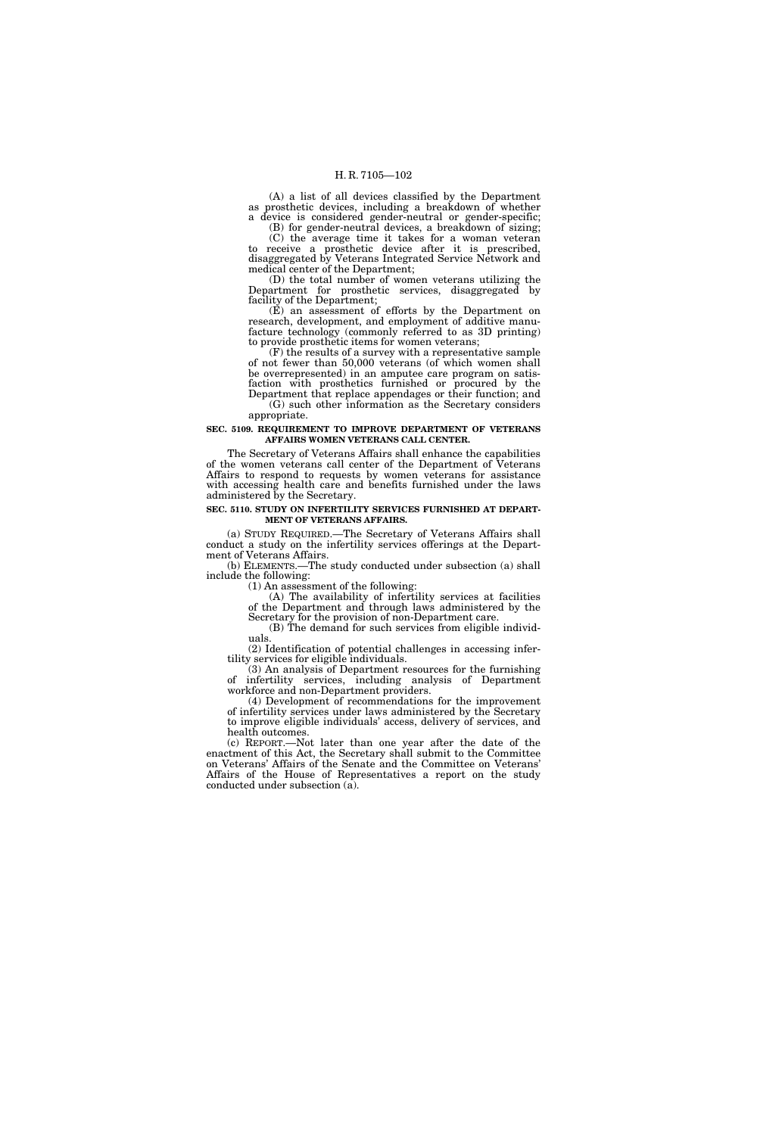(A) a list of all devices classified by the Department as prosthetic devices, including a breakdown of whether a device is considered gender-neutral or gender-specific;

(B) for gender-neutral devices, a breakdown of sizing; (C) the average time it takes for a woman veteran to receive a prosthetic device after it is prescribed, disaggregated by Veterans Integrated Service Network and medical center of the Department;

(D) the total number of women veterans utilizing the Department for prosthetic services, disaggregated by facility of the Department;

(E) an assessment of efforts by the Department on research, development, and employment of additive manufacture technology (commonly referred to as 3D printing) to provide prosthetic items for women veterans;

(F) the results of a survey with a representative sample of not fewer than 50,000 veterans (of which women shall be overrepresented) in an amputee care program on satisfaction with prosthetics furnished or procured by the Department that replace appendages or their function; and (G) such other information as the Secretary considers

appropriate.

### **SEC. 5109. REQUIREMENT TO IMPROVE DEPARTMENT OF VETERANS AFFAIRS WOMEN VETERANS CALL CENTER.**

The Secretary of Veterans Affairs shall enhance the capabilities of the women veterans call center of the Department of Veterans Affairs to respond to requests by women veterans for assistance with accessing health care and benefits furnished under the laws administered by the Secretary.

### **SEC. 5110. STUDY ON INFERTILITY SERVICES FURNISHED AT DEPART-MENT OF VETERANS AFFAIRS.**

(a) STUDY REQUIRED.—The Secretary of Veterans Affairs shall conduct a study on the infertility services offerings at the Department of Veterans Affairs.

(b) ELEMENTS.—The study conducted under subsection (a) shall include the following:

(1) An assessment of the following:

(A) The availability of infertility services at facilities of the Department and through laws administered by the Secretary for the provision of non-Department care.

(B) The demand for such services from eligible individuals.

(2) Identification of potential challenges in accessing infertility services for eligible individuals.

(3) An analysis of Department resources for the furnishing of infertility services, including analysis of Department workforce and non-Department providers.

(4) Development of recommendations for the improvement of infertility services under laws administered by the Secretary to improve eligible individuals' access, delivery of services, and health outcomes.

(c) REPORT.—Not later than one year after the date of the enactment of this Act, the Secretary shall submit to the Committee on Veterans' Affairs of the Senate and the Committee on Veterans' Affairs of the House of Representatives a report on the study conducted under subsection (a).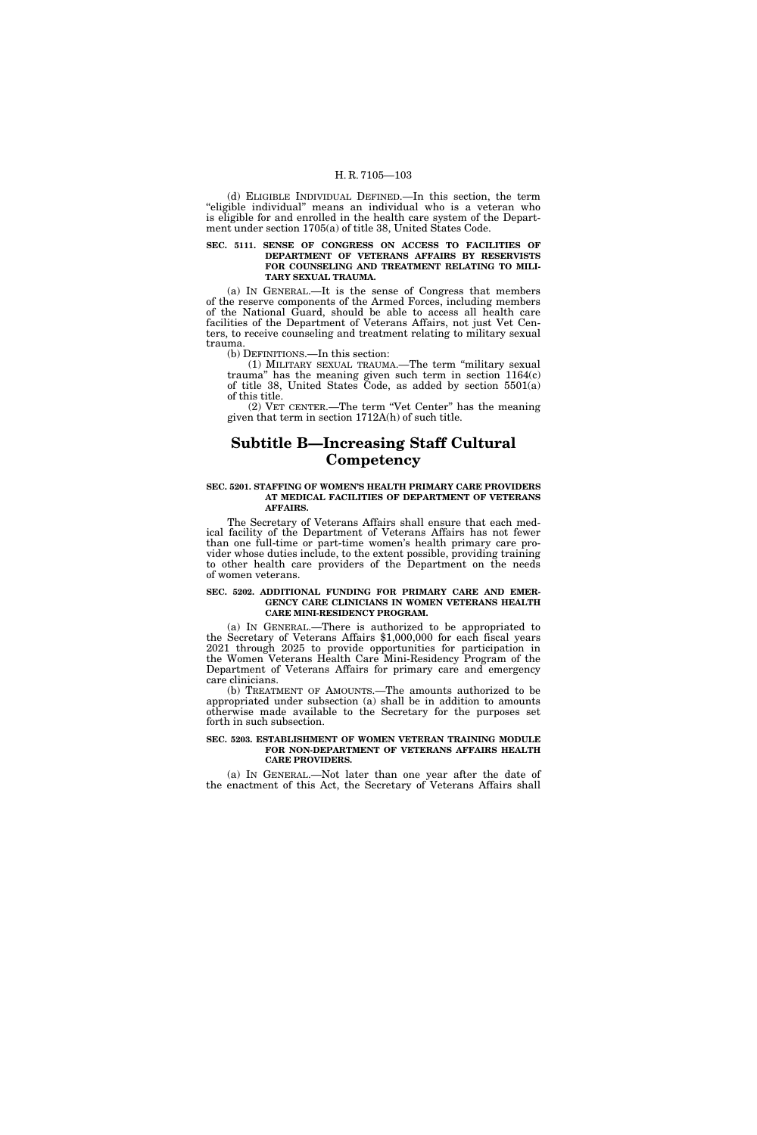(d) ELIGIBLE INDIVIDUAL DEFINED.—In this section, the term "eligible individual" means an individual who is a veteran who is eligible for and enrolled in the health care system of the Department under section 1705(a) of title 38, United States Code.

### **SEC. 5111. SENSE OF CONGRESS ON ACCESS TO FACILITIES OF DEPARTMENT OF VETERANS AFFAIRS BY RESERVISTS FOR COUNSELING AND TREATMENT RELATING TO MILI-TARY SEXUAL TRAUMA.**

(a) IN GENERAL.—It is the sense of Congress that members of the reserve components of the Armed Forces, including members of the National Guard, should be able to access all health care facilities of the Department of Veterans Affairs, not just Vet Centers, to receive counseling and treatment relating to military sexual trauma.

(b) DEFINITIONS.—In this section:

(1) MILITARY SEXUAL TRAUMA.—The term ''military sexual trauma'' has the meaning given such term in section 1164(c) of title 38, United States Code, as added by section 5501(a) of this title.

(2) VET CENTER.—The term ''Vet Center'' has the meaning given that term in section 1712A(h) of such title.

# **Subtitle B—Increasing Staff Cultural Competency**

### **SEC. 5201. STAFFING OF WOMEN'S HEALTH PRIMARY CARE PROVIDERS AT MEDICAL FACILITIES OF DEPARTMENT OF VETERANS AFFAIRS.**

The Secretary of Veterans Affairs shall ensure that each medical facility of the Department of Veterans Affairs has not fewer than one full-time or part-time women's health primary care provider whose duties include, to the extent possible, providing training to other health care providers of the Department on the needs of women veterans.

### **SEC. 5202. ADDITIONAL FUNDING FOR PRIMARY CARE AND EMER-GENCY CARE CLINICIANS IN WOMEN VETERANS HEALTH CARE MINI-RESIDENCY PROGRAM.**

(a) IN GENERAL.—There is authorized to be appropriated to the Secretary of Veterans Affairs \$1,000,000 for each fiscal years 2021 through 2025 to provide opportunities for participation in the Women Veterans Health Care Mini-Residency Program of the Department of Veterans Affairs for primary care and emergency care clinicians.

(b) TREATMENT OF AMOUNTS.—The amounts authorized to be appropriated under subsection (a) shall be in addition to amounts otherwise made available to the Secretary for the purposes set forth in such subsection.

### **SEC. 5203. ESTABLISHMENT OF WOMEN VETERAN TRAINING MODULE FOR NON-DEPARTMENT OF VETERANS AFFAIRS HEALTH CARE PROVIDERS.**

(a) IN GENERAL.—Not later than one year after the date of the enactment of this Act, the Secretary of Veterans Affairs shall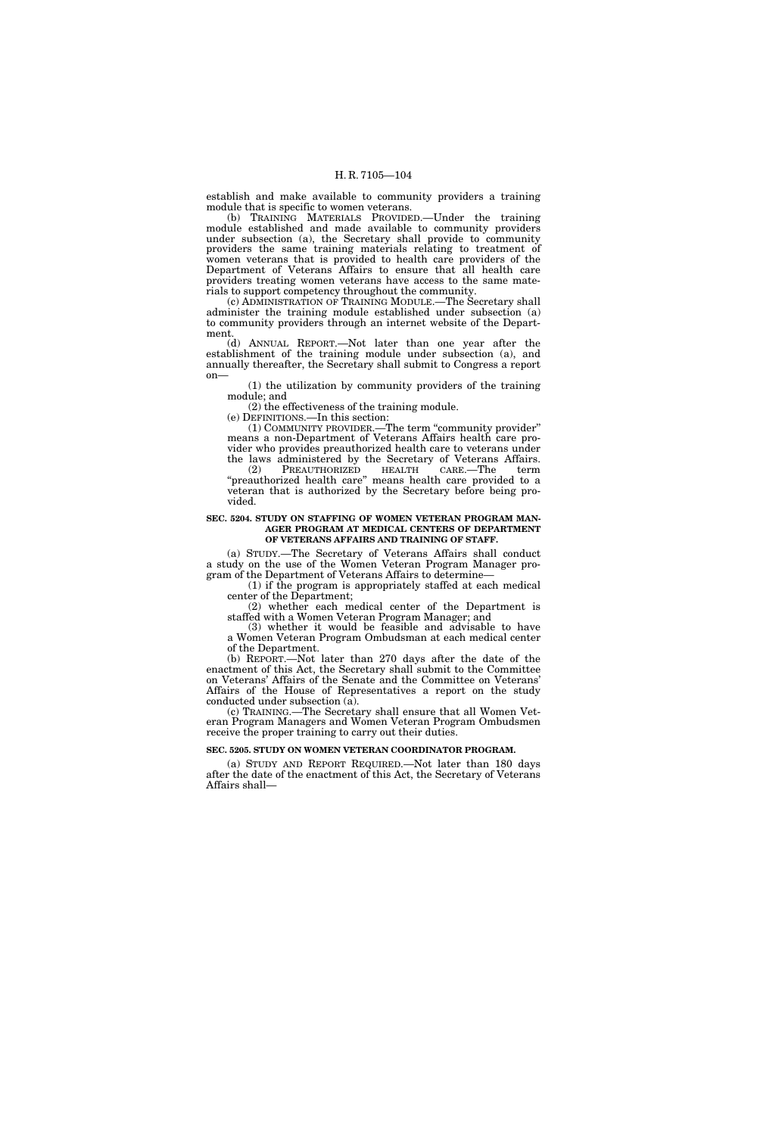establish and make available to community providers a training module that is specific to women veterans.

(b) TRAINING MATERIALS PROVIDED.—Under the training module established and made available to community providers under subsection (a), the Secretary shall provide to community providers the same training materials relating to treatment of women veterans that is provided to health care providers of the Department of Veterans Affairs to ensure that all health care providers treating women veterans have access to the same materials to support competency throughout the community.

(c) ADMINISTRATION OF TRAINING MODULE.—The Secretary shall administer the training module established under subsection (a) to community providers through an internet website of the Department.

(d) ANNUAL REPORT.—Not later than one year after the establishment of the training module under subsection (a), and annually thereafter, the Secretary shall submit to Congress a report on—

(1) the utilization by community providers of the training module; and

(2) the effectiveness of the training module.

(e) DEFINITIONS.—In this section:

(1) COMMUNITY PROVIDER.—The term ''community provider'' means a non-Department of Veterans Affairs health care provider who provides preauthorized health care to veterans under the laws administered by the Secretary of Veterans Affairs. (2) PREAUTHORIZED HEALTH CARE.—The term

"preauthorized health care" means health care provided to a veteran that is authorized by the Secretary before being provided.

## **SEC. 5204. STUDY ON STAFFING OF WOMEN VETERAN PROGRAM MAN-AGER PROGRAM AT MEDICAL CENTERS OF DEPARTMENT OF VETERANS AFFAIRS AND TRAINING OF STAFF.**

(a) STUDY.—The Secretary of Veterans Affairs shall conduct a study on the use of the Women Veteran Program Manager program of the Department of Veterans Affairs to determine—

(1) if the program is appropriately staffed at each medical center of the Department;

(2) whether each medical center of the Department is staffed with a Women Veteran Program Manager; and

(3) whether it would be feasible and advisable to have a Women Veteran Program Ombudsman at each medical center of the Department.

(b) REPORT.—Not later than 270 days after the date of the enactment of this Act, the Secretary shall submit to the Committee on Veterans' Affairs of the Senate and the Committee on Veterans' Affairs of the House of Representatives a report on the study conducted under subsection (a).

(c) TRAINING.—The Secretary shall ensure that all Women Veteran Program Managers and Women Veteran Program Ombudsmen receive the proper training to carry out their duties.

### **SEC. 5205. STUDY ON WOMEN VETERAN COORDINATOR PROGRAM.**

(a) STUDY AND REPORT REQUIRED.—Not later than 180 days after the date of the enactment of this Act, the Secretary of Veterans Affairs shall—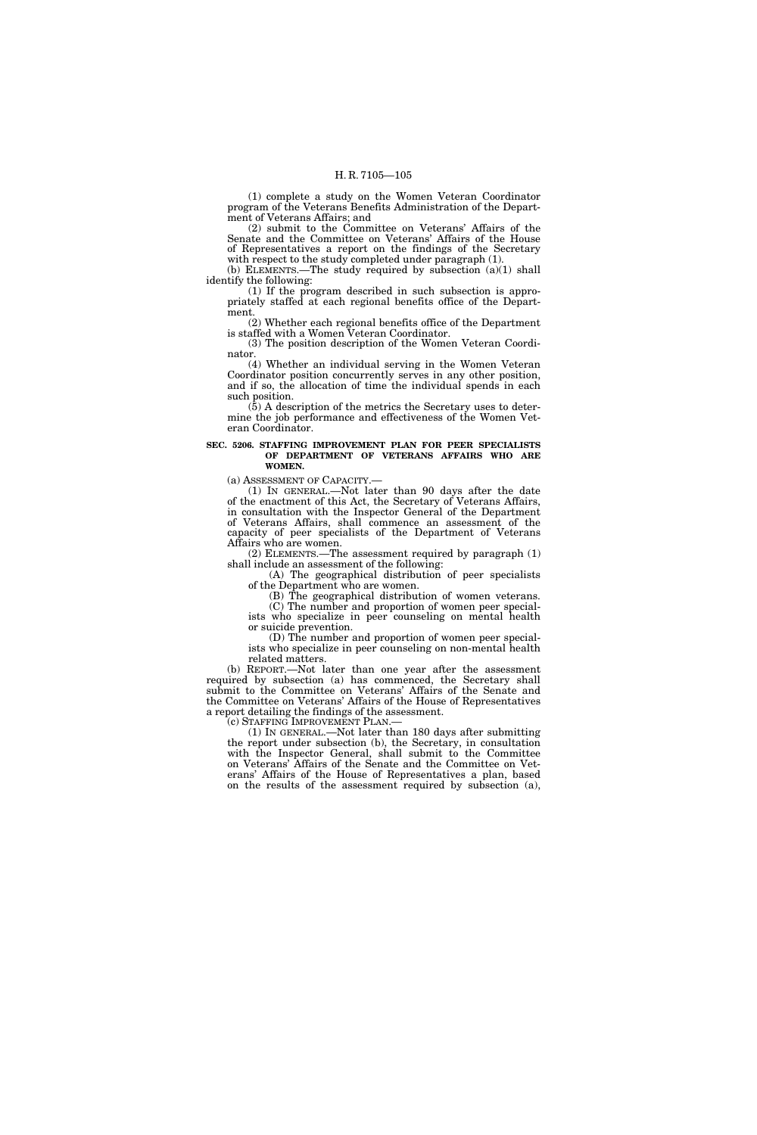(1) complete a study on the Women Veteran Coordinator program of the Veterans Benefits Administration of the Department of Veterans Affairs; and

(2) submit to the Committee on Veterans' Affairs of the Senate and the Committee on Veterans' Affairs of the House of Representatives a report on the findings of the Secretary with respect to the study completed under paragraph (1).

(b) ELEMENTS.—The study required by subsection (a)(1) shall identify the following:

(1) If the program described in such subsection is appropriately staffed at each regional benefits office of the Department.

(2) Whether each regional benefits office of the Department is staffed with a Women Veteran Coordinator. (3) The position description of the Women Veteran Coordi-

nator. (4) Whether an individual serving in the Women Veteran Coordinator position concurrently serves in any other position,

and if so, the allocation of time the individual spends in each such position.

(5) A description of the metrics the Secretary uses to determine the job performance and effectiveness of the Women Veteran Coordinator.

### **SEC. 5206. STAFFING IMPROVEMENT PLAN FOR PEER SPECIALISTS OF DEPARTMENT OF VETERANS AFFAIRS WHO ARE WOMEN.**

(a) ASSESSMENT OF CAPACITY.—

(1) IN GENERAL.—Not later than 90 days after the date of the enactment of this Act, the Secretary of Veterans Affairs, in consultation with the Inspector General of the Department of Veterans Affairs, shall commence an assessment of the capacity of peer specialists of the Department of Veterans Affairs who are women.

(2) ELEMENTS.—The assessment required by paragraph (1) shall include an assessment of the following:

(A) The geographical distribution of peer specialists of the Department who are women.

(B) The geographical distribution of women veterans. (C) The number and proportion of women peer specialists who specialize in peer counseling on mental health or suicide prevention.

(D) The number and proportion of women peer specialists who specialize in peer counseling on non-mental health related matters.

(b) REPORT.—Not later than one year after the assessment required by subsection (a) has commenced, the Secretary shall submit to the Committee on Veterans' Affairs of the Senate and the Committee on Veterans' Affairs of the House of Representatives a report detailing the findings of the assessment.<br>(c) STAFFING IMPROVEMENT PLAN.—

(1) IN GENERAL.—Not later than 180 days after submitting the report under subsection (b), the Secretary, in consultation with the Inspector General, shall submit to the Committee on Veterans' Affairs of the Senate and the Committee on Veterans' Affairs of the House of Representatives a plan, based on the results of the assessment required by subsection (a),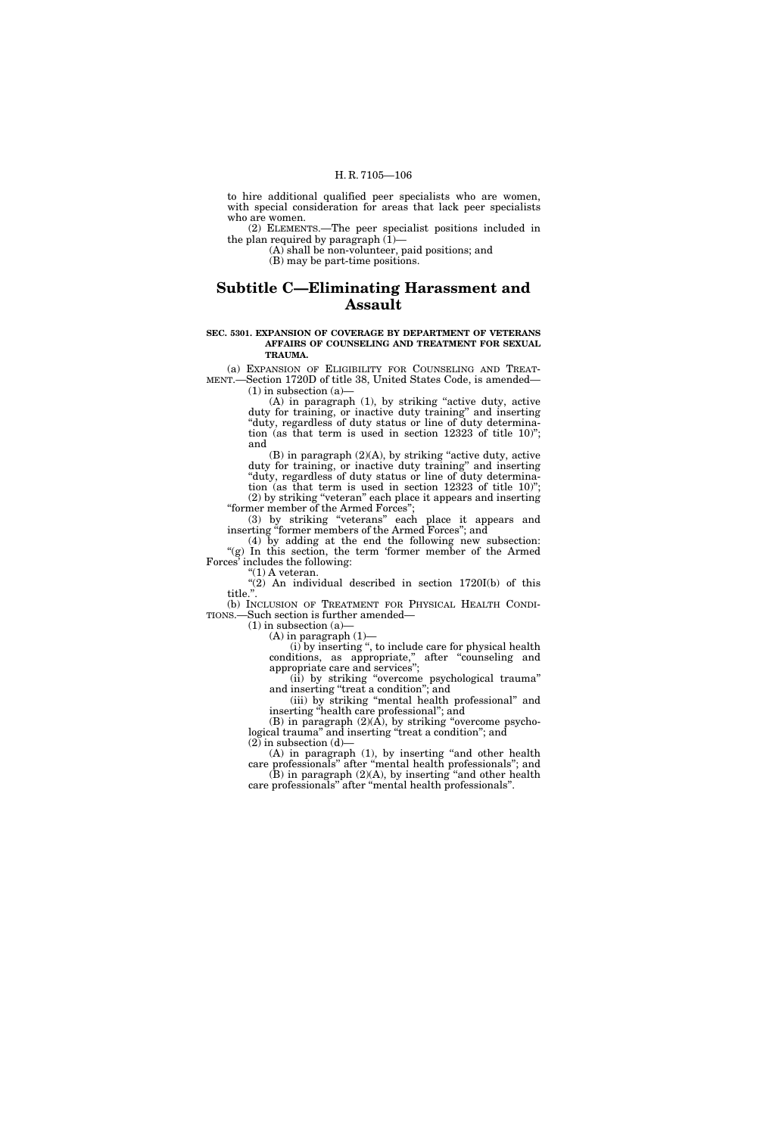to hire additional qualified peer specialists who are women, with special consideration for areas that lack peer specialists who are women.

(2) ELEMENTS.—The peer specialist positions included in the plan required by paragraph  $(1)$ –

(A) shall be non-volunteer, paid positions; and

(B) may be part-time positions.

# **Subtitle C—Eliminating Harassment and Assault**

### **SEC. 5301. EXPANSION OF COVERAGE BY DEPARTMENT OF VETERANS AFFAIRS OF COUNSELING AND TREATMENT FOR SEXUAL TRAUMA.**

(a) EXPANSION OF ELIGIBILITY FOR COUNSELING AND TREAT-MENT.—Section 1720D of title 38, United States Code, is amended—  $(1)$  in subsection  $(a)$ 

(A) in paragraph (1), by striking "active duty, active duty for training, or inactive duty training'' and inserting "duty, regardless of duty status or line of duty determination (as that term is used in section 12323 of title 10)''; and

(B) in paragraph (2)(A), by striking ''active duty, active duty for training, or inactive duty training'' and inserting ''duty, regardless of duty status or line of duty determination (as that term is used in section 12323 of title 10)''; (2) by striking ''veteran'' each place it appears and inserting ''former member of the Armed Forces'';

(3) by striking ''veterans'' each place it appears and inserting "former members of the Armed Forces"; and

(4) by adding at the end the following new subsection: "(g) In this section, the term 'former member of the Armed Forces' includes the following:

''(1) A veteran.

"(2) An individual described in section 1720I(b) of this title.''.

(b) INCLUSION OF TREATMENT FOR PHYSICAL HEALTH CONDI-TIONS.—Such section is further amended—

 $(1)$  in subsection  $(a)$  $(A)$  in paragraph  $(1)$ —

(i) by inserting '', to include care for physical health conditions, as appropriate,'' after ''counseling and appropriate care and services'';

(ii) by striking ''overcome psychological trauma'' and inserting "treat a condition"; and

(iii) by striking ''mental health professional'' and inserting ''health care professional''; and

(B) in paragraph  $(2)(\overline{A})$ , by striking "overcome psychological trauma" and inserting "treat a condition"; and  $(2)$  in subsection  $(d)$ 

(A) in paragraph (1), by inserting "and other health care professionals'' after ''mental health professionals''; and  $(B)$  in paragraph  $(2)(A)$ , by inserting "and other health

care professionals'' after ''mental health professionals''.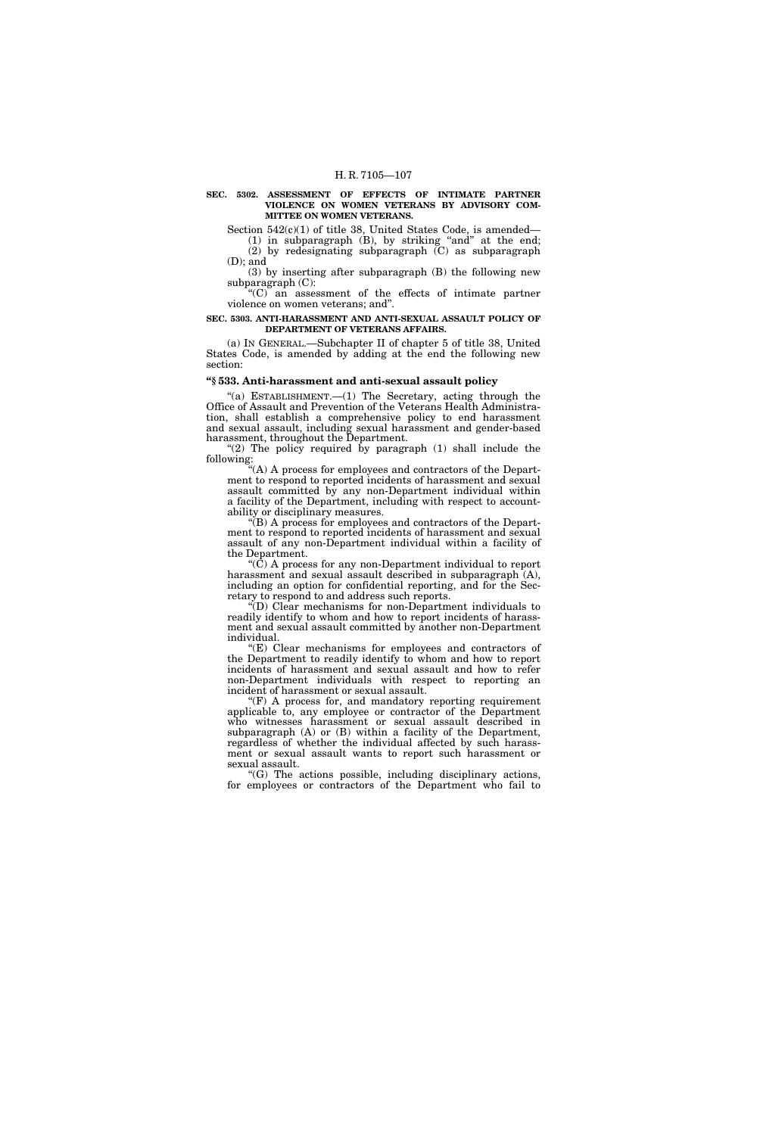### **SEC. 5302. ASSESSMENT OF EFFECTS OF INTIMATE PARTNER VIOLENCE ON WOMEN VETERANS BY ADVISORY COM-MITTEE ON WOMEN VETERANS.**

Section  $542(c)(1)$  of title 38, United States Code, is amended—  $(1)$  in subparagraph  $(B)$ , by striking "and" at the end;

(2) by redesignating subparagraph (C) as subparagraph (D); and

(3) by inserting after subparagraph (B) the following new subparagraph (C):

''(C) an assessment of the effects of intimate partner violence on women veterans; and''.

### **SEC. 5303. ANTI-HARASSMENT AND ANTI-SEXUAL ASSAULT POLICY OF DEPARTMENT OF VETERANS AFFAIRS.**

(a) IN GENERAL.—Subchapter II of chapter 5 of title 38, United States Code, is amended by adding at the end the following new section:

# **''§ 533. Anti-harassment and anti-sexual assault policy**

"(a) ESTABLISHMENT.— $(1)$  The Secretary, acting through the Office of Assault and Prevention of the Veterans Health Administration, shall establish a comprehensive policy to end harassment and sexual assault, including sexual harassment and gender-based harassment, throughout the Department.

" $(2)$  The policy required by paragraph  $(1)$  shall include the following:

''(A) A process for employees and contractors of the Department to respond to reported incidents of harassment and sexual assault committed by any non-Department individual within a facility of the Department, including with respect to accountability or disciplinary measures.

 $E(B)$  A process for employees and contractors of the Department to respond to reported incidents of harassment and sexual assault of any non-Department individual within a facility of the Department.

 $\mathcal{L}(\tilde{C})$  A process for any non-Department individual to report harassment and sexual assault described in subparagraph  $(A)$ , including an option for confidential reporting, and for the Secretary to respond to and address such reports.

 $\widetilde{f}(D)$  Clear mechanisms for non-Department individuals to readily identify to whom and how to report incidents of harassment and sexual assault committed by another non-Department individual.

''(E) Clear mechanisms for employees and contractors of the Department to readily identify to whom and how to report incidents of harassment and sexual assault and how to refer non-Department individuals with respect to reporting an incident of harassment or sexual assault.

 $'(F)$  A process for, and mandatory reporting requirement applicable to, any employee or contractor of the Department who witnesses harassment or sexual assault described in subparagraph (A) or (B) within a facility of the Department, regardless of whether the individual affected by such harassment or sexual assault wants to report such harassment or sexual assault.

 $(G)$  The actions possible, including disciplinary actions, for employees or contractors of the Department who fail to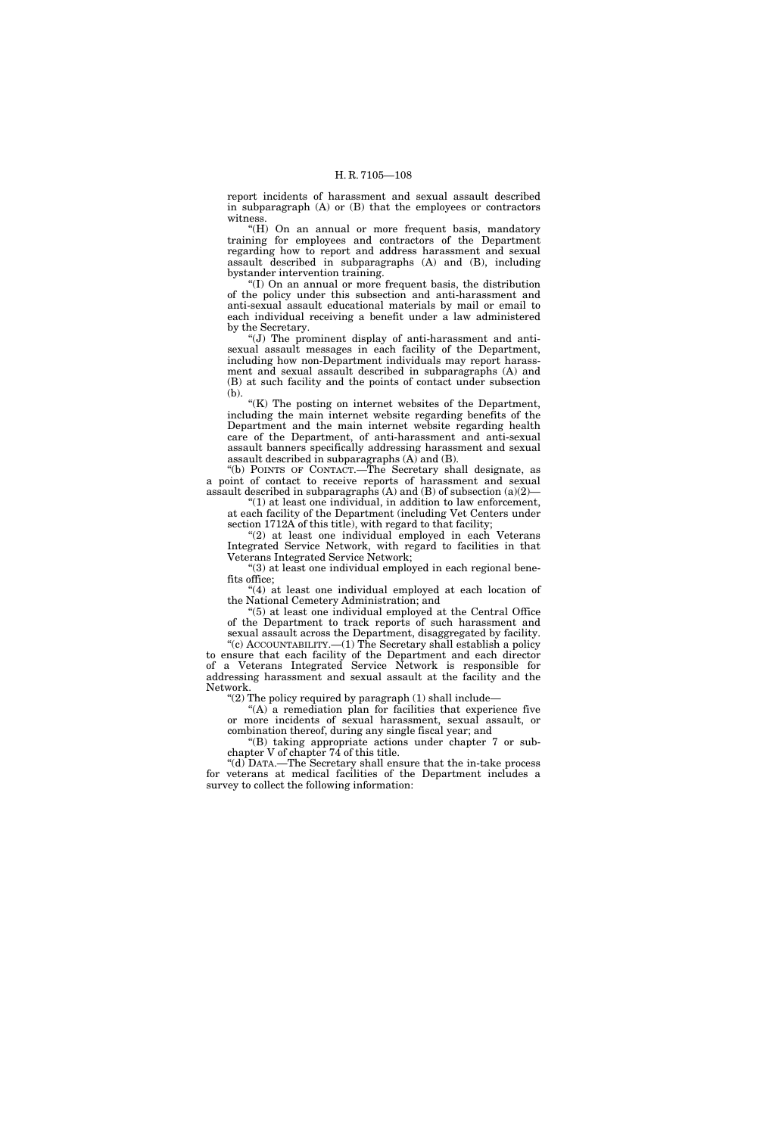report incidents of harassment and sexual assault described in subparagraph (A) or (B) that the employees or contractors witness.

''(H) On an annual or more frequent basis, mandatory training for employees and contractors of the Department regarding how to report and address harassment and sexual assault described in subparagraphs (A) and (B), including bystander intervention training.

''(I) On an annual or more frequent basis, the distribution of the policy under this subsection and anti-harassment and anti-sexual assault educational materials by mail or email to each individual receiving a benefit under a law administered by the Secretary.

''(J) The prominent display of anti-harassment and antisexual assault messages in each facility of the Department, including how non-Department individuals may report harassment and sexual assault described in subparagraphs (A) and (B) at such facility and the points of contact under subsection (b).

 $K(K)$  The posting on internet websites of the Department, including the main internet website regarding benefits of the Department and the main internet website regarding health care of the Department, of anti-harassment and anti-sexual assault banners specifically addressing harassment and sexual assault described in subparagraphs (A) and (B).

''(b) POINTS OF CONTACT.—The Secretary shall designate, as a point of contact to receive reports of harassment and sexual assault described in subparagraphs  $(A)$  and  $(B)$  of subsection  $(a)(2)$ —

''(1) at least one individual, in addition to law enforcement, at each facility of the Department (including Vet Centers under section 1712A of this title), with regard to that facility;

"(2) at least one individual employed in each Veterans Integrated Service Network, with regard to facilities in that Veterans Integrated Service Network;

''(3) at least one individual employed in each regional benefits office;

"(4) at least one individual employed at each location of the National Cemetery Administration; and

''(5) at least one individual employed at the Central Office of the Department to track reports of such harassment and sexual assault across the Department, disaggregated by facility.

"(c) ACCOUNTABILITY.— $(1)$  The Secretary shall establish a policy to ensure that each facility of the Department and each director of a Veterans Integrated Service Network is responsible for addressing harassment and sexual assault at the facility and the Network.

"(2) The policy required by paragraph  $(1)$  shall include—

 $(A)$  a remediation plan for facilities that experience five or more incidents of sexual harassment, sexual assault, or combination thereof, during any single fiscal year; and

''(B) taking appropriate actions under chapter 7 or subchapter V of chapter 74 of this title.

''(d) DATA.—The Secretary shall ensure that the in-take process for veterans at medical facilities of the Department includes a survey to collect the following information: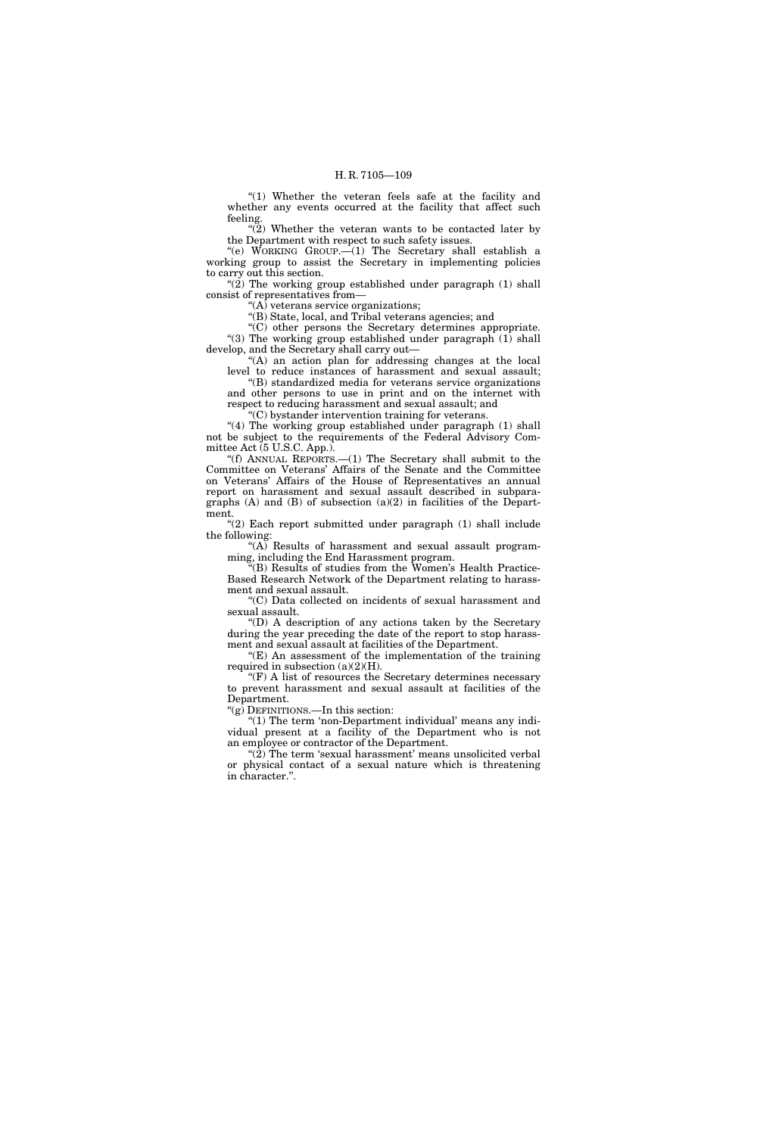"(1) Whether the veteran feels safe at the facility and whether any events occurred at the facility that affect such feeling.

 $\tilde{P}(2)$  Whether the veteran wants to be contacted later by the Department with respect to such safety issues.

"(e) WORKING GROUP. $-(1)$  The Secretary shall establish a working group to assist the Secretary in implementing policies to carry out this section.

" $(2)$  The working group established under paragraph  $(1)$  shall consist of representatives from—

" $(A)$  veterans service organizations;

''(B) State, local, and Tribal veterans agencies; and

''(C) other persons the Secretary determines appropriate. "(3) The working group established under paragraph (1) shall develop, and the Secretary shall carry out—

''(A) an action plan for addressing changes at the local level to reduce instances of harassment and sexual assault;

''(B) standardized media for veterans service organizations and other persons to use in print and on the internet with respect to reducing harassment and sexual assault; and

''(C) bystander intervention training for veterans.

"(4) The working group established under paragraph (1) shall not be subject to the requirements of the Federal Advisory Committee Act (5 U.S.C. App.).

''(f) ANNUAL REPORTS.—(1) The Secretary shall submit to the Committee on Veterans' Affairs of the Senate and the Committee on Veterans' Affairs of the House of Representatives an annual report on harassment and sexual assault described in subparagraphs (A) and (B) of subsection (a)(2) in facilities of the Department.

"(2) Each report submitted under paragraph (1) shall include the following:

" $(A)$  Results of harassment and sexual assault programming, including the End Harassment program.

''(B) Results of studies from the Women's Health Practice-Based Research Network of the Department relating to harassment and sexual assault.

''(C) Data collected on incidents of sexual harassment and sexual assault.

''(D) A description of any actions taken by the Secretary during the year preceding the date of the report to stop harassment and sexual assault at facilities of the Department.

 $E(E)$  An assessment of the implementation of the training required in subsection  $(a)(2)(H)$ .

 $\mathrm{``(F)}$  A list of resources the Secretary determines necessary to prevent harassment and sexual assault at facilities of the Department.

''(g) DEFINITIONS.—In this section:

 $(1)$  The term 'non-Department individual' means any individual present at a facility of the Department who is not an employee or contractor of the Department.

"(2) The term 'sexual harassment' means unsolicited verbal or physical contact of a sexual nature which is threatening in character.''.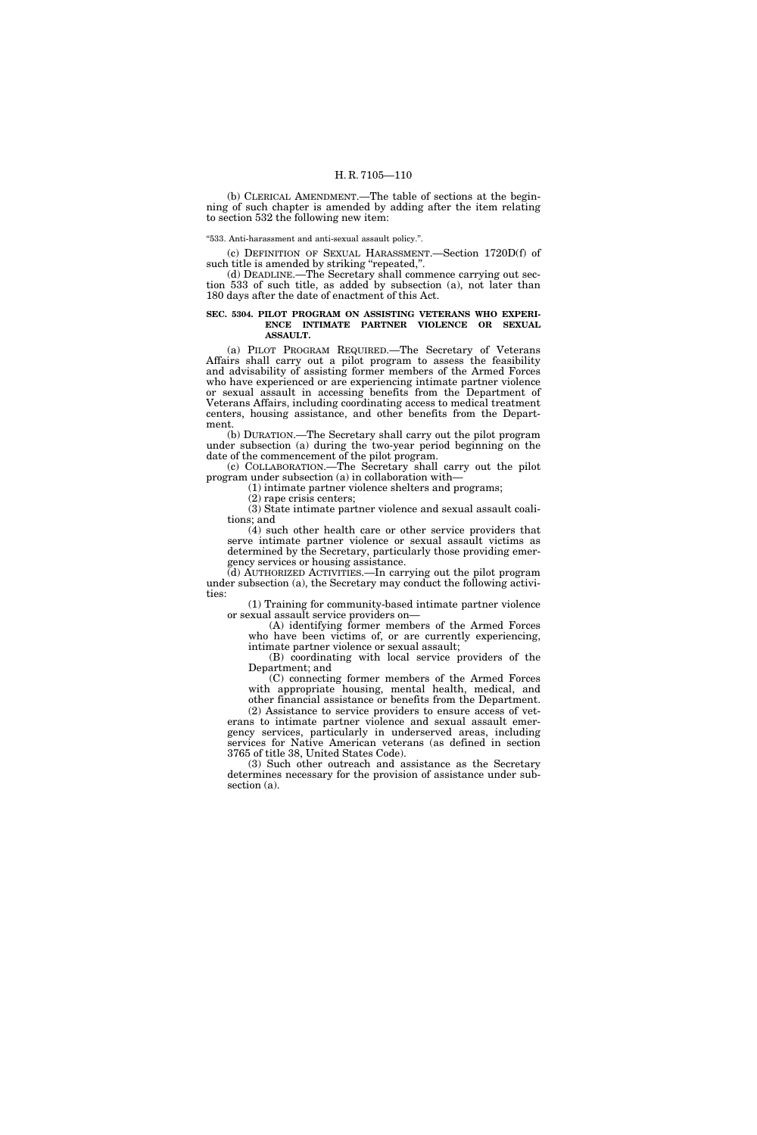(b) CLERICAL AMENDMENT.—The table of sections at the beginning of such chapter is amended by adding after the item relating to section 532 the following new item:

''533. Anti-harassment and anti-sexual assault policy.''.

(c) DEFINITION OF SEXUAL HARASSMENT.—Section 1720D(f) of such title is amended by striking "repeated,".

(d) DEADLINE.—The Secretary shall commence carrying out section 533 of such title, as added by subsection (a), not later than 180 days after the date of enactment of this Act.

#### **SEC. 5304. PILOT PROGRAM ON ASSISTING VETERANS WHO EXPERI-ENCE INTIMATE PARTNER VIOLENCE OR SEXUAL ASSAULT.**

(a) PILOT PROGRAM REQUIRED.—The Secretary of Veterans Affairs shall carry out a pilot program to assess the feasibility and advisability of assisting former members of the Armed Forces who have experienced or are experiencing intimate partner violence or sexual assault in accessing benefits from the Department of Veterans Affairs, including coordinating access to medical treatment centers, housing assistance, and other benefits from the Department.

(b) DURATION.—The Secretary shall carry out the pilot program under subsection (a) during the two-year period beginning on the date of the commencement of the pilot program.

(c) COLLABORATION.—The Secretary shall carry out the pilot program under subsection (a) in collaboration with—

(1) intimate partner violence shelters and programs;

(2) rape crisis centers;

(3) State intimate partner violence and sexual assault coalitions; and

(4) such other health care or other service providers that serve intimate partner violence or sexual assault victims as determined by the Secretary, particularly those providing emergency services or housing assistance.

(d) AUTHORIZED ACTIVITIES.—In carrying out the pilot program under subsection (a), the Secretary may conduct the following activities:

(1) Training for community-based intimate partner violence or sexual assault service providers on—

(A) identifying former members of the Armed Forces who have been victims of, or are currently experiencing, intimate partner violence or sexual assault;

(B) coordinating with local service providers of the Department; and

(C) connecting former members of the Armed Forces with appropriate housing, mental health, medical, and other financial assistance or benefits from the Department.

(2) Assistance to service providers to ensure access of veterans to intimate partner violence and sexual assault emergency services, particularly in underserved areas, including services for Native American veterans (as defined in section 3765 of title 38, United States Code).

(3) Such other outreach and assistance as the Secretary determines necessary for the provision of assistance under subsection (a).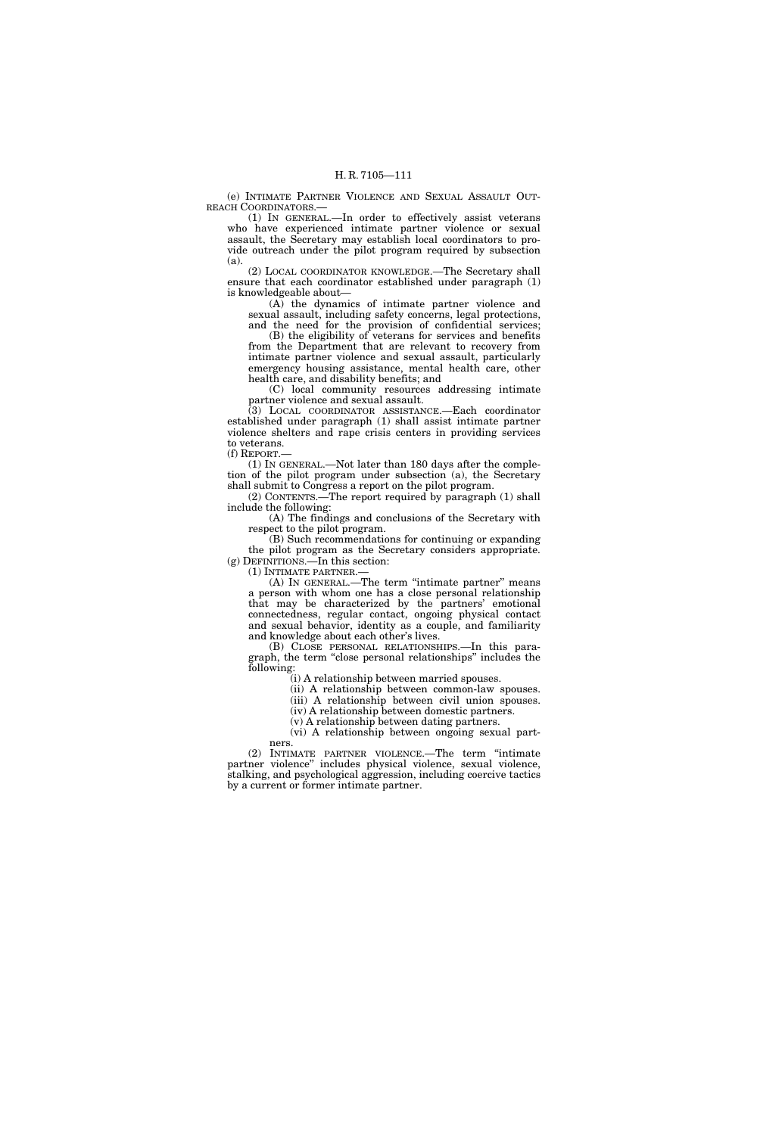(e) INTIMATE PARTNER VIOLENCE AND SEXUAL ASSAULT OUT-REACH COORDINATORS.—

(1) IN GENERAL.—In order to effectively assist veterans who have experienced intimate partner violence or sexual assault, the Secretary may establish local coordinators to provide outreach under the pilot program required by subsection (a).

(2) LOCAL COORDINATOR KNOWLEDGE.—The Secretary shall ensure that each coordinator established under paragraph (1) is knowledgeable about—

(A) the dynamics of intimate partner violence and sexual assault, including safety concerns, legal protections, and the need for the provision of confidential services;

(B) the eligibility of veterans for services and benefits from the Department that are relevant to recovery from intimate partner violence and sexual assault, particularly emergency housing assistance, mental health care, other health care, and disability benefits; and

(C) local community resources addressing intimate partner violence and sexual assault.

(3) LOCAL COORDINATOR ASSISTANCE.—Each coordinator established under paragraph (1) shall assist intimate partner violence shelters and rape crisis centers in providing services to veterans. (f) REPORT.—

(1) IN GENERAL.—Not later than 180 days after the completion of the pilot program under subsection (a), the Secretary shall submit to Congress a report on the pilot program.

(2) CONTENTS.—The report required by paragraph (1) shall include the following:

(A) The findings and conclusions of the Secretary with respect to the pilot program.

(B) Such recommendations for continuing or expanding the pilot program as the Secretary considers appropriate. (g) DEFINITIONS.—In this section:

(1) INTIMATE PARTNER.—

(A) IN GENERAL.—The term ''intimate partner'' means a person with whom one has a close personal relationship that may be characterized by the partners' emotional connectedness, regular contact, ongoing physical contact and sexual behavior, identity as a couple, and familiarity and knowledge about each other's lives.

(B) CLOSE PERSONAL RELATIONSHIPS.—In this paragraph, the term ''close personal relationships'' includes the following:

(i) A relationship between married spouses.

(ii) A relationship between common-law spouses.

(iii) A relationship between civil union spouses. (iv) A relationship between domestic partners.

(v) A relationship between dating partners.

(vi) A relationship between ongoing sexual partners.

(2) INTIMATE PARTNER VIOLENCE.—The term ''intimate partner violence'' includes physical violence, sexual violence, stalking, and psychological aggression, including coercive tactics by a current or former intimate partner.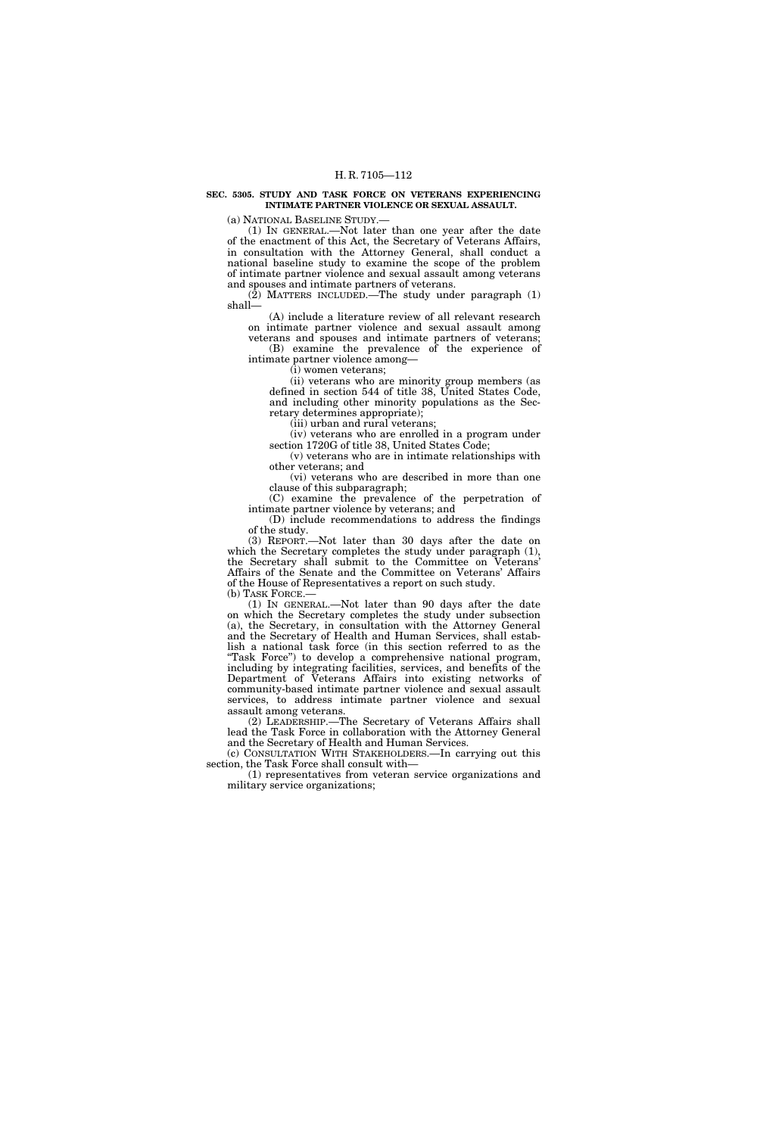#### **SEC. 5305. STUDY AND TASK FORCE ON VETERANS EXPERIENCING INTIMATE PARTNER VIOLENCE OR SEXUAL ASSAULT.**

(a) NATIONAL BASELINE STUDY.—

(1) IN GENERAL.—Not later than one year after the date of the enactment of this Act, the Secretary of Veterans Affairs, in consultation with the Attorney General, shall conduct a national baseline study to examine the scope of the problem of intimate partner violence and sexual assault among veterans and spouses and intimate partners of veterans.

 $(2)$  MATTERS INCLUDED.—The study under paragraph  $(1)$ shall—

(A) include a literature review of all relevant research on intimate partner violence and sexual assault among veterans and spouses and intimate partners of veterans;

(B) examine the prevalence of the experience of intimate partner violence among—

(i) women veterans;

(ii) veterans who are minority group members (as defined in section 544 of title 38, United States Code, and including other minority populations as the Secretary determines appropriate);

(iii) urban and rural veterans;

(iv) veterans who are enrolled in a program under section 1720G of title 38, United States Code;

(v) veterans who are in intimate relationships with other veterans; and

(vi) veterans who are described in more than one clause of this subparagraph;

(C) examine the prevalence of the perpetration of intimate partner violence by veterans; and

(D) include recommendations to address the findings of the study.

(3) REPORT.—Not later than 30 days after the date on which the Secretary completes the study under paragraph  $(1)$ , the Secretary shall submit to the Committee on Veterans' Affairs of the Senate and the Committee on Veterans' Affairs of the House of Representatives a report on such study. (b) TASK FORCE.—

(1) IN GENERAL.—Not later than 90 days after the date on which the Secretary completes the study under subsection (a), the Secretary, in consultation with the Attorney General and the Secretary of Health and Human Services, shall establish a national task force (in this section referred to as the "Task Force") to develop a comprehensive national program, including by integrating facilities, services, and benefits of the Department of Veterans Affairs into existing networks of community-based intimate partner violence and sexual assault services, to address intimate partner violence and sexual assault among veterans.

(2) LEADERSHIP.—The Secretary of Veterans Affairs shall lead the Task Force in collaboration with the Attorney General and the Secretary of Health and Human Services.

(c) CONSULTATION WITH STAKEHOLDERS.—In carrying out this section, the Task Force shall consult with—

(1) representatives from veteran service organizations and military service organizations;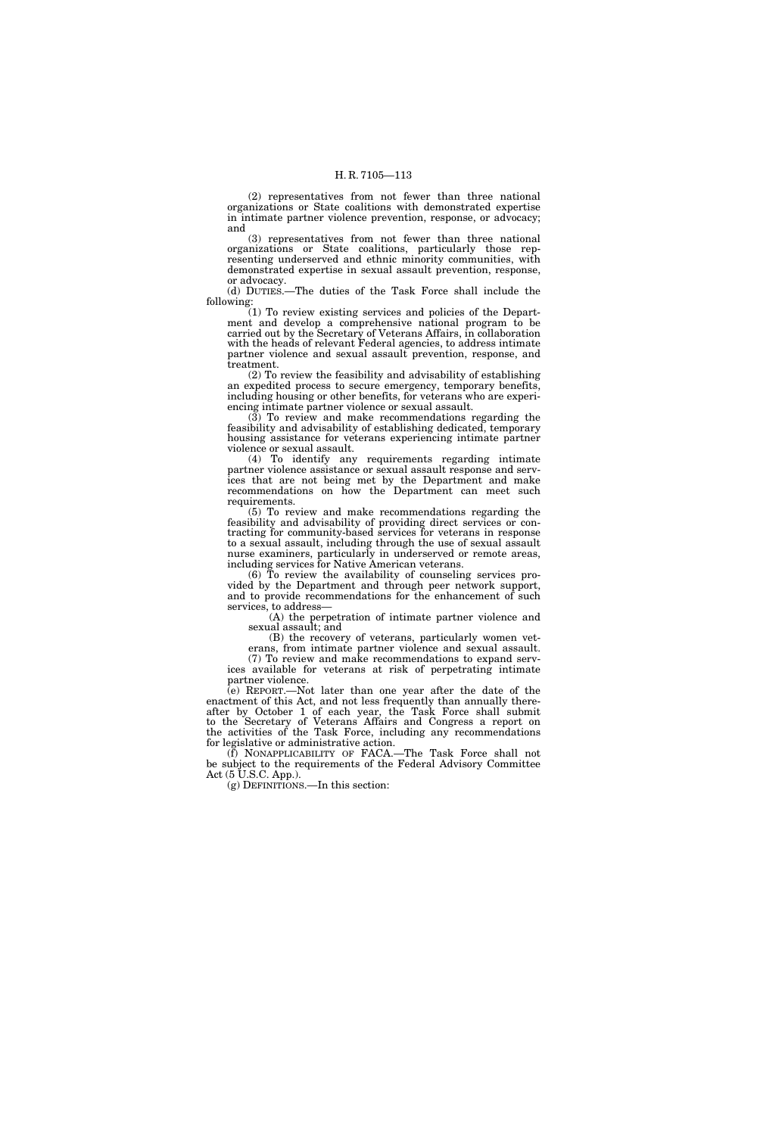(2) representatives from not fewer than three national organizations or State coalitions with demonstrated expertise in intimate partner violence prevention, response, or advocacy; and

(3) representatives from not fewer than three national organizations or State coalitions, particularly those representing underserved and ethnic minority communities, with demonstrated expertise in sexual assault prevention, response, or advocacy.

(d) DUTIES.—The duties of the Task Force shall include the following:

(1) To review existing services and policies of the Department and develop a comprehensive national program to be carried out by the Secretary of Veterans Affairs, in collaboration with the heads of relevant Federal agencies, to address intimate partner violence and sexual assault prevention, response, and treatment.

(2) To review the feasibility and advisability of establishing an expedited process to secure emergency, temporary benefits, including housing or other benefits, for veterans who are experiencing intimate partner violence or sexual assault.

(3) To review and make recommendations regarding the feasibility and advisability of establishing dedicated, temporary housing assistance for veterans experiencing intimate partner violence or sexual assault.

(4) To identify any requirements regarding intimate partner violence assistance or sexual assault response and services that are not being met by the Department and make recommendations on how the Department can meet such requirements.

(5) To review and make recommendations regarding the feasibility and advisability of providing direct services or contracting for community-based services for veterans in response to a sexual assault, including through the use of sexual assault nurse examiners, particularly in underserved or remote areas, including services for Native American veterans.

(6) To review the availability of counseling services provided by the Department and through peer network support, and to provide recommendations for the enhancement of such services, to address—

(A) the perpetration of intimate partner violence and sexual assault; and

(B) the recovery of veterans, particularly women veterans, from intimate partner violence and sexual assault. (7) To review and make recommendations to expand services available for veterans at risk of perpetrating intimate partner violence.

(e) REPORT.—Not later than one year after the date of the enactment of this Act, and not less frequently than annually thereafter by October 1 of each year, the Task Force shall submit to the Secretary of Veterans Affairs and Congress a report on the activities of the Task Force, including any recommendations for legislative or administrative action.

(f) NONAPPLICABILITY OF FACA.—The Task Force shall not be subject to the requirements of the Federal Advisory Committee Act (5 U.S.C. App.).

(g) DEFINITIONS.—In this section: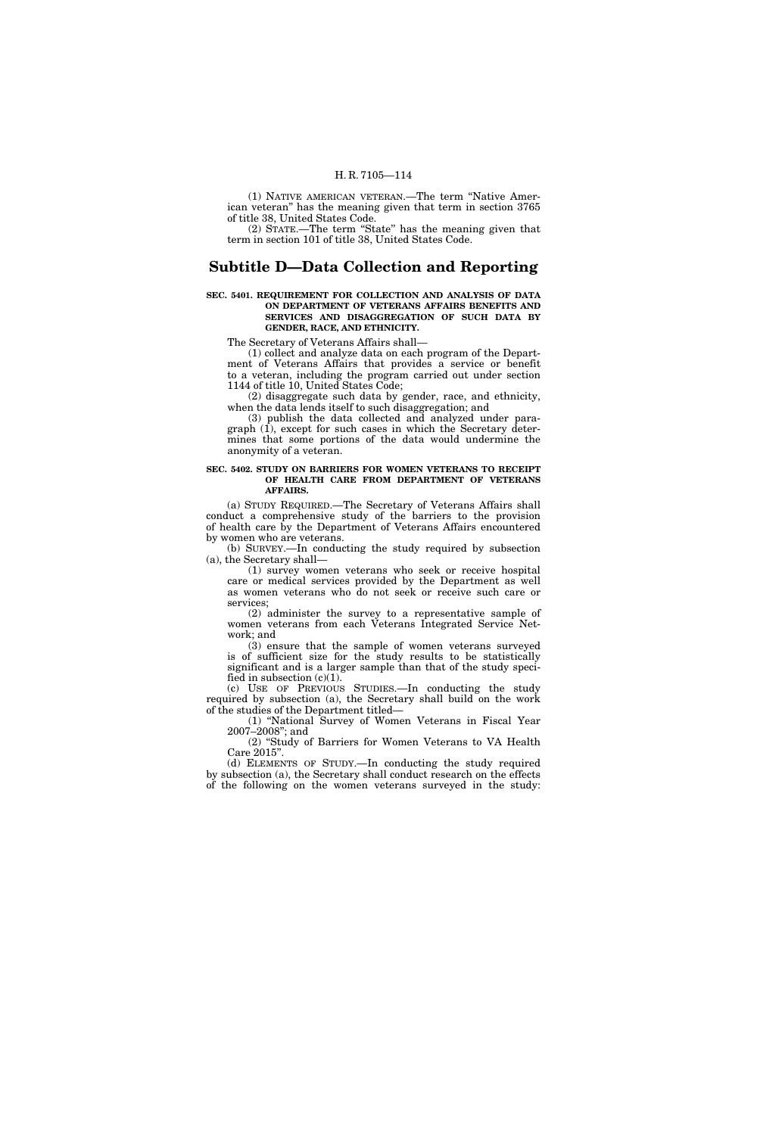(1) NATIVE AMERICAN VETERAN.—The term ''Native American veteran'' has the meaning given that term in section 3765 of title 38, United States Code.

(2) STATE.—The term ''State'' has the meaning given that term in section 101 of title 38, United States Code.

# **Subtitle D—Data Collection and Reporting**

#### **SEC. 5401. REQUIREMENT FOR COLLECTION AND ANALYSIS OF DATA ON DEPARTMENT OF VETERANS AFFAIRS BENEFITS AND SERVICES AND DISAGGREGATION OF SUCH DATA BY GENDER, RACE, AND ETHNICITY.**

The Secretary of Veterans Affairs shall—

(1) collect and analyze data on each program of the Department of Veterans Affairs that provides a service or benefit to a veteran, including the program carried out under section 1144 of title 10, United States Code;

(2) disaggregate such data by gender, race, and ethnicity, when the data lends itself to such disaggregation; and

(3) publish the data collected and analyzed under paragraph (1), except for such cases in which the Secretary determines that some portions of the data would undermine the anonymity of a veteran.

## **SEC. 5402. STUDY ON BARRIERS FOR WOMEN VETERANS TO RECEIPT OF HEALTH CARE FROM DEPARTMENT OF VETERANS AFFAIRS.**

(a) STUDY REQUIRED.—The Secretary of Veterans Affairs shall conduct a comprehensive study of the barriers to the provision of health care by the Department of Veterans Affairs encountered by women who are veterans.

(b) SURVEY.—In conducting the study required by subsection (a), the Secretary shall—

(1) survey women veterans who seek or receive hospital care or medical services provided by the Department as well as women veterans who do not seek or receive such care or services;

(2) administer the survey to a representative sample of women veterans from each Veterans Integrated Service Network; and

(3) ensure that the sample of women veterans surveyed is of sufficient size for the study results to be statistically significant and is a larger sample than that of the study specified in subsection  $(c)(1)$ .

(c) USE OF PREVIOUS STUDIES.—In conducting the study required by subsection (a), the Secretary shall build on the work of the studies of the Department titled—

(1) ''National Survey of Women Veterans in Fiscal Year 2007–2008''; and

(2) ''Study of Barriers for Women Veterans to VA Health Care 2015''. (d) ELEMENTS OF STUDY.—In conducting the study required

by subsection (a), the Secretary shall conduct research on the effects of the following on the women veterans surveyed in the study: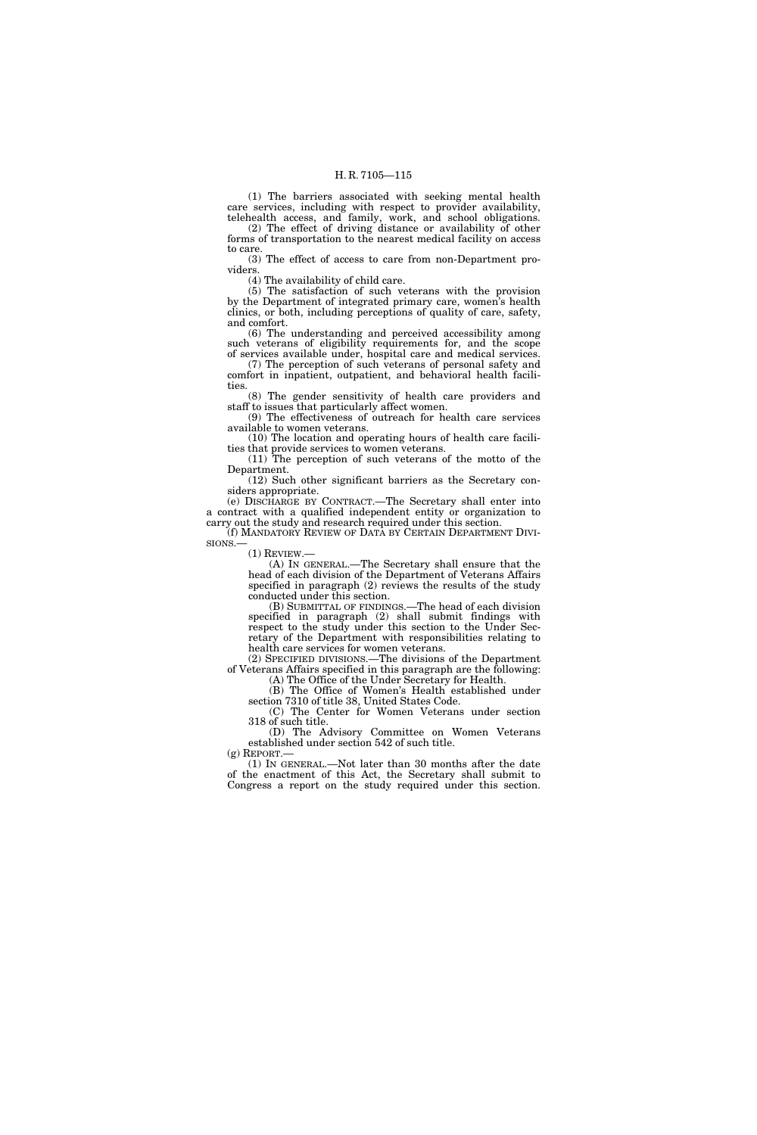(1) The barriers associated with seeking mental health care services, including with respect to provider availability, telehealth access, and family, work, and school obligations.

(2) The effect of driving distance or availability of other forms of transportation to the nearest medical facility on access to care.

(3) The effect of access to care from non-Department providers.

(4) The availability of child care.

(5) The satisfaction of such veterans with the provision by the Department of integrated primary care, women's health clinics, or both, including perceptions of quality of care, safety, and comfort.

(6) The understanding and perceived accessibility among such veterans of eligibility requirements for, and the scope of services available under, hospital care and medical services.

(7) The perception of such veterans of personal safety and comfort in inpatient, outpatient, and behavioral health facilities.

(8) The gender sensitivity of health care providers and staff to issues that particularly affect women.

(9) The effectiveness of outreach for health care services available to women veterans.

(10) The location and operating hours of health care facilities that provide services to women veterans.

(11) The perception of such veterans of the motto of the Department.

(12) Such other significant barriers as the Secretary considers appropriate.

(e) DISCHARGE BY CONTRACT.—The Secretary shall enter into a contract with a qualified independent entity or organization to carry out the study and research required under this section. (f) MANDATORY REVIEW OF DATA BY CERTAIN DEPARTMENT DIVI-

SIONS.—

 $(1)$  REVIEW.

(A) IN GENERAL.—The Secretary shall ensure that the head of each division of the Department of Veterans Affairs specified in paragraph (2) reviews the results of the study conducted under this section.

(B) SUBMITTAL OF FINDINGS.—The head of each division specified in paragraph (2) shall submit findings with respect to the study under this section to the Under Secretary of the Department with responsibilities relating to health care services for women veterans.

(2) SPECIFIED DIVISIONS.—The divisions of the Department of Veterans Affairs specified in this paragraph are the following: (A) The Office of the Under Secretary for Health.

(B) The Office of Women's Health established under section 7310 of title 38, United States Code.

(C) The Center for Women Veterans under section 318 of such title.

(D) The Advisory Committee on Women Veterans established under section 542 of such title.<br>(g) REPORT.—

 $(1)$  In GENERAL.—Not later than 30 months after the date of the enactment of this Act, the Secretary shall submit to Congress a report on the study required under this section.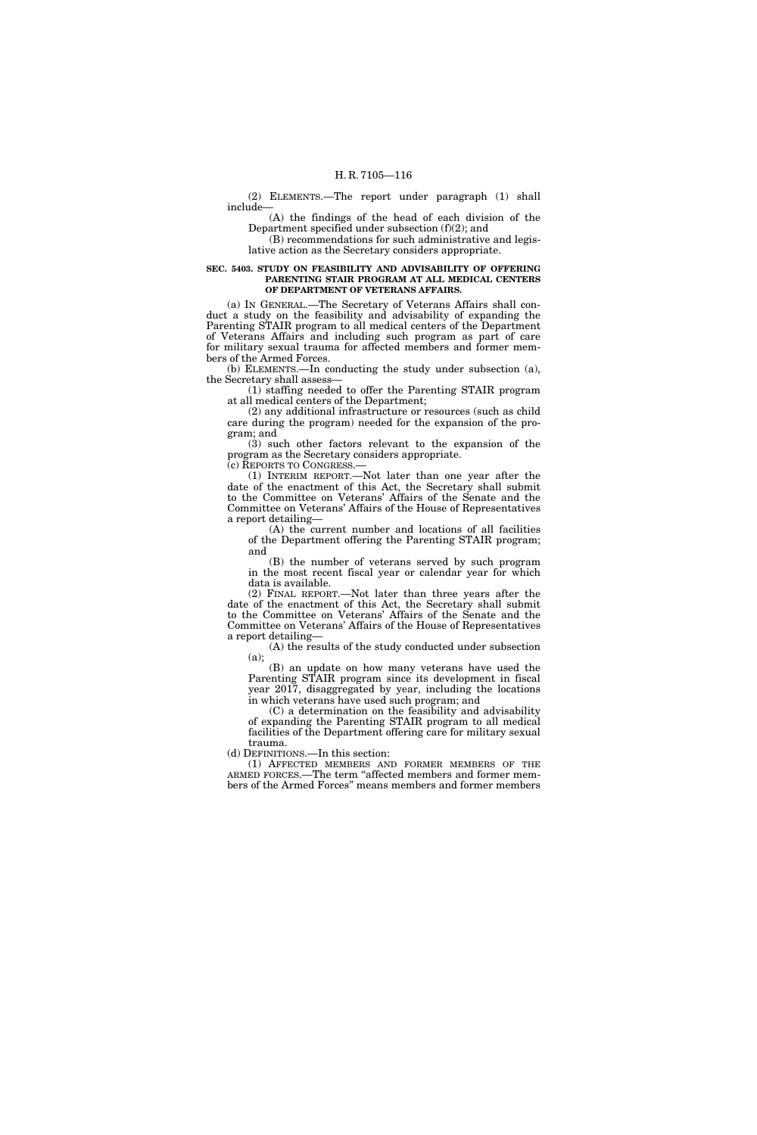#### (2) ELEMENTS.—The report under paragraph (1) shall include—

(A) the findings of the head of each division of the Department specified under subsection (f)(2); and

(B) recommendations for such administrative and legislative action as the Secretary considers appropriate.

## **SEC. 5403. STUDY ON FEASIBILITY AND ADVISABILITY OF OFFERING PARENTING STAIR PROGRAM AT ALL MEDICAL CENTERS OF DEPARTMENT OF VETERANS AFFAIRS.**

(a) IN GENERAL.—The Secretary of Veterans Affairs shall conduct a study on the feasibility and advisability of expanding the Parenting STAIR program to all medical centers of the Department of Veterans Affairs and including such program as part of care for military sexual trauma for affected members and former members of the Armed Forces.

(b) ELEMENTS.—In conducting the study under subsection (a), the Secretary shall assess—

(1) staffing needed to offer the Parenting STAIR program at all medical centers of the Department;

(2) any additional infrastructure or resources (such as child care during the program) needed for the expansion of the program; and

(3) such other factors relevant to the expansion of the program as the Secretary considers appropriate.

(c) REPORTS TO CONGRESS.—

(1) INTERIM REPORT.—Not later than one year after the date of the enactment of this Act, the Secretary shall submit to the Committee on Veterans' Affairs of the Senate and the Committee on Veterans' Affairs of the House of Representatives a report detailing—

(A) the current number and locations of all facilities of the Department offering the Parenting STAIR program; and

(B) the number of veterans served by such program in the most recent fiscal year or calendar year for which data is available.

(2) FINAL REPORT.—Not later than three years after the date of the enactment of this Act, the Secretary shall submit to the Committee on Veterans' Affairs of the Senate and the Committee on Veterans' Affairs of the House of Representatives a report detailing—

(A) the results of the study conducted under subsection

(a); (B) an update on how many veterans have used the Parenting STAIR program since its development in fiscal year 2017, disaggregated by year, including the locations in which veterans have used such program; and

(C) a determination on the feasibility and advisability of expanding the Parenting STAIR program to all medical facilities of the Department offering care for military sexual trauma.

(d) DEFINITIONS.—In this section:

(1) AFFECTED MEMBERS AND FORMER MEMBERS OF THE ARMED FORCES.—The term ''affected members and former members of the Armed Forces'' means members and former members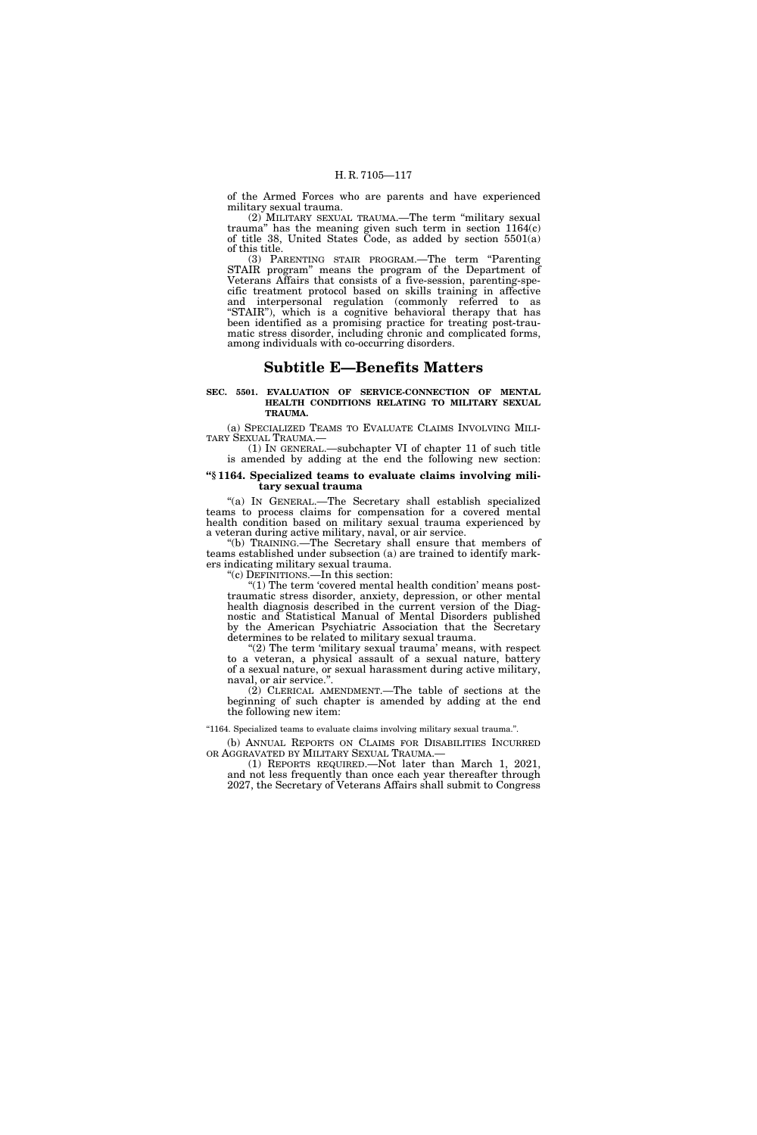of the Armed Forces who are parents and have experienced military sexual trauma.

(2) MILITARY SEXUAL TRAUMA.—The term ''military sexual trauma'' has the meaning given such term in section 1164(c) of title 38, United States Code, as added by section 5501(a) of this title.

(3) PARENTING STAIR PROGRAM.—The term ''Parenting STAIR program'' means the program of the Department of Veterans Affairs that consists of a five-session, parenting-specific treatment protocol based on skills training in affective and interpersonal regulation (commonly referred to as ''STAIR''), which is a cognitive behavioral therapy that has been identified as a promising practice for treating post-traumatic stress disorder, including chronic and complicated forms, among individuals with co-occurring disorders.

# **Subtitle E—Benefits Matters**

#### **SEC. 5501. EVALUATION OF SERVICE-CONNECTION OF MENTAL HEALTH CONDITIONS RELATING TO MILITARY SEXUAL TRAUMA.**

(a) SPECIALIZED TEAMS TO EVALUATE CLAIMS INVOLVING MILI-TARY SEXUAL TRAUMA.—

(1) IN GENERAL.—subchapter VI of chapter 11 of such title is amended by adding at the end the following new section:

# **''§ 1164. Specialized teams to evaluate claims involving military sexual trauma**

''(a) IN GENERAL.—The Secretary shall establish specialized teams to process claims for compensation for a covered mental health condition based on military sexual trauma experienced by a veteran during active military, naval, or air service.

''(b) TRAINING.—The Secretary shall ensure that members of teams established under subsection (a) are trained to identify markers indicating military sexual trauma.

''(c) DEFINITIONS.—In this section:

 $(1)$  The term 'covered mental health condition' means posttraumatic stress disorder, anxiety, depression, or other mental health diagnosis described in the current version of the Diagnostic and Statistical Manual of Mental Disorders published by the American Psychiatric Association that the Secretary determines to be related to military sexual trauma.

(2) The term 'military sexual trauma' means, with respect to a veteran, a physical assault of a sexual nature, battery of a sexual nature, or sexual harassment during active military, naval, or air service.''.

(2) CLERICAL AMENDMENT.—The table of sections at the beginning of such chapter is amended by adding at the end the following new item:

''1164. Specialized teams to evaluate claims involving military sexual trauma.''.

(b) ANNUAL REPORTS ON CLAIMS FOR DISABILITIES INCURRED OR AGGRAVATED BY MILITARY SEXUAL TRAUMA.—

(1) REPORTS REQUIRED.—Not later than March 1, 2021, and not less frequently than once each year thereafter through 2027, the Secretary of Veterans Affairs shall submit to Congress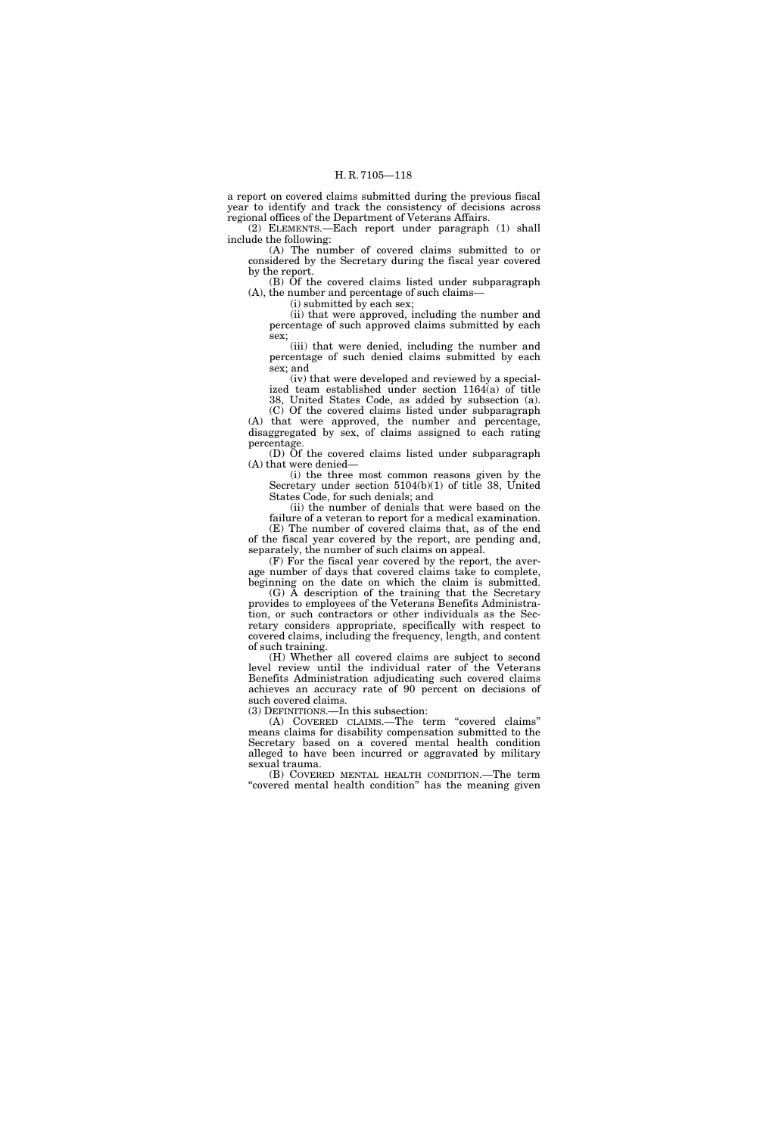a report on covered claims submitted during the previous fiscal year to identify and track the consistency of decisions across regional offices of the Department of Veterans Affairs.

(2) ELEMENTS.—Each report under paragraph (1) shall include the following:

(A) The number of covered claims submitted to or considered by the Secretary during the fiscal year covered by the report.

(B) Of the covered claims listed under subparagraph (A), the number and percentage of such claims—

(i) submitted by each sex;

(ii) that were approved, including the number and percentage of such approved claims submitted by each sex;

(iii) that were denied, including the number and percentage of such denied claims submitted by each sex; and

(iv) that were developed and reviewed by a specialized team established under section 1164(a) of title 38, United States Code, as added by subsection (a).

(C) Of the covered claims listed under subparagraph (A) that were approved, the number and percentage, disaggregated by sex, of claims assigned to each rating percentage.

(D) Of the covered claims listed under subparagraph (A) that were denied—

(i) the three most common reasons given by the Secretary under section 5104(b)(1) of title 38, United States Code, for such denials; and

(ii) the number of denials that were based on the

failure of a veteran to report for a medical examination. (E) The number of covered claims that, as of the end of the fiscal year covered by the report, are pending and, separately, the number of such claims on appeal.

(F) For the fiscal year covered by the report, the average number of days that covered claims take to complete, beginning on the date on which the claim is submitted.

(G) A description of the training that the Secretary provides to employees of the Veterans Benefits Administration, or such contractors or other individuals as the Secretary considers appropriate, specifically with respect to covered claims, including the frequency, length, and content of such training.

(H) Whether all covered claims are subject to second level review until the individual rater of the Veterans Benefits Administration adjudicating such covered claims achieves an accuracy rate of 90 percent on decisions of such covered claims.

(3) DEFINITIONS.—In this subsection:

(A) COVERED CLAIMS.—The term ''covered claims'' means claims for disability compensation submitted to the Secretary based on a covered mental health condition alleged to have been incurred or aggravated by military sexual trauma.

(B) COVERED MENTAL HEALTH CONDITION.—The term "covered mental health condition" has the meaning given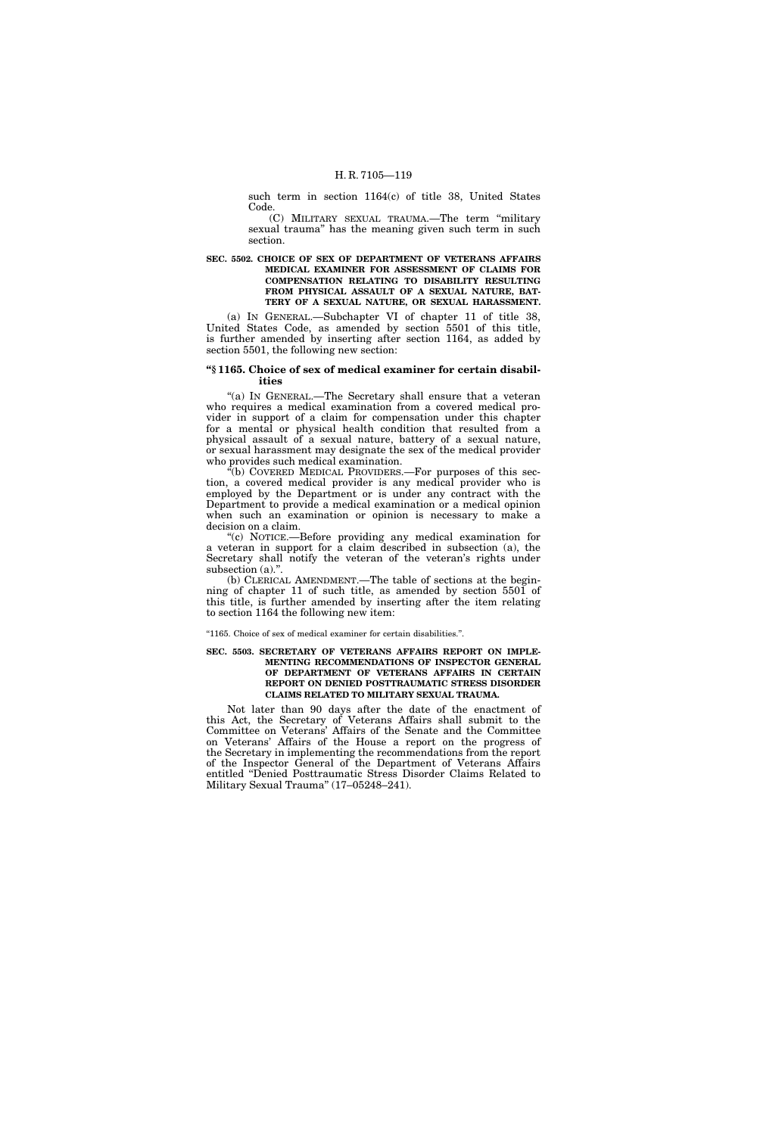such term in section 1164(c) of title 38, United States Code.

(C) MILITARY SEXUAL TRAUMA.—The term ''military sexual trauma'' has the meaning given such term in such section.

# **SEC. 5502. CHOICE OF SEX OF DEPARTMENT OF VETERANS AFFAIRS MEDICAL EXAMINER FOR ASSESSMENT OF CLAIMS FOR COMPENSATION RELATING TO DISABILITY RESULTING FROM PHYSICAL ASSAULT OF A SEXUAL NATURE, BAT-TERY OF A SEXUAL NATURE, OR SEXUAL HARASSMENT.**

(a) IN GENERAL.—Subchapter VI of chapter 11 of title 38, United States Code, as amended by section 5501 of this title, is further amended by inserting after section 1164, as added by section 5501, the following new section:

# **''§ 1165. Choice of sex of medical examiner for certain disabilities**

"(a) IN GENERAL.—The Secretary shall ensure that a veteran who requires a medical examination from a covered medical provider in support of a claim for compensation under this chapter for a mental or physical health condition that resulted from a physical assault of a sexual nature, battery of a sexual nature, or sexual harassment may designate the sex of the medical provider who provides such medical examination.

(b) COVERED MEDICAL PROVIDERS.—For purposes of this section, a covered medical provider is any medical provider who is employed by the Department or is under any contract with the Department to provide a medical examination or a medical opinion when such an examination or opinion is necessary to make a decision on a claim.

''(c) NOTICE.—Before providing any medical examination for a veteran in support for a claim described in subsection (a), the Secretary shall notify the veteran of the veteran's rights under subsection (a).".

(b) CLERICAL AMENDMENT.—The table of sections at the beginning of chapter 11 of such title, as amended by section 5501 of this title, is further amended by inserting after the item relating to section 1164 the following new item:

#### ''1165. Choice of sex of medical examiner for certain disabilities.''.

#### **SEC. 5503. SECRETARY OF VETERANS AFFAIRS REPORT ON IMPLE-MENTING RECOMMENDATIONS OF INSPECTOR GENERAL OF DEPARTMENT OF VETERANS AFFAIRS IN CERTAIN REPORT ON DENIED POSTTRAUMATIC STRESS DISORDER CLAIMS RELATED TO MILITARY SEXUAL TRAUMA.**

Not later than 90 days after the date of the enactment of this Act, the Secretary of Veterans Affairs shall submit to the Committee on Veterans' Affairs of the Senate and the Committee on Veterans' Affairs of the House a report on the progress of the Secretary in implementing the recommendations from the report of the Inspector General of the Department of Veterans Affairs entitled ''Denied Posttraumatic Stress Disorder Claims Related to Military Sexual Trauma'' (17–05248–241).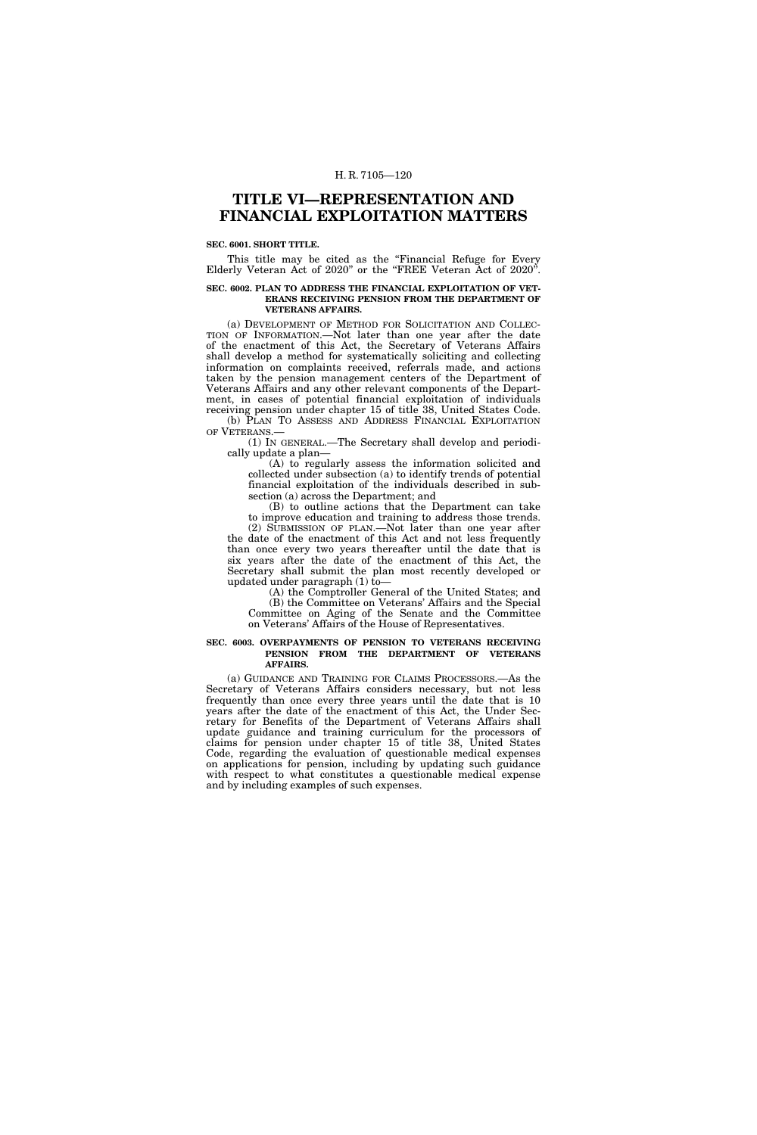# **TITLE VI—REPRESENTATION AND FINANCIAL EXPLOITATION MATTERS**

#### **SEC. 6001. SHORT TITLE.**

This title may be cited as the "Financial Refuge for Every Elderly Veteran Act of 2020'' or the ''FREE Veteran Act of 2020''.

#### **SEC. 6002. PLAN TO ADDRESS THE FINANCIAL EXPLOITATION OF VET-ERANS RECEIVING PENSION FROM THE DEPARTMENT OF VETERANS AFFAIRS.**

(a) DEVELOPMENT OF METHOD FOR SOLICITATION AND COLLEC-TION OF INFORMATION.—Not later than one year after the date of the enactment of this Act, the Secretary of Veterans Affairs shall develop a method for systematically soliciting and collecting information on complaints received, referrals made, and actions taken by the pension management centers of the Department of Veterans Affairs and any other relevant components of the Department, in cases of potential financial exploitation of individuals receiving pension under chapter 15 of title 38, United States Code.

(b) PLAN TO ASSESS AND ADDRESS FINANCIAL EXPLOITATION OF VETERANS.—

(1) IN GENERAL.—The Secretary shall develop and periodically update a plan—

(A) to regularly assess the information solicited and collected under subsection (a) to identify trends of potential financial exploitation of the individuals described in subsection (a) across the Department; and

(B) to outline actions that the Department can take to improve education and training to address those trends. (2) SUBMISSION OF PLAN.—Not later than one year after the date of the enactment of this Act and not less frequently than once every two years thereafter until the date that is six years after the date of the enactment of this Act, the Secretary shall submit the plan most recently developed or

updated under paragraph (1) to— (A) the Comptroller General of the United States; and (B) the Committee on Veterans' Affairs and the Special Committee on Aging of the Senate and the Committee on Veterans' Affairs of the House of Representatives.

#### **SEC. 6003. OVERPAYMENTS OF PENSION TO VETERANS RECEIVING PENSION FROM THE DEPARTMENT OF VETERANS AFFAIRS.**

(a) GUIDANCE AND TRAINING FOR CLAIMS PROCESSORS.—As the Secretary of Veterans Affairs considers necessary, but not less frequently than once every three years until the date that is 10 years after the date of the enactment of this Act, the Under Secretary for Benefits of the Department of Veterans Affairs shall update guidance and training curriculum for the processors of claims for pension under chapter 15 of title 38, United States Code, regarding the evaluation of questionable medical expenses on applications for pension, including by updating such guidance with respect to what constitutes a questionable medical expense and by including examples of such expenses.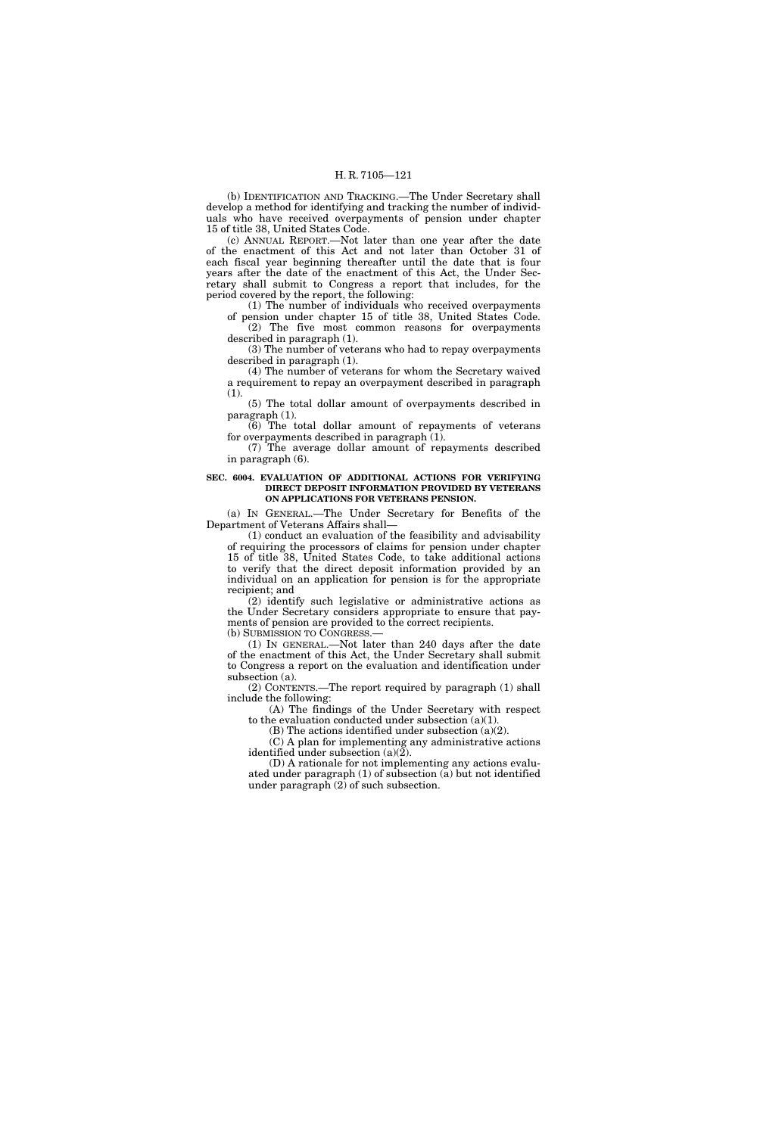(b) IDENTIFICATION AND TRACKING.—The Under Secretary shall develop a method for identifying and tracking the number of individuals who have received overpayments of pension under chapter 15 of title 38, United States Code.

(c) ANNUAL REPORT.—Not later than one year after the date of the enactment of this Act and not later than October 31 of each fiscal year beginning thereafter until the date that is four years after the date of the enactment of this Act, the Under Secretary shall submit to Congress a report that includes, for the period covered by the report, the following:

(1) The number of individuals who received overpayments of pension under chapter 15 of title 38, United States Code. (2) The five most common reasons for overpayments

described in paragraph (1). (3) The number of veterans who had to repay overpayments

described in paragraph (1). (4) The number of veterans for whom the Secretary waived

a requirement to repay an overpayment described in paragraph (1).

(5) The total dollar amount of overpayments described in paragraph (1).

(6) The total dollar amount of repayments of veterans for overpayments described in paragraph (1).

(7) The average dollar amount of repayments described in paragraph (6).

#### **SEC. 6004. EVALUATION OF ADDITIONAL ACTIONS FOR VERIFYING DIRECT DEPOSIT INFORMATION PROVIDED BY VETERANS ON APPLICATIONS FOR VETERANS PENSION.**

(a) IN GENERAL.—The Under Secretary for Benefits of the Department of Veterans Affairs shall—

(1) conduct an evaluation of the feasibility and advisability of requiring the processors of claims for pension under chapter 15 of title 38, United States Code, to take additional actions to verify that the direct deposit information provided by an individual on an application for pension is for the appropriate recipient; and

(2) identify such legislative or administrative actions as the Under Secretary considers appropriate to ensure that payments of pension are provided to the correct recipients. (b) SUBMISSION TO CONGRESS.—

(1) IN GENERAL.—Not later than 240 days after the date of the enactment of this Act, the Under Secretary shall submit to Congress a report on the evaluation and identification under subsection (a).

(2) CONTENTS.—The report required by paragraph (1) shall include the following:

(A) The findings of the Under Secretary with respect to the evaluation conducted under subsection (a)(1).

(B) The actions identified under subsection (a)(2).

(C) A plan for implementing any administrative actions identified under subsection (a)(2).

(D) A rationale for not implementing any actions evaluated under paragraph (1) of subsection (a) but not identified under paragraph (2) of such subsection.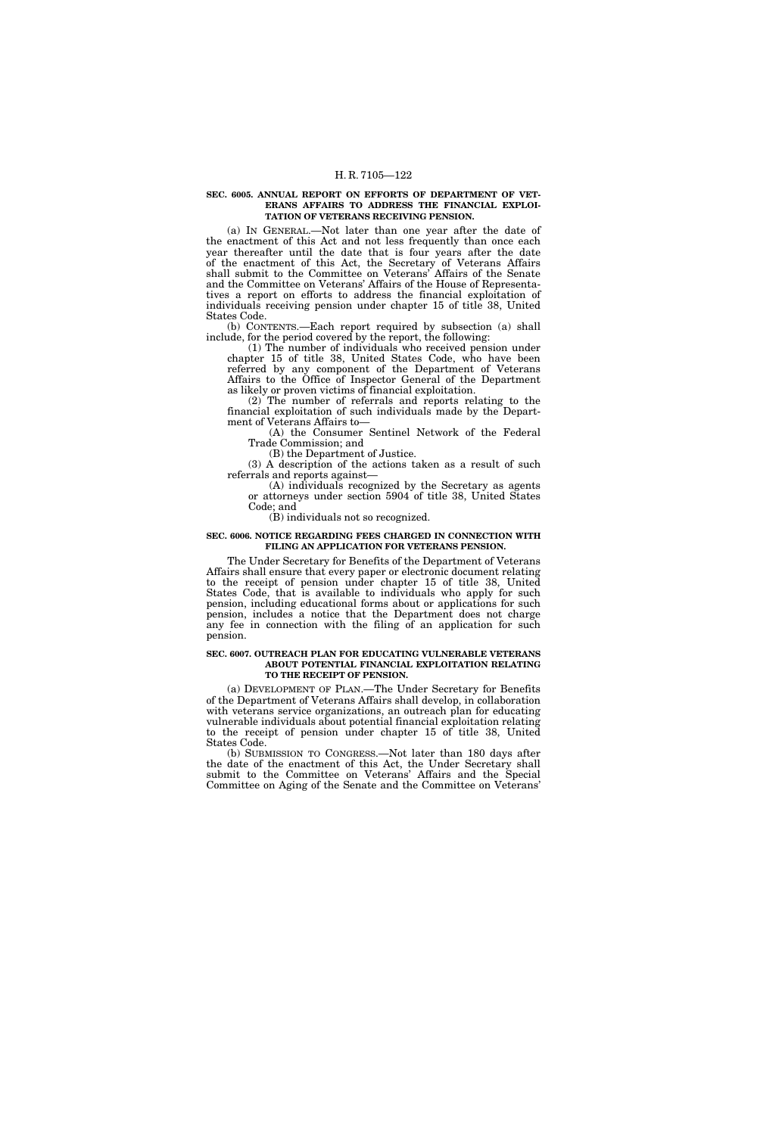#### **SEC. 6005. ANNUAL REPORT ON EFFORTS OF DEPARTMENT OF VET-ERANS AFFAIRS TO ADDRESS THE FINANCIAL EXPLOI-TATION OF VETERANS RECEIVING PENSION.**

(a) IN GENERAL.—Not later than one year after the date of the enactment of this Act and not less frequently than once each year thereafter until the date that is four years after the date of the enactment of this Act, the Secretary of Veterans Affairs shall submit to the Committee on Veterans' Affairs of the Senate and the Committee on Veterans' Affairs of the House of Representatives a report on efforts to address the financial exploitation of individuals receiving pension under chapter 15 of title 38, United States Code.

(b) CONTENTS.—Each report required by subsection (a) shall include, for the period covered by the report, the following:

(1) The number of individuals who received pension under chapter 15 of title 38, United States Code, who have been referred by any component of the Department of Veterans Affairs to the Office of Inspector General of the Department as likely or proven victims of financial exploitation.

(2) The number of referrals and reports relating to the financial exploitation of such individuals made by the Department of Veterans Affairs to—

(A) the Consumer Sentinel Network of the Federal Trade Commission; and

(B) the Department of Justice.

(3) A description of the actions taken as a result of such referrals and reports against—

(A) individuals recognized by the Secretary as agents or attorneys under section 5904 of title 38, United States Code; and

(B) individuals not so recognized.

# **SEC. 6006. NOTICE REGARDING FEES CHARGED IN CONNECTION WITH FILING AN APPLICATION FOR VETERANS PENSION.**

The Under Secretary for Benefits of the Department of Veterans Affairs shall ensure that every paper or electronic document relating to the receipt of pension under chapter 15 of title 38, United States Code, that is available to individuals who apply for such pension, including educational forms about or applications for such pension, includes a notice that the Department does not charge any fee in connection with the filing of an application for such pension.

### **SEC. 6007. OUTREACH PLAN FOR EDUCATING VULNERABLE VETERANS ABOUT POTENTIAL FINANCIAL EXPLOITATION RELATING TO THE RECEIPT OF PENSION.**

(a) DEVELOPMENT OF PLAN.—The Under Secretary for Benefits of the Department of Veterans Affairs shall develop, in collaboration with veterans service organizations, an outreach plan for educating vulnerable individuals about potential financial exploitation relating to the receipt of pension under chapter 15 of title 38, United States Code.

(b) SUBMISSION TO CONGRESS.—Not later than 180 days after the date of the enactment of this Act, the Under Secretary shall submit to the Committee on Veterans' Affairs and the Special Committee on Aging of the Senate and the Committee on Veterans'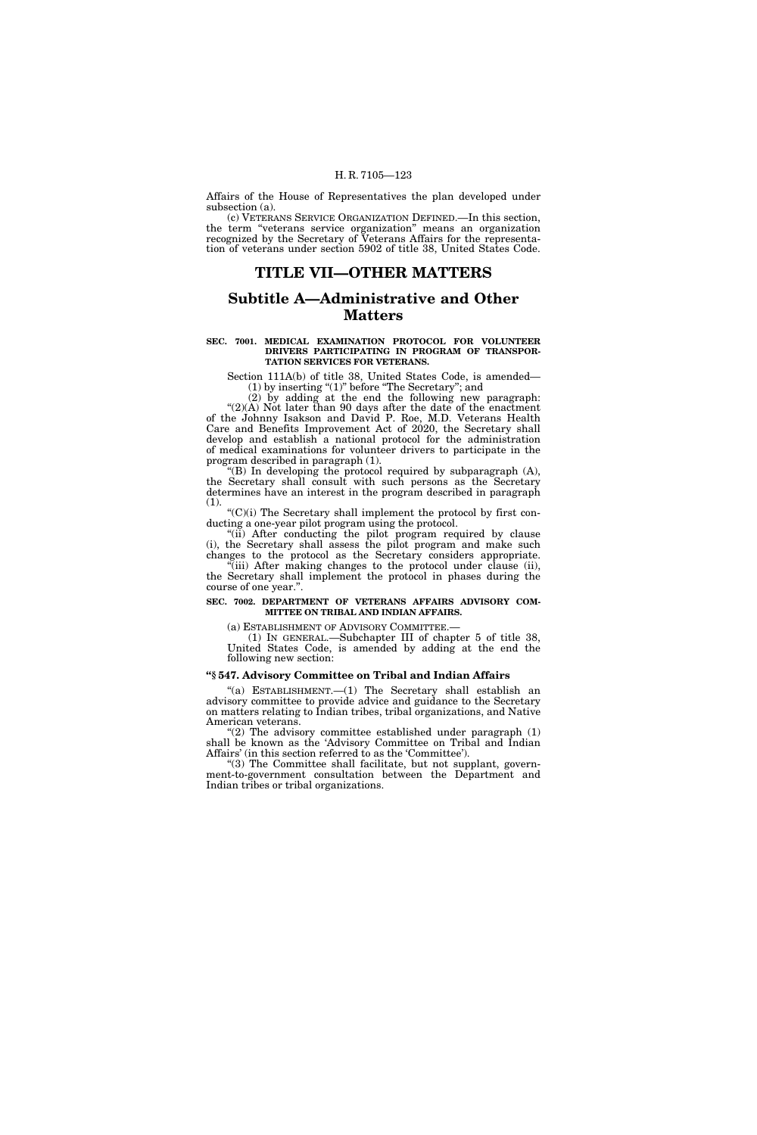Affairs of the House of Representatives the plan developed under subsection (a).

(c) VETERANS SERVICE ORGANIZATION DEFINED.—In this section, the term ''veterans service organization'' means an organization recognized by the Secretary of Veterans Affairs for the representation of veterans under section 5902 of title 38, United States Code.

# **TITLE VII—OTHER MATTERS**

# **Subtitle A—Administrative and Other Matters**

#### **SEC. 7001. MEDICAL EXAMINATION PROTOCOL FOR VOLUNTEER DRIVERS PARTICIPATING IN PROGRAM OF TRANSPOR-TATION SERVICES FOR VETERANS.**

Section 111A(b) of title 38, United States Code, is amended— (1) by inserting "(1)" before "The Secretary"; and

(2) by adding at the end the following new paragraph: " $(2)(A)$  Not later than 90 days after the date of the enactment of the Johnny Isakson and David P. Roe, M.D. Veterans Health Care and Benefits Improvement Act of 2020, the Secretary shall develop and establish a national protocol for the administration of medical examinations for volunteer drivers to participate in the program described in paragraph (1).

''(B) In developing the protocol required by subparagraph (A), the Secretary shall consult with such persons as the Secretary determines have an interest in the program described in paragraph  $(1).$ 

''(C)(i) The Secretary shall implement the protocol by first conducting a one-year pilot program using the protocol.

"(ii) After conducting the pilot program required by clause (i), the Secretary shall assess the pilot program and make such changes to the protocol as the Secretary considers appropriate. ''(iii) After making changes to the protocol under clause (ii), the Secretary shall implement the protocol in phases during the course of one year.''.

# **SEC. 7002. DEPARTMENT OF VETERANS AFFAIRS ADVISORY COM-MITTEE ON TRIBAL AND INDIAN AFFAIRS.**

(a) ESTABLISHMENT OF ADVISORY COMMITTEE.—

(1) IN GENERAL.—Subchapter III of chapter 5 of title 38, United States Code, is amended by adding at the end the following new section:

# **''§ 547. Advisory Committee on Tribal and Indian Affairs**

''(a) ESTABLISHMENT.—(1) The Secretary shall establish an advisory committee to provide advice and guidance to the Secretary on matters relating to Indian tribes, tribal organizations, and Native American veterans.

" $(2)$  The advisory committee established under paragraph  $(1)$ shall be known as the 'Advisory Committee on Tribal and Indian Affairs' (in this section referred to as the 'Committee').

''(3) The Committee shall facilitate, but not supplant, government-to-government consultation between the Department and Indian tribes or tribal organizations.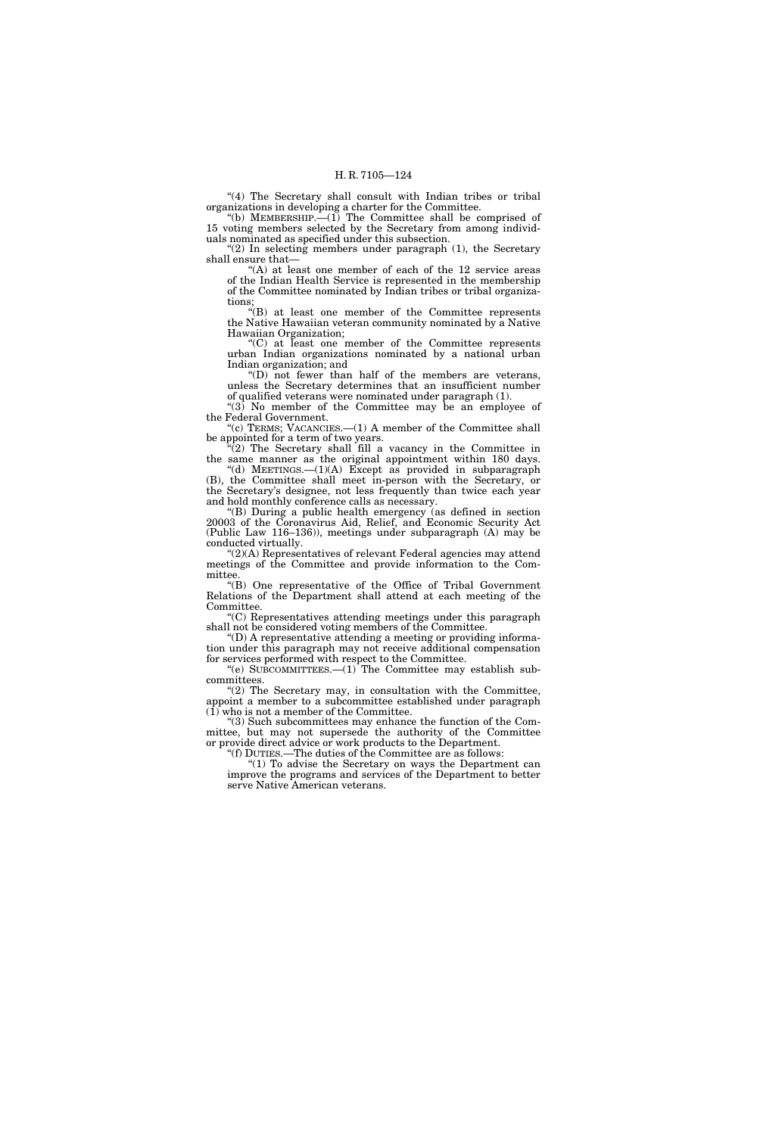"(4) The Secretary shall consult with Indian tribes or tribal organizations in developing a charter for the Committee.

"(b) MEMBERSHIP.  $\left(-1\right)$  The Committee shall be comprised of 15 voting members selected by the Secretary from among individuals nominated as specified under this subsection.

" $(2)$  In selecting members under paragraph  $(1)$ , the Secretary shall ensure that—

 $f(A)$  at least one member of each of the 12 service areas of the Indian Health Service is represented in the membership of the Committee nominated by Indian tribes or tribal organizations;

''(B) at least one member of the Committee represents the Native Hawaiian veteran community nominated by a Native Hawaiian Organization;

''(C) at least one member of the Committee represents urban Indian organizations nominated by a national urban Indian organization; and

''(D) not fewer than half of the members are veterans, unless the Secretary determines that an insufficient number of qualified veterans were nominated under paragraph (1).

" $(3)$  No member of the Committee may be an employee of the Federal Government.

"(c) TERMS; VACANCIES.—(1) A member of the Committee shall be appointed for a term of two years.

 $\sqrt[n]{(2)}$  The Secretary shall fill a vacancy in the Committee in the same manner as the original appointment within 180 days.

"(d) MEETINGS.— $(1)(A)$  Except as provided in subparagraph (B), the Committee shall meet in-person with the Secretary, or the Secretary's designee, not less frequently than twice each year and hold monthly conference calls as necessary.

''(B) During a public health emergency (as defined in section 20003 of the Coronavirus Aid, Relief, and Economic Security Act (Public Law 116–136)), meetings under subparagraph (A) may be conducted virtually.

''(2)(A) Representatives of relevant Federal agencies may attend meetings of the Committee and provide information to the Committee.

''(B) One representative of the Office of Tribal Government Relations of the Department shall attend at each meeting of the Committee.

''(C) Representatives attending meetings under this paragraph shall not be considered voting members of the Committee.

 $f(D)$  A representative attending a meeting or providing information under this paragraph may not receive additional compensation for services performed with respect to the Committee.

"(e)  $\text{SUBCOMMITIES.}$  (1) The Committee may establish subcommittees.

"(2) The Secretary may, in consultation with the Committee, appoint a member to a subcommittee established under paragraph (1) who is not a member of the Committee.

''(3) Such subcommittees may enhance the function of the Committee, but may not supersede the authority of the Committee or provide direct advice or work products to the Department.

''(f) DUTIES.—The duties of the Committee are as follows:

''(1) To advise the Secretary on ways the Department can improve the programs and services of the Department to better serve Native American veterans.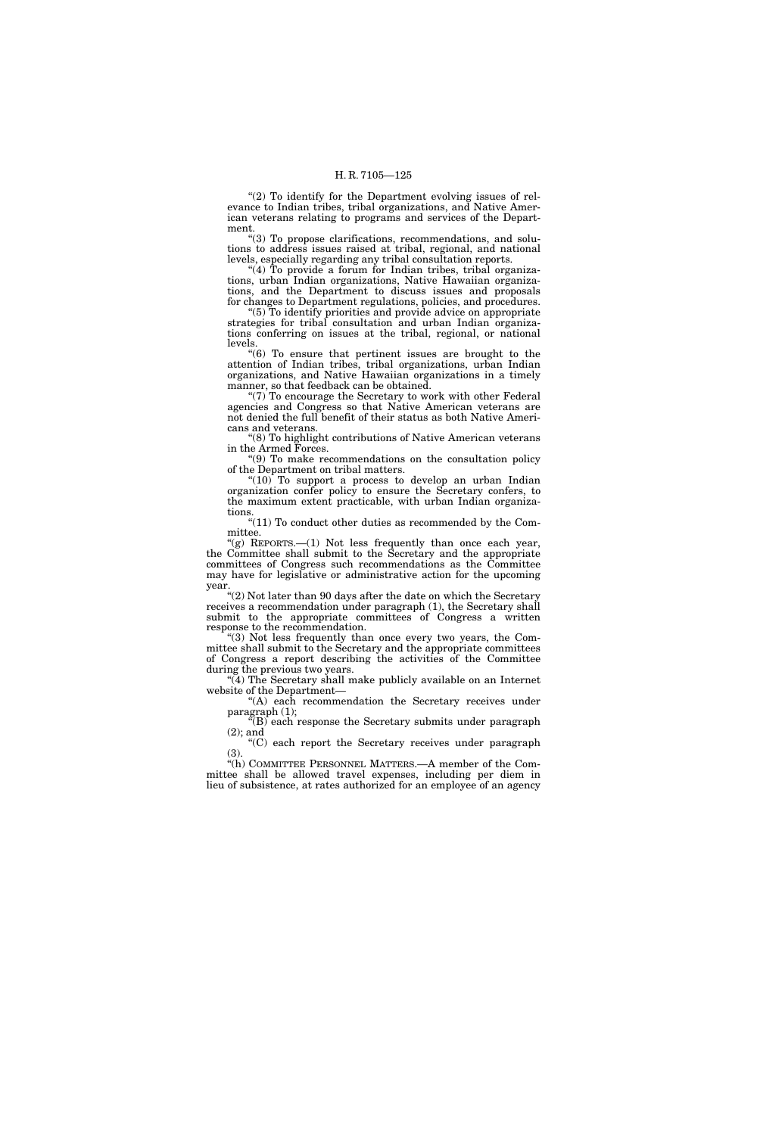" $(2)$  To identify for the Department evolving issues of relevance to Indian tribes, tribal organizations, and Native American veterans relating to programs and services of the Department.

''(3) To propose clarifications, recommendations, and solutions to address issues raised at tribal, regional, and national levels, especially regarding any tribal consultation reports.

"(4) To provide a forum for Indian tribes, tribal organizations, urban Indian organizations, Native Hawaiian organizations, and the Department to discuss issues and proposals for changes to Department regulations, policies, and procedures.

''(5) To identify priorities and provide advice on appropriate strategies for tribal consultation and urban Indian organizations conferring on issues at the tribal, regional, or national levels.

''(6) To ensure that pertinent issues are brought to the attention of Indian tribes, tribal organizations, urban Indian organizations, and Native Hawaiian organizations in a timely manner, so that feedback can be obtained.

 $(7)$  To encourage the Secretary to work with other Federal agencies and Congress so that Native American veterans are not denied the full benefit of their status as both Native Americans and veterans.

''(8) To highlight contributions of Native American veterans in the Armed Forces.

''(9) To make recommendations on the consultation policy of the Department on tribal matters.

''(10) To support a process to develop an urban Indian organization confer policy to ensure the Secretary confers, to the maximum extent practicable, with urban Indian organizations.

"(11) To conduct other duties as recommended by the Committee.

''(g) REPORTS.—(1) Not less frequently than once each year, the Committee shall submit to the Secretary and the appropriate committees of Congress such recommendations as the Committee may have for legislative or administrative action for the upcoming year.

''(2) Not later than 90 days after the date on which the Secretary receives a recommendation under paragraph (1), the Secretary shall submit to the appropriate committees of Congress a written response to the recommendation.

''(3) Not less frequently than once every two years, the Committee shall submit to the Secretary and the appropriate committees of Congress a report describing the activities of the Committee during the previous two years.

"(4) The Secretary shall make publicly available on an Internet website of the Department—

"(A) each recommendation the Secretary receives under paragraph (1);

''(B) each response the Secretary submits under paragraph (2); and

''(C) each report the Secretary receives under paragraph (3).

''(h) COMMITTEE PERSONNEL MATTERS.—A member of the Committee shall be allowed travel expenses, including per diem in lieu of subsistence, at rates authorized for an employee of an agency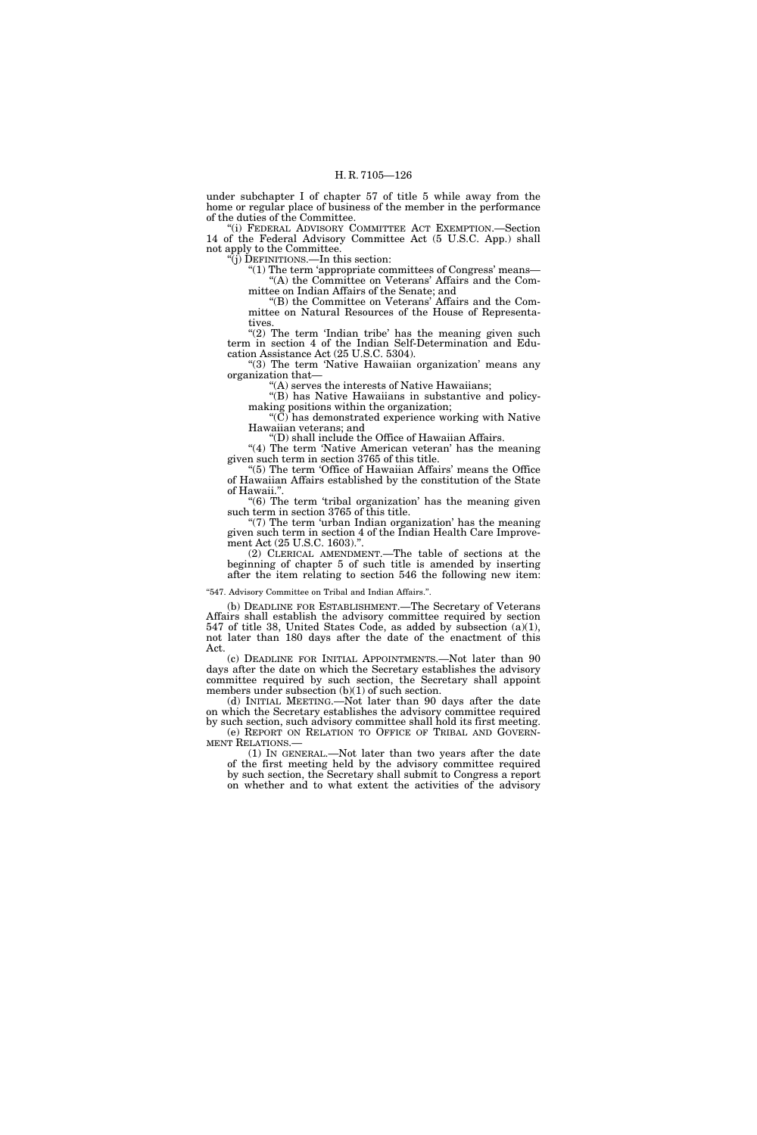under subchapter I of chapter 57 of title 5 while away from the home or regular place of business of the member in the performance of the duties of the Committee.

''(i) FEDERAL ADVISORY COMMITTEE ACT EXEMPTION.—Section 14 of the Federal Advisory Committee Act (5 U.S.C. App.) shall not apply to the Committee.

''(j) DEFINITIONS.—In this section:

" $(1)$  The term 'appropriate committees of Congress' means— ''(A) the Committee on Veterans' Affairs and the Committee on Indian Affairs of the Senate; and

''(B) the Committee on Veterans' Affairs and the Committee on Natural Resources of the House of Representatives.

" $(2)$  The term 'Indian tribe' has the meaning given such term in section 4 of the Indian Self-Determination and Education Assistance Act (25 U.S.C. 5304).

"(3) The term 'Native Hawaiian organization' means any organization that—

'(A) serves the interests of Native Hawaiians;

"(B) has Native Hawaiians in substantive and policymaking positions within the organization;

''(C) has demonstrated experience working with Native Hawaiian veterans; and

''(D) shall include the Office of Hawaiian Affairs.

"(4) The term 'Native American veteran' has the meaning given such term in section 3765 of this title.

"(5) The term 'Office of Hawaiian Affairs' means the Office of Hawaiian Affairs established by the constitution of the State of Hawaii."

"(6) The term 'tribal organization' has the meaning given such term in section 3765 of this title.

''(7) The term 'urban Indian organization' has the meaning given such term in section 4 of the Indian Health Care Improvement Act (25 U.S.C. 1603).".

(2) CLERICAL AMENDMENT.—The table of sections at the beginning of chapter 5 of such title is amended by inserting after the item relating to section 546 the following new item:

"547. Advisory Committee on Tribal and Indian Affairs.".

(b) DEADLINE FOR ESTABLISHMENT.—The Secretary of Veterans Affairs shall establish the advisory committee required by section 547 of title 38, United States Code, as added by subsection (a)(1), not later than 180 days after the date of the enactment of this Act.

(c) DEADLINE FOR INITIAL APPOINTMENTS.—Not later than 90 days after the date on which the Secretary establishes the advisory committee required by such section, the Secretary shall appoint members under subsection  $(b)(1)$  of such section.

(d) INITIAL MEETING.—Not later than 90 days after the date on which the Secretary establishes the advisory committee required by such section, such advisory committee shall hold its first meeting. (e) REPORT ON RELATION TO OFFICE OF TRIBAL AND GOVERN-MENT RELATIONS.—

(1) IN GENERAL.—Not later than two years after the date of the first meeting held by the advisory committee required by such section, the Secretary shall submit to Congress a report on whether and to what extent the activities of the advisory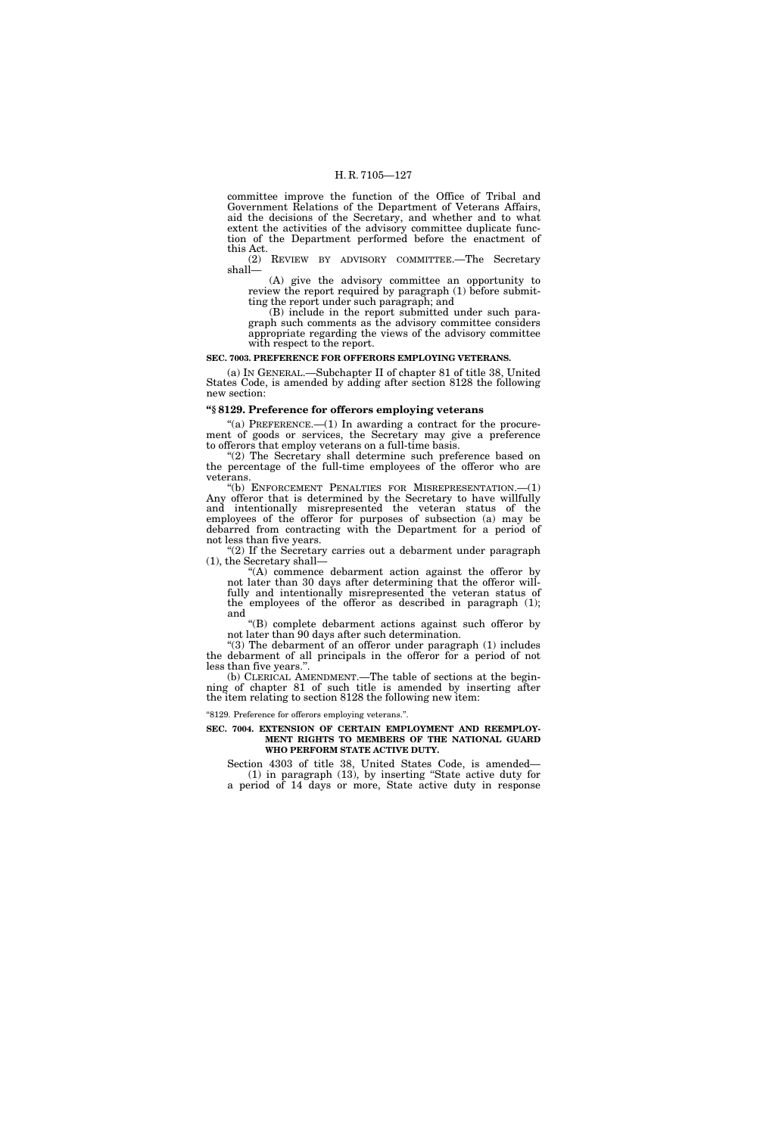committee improve the function of the Office of Tribal and Government Relations of the Department of Veterans Affairs, aid the decisions of the Secretary, and whether and to what extent the activities of the advisory committee duplicate function of the Department performed before the enactment of this Act.

(2) REVIEW BY ADVISORY COMMITTEE.—The Secretary shall—

(A) give the advisory committee an opportunity to review the report required by paragraph (1) before submitting the report under such paragraph; and

(B) include in the report submitted under such paragraph such comments as the advisory committee considers appropriate regarding the views of the advisory committee with respect to the report.

#### **SEC. 7003. PREFERENCE FOR OFFERORS EMPLOYING VETERANS.**

(a) IN GENERAL.—Subchapter II of chapter 81 of title 38, United States Code, is amended by adding after section 8128 the following new section:

# **''§ 8129. Preference for offerors employing veterans**

"(a) PREFERENCE.— $(1)$  In awarding a contract for the procurement of goods or services, the Secretary may give a preference to offerors that employ veterans on a full-time basis.

"(2) The Secretary shall determine such preference based on the percentage of the full-time employees of the offeror who are veterans.

"(b) ENFORCEMENT PENALTIES FOR MISREPRESENTATION. $-(1)$ Any offeror that is determined by the Secretary to have willfully and intentionally misrepresented the veteran status of the employees of the offeror for purposes of subsection (a) may be debarred from contracting with the Department for a period of not less than five years.

"(2) If the Secretary carries out a debarment under paragraph (1), the Secretary shall—

''(A) commence debarment action against the offeror by not later than 30 days after determining that the offeror willfully and intentionally misrepresented the veteran status of the employees of the offeror as described in paragraph (1); and

''(B) complete debarment actions against such offeror by not later than 90 days after such determination.

"(3) The debarment of an offeror under paragraph (1) includes the debarment of all principals in the offeror for a period of not less than five years.''.

(b) CLERICAL AMENDMENT.—The table of sections at the beginning of chapter 81 of such title is amended by inserting after the item relating to section 8128 the following new item:

''8129. Preference for offerors employing veterans.''.

#### **SEC. 7004. EXTENSION OF CERTAIN EMPLOYMENT AND REEMPLOY-MENT RIGHTS TO MEMBERS OF THE NATIONAL GUARD WHO PERFORM STATE ACTIVE DUTY.**

Section 4303 of title 38, United States Code, is amended— (1) in paragraph (13), by inserting ''State active duty for a period of 14 days or more, State active duty in response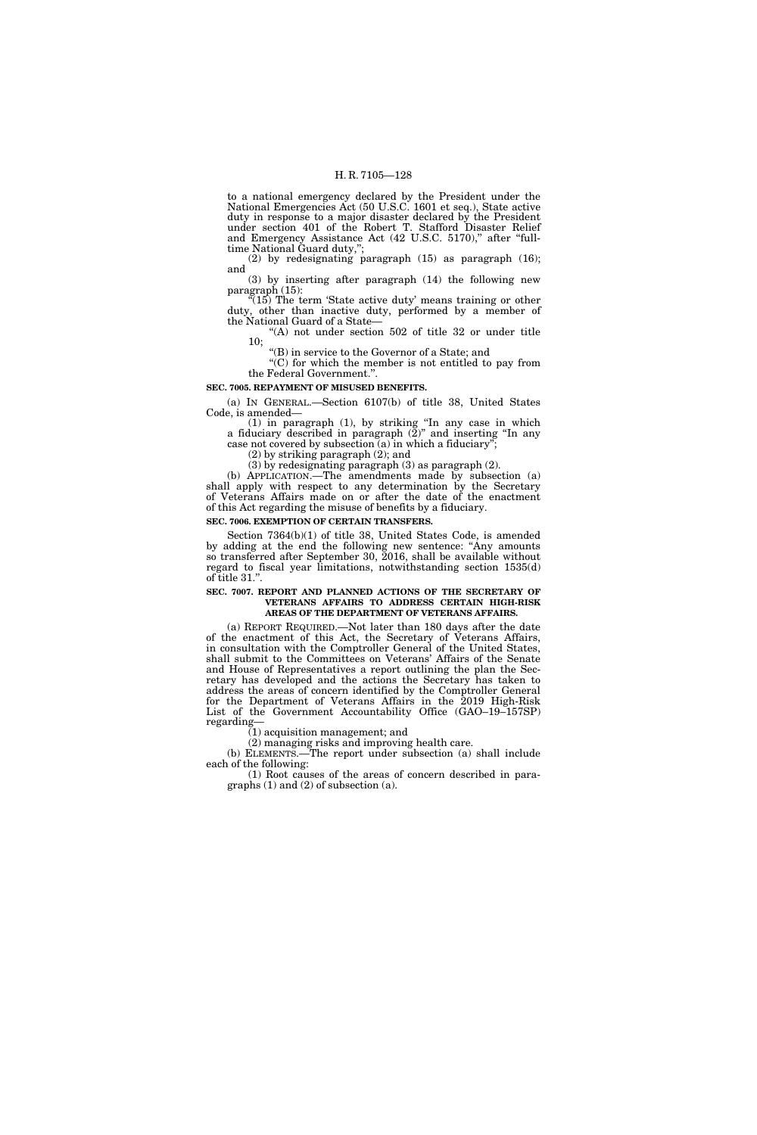to a national emergency declared by the President under the National Emergencies Act (50 U.S.C. 1601 et seq.), State active duty in response to a major disaster declared by the President under section 401 of the Robert T. Stafford Disaster Relief and Emergency Assistance Act (42 U.S.C. 5170)," after "fulltime National Guard duty,'';

(2) by redesignating paragraph (15) as paragraph (16); and

(3) by inserting after paragraph (14) the following new paragraph (15):

 $(15)$  The term 'State active duty' means training or other duty, other than inactive duty, performed by a member of the National Guard of a State—

 $(A)$  not under section 502 of title 32 or under title 10;

''(B) in service to the Governor of a State; and ''(C) for which the member is not entitled to pay from the Federal Government.''.

# **SEC. 7005. REPAYMENT OF MISUSED BENEFITS.**

(a) IN GENERAL.—Section 6107(b) of title 38, United States Code, is amended—

(1) in paragraph (1), by striking ''In any case in which a fiduciary described in paragraph (2)'' and inserting ''In any case not covered by subsection  $(a)$  in which a fiduciary"

(2) by striking paragraph (2); and

(3) by redesignating paragraph (3) as paragraph (2).

(b) APPLICATION.—The amendments made by subsection (a) shall apply with respect to any determination by the Secretary of Veterans Affairs made on or after the date of the enactment of this Act regarding the misuse of benefits by a fiduciary.

# **SEC. 7006. EXEMPTION OF CERTAIN TRANSFERS.**

Section 7364(b)(1) of title 38, United States Code, is amended by adding at the end the following new sentence: ''Any amounts so transferred after September 30, 2016, shall be available without regard to fiscal year limitations, notwithstanding section 1535(d) of title 31.''.

#### **SEC. 7007. REPORT AND PLANNED ACTIONS OF THE SECRETARY OF VETERANS AFFAIRS TO ADDRESS CERTAIN HIGH-RISK AREAS OF THE DEPARTMENT OF VETERANS AFFAIRS.**

(a) REPORT REQUIRED.—Not later than 180 days after the date of the enactment of this Act, the Secretary of Veterans Affairs, in consultation with the Comptroller General of the United States, shall submit to the Committees on Veterans' Affairs of the Senate and House of Representatives a report outlining the plan the Secretary has developed and the actions the Secretary has taken to address the areas of concern identified by the Comptroller General for the Department of Veterans Affairs in the 2019 High-Risk List of the Government Accountability Office (GAO–19–157SP) regarding—

(1) acquisition management; and

(2) managing risks and improving health care.

(b) ELEMENTS.—The report under subsection (a) shall include each of the following:

(1) Root causes of the areas of concern described in paragraphs (1) and (2) of subsection (a).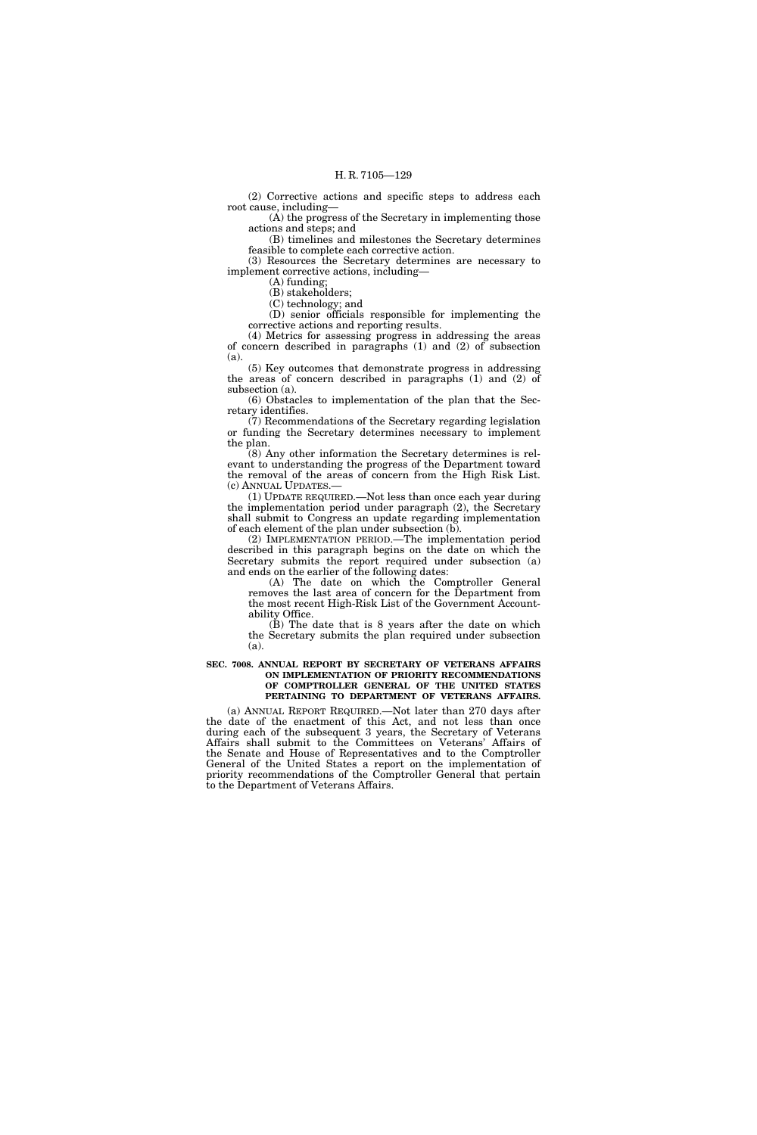(2) Corrective actions and specific steps to address each root cause, including—

 $(A)$  the progress of the Secretary in implementing those actions and steps; and

(B) timelines and milestones the Secretary determines feasible to complete each corrective action.

(3) Resources the Secretary determines are necessary to implement corrective actions, including—

(A) funding; (B) stakeholders;

(C) technology; and

(D) senior officials responsible for implementing the corrective actions and reporting results.

(4) Metrics for assessing progress in addressing the areas of concern described in paragraphs (1) and (2) of subsection (a).

(5) Key outcomes that demonstrate progress in addressing the areas of concern described in paragraphs (1) and (2) of subsection (a).

(6) Obstacles to implementation of the plan that the Secretary identifies.

(7) Recommendations of the Secretary regarding legislation or funding the Secretary determines necessary to implement the plan.

(8) Any other information the Secretary determines is relevant to understanding the progress of the Department toward the removal of the areas of concern from the High Risk List. (c) ANNUAL UPDATES.—

(1) UPDATE REQUIRED.—Not less than once each year during the implementation period under paragraph (2), the Secretary shall submit to Congress an update regarding implementation of each element of the plan under subsection (b).

(2) IMPLEMENTATION PERIOD.—The implementation period described in this paragraph begins on the date on which the Secretary submits the report required under subsection (a) and ends on the earlier of the following dates:

(A) The date on which the Comptroller General removes the last area of concern for the Department from the most recent High-Risk List of the Government Accountability Office.

(B) The date that is 8 years after the date on which the Secretary submits the plan required under subsection (a).

#### **SEC. 7008. ANNUAL REPORT BY SECRETARY OF VETERANS AFFAIRS ON IMPLEMENTATION OF PRIORITY RECOMMENDATIONS OF COMPTROLLER GENERAL OF THE UNITED STATES PERTAINING TO DEPARTMENT OF VETERANS AFFAIRS.**

(a) ANNUAL REPORT REQUIRED.—Not later than 270 days after the date of the enactment of this Act, and not less than once during each of the subsequent 3 years, the Secretary of Veterans Affairs shall submit to the Committees on Veterans' Affairs of the Senate and House of Representatives and to the Comptroller General of the United States a report on the implementation of priority recommendations of the Comptroller General that pertain to the Department of Veterans Affairs.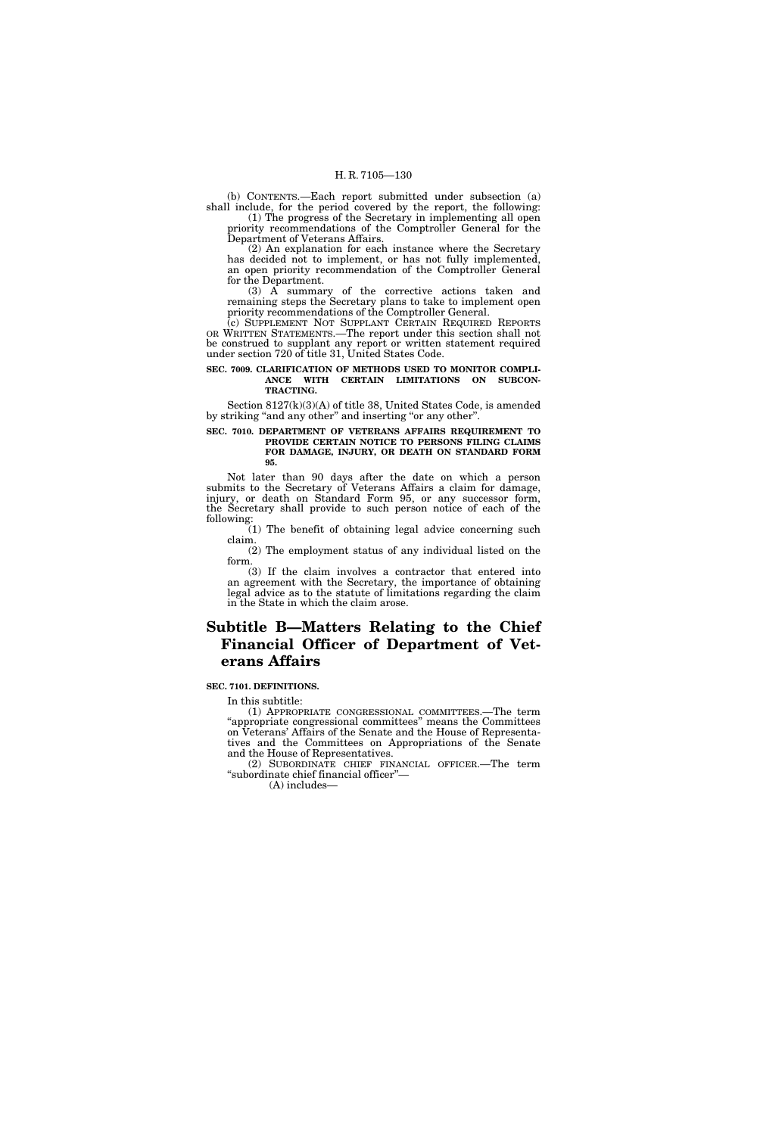(b) CONTENTS.—Each report submitted under subsection (a) shall include, for the period covered by the report, the following:

(1) The progress of the Secretary in implementing all open priority recommendations of the Comptroller General for the Department of Veterans Affairs.

(2) An explanation for each instance where the Secretary has decided not to implement, or has not fully implemented, an open priority recommendation of the Comptroller General for the Department.

(3) A summary of the corrective actions taken and remaining steps the Secretary plans to take to implement open priority recommendations of the Comptroller General.

(c) SUPPLEMENT NOT SUPPLANT CERTAIN REQUIRED REPORTS OR WRITTEN STATEMENTS.—The report under this section shall not be construed to supplant any report or written statement required under section 720 of title 31, United States Code.

# **SEC. 7009. CLARIFICATION OF METHODS USED TO MONITOR COMPLI-ANCE WITH CERTAIN LIMITATIONS ON SUBCON-TRACTING.**

Section 8127(k)(3)(A) of title 38, United States Code, is amended by striking "and any other" and inserting "or any other".

# **SEC. 7010. DEPARTMENT OF VETERANS AFFAIRS REQUIREMENT TO PROVIDE CERTAIN NOTICE TO PERSONS FILING CLAIMS FOR DAMAGE, INJURY, OR DEATH ON STANDARD FORM 95.**

Not later than 90 days after the date on which a person submits to the Secretary of Veterans Affairs a claim for damage, injury, or death on Standard Form 95, or any successor form, the Secretary shall provide to such person notice of each of the following:

(1) The benefit of obtaining legal advice concerning such claim.

(2) The employment status of any individual listed on the form.

(3) If the claim involves a contractor that entered into an agreement with the Secretary, the importance of obtaining legal advice as to the statute of limitations regarding the claim in the State in which the claim arose.

# **Subtitle B—Matters Relating to the Chief Financial Officer of Department of Veterans Affairs**

# **SEC. 7101. DEFINITIONS.**

In this subtitle:

(1) APPROPRIATE CONGRESSIONAL COMMITTEES.—The term ''appropriate congressional committees'' means the Committees on Veterans' Affairs of the Senate and the House of Representatives and the Committees on Appropriations of the Senate and the House of Representatives.

(2) SUBORDINATE CHIEF FINANCIAL OFFICER.—The term ''subordinate chief financial officer''—

(A) includes—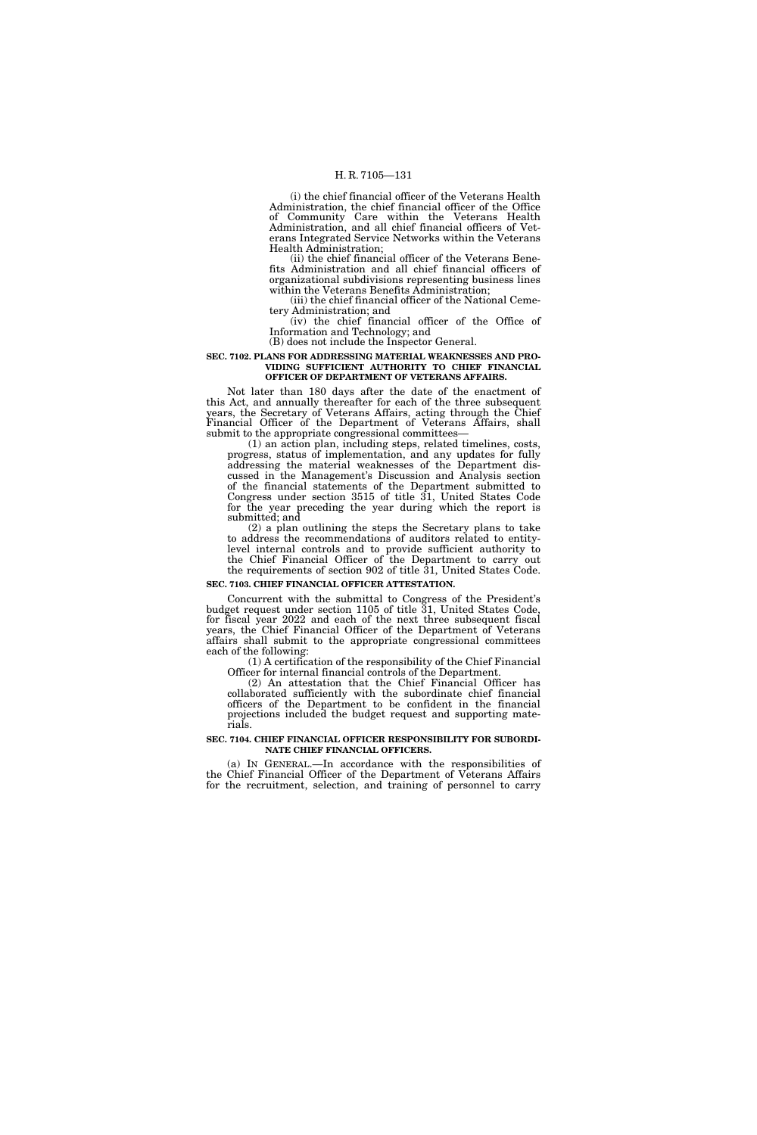(i) the chief financial officer of the Veterans Health Administration, the chief financial officer of the Office of Community Care within the Veterans Health Administration, and all chief financial officers of Veterans Integrated Service Networks within the Veterans Health Administration;

(ii) the chief financial officer of the Veterans Benefits Administration and all chief financial officers of organizational subdivisions representing business lines within the Veterans Benefits Administration;

(iii) the chief financial officer of the National Cemetery Administration; and

(iv) the chief financial officer of the Office of Information and Technology; and

(B) does not include the Inspector General.

#### **SEC. 7102. PLANS FOR ADDRESSING MATERIAL WEAKNESSES AND PRO-VIDING SUFFICIENT AUTHORITY TO CHIEF FINANCIAL OFFICER OF DEPARTMENT OF VETERANS AFFAIRS.**

Not later than 180 days after the date of the enactment of

this Act, and annually thereafter for each of the three subsequent years, the Secretary of Veterans Affairs, acting through the Chief Financial Officer of the Department of Veterans Affairs, shall submit to the appropriate congressional committees

(1) an action plan, including steps, related timelines, costs, progress, status of implementation, and any updates for fully addressing the material weaknesses of the Department discussed in the Management's Discussion and Analysis section of the financial statements of the Department submitted to Congress under section 3515 of title 31, United States Code for the year preceding the year during which the report is submitted; and

(2) a plan outlining the steps the Secretary plans to take to address the recommendations of auditors related to entitylevel internal controls and to provide sufficient authority to the Chief Financial Officer of the Department to carry out the requirements of section 902 of title 31, United States Code.

#### **SEC. 7103. CHIEF FINANCIAL OFFICER ATTESTATION.**

Concurrent with the submittal to Congress of the President's budget request under section 1105 of title 31, United States Code, for fiscal year 2022 and each of the next three subsequent fiscal years, the Chief Financial Officer of the Department of Veterans affairs shall submit to the appropriate congressional committees each of the following:

(1) A certification of the responsibility of the Chief Financial Officer for internal financial controls of the Department.

(2) An attestation that the Chief Financial Officer has collaborated sufficiently with the subordinate chief financial officers of the Department to be confident in the financial projections included the budget request and supporting materials.

#### **SEC. 7104. CHIEF FINANCIAL OFFICER RESPONSIBILITY FOR SUBORDI-NATE CHIEF FINANCIAL OFFICERS.**

(a) IN GENERAL.—In accordance with the responsibilities of the Chief Financial Officer of the Department of Veterans Affairs for the recruitment, selection, and training of personnel to carry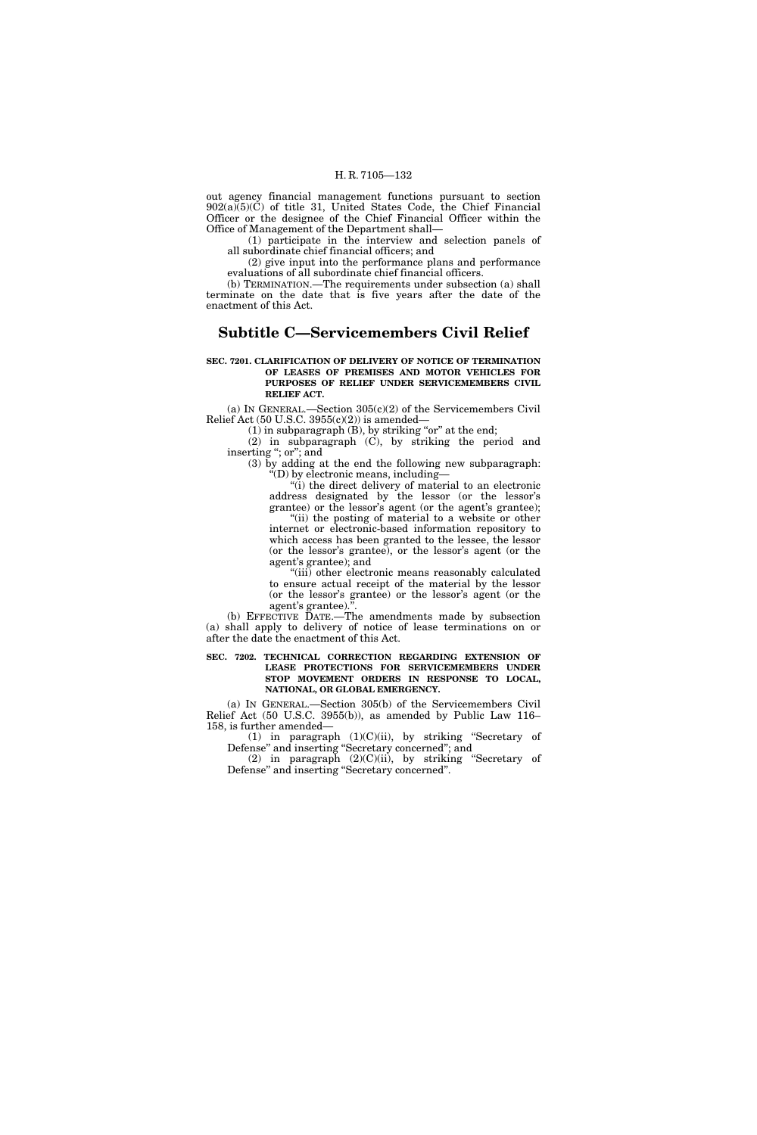out agency financial management functions pursuant to section 902(a)(5)(C) of title 31, United States Code, the Chief Financial Officer or the designee of the Chief Financial Officer within the Office of Management of the Department shall—

(1) participate in the interview and selection panels of all subordinate chief financial officers; and

(2) give input into the performance plans and performance evaluations of all subordinate chief financial officers.

(b) TERMINATION.—The requirements under subsection (a) shall terminate on the date that is five years after the date of the enactment of this Act.

# **Subtitle C—Servicemembers Civil Relief**

#### **SEC. 7201. CLARIFICATION OF DELIVERY OF NOTICE OF TERMINATION OF LEASES OF PREMISES AND MOTOR VEHICLES FOR PURPOSES OF RELIEF UNDER SERVICEMEMBERS CIVIL RELIEF ACT.**

(a) IN GENERAL.—Section 305(c)(2) of the Servicemembers Civil Relief Act  $(50 \text{ U.S.C. } 3955(c)(2))$  is amended—

(1) in subparagraph  $(B)$ , by striking "or" at the end;

(2) in subparagraph (C), by striking the period and inserting "; or"; and

(3) by adding at the end the following new subparagraph: ''(D) by electronic means, including—

 $\dddot{\mathbf{u}}$ ) the direct delivery of material to an electronic address designated by the lessor (or the lessor's grantee) or the lessor's agent (or the agent's grantee);

"(ii) the posting of material to a website or other internet or electronic-based information repository to which access has been granted to the lessee, the lessor (or the lessor's grantee), or the lessor's agent (or the agent's grantee); and

''(iii) other electronic means reasonably calculated to ensure actual receipt of the material by the lessor (or the lessor's grantee) or the lessor's agent (or the agent's grantee).

(b) EFFECTIVE DATE.—The amendments made by subsection (a) shall apply to delivery of notice of lease terminations on or after the date the enactment of this Act.

**SEC. 7202. TECHNICAL CORRECTION REGARDING EXTENSION OF LEASE PROTECTIONS FOR SERVICEMEMBERS UNDER STOP MOVEMENT ORDERS IN RESPONSE TO LOCAL, NATIONAL, OR GLOBAL EMERGENCY.** 

(a) IN GENERAL.—Section 305(b) of the Servicemembers Civil Relief Act (50 U.S.C. 3955(b)), as amended by Public Law 116– 158, is further amended—

(1) in paragraph  $(1)(C)(ii)$ , by striking "Secretary of Defense'' and inserting ''Secretary concerned''; and

(2) in paragraph (2)(C)(ii), by striking ''Secretary of Defense'' and inserting ''Secretary concerned''.